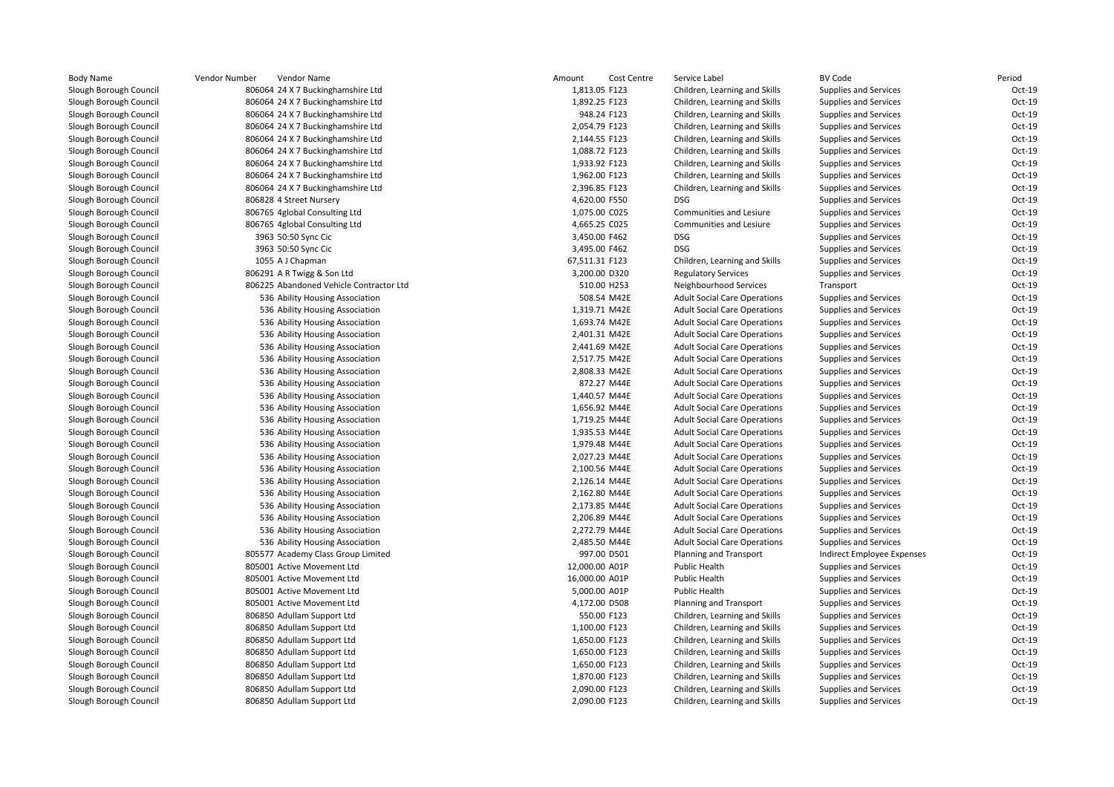|                           | Vendor Number<br>Vendor Name            | Amount<br>Cost Centre | Service Label                       | <b>BV Code</b>               | Period |
|---------------------------|-----------------------------------------|-----------------------|-------------------------------------|------------------------------|--------|
| ough Council <sup>-</sup> | 806064 24 X 7 Buckinghamshire Ltd       | 1,813.05 F123         | Children, Learning and Skills       | Supplies and Services        | Oct-19 |
| ough Council <sup>-</sup> | 806064 24 X 7 Buckinghamshire Ltd       | 1,892.25 F123         | Children, Learning and Skills       | Supplies and Services        | Oct-19 |
| ough Council              | 806064 24 X 7 Buckinghamshire Ltd       | 948.24 F123           | Children, Learning and Skills       | Supplies and Services        | Oct-19 |
| ough Council              | 806064 24 X 7 Buckinghamshire Ltd       | 2,054.79 F123         | Children, Learning and Skills       | <b>Supplies and Services</b> | Oct-19 |
| ough Council <sup>-</sup> | 806064 24 X 7 Buckinghamshire Ltd       | 2,144.55 F123         | Children, Learning and Skills       | Supplies and Services        | Oct-19 |
| ough Council <sup>-</sup> | 806064 24 X 7 Buckinghamshire Ltd       | 1,088.72 F123         | Children, Learning and Skills       | Supplies and Services        | Oct-19 |
| ough Council              | 806064 24 X 7 Buckinghamshire Ltd       | 1,933.92 F123         | Children, Learning and Skills       | <b>Supplies and Services</b> | Oct-19 |
| ough Council <sup>-</sup> | 806064 24 X 7 Buckinghamshire Ltd       | 1,962.00 F123         | Children, Learning and Skills       | Supplies and Services        | Oct-19 |
| ough Council              | 806064 24 X 7 Buckinghamshire Ltd       | 2,396.85 F123         | Children, Learning and Skills       | Supplies and Services        | Oct-19 |
| ough Council <sup>-</sup> | 806828 4 Street Nursery                 | 4,620.00 F550         | <b>DSG</b>                          | Supplies and Services        | Oct-19 |
| ough Council <sup>-</sup> | 806765 4global Consulting Ltd           | 1,075.00 C025         | Communities and Lesiure             | <b>Supplies and Services</b> | Oct-19 |
| ough Council <sup>-</sup> | 806765 4global Consulting Ltd           | 4,665.25 C025         | Communities and Lesiure             | Supplies and Services        | Oct-19 |
| ough Council <sup>-</sup> | 3963 50:50 Sync Cic                     | 3,450.00 F462         | <b>DSG</b>                          | Supplies and Services        | Oct-19 |
| ough Council <sup>-</sup> | 3963 50:50 Sync Cic                     | 3,495.00 F462         | <b>DSG</b>                          | Supplies and Services        | Oct-19 |
| ough Council              | 1055 A J Chapman                        | 67,511.31 F123        | Children, Learning and Skills       | Supplies and Services        | Oct-19 |
| ough Council <sup>-</sup> | 806291 A R Twigg & Son Ltd              | 3,200.00 D320         | <b>Regulatory Services</b>          | Supplies and Services        | Oct-19 |
| ough Council <sup>-</sup> | 806225 Abandoned Vehicle Contractor Ltd | 510.00 H253           | Neighbourhood Services              | Transport                    | Oct-19 |
| ough Council              | 536 Ability Housing Association         | 508.54 M42E           | <b>Adult Social Care Operations</b> | Supplies and Services        | Oct-19 |
| ough Council <sup>-</sup> | 536 Ability Housing Association         | 1,319.71 M42E         | <b>Adult Social Care Operations</b> | Supplies and Services        | Oct-19 |
| ough Council <sup>-</sup> | 536 Ability Housing Association         | 1,693.74 M42E         | <b>Adult Social Care Operations</b> | Supplies and Services        | Oct-19 |
| ough Council <sup>-</sup> | 536 Ability Housing Association         | 2,401.31 M42E         | <b>Adult Social Care Operations</b> | Supplies and Services        | Oct-19 |
| ough Council              | 536 Ability Housing Association         | 2,441.69 M42E         | <b>Adult Social Care Operations</b> | Supplies and Services        | Oct-19 |
| ough Council <sup>-</sup> | 536 Ability Housing Association         | 2,517.75 M42E         | <b>Adult Social Care Operations</b> | Supplies and Services        | Oct-19 |
| ough Council <sup>-</sup> | 536 Ability Housing Association         | 2,808.33 M42E         | <b>Adult Social Care Operations</b> | Supplies and Services        | Oct-19 |
| ough Council <sup>-</sup> | 536 Ability Housing Association         | 872.27 M44E           | <b>Adult Social Care Operations</b> | Supplies and Services        | Oct-19 |
| ough Council              | 536 Ability Housing Association         | 1,440.57 M44E         | <b>Adult Social Care Operations</b> | Supplies and Services        | Oct-19 |
| ough Council <sup>-</sup> | 536 Ability Housing Association         | 1,656.92 M44E         | <b>Adult Social Care Operations</b> | <b>Supplies and Services</b> | Oct-19 |
| ough Council <sup>-</sup> | 536 Ability Housing Association         | 1,719.25 M44E         | <b>Adult Social Care Operations</b> | Supplies and Services        | Oct-19 |
| ough Council <sup>-</sup> | 536 Ability Housing Association         | 1,935.53 M44E         | <b>Adult Social Care Operations</b> | Supplies and Services        | Oct-19 |
| ough Council              | 536 Ability Housing Association         | 1,979.48 M44E         | <b>Adult Social Care Operations</b> | <b>Supplies and Services</b> | Oct-19 |
| ough Council <sup>-</sup> | 536 Ability Housing Association         | 2,027.23 M44E         | <b>Adult Social Care Operations</b> | Supplies and Services        | Oct-19 |
| ough Council <sup>-</sup> | 536 Ability Housing Association         | 2,100.56 M44E         | <b>Adult Social Care Operations</b> | Supplies and Services        | Oct-19 |
| ough Council <sup>-</sup> | 536 Ability Housing Association         | 2,126.14 M44E         | <b>Adult Social Care Operations</b> | Supplies and Services        | Oct-19 |
| ough Council <sup>-</sup> | 536 Ability Housing Association         | 2,162.80 M44E         | <b>Adult Social Care Operations</b> | Supplies and Services        | Oct-19 |
| ough Council <sup>-</sup> | 536 Ability Housing Association         | 2,173.85 M44E         | <b>Adult Social Care Operations</b> | <b>Supplies and Services</b> | Oct-19 |
| ough Council <sup>-</sup> | 536 Ability Housing Association         | 2,206.89 M44E         | <b>Adult Social Care Operations</b> | Supplies and Services        | Oct-19 |
| ough Council <sup>-</sup> | 536 Ability Housing Association         | 2,272.79 M44E         | <b>Adult Social Care Operations</b> | Supplies and Services        | Oct-19 |
| ough Council              | 536 Ability Housing Association         | 2,485.50 M44E         | <b>Adult Social Care Operations</b> | <b>Supplies and Services</b> | Oct-19 |
| ough Council <sup>-</sup> | 805577 Academy Class Group Limited      | 997.00 D501           | Planning and Transport              | Indirect Employee Expenses   | Oct-19 |
| ough Council <sup>-</sup> | 805001 Active Movement Ltd              | 12,000.00 A01P        | <b>Public Health</b>                | Supplies and Services        | Oct-19 |
| ough Council <sup>-</sup> | 805001 Active Movement Ltd              | 16,000.00 A01P        | <b>Public Health</b>                | Supplies and Services        | Oct-19 |
| ough Council <sup>-</sup> | 805001 Active Movement Ltd              | 5,000.00 A01P         | <b>Public Health</b>                | <b>Supplies and Services</b> | Oct-19 |
| ough Council <sup>-</sup> | 805001 Active Movement Ltd              | 4,172.00 D508         | Planning and Transport              | Supplies and Services        | Oct-19 |
| ough Council              | 806850 Adullam Support Ltd              | 550.00 F123           | Children, Learning and Skills       | Supplies and Services        | Oct-19 |
| ough Council <sup>.</sup> | 806850 Adullam Support Ltd              | 1,100.00 F123         | Children, Learning and Skills       | Supplies and Services        | Oct-19 |
| ough Council <sup>-</sup> | 806850 Adullam Support Ltd              | 1,650.00 F123         | Children, Learning and Skills       | <b>Supplies and Services</b> | Oct-19 |
| ough Council <sup>-</sup> | 806850 Adullam Support Ltd              | 1,650.00 F123         | Children, Learning and Skills       | Supplies and Services        | Oct-19 |
| ough Council <sup>-</sup> | 806850 Adullam Support Ltd              | 1,650.00 F123         | Children, Learning and Skills       | Supplies and Services        | Oct-19 |
| ough Council              | 806850 Adullam Support Ltd              | 1,870.00 F123         | Children, Learning and Skills       | <b>Supplies and Services</b> | Oct-19 |
| ough Council <sup>-</sup> | 806850 Adullam Support Ltd              | 2,090.00 F123         | Children, Learning and Skills       | Supplies and Services        | Oct-19 |
| ough Council <sup>-</sup> | 806850 Adullam Support Ltd              | 2,090.00 F123         | Children, Learning and Skills       | Supplies and Services        | Oct-19 |
|                           |                                         |                       |                                     |                              |        |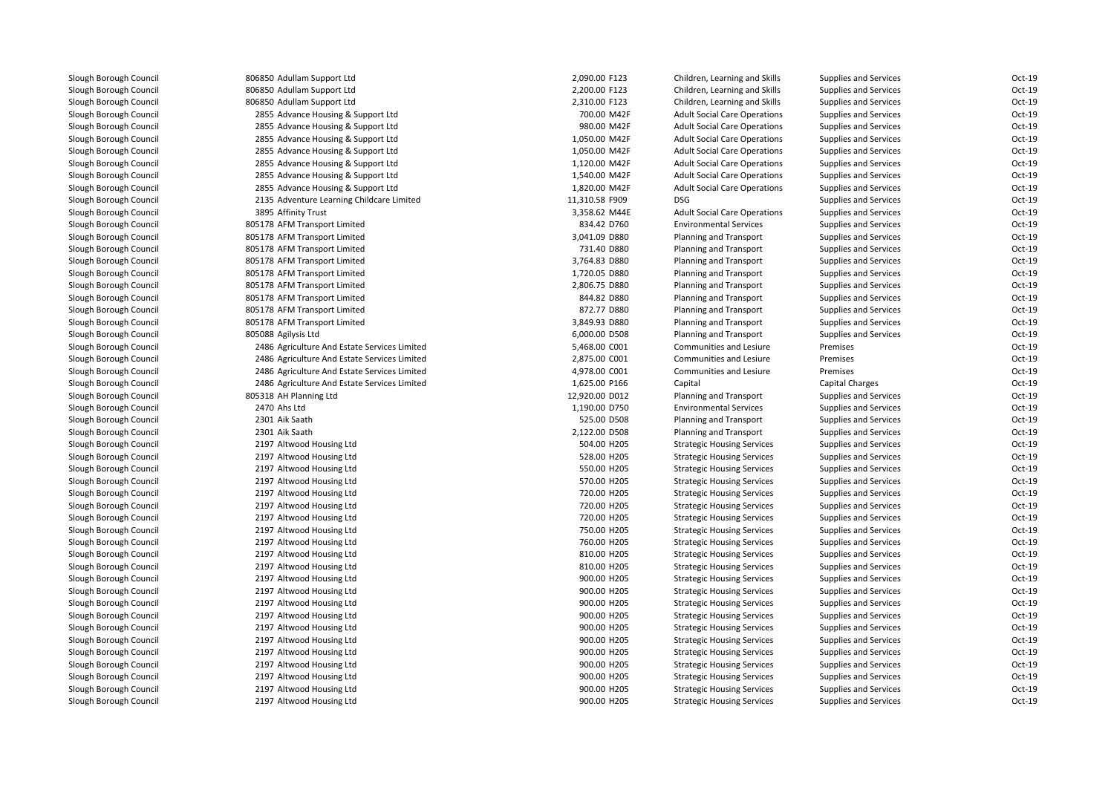806850 Adullam Support Ltd 806850 Adullam Support Ltd 806850 Adullam Support Ltd 2855 Advance Housing & Support Ltd 2855 Advance Housing & Support Ltd 2855 Advance Housing & Support Ltd 2855 Advance Housing & Support Ltd 2855 Advance Housing & Support Ltd 2855 Advance Housing & Support Ltd 2855 Advance Housing & Support Ltd 2135 Adventure Learning Childcare Limited3895 Affinity Trust 805178 AFM Transport Limited 805178 AFM Transport Limited 805178 AFM Transport Limited 805178 AFM Transport Limited 805178 AFM Transport Limited 805178 AFM Transport Limited 805178 AFM Transport Limited 805178 AFM Transport Limited 805178 AFM Transport Limited 805088 Agilysis Ltd 2486 Agriculture And Estate Services Limited 2486 Agriculture And Estate Services Limited 2486 Agriculture And Estate Services Limited 2486 Agriculture And Estate Services Limited 805318 AH Planning Ltd 2470 Ahs Ltd 2301 Aik Saath 2301 Aik Saath 2197 Altwood Housing Ltd 2197 Altwood Housing Ltd 2197 Altwood Housing Ltd 2197 Altwood Housing Ltd 2197 Altwood Housing Ltd 2197 Altwood Housing Ltd 2197 Altwood Housing Ltd 2197 Altwood Housing Ltd 2197 Altwood Housing Ltd 2197 Altwood Housing Ltd 2197 Altwood Housing Ltd 2197 Altwood Housing Ltd 2197 Altwood Housing Ltd 2197 Altwood Housing Ltd 2197 Altwood Housing Ltd 2197 Altwood Housing Ltd 2197 Altwood Housing Ltd 2197 Altwood Housing Ltd 2197 Altwood Housing Ltd 2197 Altwood Housing Ltd 2197 Altwood Housing Ltd2197 Altwood Housing Ltd

| 0 Adullam Support Ltd                     | 2,090.00 F123  | Children, Learning and Skills       | <b>Supplies and Services</b> | Oct-19   |
|-------------------------------------------|----------------|-------------------------------------|------------------------------|----------|
| 0 Adullam Support Ltd                     | 2,200.00 F123  | Children, Learning and Skills       | <b>Supplies and Services</b> | Oct-19   |
| 0 Adullam Support Ltd                     | 2,310.00 F123  | Children, Learning and Skills       | <b>Supplies and Services</b> | Oct-19   |
| 5 Advance Housing & Support Ltd           | 700.00 M42F    | <b>Adult Social Care Operations</b> | <b>Supplies and Services</b> | Oct-19   |
| 5 Advance Housing & Support Ltd           | 980.00 M42F    | <b>Adult Social Care Operations</b> | <b>Supplies and Services</b> | Oct-19   |
| 5 Advance Housing & Support Ltd           | 1,050.00 M42F  | <b>Adult Social Care Operations</b> | <b>Supplies and Services</b> | Oct-19   |
| 5 Advance Housing & Support Ltd           | 1,050.00 M42F  | <b>Adult Social Care Operations</b> | <b>Supplies and Services</b> | Oct-19   |
| 5 Advance Housing & Support Ltd           | 1,120.00 M42F  | <b>Adult Social Care Operations</b> | <b>Supplies and Services</b> | Oct-19   |
| 5 Advance Housing & Support Ltd           | 1,540.00 M42F  | <b>Adult Social Care Operations</b> | <b>Supplies and Services</b> | Oct-19   |
| 5 Advance Housing & Support Ltd           | 1,820.00 M42F  | <b>Adult Social Care Operations</b> | <b>Supplies and Services</b> | $Oct-19$ |
| 5 Adventure Learning Childcare Limited    | 11,310.58 F909 | <b>DSG</b>                          | <b>Supplies and Services</b> | $Oct-19$ |
| 5 Affinity Trust                          | 3,358.62 M44E  | <b>Adult Social Care Operations</b> | Supplies and Services        | Oct-19   |
| 8 AFM Transport Limited                   | 834.42 D760    | <b>Environmental Services</b>       | <b>Supplies and Services</b> | Oct-19   |
| 8 AFM Transport Limited                   | 3,041.09 D880  | Planning and Transport              | <b>Supplies and Services</b> | Oct-19   |
| 8 AFM Transport Limited                   | 731.40 D880    | Planning and Transport              | <b>Supplies and Services</b> | Oct-19   |
| 8 AFM Transport Limited                   | 3,764.83 D880  | Planning and Transport              | <b>Supplies and Services</b> | Oct-19   |
| 8 AFM Transport Limited                   | 1,720.05 D880  | Planning and Transport              | <b>Supplies and Services</b> | Oct-19   |
| 8 AFM Transport Limited                   | 2,806.75 D880  | Planning and Transport              | <b>Supplies and Services</b> | Oct-19   |
| 8 AFM Transport Limited                   | 844.82 D880    | Planning and Transport              | <b>Supplies and Services</b> | $Oct-19$ |
| 8 AFM Transport Limited                   | 872.77 D880    | Planning and Transport              | <b>Supplies and Services</b> | Oct-19   |
| 8 AFM Transport Limited                   | 3,849.93 D880  | Planning and Transport              | <b>Supplies and Services</b> | Oct-19   |
| 8 Agilysis Ltd                            | 6,000.00 D508  | Planning and Transport              | <b>Supplies and Services</b> | Oct-19   |
| 6 Agriculture And Estate Services Limited | 5,468.00 C001  | Communities and Lesiure             | Premises                     | Oct-19   |
| 6 Agriculture And Estate Services Limited | 2,875.00 C001  | Communities and Lesiure             | Premises                     | Oct-19   |
| 6 Agriculture And Estate Services Limited | 4,978.00 C001  | Communities and Lesiure             | Premises                     | Oct-19   |
| 6 Agriculture And Estate Services Limited | 1,625.00 P166  | Capital                             | Capital Charges              | Oct-19   |
| 8 AH Planning Ltd                         | 12,920.00 D012 | Planning and Transport              | <b>Supplies and Services</b> | Oct-19   |
| 0 Ahs Ltd                                 | 1,190.00 D750  | <b>Environmental Services</b>       | <b>Supplies and Services</b> | Oct-19   |
| 1 Aik Saath                               | 525.00 D508    | Planning and Transport              | <b>Supplies and Services</b> | Oct-19   |
| 1 Aik Saath                               | 2,122.00 D508  | Planning and Transport              | <b>Supplies and Services</b> | Oct-19   |
| 7 Altwood Housing Ltd                     | 504.00 H205    | <b>Strategic Housing Services</b>   | <b>Supplies and Services</b> | Oct-19   |
| 7 Altwood Housing Ltd                     | 528.00 H205    | <b>Strategic Housing Services</b>   | <b>Supplies and Services</b> | Oct-19   |
| 7 Altwood Housing Ltd                     | 550.00 H205    | <b>Strategic Housing Services</b>   | <b>Supplies and Services</b> | Oct-19   |
| 7 Altwood Housing Ltd                     | 570.00 H205    | <b>Strategic Housing Services</b>   | <b>Supplies and Services</b> | Oct-19   |
| 7 Altwood Housing Ltd                     | 720.00 H205    | <b>Strategic Housing Services</b>   | <b>Supplies and Services</b> | Oct-19   |
| 7 Altwood Housing Ltd                     | 720.00 H205    | <b>Strategic Housing Services</b>   | <b>Supplies and Services</b> | Oct-19   |
| 7 Altwood Housing Ltd                     | 720.00 H205    | <b>Strategic Housing Services</b>   | <b>Supplies and Services</b> | Oct-19   |
| 7 Altwood Housing Ltd                     | 750.00 H205    | <b>Strategic Housing Services</b>   | <b>Supplies and Services</b> | Oct-19   |
| 7 Altwood Housing Ltd                     | 760.00 H205    | <b>Strategic Housing Services</b>   | <b>Supplies and Services</b> | Oct-19   |
| 7 Altwood Housing Ltd                     | 810.00 H205    | <b>Strategic Housing Services</b>   | <b>Supplies and Services</b> | Oct-19   |
| 7 Altwood Housing Ltd                     | 810.00 H205    | <b>Strategic Housing Services</b>   | <b>Supplies and Services</b> | Oct-19   |
| 7 Altwood Housing Ltd                     | 900.00 H205    | <b>Strategic Housing Services</b>   | <b>Supplies and Services</b> | Oct-19   |
| 7 Altwood Housing Ltd                     | 900.00 H205    | <b>Strategic Housing Services</b>   | <b>Supplies and Services</b> | Oct-19   |
| 7 Altwood Housing Ltd                     | 900.00 H205    | <b>Strategic Housing Services</b>   | Supplies and Services        | Oct-19   |
| 7 Altwood Housing Ltd                     | 900.00 H205    | <b>Strategic Housing Services</b>   | <b>Supplies and Services</b> | Oct-19   |
| 7 Altwood Housing Ltd                     | 900.00 H205    | <b>Strategic Housing Services</b>   | <b>Supplies and Services</b> | Oct-19   |
| 7 Altwood Housing Ltd                     | 900.00 H205    | <b>Strategic Housing Services</b>   | <b>Supplies and Services</b> | Oct-19   |
| 7 Altwood Housing Ltd                     | 900.00 H205    | <b>Strategic Housing Services</b>   | <b>Supplies and Services</b> | Oct-19   |
| 7 Altwood Housing Ltd                     | 900.00 H205    | <b>Strategic Housing Services</b>   | <b>Supplies and Services</b> | Oct-19   |
| 7 Altwood Housing Ltd                     | 900.00 H205    | <b>Strategic Housing Services</b>   | <b>Supplies and Services</b> | $Oct-19$ |
| 7 Altwood Housing Ltd                     | 900.00 H205    | <b>Strategic Housing Services</b>   | <b>Supplies and Services</b> | Oct-19   |
| 7 Altwood Housing Ltd                     | 900.00 H205    | <b>Strategic Housing Services</b>   | <b>Supplies and Services</b> | Oct-19   |
|                                           |                |                                     |                              |          |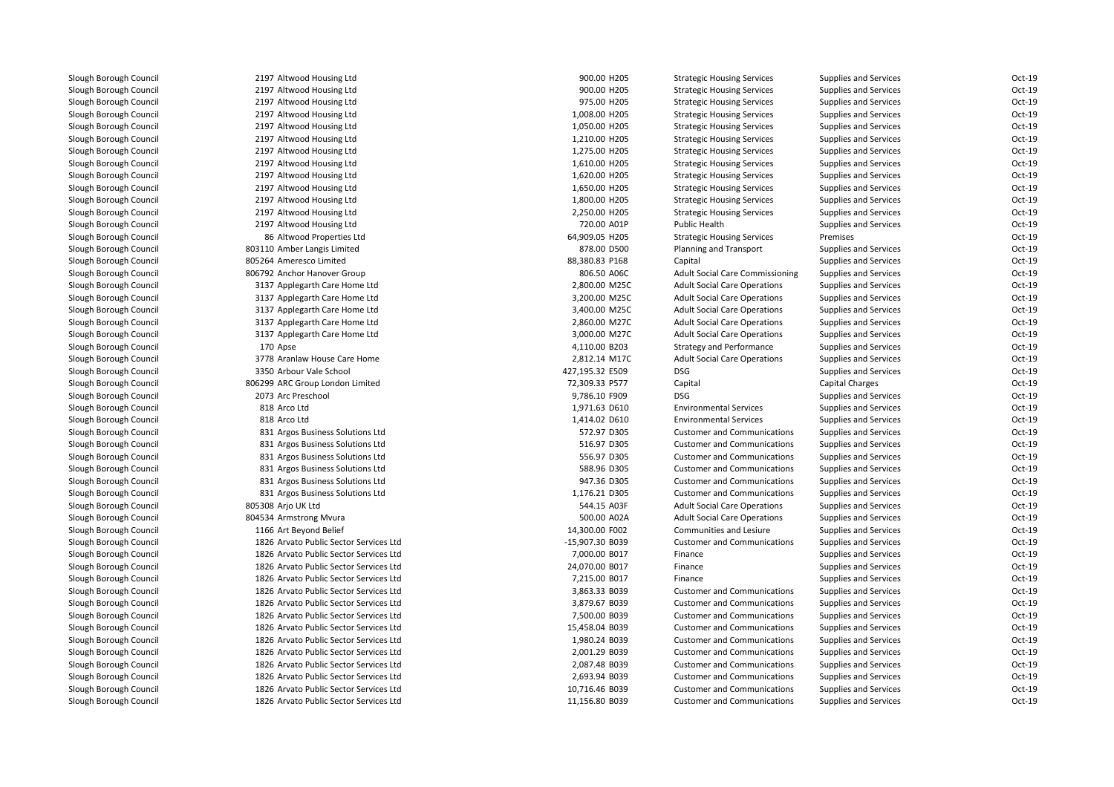2197 Altwood Housing Ltd 2197 Altwood Housing Ltd 2197 Altwood Housing Ltd 2197 Altwood Housing Ltd 2197 Altwood Housing Ltd 2197 Altwood Housing Ltd 2197 Altwood Housing Ltd 2197 Altwood Housing Ltd 2197 Altwood Housing Ltd 2197 Altwood Housing Ltd 2197 Altwood Housing Ltd 2197 Altwood Housing Ltd 2197 Altwood Housing Ltd 8686 Altwood Properties Ltd 803110 Amber Langis Limited 805264 Ameresco Limited 806792 Anchor Hanover Group 3137 Applegarth Care Home Ltd 3137 Applegarth Care Home Ltd 3137 Applegarth Care Home Ltd 3137 Applegarth Care Home Ltd 3137 Applegarth Care Home Ltd170 Apse 3778 Aranlaw House Care Home 2,812.14 M17C 3350 Arbour Vale School 427,195.32 E509 DSG 806299 ARC Group London Limited2073 Arc Preschool 818 Arco Ltd 818 Arco Ltd 831 Argos Business Solutions Ltd 831 Argos Business Solutions Ltd 831 Argos Business Solutions Ltd 831 Argos Business Solutions Ltd 831 Argos Business Solutions Ltd 831 Argos Business Solutions Ltd 805308 Arjo UK Ltd 804534 Armstrong Mvura 500.00 A02A1166 Art Bevond Belief 1826 Arvato Public Sector Services Ltd 1826 Arvato Public Sector Services Ltd 1826 Arvato Public Sector Services Ltd 1826 Arvato Public Sector Services Ltd 1826 Arvato Public Sector Services Ltd 1826 Arvato Public Sector Services Ltd 1826 Arvato Public Sector Services Ltd 1826 Arvato Public Sector Services Ltd 1826 Arvato Public Sector Services Ltd 1826 Arvato Public Sector Services Ltd 1826 Arvato Public Sector Services Ltd 1826 Arvato Public Sector Services Ltd 1826 Arvato Public Sector Services Ltd1826 Arvato Public Sector Services Ltd

| 7 Altwood Housing Ltd               | 900.00 H205     | <b>Strategic Housing Services</b>      | Supplies and Services        | Oct-19   |
|-------------------------------------|-----------------|----------------------------------------|------------------------------|----------|
| 7 Altwood Housing Ltd               | 900.00 H205     | <b>Strategic Housing Services</b>      | <b>Supplies and Services</b> | Oct-19   |
| 7 Altwood Housing Ltd               | 975.00 H205     | <b>Strategic Housing Services</b>      | Supplies and Services        | Oct-19   |
| 7 Altwood Housing Ltd               | 1,008.00 H205   | <b>Strategic Housing Services</b>      | <b>Supplies and Services</b> | Oct-19   |
| 7 Altwood Housing Ltd               | 1,050.00 H205   | <b>Strategic Housing Services</b>      | Supplies and Services        | Oct-19   |
| 7 Altwood Housing Ltd               | 1,210.00 H205   | <b>Strategic Housing Services</b>      | <b>Supplies and Services</b> | Oct-19   |
| 7 Altwood Housing Ltd               | 1,275.00 H205   | <b>Strategic Housing Services</b>      | <b>Supplies and Services</b> | Oct-19   |
| 7 Altwood Housing Ltd               | 1,610.00 H205   | <b>Strategic Housing Services</b>      | <b>Supplies and Services</b> | Oct-19   |
| 7 Altwood Housing Ltd               | 1,620.00 H205   | <b>Strategic Housing Services</b>      | Supplies and Services        | Oct-19   |
| 7 Altwood Housing Ltd               | 1,650.00 H205   | <b>Strategic Housing Services</b>      | <b>Supplies and Services</b> | Oct-19   |
| 7 Altwood Housing Ltd               | 1,800.00 H205   | <b>Strategic Housing Services</b>      | <b>Supplies and Services</b> | $Oct-19$ |
| 7 Altwood Housing Ltd               | 2,250.00 H205   | <b>Strategic Housing Services</b>      | Supplies and Services        | Oct-19   |
| 7 Altwood Housing Ltd               | 720.00 A01P     | Public Health                          | Supplies and Services        | Oct-19   |
| 6 Altwood Properties Ltd            | 64,909.05 H205  | <b>Strategic Housing Services</b>      | Premises                     | Oct-19   |
| 0 Amber Langis Limited              | 878.00 D500     | Planning and Transport                 | Supplies and Services        | Oct-19   |
| 4 Ameresco Limited                  | 88,380.83 P168  | Capital                                | Supplies and Services        | Oct-19   |
| 2 Anchor Hanover Group              | 806.50 A06C     | <b>Adult Social Care Commissioning</b> | Supplies and Services        | Oct-19   |
| 7 Applegarth Care Home Ltd          | 2,800.00 M25C   | <b>Adult Social Care Operations</b>    | <b>Supplies and Services</b> | Oct-19   |
| 7 Applegarth Care Home Ltd          | 3,200.00 M25C   | <b>Adult Social Care Operations</b>    | Supplies and Services        | Oct-19   |
| 7 Applegarth Care Home Ltd          | 3,400.00 M25C   | <b>Adult Social Care Operations</b>    | <b>Supplies and Services</b> | $Oct-19$ |
| 7 Applegarth Care Home Ltd          | 2,860.00 M27C   | <b>Adult Social Care Operations</b>    | Supplies and Services        | Oct-19   |
| 7 Applegarth Care Home Ltd          | 3,000.00 M27C   | <b>Adult Social Care Operations</b>    | Supplies and Services        | Oct-19   |
| 0 Apse                              | 4,110.00 B203   | <b>Strategy and Performance</b>        | Supplies and Services        | Oct-19   |
| 8 Aranlaw House Care Home           | 2,812.14 M17C   | <b>Adult Social Care Operations</b>    | <b>Supplies and Services</b> | Oct-19   |
| 0 Arbour Vale School                | 427,195.32 E509 | <b>DSG</b>                             | <b>Supplies and Services</b> | Oct-19   |
| 9 ARC Group London Limited          | 72,309.33 P577  | Capital                                | <b>Capital Charges</b>       | Oct-19   |
| 3 Arc Preschool                     | 9,786.10 F909   | <b>DSG</b>                             | <b>Supplies and Services</b> | Oct-19   |
| 8 Arco Ltd                          | 1,971.63 D610   | <b>Environmental Services</b>          | <b>Supplies and Services</b> | Oct-19   |
| 8 Arco Ltd                          | 1,414.02 D610   | <b>Environmental Services</b>          | <b>Supplies and Services</b> | Oct-19   |
| 1 Argos Business Solutions Ltd      | 572.97 D305     | <b>Customer and Communications</b>     | Supplies and Services        | Oct-19   |
| 1 Argos Business Solutions Ltd      | 516.97 D305     | <b>Customer and Communications</b>     | <b>Supplies and Services</b> | Oct-19   |
| 1 Argos Business Solutions Ltd      | 556.97 D305     | <b>Customer and Communications</b>     | Supplies and Services        | Oct-19   |
| 1 Argos Business Solutions Ltd      | 588.96 D305     | <b>Customer and Communications</b>     | <b>Supplies and Services</b> | Oct-19   |
| 1 Argos Business Solutions Ltd      | 947.36 D305     | <b>Customer and Communications</b>     | <b>Supplies and Services</b> | Oct-19   |
| 1 Argos Business Solutions Ltd      | 1,176.21 D305   | <b>Customer and Communications</b>     | <b>Supplies and Services</b> | Oct-19   |
| 8 Arjo UK Ltd                       | 544.15 A03F     | <b>Adult Social Care Operations</b>    | <b>Supplies and Services</b> | $Oct-19$ |
| 4 Armstrong Mvura                   | 500.00 A02A     | <b>Adult Social Care Operations</b>    | <b>Supplies and Services</b> | Oct-19   |
| 6 Art Beyond Belief                 | 14,300.00 F002  | Communities and Lesiure                | Supplies and Services        | Oct-19   |
| 6 Arvato Public Sector Services Ltd | -15,907.30 B039 | <b>Customer and Communications</b>     | <b>Supplies and Services</b> | Oct-19   |
| 6 Arvato Public Sector Services Ltd | 7,000.00 B017   | Finance                                | <b>Supplies and Services</b> | Oct-19   |
| 6 Arvato Public Sector Services Ltd | 24,070.00 B017  | Finance                                | Supplies and Services        | Oct-19   |
| 6 Arvato Public Sector Services Ltd | 7,215.00 B017   | Finance                                | <b>Supplies and Services</b> | Oct-19   |
| 6 Arvato Public Sector Services Ltd | 3,863.33 B039   | <b>Customer and Communications</b>     | <b>Supplies and Services</b> | Oct-19   |
| 6 Arvato Public Sector Services Ltd | 3,879.67 B039   | <b>Customer and Communications</b>     | <b>Supplies and Services</b> | Oct-19   |
| 6 Arvato Public Sector Services Ltd | 7,500.00 B039   | <b>Customer and Communications</b>     | <b>Supplies and Services</b> | Oct-19   |
| 6 Arvato Public Sector Services Ltd | 15,458.04 B039  | <b>Customer and Communications</b>     | Supplies and Services        | Oct-19   |
| 6 Arvato Public Sector Services Ltd | 1,980.24 B039   | <b>Customer and Communications</b>     | Supplies and Services        | Oct-19   |
| 6 Arvato Public Sector Services Ltd | 2,001.29 B039   | <b>Customer and Communications</b>     | <b>Supplies and Services</b> | Oct-19   |
| 6 Arvato Public Sector Services Ltd | 2,087.48 B039   | <b>Customer and Communications</b>     | <b>Supplies and Services</b> | Oct-19   |
| 6 Arvato Public Sector Services Ltd | 2,693.94 B039   | <b>Customer and Communications</b>     | <b>Supplies and Services</b> | Oct-19   |
| 6 Arvato Public Sector Services Ltd | 10,716.46 B039  | <b>Customer and Communications</b>     | <b>Supplies and Services</b> | Oct-19   |
| 6 Arvato Public Sector Services Ltd | 11,156.80 B039  | <b>Customer and Communications</b>     | <b>Supplies and Services</b> | Oct-19   |
|                                     |                 |                                        |                              |          |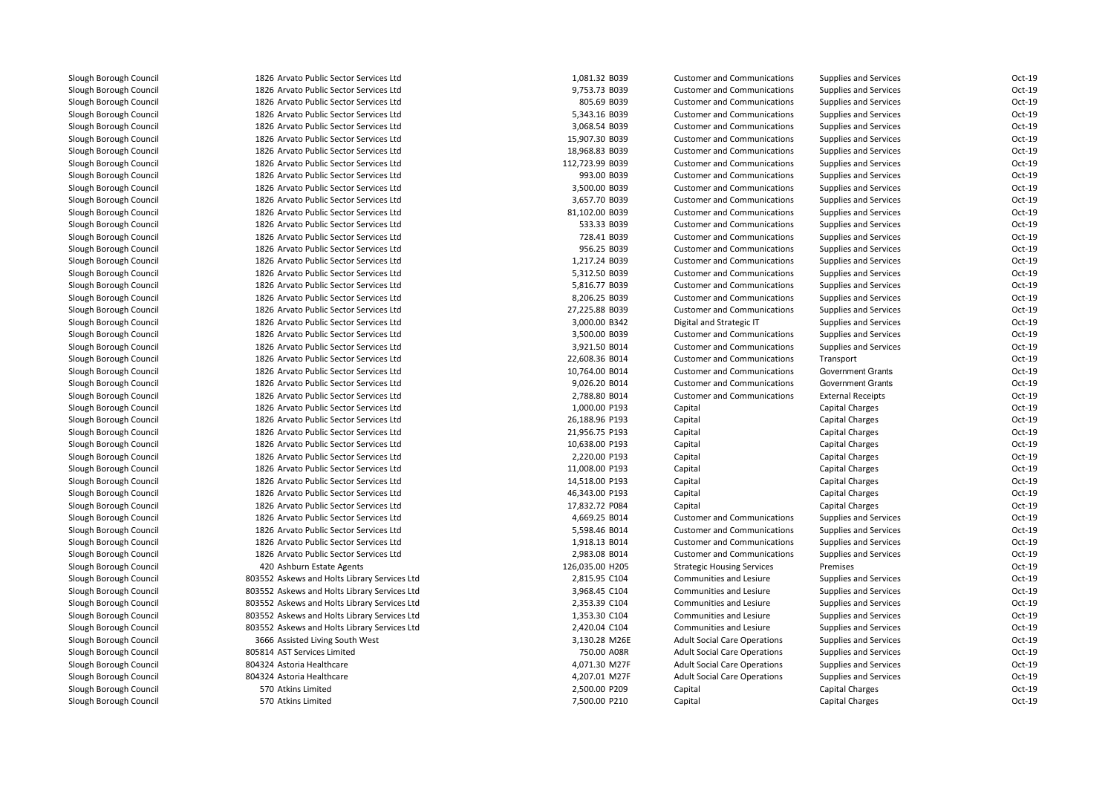1826 Arvato Public Sector Services Ltd 1826 Arvato Public Sector Services Ltd 1826 Arvato Public Sector Services Ltd 1826 Arvato Public Sector Services Ltd 1826 Arvato Public Sector Services Ltd 1826 Arvato Public Sector Services Ltd 1826 Arvato Public Sector Services Ltd 1826 Arvato Public Sector Services Ltd 1826 Arvato Public Sector Services Ltd 1826 Arvato Public Sector Services Ltd 1826 Arvato Public Sector Services Ltd 1826 Arvato Public Sector Services Ltd 1826 Arvato Public Sector Services Ltd 1826 Arvato Public Sector Services Ltd 1826 Arvato Public Sector Services Ltd 1826 Arvato Public Sector Services Ltd 1826 Arvato Public Sector Services Ltd 1826 Arvato Public Sector Services Ltd 1826 Arvato Public Sector Services Ltd 1826 Arvato Public Sector Services Ltd 1826 Arvato Public Sector Services Ltd 1826 Arvato Public Sector Services Ltd 1826 Arvato Public Sector Services Ltd 1826 Arvato Public Sector Services Ltd 1826 Arvato Public Sector Services Ltd 1826 Arvato Public Sector Services Ltd 1826 Arvato Public Sector Services Ltd 1826 Arvato Public Sector Services Ltd 1826 Arvato Public Sector Services Ltd 1826 Arvato Public Sector Services Ltd 1826 Arvato Public Sector Services Ltd 1826 Arvato Public Sector Services Ltd 1826 Arvato Public Sector Services Ltd 1826 Arvato Public Sector Services Ltd 1826 Arvato Public Sector Services Ltd 1826 Arvato Public Sector Services Ltd 1826 Arvato Public Sector Services Ltd 1826 Arvato Public Sector Services Ltd 1826 Arvato Public Sector Services Ltd 1826 Arvato Public Sector Services Ltd420 Ashburn Estate Agents 803552 Askews and Holts Library Services Ltd 803552 Askews and Holts Library Services Ltd 803552 Askews and Holts Library Services Ltd 803552 Askews and Holts Library Services Ltd 803552 Askews and Holts Library Services Ltd3666 Assisted Living South West 805814 AST Services Limited804324 Astoria Healthcare 804324 Astoria Healthcare 570570 Atkins Limited 570 Atkins Limited

| 6 Arvato Public Sector Services Ltd     | 1,081.32 B039   | <b>Customer and Communications</b>  | <b>Supplies and Services</b> | Oct-19   |
|-----------------------------------------|-----------------|-------------------------------------|------------------------------|----------|
| 6 Arvato Public Sector Services Ltd     | 9,753.73 B039   | <b>Customer and Communications</b>  | <b>Supplies and Services</b> | Oct-19   |
| 6 Arvato Public Sector Services Ltd     | 805.69 B039     | <b>Customer and Communications</b>  | <b>Supplies and Services</b> | Oct-19   |
| 6 Arvato Public Sector Services Ltd     | 5,343.16 B039   | <b>Customer and Communications</b>  | <b>Supplies and Services</b> | Oct-19   |
| 6 Arvato Public Sector Services Ltd     | 3,068.54 B039   | <b>Customer and Communications</b>  | <b>Supplies and Services</b> | Oct-19   |
| 6 Arvato Public Sector Services Ltd     | 15,907.30 B039  | <b>Customer and Communications</b>  | <b>Supplies and Services</b> | Oct-19   |
| 6 Arvato Public Sector Services Ltd     | 18,968.83 B039  | <b>Customer and Communications</b>  | Supplies and Services        | Oct-19   |
| 6 Arvato Public Sector Services Ltd     | 112,723.99 B039 | <b>Customer and Communications</b>  | <b>Supplies and Services</b> | Oct-19   |
| 6 Arvato Public Sector Services Ltd     | 993.00 B039     | <b>Customer and Communications</b>  | <b>Supplies and Services</b> | Oct-19   |
| 6 Arvato Public Sector Services Ltd     | 3,500.00 B039   | <b>Customer and Communications</b>  | <b>Supplies and Services</b> | Oct-19   |
| 6 Arvato Public Sector Services Ltd     | 3,657.70 B039   | <b>Customer and Communications</b>  | <b>Supplies and Services</b> | Oct-19   |
| 6 Arvato Public Sector Services Ltd     | 81,102.00 B039  | <b>Customer and Communications</b>  | <b>Supplies and Services</b> | $Oct-19$ |
| 6 Arvato Public Sector Services Ltd     | 533.33 B039     | <b>Customer and Communications</b>  | Supplies and Services        | Oct-19   |
| 6 Arvato Public Sector Services Ltd     | 728.41 B039     | <b>Customer and Communications</b>  | <b>Supplies and Services</b> | Oct-19   |
| 6 Arvato Public Sector Services Ltd     | 956.25 B039     | <b>Customer and Communications</b>  | <b>Supplies and Services</b> | Oct-19   |
| 6 Arvato Public Sector Services Ltd     | 1,217.24 B039   | <b>Customer and Communications</b>  | <b>Supplies and Services</b> | Oct-19   |
| 6 Arvato Public Sector Services Ltd     | 5,312.50 B039   | <b>Customer and Communications</b>  | <b>Supplies and Services</b> | $Oct-19$ |
| 6 Arvato Public Sector Services Ltd     | 5,816.77 B039   | <b>Customer and Communications</b>  | <b>Supplies and Services</b> | Oct-19   |
| 6 Arvato Public Sector Services Ltd     | 8,206.25 B039   | <b>Customer and Communications</b>  | <b>Supplies and Services</b> | Oct-19   |
| 6 Arvato Public Sector Services Ltd     | 27,225.88 B039  | <b>Customer and Communications</b>  | <b>Supplies and Services</b> | Oct-19   |
| 6 Arvato Public Sector Services Ltd     | 3,000.00 B342   | Digital and Strategic IT            | Supplies and Services        | Oct-19   |
| 6 Arvato Public Sector Services Ltd     | 3,500.00 B039   | <b>Customer and Communications</b>  | <b>Supplies and Services</b> | $Oct-19$ |
| 6 Arvato Public Sector Services Ltd     | 3,921.50 B014   | <b>Customer and Communications</b>  | <b>Supplies and Services</b> | Oct-19   |
| 6 Arvato Public Sector Services Ltd     | 22,608.36 B014  | <b>Customer and Communications</b>  | Transport                    | Oct-19   |
| 6 Arvato Public Sector Services Ltd     | 10,764.00 B014  | <b>Customer and Communications</b>  | Government Grants            | $Oct-19$ |
| 6 Arvato Public Sector Services Ltd     | 9,026.20 B014   | <b>Customer and Communications</b>  | <b>Government Grants</b>     | Oct-19   |
| 6 Arvato Public Sector Services Ltd     | 2,788.80 B014   | <b>Customer and Communications</b>  | <b>External Receipts</b>     | Oct-19   |
| 6 Arvato Public Sector Services Ltd     | 1,000.00 P193   | Capital                             | Capital Charges              | Oct-19   |
| 6 Arvato Public Sector Services Ltd     | 26,188.96 P193  | Capital                             | Capital Charges              | Oct-19   |
| 6 Arvato Public Sector Services Ltd     | 21,956.75 P193  | Capital                             | Capital Charges              | Oct-19   |
| 6 Arvato Public Sector Services Ltd     | 10,638.00 P193  | Capital                             | <b>Capital Charges</b>       | Oct-19   |
| 6 Arvato Public Sector Services Ltd     | 2,220.00 P193   | Capital                             | Capital Charges              | Oct-19   |
| 6 Arvato Public Sector Services Ltd     | 11,008.00 P193  | Capital                             | Capital Charges              | Oct-19   |
| 6 Arvato Public Sector Services Ltd     | 14,518.00 P193  | Capital                             | Capital Charges              | Oct-19   |
| 6 Arvato Public Sector Services Ltd     | 46,343.00 P193  | Capital                             | <b>Capital Charges</b>       | Oct-19   |
| 6 Arvato Public Sector Services Ltd     | 17,832.72 P084  | Capital                             | Capital Charges              | Oct-19   |
| 6 Arvato Public Sector Services Ltd     | 4,669.25 B014   | <b>Customer and Communications</b>  | <b>Supplies and Services</b> | Oct-19   |
| 6 Arvato Public Sector Services Ltd     | 5,598.46 B014   | <b>Customer and Communications</b>  | <b>Supplies and Services</b> | Oct-19   |
| 6 Arvato Public Sector Services Ltd     | 1,918.13 B014   | <b>Customer and Communications</b>  | <b>Supplies and Services</b> | $Oct-19$ |
| 6 Arvato Public Sector Services Ltd     | 2,983.08 B014   | <b>Customer and Communications</b>  | <b>Supplies and Services</b> | Oct-19   |
| 0 Ashburn Estate Agents                 | 126,035.00 H205 | <b>Strategic Housing Services</b>   | Premises                     | Oct-19   |
| 2 Askews and Holts Library Services Ltd | 2,815.95 C104   | Communities and Lesiure             | Supplies and Services        | Oct-19   |
| 2 Askews and Holts Library Services Ltd | 3,968.45 C104   | Communities and Lesiure             | <b>Supplies and Services</b> | Oct-19   |
| 2 Askews and Holts Library Services Ltd | 2,353.39 C104   | Communities and Lesiure             | <b>Supplies and Services</b> | Oct-19   |
| 2 Askews and Holts Library Services Ltd | 1,353.30 C104   | Communities and Lesiure             | <b>Supplies and Services</b> | Oct-19   |
| 2 Askews and Holts Library Services Ltd | 2,420.04 C104   | Communities and Lesiure             | <b>Supplies and Services</b> | Oct-19   |
| 6 Assisted Living South West            | 3,130.28 M26E   | <b>Adult Social Care Operations</b> | <b>Supplies and Services</b> | $Oct-19$ |
| 4 AST Services Limited                  | 750.00 A08R     | <b>Adult Social Care Operations</b> | <b>Supplies and Services</b> | $Oct-19$ |
| 4 Astoria Healthcare                    | 4,071.30 M27F   | <b>Adult Social Care Operations</b> | Supplies and Services        | Oct-19   |
| 4 Astoria Healthcare                    | 4,207.01 M27F   | <b>Adult Social Care Operations</b> | <b>Supplies and Services</b> | Oct-19   |
| 0 Atkins Limited                        | 2,500.00 P209   | Capital                             | Capital Charges              | Oct-19   |
| 0 Atkins Limited                        | 7,500.00 P210   | Capital                             | <b>Capital Charges</b>       | Oct-19   |
|                                         |                 |                                     |                              |          |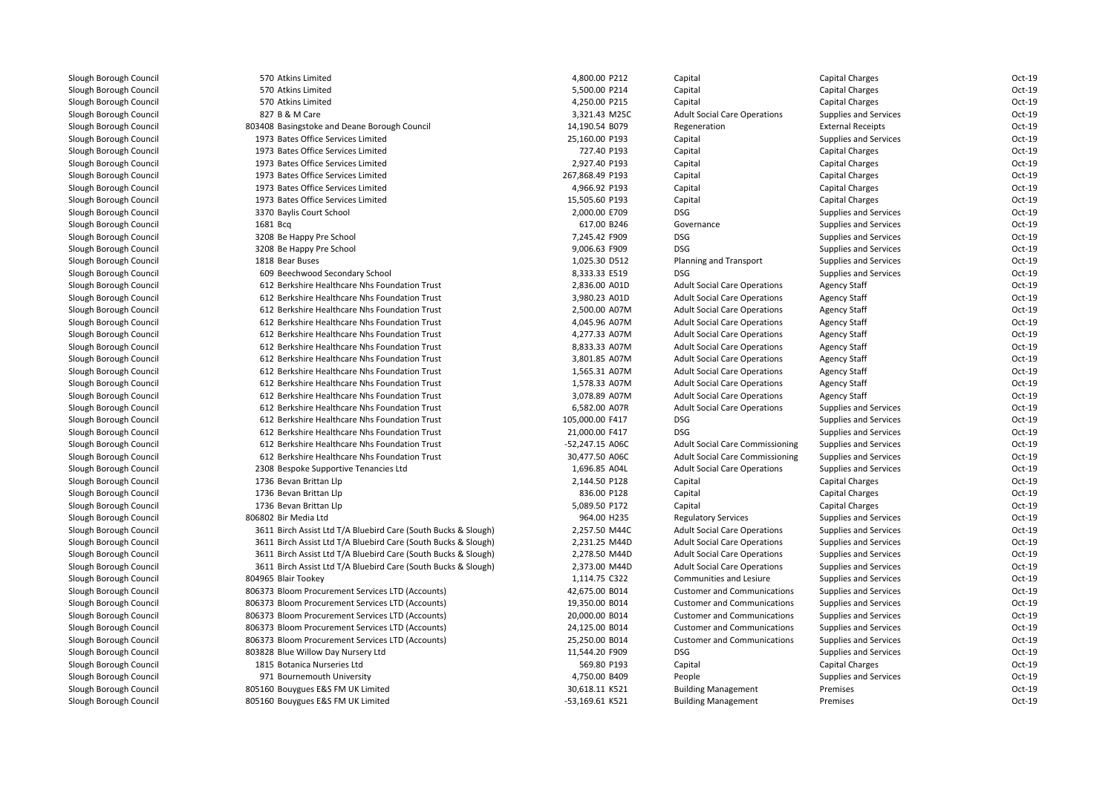| Slough Borough Council | 570 Atkins Limited                                             | 4,800.00 P212   | Capital                                | <b>Capital Charges</b>       | Oct-19   |
|------------------------|----------------------------------------------------------------|-----------------|----------------------------------------|------------------------------|----------|
| Slough Borough Council | 570 Atkins Limited                                             | 5,500.00 P214   | Capital                                | Capital Charges              | Oct-19   |
| Slough Borough Council | 570 Atkins Limited                                             | 4,250.00 P215   | Capital                                | Capital Charges              | Oct-19   |
| Slough Borough Council | 827 B & M Care                                                 | 3,321.43 M25C   | <b>Adult Social Care Operations</b>    | Supplies and Services        | Oct-19   |
| Slough Borough Council | 803408 Basingstoke and Deane Borough Council                   | 14,190.54 B079  | Regeneration                           | <b>External Receipts</b>     | Oct-19   |
| Slough Borough Council | 1973 Bates Office Services Limited                             | 25,160.00 P193  | Capital                                | Supplies and Services        | Oct-19   |
| Slough Borough Council | 1973 Bates Office Services Limited                             | 727.40 P193     | Capital                                | Capital Charges              | Oct-19   |
| Slough Borough Council | 1973 Bates Office Services Limited                             | 2,927.40 P193   | Capital                                | <b>Capital Charges</b>       | Oct-19   |
| Slough Borough Council | 1973 Bates Office Services Limited                             | 267,868.49 P193 | Capital                                | Capital Charges              | Oct-19   |
| Slough Borough Council | 1973 Bates Office Services Limited                             | 4,966.92 P193   | Capital                                | Capital Charges              | Oct-19   |
| Slough Borough Council | 1973 Bates Office Services Limited                             | 15,505.60 P193  | Capital                                | <b>Capital Charges</b>       | Oct-19   |
| Slough Borough Council | 3370 Baylis Court School                                       | 2,000.00 E709   | <b>DSG</b>                             | Supplies and Services        | Oct-19   |
| Slough Borough Council | 1681 Bcq                                                       | 617.00 B246     | Governance                             | Supplies and Services        | Oct-19   |
| Slough Borough Council | 3208 Be Happy Pre School                                       | 7,245.42 F909   | <b>DSG</b>                             | <b>Supplies and Services</b> | Oct-19   |
| Slough Borough Council | 3208 Be Happy Pre School                                       | 9,006.63 F909   | <b>DSG</b>                             | Supplies and Services        | Oct-19   |
| Slough Borough Council | 1818 Bear Buses                                                | 1,025.30 D512   | Planning and Transport                 | Supplies and Services        | Oct-19   |
| Slough Borough Council | 609 Beechwood Secondary School                                 | 8,333.33 E519   | <b>DSG</b>                             | <b>Supplies and Services</b> | Oct-19   |
| Slough Borough Council | 612 Berkshire Healthcare Nhs Foundation Trust                  | 2,836.00 A01D   | <b>Adult Social Care Operations</b>    | <b>Agency Staff</b>          | Oct-19   |
| Slough Borough Council | 612 Berkshire Healthcare Nhs Foundation Trust                  | 3,980.23 A01D   | <b>Adult Social Care Operations</b>    | <b>Agency Staff</b>          | Oct-19   |
| Slough Borough Council | 612 Berkshire Healthcare Nhs Foundation Trust                  | 2,500.00 A07M   | <b>Adult Social Care Operations</b>    | <b>Agency Staff</b>          | Oct-19   |
| Slough Borough Council | 612 Berkshire Healthcare Nhs Foundation Trust                  | 4,045.96 A07M   | <b>Adult Social Care Operations</b>    | <b>Agency Staff</b>          | Oct-19   |
| Slough Borough Council | 612 Berkshire Healthcare Nhs Foundation Trust                  | 4,277.33 A07M   | <b>Adult Social Care Operations</b>    | <b>Agency Staff</b>          | Oct-19   |
| Slough Borough Council | 612 Berkshire Healthcare Nhs Foundation Trust                  | 8,833.33 A07M   | <b>Adult Social Care Operations</b>    | <b>Agency Staff</b>          | Oct-19   |
| Slough Borough Council | 612 Berkshire Healthcare Nhs Foundation Trust                  | 3,801.85 A07M   | <b>Adult Social Care Operations</b>    | <b>Agency Staff</b>          | Oct-19   |
| Slough Borough Council | 612 Berkshire Healthcare Nhs Foundation Trust                  | 1,565.31 A07M   | <b>Adult Social Care Operations</b>    | <b>Agency Staff</b>          | Oct-19   |
| Slough Borough Council | 612 Berkshire Healthcare Nhs Foundation Trust                  | 1,578.33 A07M   | <b>Adult Social Care Operations</b>    | <b>Agency Staff</b>          | Oct-19   |
| Slough Borough Council | 612 Berkshire Healthcare Nhs Foundation Trust                  | 3,078.89 A07M   | <b>Adult Social Care Operations</b>    | <b>Agency Staff</b>          | Oct-19   |
| Slough Borough Council | 612 Berkshire Healthcare Nhs Foundation Trust                  | 6,582.00 A07R   | <b>Adult Social Care Operations</b>    | Supplies and Services        | Oct-19   |
| Slough Borough Council | 612 Berkshire Healthcare Nhs Foundation Trust                  | 105,000.00 F417 | DSG                                    | Supplies and Services        | Oct-19   |
| Slough Borough Council | 612 Berkshire Healthcare Nhs Foundation Trust                  | 21,000.00 F417  | DSG                                    | Supplies and Services        | Oct-19   |
| Slough Borough Council | 612 Berkshire Healthcare Nhs Foundation Trust                  | -52,247.15 A06C | <b>Adult Social Care Commissioning</b> | <b>Supplies and Services</b> | Oct-19   |
| Slough Borough Council | 612 Berkshire Healthcare Nhs Foundation Trust                  | 30,477.50 A06C  | <b>Adult Social Care Commissioning</b> | Supplies and Services        | Oct-19   |
| Slough Borough Council | 2308 Bespoke Supportive Tenancies Ltd                          | 1,696.85 A04L   | <b>Adult Social Care Operations</b>    | Supplies and Services        | Oct-19   |
| Slough Borough Council | 1736 Bevan Brittan Llp                                         | 2,144.50 P128   | Capital                                | Capital Charges              | Oct-19   |
| Slough Borough Council | 1736 Bevan Brittan Llp                                         | 836.00 P128     | Capital                                | <b>Capital Charges</b>       | Oct-19   |
| Slough Borough Council | 1736 Bevan Brittan Llp                                         | 5,089.50 P172   | Capital                                | Capital Charges              | Oct-19   |
| Slough Borough Council | 806802 Bir Media Ltd                                           | 964.00 H235     | <b>Regulatory Services</b>             | <b>Supplies and Services</b> | Oct-19   |
| Slough Borough Council | 3611 Birch Assist Ltd T/A Bluebird Care (South Bucks & Slough) | 2,257.50 M44C   | <b>Adult Social Care Operations</b>    | Supplies and Services        | Oct-19   |
| Slough Borough Council | 3611 Birch Assist Ltd T/A Bluebird Care (South Bucks & Slough) | 2,231.25 M44D   | <b>Adult Social Care Operations</b>    | Supplies and Services        | Oct-19   |
| Slough Borough Council | 3611 Birch Assist Ltd T/A Bluebird Care (South Bucks & Slough) | 2,278.50 M44D   | <b>Adult Social Care Operations</b>    | Supplies and Services        | Oct-19   |
| Slough Borough Council | 3611 Birch Assist Ltd T/A Bluebird Care (South Bucks & Slough) | 2,373.00 M44D   | <b>Adult Social Care Operations</b>    | Supplies and Services        | Oct-19   |
| Slough Borough Council | 804965 Blair Tookey                                            | 1,114.75 C322   | <b>Communities and Lesiure</b>         | Supplies and Services        | $Oct-19$ |
| Slough Borough Council | 806373 Bloom Procurement Services LTD (Accounts)               | 42,675.00 B014  | <b>Customer and Communications</b>     | Supplies and Services        | Oct-19   |
| Slough Borough Council | 806373 Bloom Procurement Services LTD (Accounts)               | 19,350.00 B014  | <b>Customer and Communications</b>     | Supplies and Services        | Oct-19   |
| Slough Borough Council | 806373 Bloom Procurement Services LTD (Accounts)               | 20,000.00 B014  | <b>Customer and Communications</b>     | <b>Supplies and Services</b> | Oct-19   |
| Slough Borough Council | 806373 Bloom Procurement Services LTD (Accounts)               | 24,125.00 B014  | <b>Customer and Communications</b>     | Supplies and Services        | Oct-19   |
| Slough Borough Council | 806373 Bloom Procurement Services LTD (Accounts)               | 25,250.00 B014  | <b>Customer and Communications</b>     | Supplies and Services        | Oct-19   |
| Slough Borough Council | 803828 Blue Willow Day Nursery Ltd                             | 11,544.20 F909  | <b>DSG</b>                             | Supplies and Services        | Oct-19   |
| Slough Borough Council | 1815 Botanica Nurseries Ltd                                    | 569.80 P193     | Capital                                | <b>Capital Charges</b>       | Oct-19   |
| Slough Borough Council | 971 Bournemouth University                                     | 4,750.00 B409   | People                                 | Supplies and Services        | Oct-19   |
| Slough Borough Council | 805160 Bouygues E&S FM UK Limited                              | 30,618.11 K521  | <b>Building Management</b>             | Premises                     | Oct-19   |
| Slough Borough Council | 805160 Bouygues E&S FM UK Limited                              | -53,169.61 K521 | <b>Building Management</b>             | Premises                     | Oct-19   |
|                        |                                                                |                 |                                        |                              |          |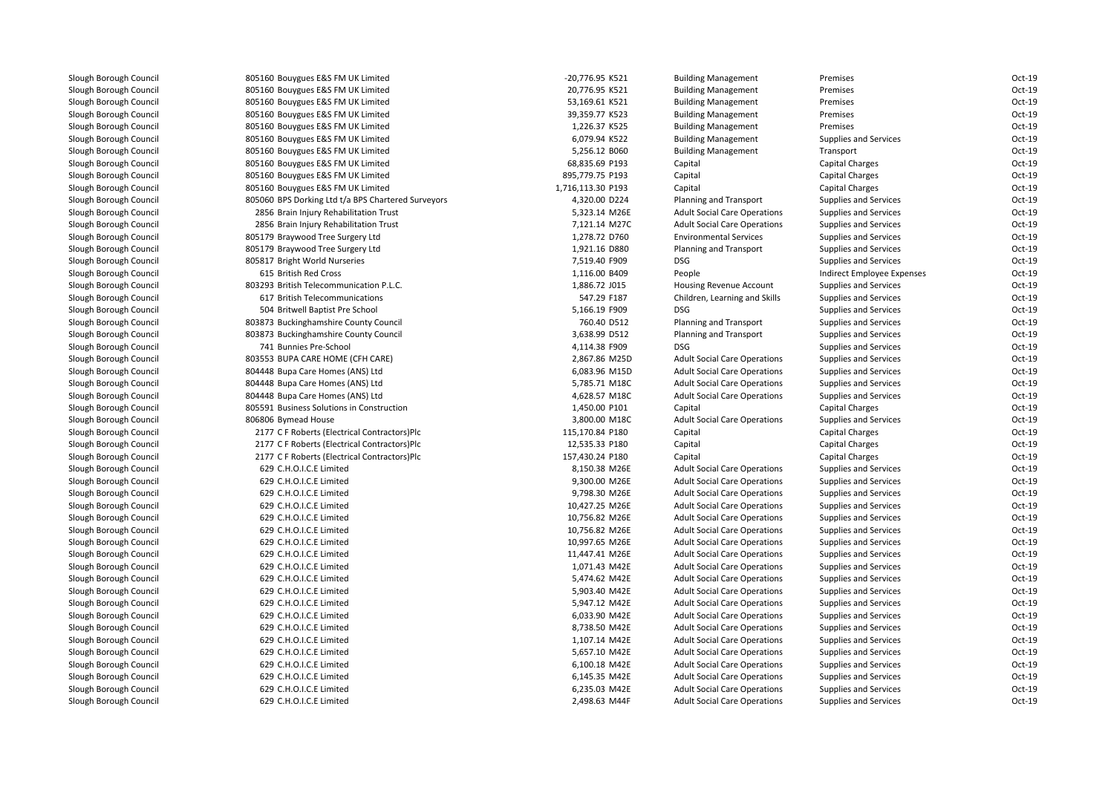| 805160 Bouygues E&S FM UK Limited                  | -20,776.95 K521   | <b>Building Management</b>          | Premises                     | Oct-19 |
|----------------------------------------------------|-------------------|-------------------------------------|------------------------------|--------|
| 805160 Bouygues E&S FM UK Limited                  | 20,776.95 K521    | <b>Building Management</b>          | Premises                     | Oct-19 |
| 805160 Bouygues E&S FM UK Limited                  | 53,169.61 K521    | <b>Building Management</b>          | Premises                     | Oct-19 |
| 805160 Bouygues E&S FM UK Limited                  | 39,359.77 K523    | <b>Building Management</b>          | Premises                     | Oct-19 |
| 805160 Bouygues E&S FM UK Limited                  | 1,226.37 K525     | <b>Building Management</b>          | Premises                     | Oct-19 |
| 805160 Bouygues E&S FM UK Limited                  | 6,079.94 K522     | <b>Building Management</b>          | <b>Supplies and Services</b> | Oct-19 |
| 805160 Bouygues E&S FM UK Limited                  | 5,256.12 B060     | <b>Building Management</b>          | Transport                    | Oct-19 |
| 805160 Bouygues E&S FM UK Limited                  | 68,835.69 P193    | Capital                             | <b>Capital Charges</b>       | Oct-19 |
| 805160 Bouygues E&S FM UK Limited                  | 895,779.75 P193   | Capital                             | Capital Charges              | Oct-19 |
| 805160 Bouygues E&S FM UK Limited                  | 1,716,113.30 P193 | Capital                             | Capital Charges              | Oct-19 |
| 805060 BPS Dorking Ltd t/a BPS Chartered Surveyors | 4,320.00 D224     | Planning and Transport              | <b>Supplies and Services</b> | Oct-19 |
| 2856 Brain Injury Rehabilitation Trust             | 5,323.14 M26E     | <b>Adult Social Care Operations</b> | <b>Supplies and Services</b> | Oct-19 |
| 2856 Brain Injury Rehabilitation Trust             | 7,121.14 M27C     | <b>Adult Social Care Operations</b> | <b>Supplies and Services</b> | Oct-19 |
| 805179 Braywood Tree Surgery Ltd                   | 1,278.72 D760     | <b>Environmental Services</b>       | <b>Supplies and Services</b> | Oct-19 |
| 805179 Braywood Tree Surgery Ltd                   | 1,921.16 D880     | Planning and Transport              | <b>Supplies and Services</b> | Oct-19 |
| 805817 Bright World Nurseries                      | 7,519.40 F909     | <b>DSG</b>                          | <b>Supplies and Services</b> | Oct-19 |
| 615 British Red Cross                              | 1,116.00 B409     | People                              | Indirect Employee Expenses   | Oct-19 |
| 803293 British Telecommunication P.L.C.            | 1,886.72 J015     | <b>Housing Revenue Account</b>      | <b>Supplies and Services</b> | Oct-19 |
| 617 British Telecommunications                     | 547.29 F187       | Children, Learning and Skills       | <b>Supplies and Services</b> | Oct-19 |
| 504 Britwell Baptist Pre School                    | 5,166.19 F909     | <b>DSG</b>                          | <b>Supplies and Services</b> | Oct-19 |
| 803873 Buckinghamshire County Council              | 760.40 D512       | Planning and Transport              | <b>Supplies and Services</b> | Oct-19 |
| 803873 Buckinghamshire County Council              | 3,638.99 D512     | Planning and Transport              | <b>Supplies and Services</b> | Oct-19 |
| 741 Bunnies Pre-School                             | 4,114.38 F909     | <b>DSG</b>                          | <b>Supplies and Services</b> | Oct-19 |
| 803553 BUPA CARE HOME (CFH CARE)                   | 2,867.86 M25D     | <b>Adult Social Care Operations</b> | <b>Supplies and Services</b> | Oct-19 |
| 804448 Bupa Care Homes (ANS) Ltd                   | 6,083.96 M15D     | <b>Adult Social Care Operations</b> | <b>Supplies and Services</b> | Oct-19 |
| 804448 Bupa Care Homes (ANS) Ltd                   | 5,785.71 M18C     | <b>Adult Social Care Operations</b> | Supplies and Services        | Oct-19 |
| 804448 Bupa Care Homes (ANS) Ltd                   | 4,628.57 M18C     | <b>Adult Social Care Operations</b> | <b>Supplies and Services</b> | Oct-19 |
| 805591 Business Solutions in Construction          | 1,450.00 P101     | Capital                             | Capital Charges              | Oct-19 |
| 806806 Bymead House                                | 3,800.00 M18C     | <b>Adult Social Care Operations</b> | Supplies and Services        | Oct-19 |
| 2177 C F Roberts (Electrical Contractors)Plc       | 115,170.84 P180   | Capital                             | Capital Charges              | Oct-19 |
| 2177 C F Roberts (Electrical Contractors)Plc       | 12,535.33 P180    | Capital                             | Capital Charges              | Oct-19 |
| 2177 C F Roberts (Electrical Contractors)Plc       | 157,430.24 P180   | Capital                             | <b>Capital Charges</b>       | Oct-19 |
| 629 C.H.O.I.C.E Limited                            | 8,150.38 M26E     | <b>Adult Social Care Operations</b> | Supplies and Services        | Oct-19 |
| 629 C.H.O.I.C.E Limited                            | 9,300.00 M26E     | <b>Adult Social Care Operations</b> | <b>Supplies and Services</b> | Oct-19 |
| 629 C.H.O.I.C.E Limited                            | 9,798.30 M26E     | <b>Adult Social Care Operations</b> | <b>Supplies and Services</b> | Oct-19 |
| 629 C.H.O.I.C.E Limited                            | 10,427.25 M26E    | <b>Adult Social Care Operations</b> | <b>Supplies and Services</b> | Oct-19 |
| 629 C.H.O.I.C.E Limited                            | 10,756.82 M26E    | <b>Adult Social Care Operations</b> | Supplies and Services        | Oct-19 |
| 629 C.H.O.I.C.E Limited                            | 10,756.82 M26E    | <b>Adult Social Care Operations</b> | <b>Supplies and Services</b> | Oct-19 |
| 629 C.H.O.I.C.E Limited                            | 10,997.65 M26E    | <b>Adult Social Care Operations</b> | <b>Supplies and Services</b> | Oct-19 |
| 629 C.H.O.I.C.E Limited                            | 11,447.41 M26E    | <b>Adult Social Care Operations</b> | <b>Supplies and Services</b> | Oct-19 |
| 629 C.H.O.I.C.E Limited                            | 1,071.43 M42E     | <b>Adult Social Care Operations</b> | <b>Supplies and Services</b> | Oct-19 |
| 629 C.H.O.I.C.E Limited                            | 5,474.62 M42E     | <b>Adult Social Care Operations</b> | Supplies and Services        | Oct-19 |
| 629 C.H.O.I.C.E Limited                            | 5,903.40 M42E     | <b>Adult Social Care Operations</b> | <b>Supplies and Services</b> | Oct-19 |
| 629 C.H.O.I.C.E Limited                            | 5,947.12 M42E     | <b>Adult Social Care Operations</b> | <b>Supplies and Services</b> | Oct-19 |
| 629 C.H.O.I.C.E Limited                            | 6,033.90 M42E     | <b>Adult Social Care Operations</b> | <b>Supplies and Services</b> | Oct-19 |
| 629 C.H.O.I.C.E Limited                            | 8,738.50 M42E     | <b>Adult Social Care Operations</b> | <b>Supplies and Services</b> | Oct-19 |
| 629 C.H.O.I.C.E Limited                            | 1,107.14 M42E     | <b>Adult Social Care Operations</b> | <b>Supplies and Services</b> | Oct-19 |
| 629 C.H.O.I.C.E Limited                            | 5,657.10 M42E     | <b>Adult Social Care Operations</b> | <b>Supplies and Services</b> | Oct-19 |
| 629 C.H.O.I.C.E Limited                            | 6,100.18 M42E     | <b>Adult Social Care Operations</b> | <b>Supplies and Services</b> | Oct-19 |
| 629 C.H.O.I.C.E Limited                            | 6,145.35 M42E     | <b>Adult Social Care Operations</b> | <b>Supplies and Services</b> | Oct-19 |
| 629 C.H.O.I.C.E Limited                            | 6,235.03 M42E     | <b>Adult Social Care Operations</b> | <b>Supplies and Services</b> | Oct-19 |
| 629 C.H.O.I.C.E Limited                            | 2,498.63 M44F     | <b>Adult Social Care Operations</b> | <b>Supplies and Services</b> | Oct-19 |
|                                                    |                   |                                     |                              |        |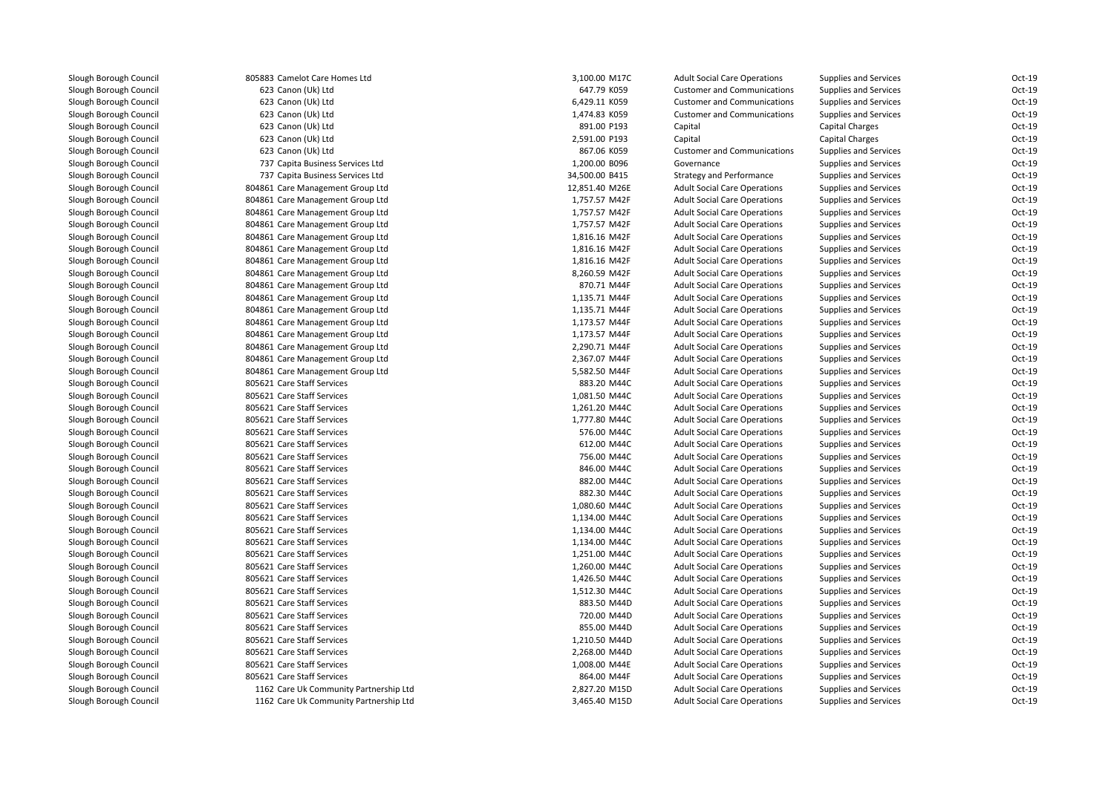805883 Camelot Care Homes Ltd 623 Canon (Uk) Ltd 623 Canon (Uk) Ltd 623 Canon (Uk) Ltd 623 Canon (Uk) Ltd 623 Canon (Uk) Ltd 623 Canon (Uk) Ltd 737 Capita Business Services Ltd 737 Capita Business Services Ltd 804861 Care Management Group Ltd 804861 Care Management Group Ltd 804861 Care Management Group Ltd 804861 Care Management Group Ltd 804861 Care Management Group Ltd 804861 Care Management Group Ltd 804861 Care Management Group Ltd 804861 Care Management Group Ltd 804861 Care Management Group Ltd 804861 Care Management Group Ltd 804861 Care Management Group Ltd 804861 Care Management Group Ltd 804861 Care Management Group Ltd 804861 Care Management Group Ltd 804861 Care Management Group Ltd 804861 Care Management Group Ltd 805621 Care Staff Services 883.20 M44C**805621 Care Staff Services** 1,081.50 M44C 805621 Care Staff Services 1,261.20 M44C**805621 Care Staff Services** 1,777.80 M44C **805621 Care Staff Services** 6 August 2014 1 Care Staff Services 6 August 2014 1 Care Staff Services 6 August 2014 805621 Care Staff Services 612.00 M44C 805621 Care Staff Services 756.00 M44C**805621 Care Staff Services** 846.00 M44C 805621 Care Staff Services 882.00 M44C 805621 Care Staff Services 882.30 M44C**1** 805621 Care Staff Services **1,080.60 M44C 805621 Care Staff Services** 1,134.00 M44C **805621 Care Staff Services** 1,134.00 M44C **1** 805621 Care Staff Services **1,134.00 M44C 805621 Care Staff Services** 1,251.00 M44C **1** 805621 Care Staff Services **1,260.00 M44C 805621 Care Staff Services** 1,426.50 M44C **1** 805621 Care Staff Services **1,512.30 M44C**  805621 Care Staff Services 883.50 M44D 805621 Care Staff Services 720.00 M44D 805621 Care Staff Services 855.00 M44D 805621 Care Staff Services 1,210.50 M44D 805621 Care Staff Services 2,268.00 M44D805621 Care Staff Services 805621 Care Staff Services 1162 Care Uk Community Partnership Ltd1162 Care Uk Community Partnership Ltd

| 3 Camelot Care Homes Ltd            | 3,100.00 M17C  | <b>Adult Social Care Operations</b> | <b>Supplies and Services</b> | Oct-19   |
|-------------------------------------|----------------|-------------------------------------|------------------------------|----------|
| 3 Canon (Uk) Ltd                    | 647.79 K059    | <b>Customer and Communications</b>  | Supplies and Services        | Oct-19   |
| 3 Canon (Uk) Ltd                    | 6,429.11 K059  | <b>Customer and Communications</b>  | Supplies and Services        | Oct-19   |
| 3 Canon (Uk) Ltd                    | 1,474.83 K059  | <b>Customer and Communications</b>  | Supplies and Services        | Oct-19   |
| 3 Canon (Uk) Ltd                    | 891.00 P193    | Capital                             | <b>Capital Charges</b>       | Oct-19   |
| 3 Canon (Uk) Ltd                    | 2,591.00 P193  | Capital                             | <b>Capital Charges</b>       | Oct-19   |
| 3 Canon (Uk) Ltd                    | 867.06 K059    | <b>Customer and Communications</b>  | Supplies and Services        | Oct-19   |
| 7 Capita Business Services Ltd      | 1,200.00 B096  | Governance                          | <b>Supplies and Services</b> | $Oct-19$ |
| 7 Capita Business Services Ltd      | 34,500.00 B415 | <b>Strategy and Performance</b>     | Supplies and Services        | Oct-19   |
| 1 Care Management Group Ltd         | 12,851.40 M26E | <b>Adult Social Care Operations</b> | Supplies and Services        | Oct-19   |
| 1 Care Management Group Ltd         | 1,757.57 M42F  | <b>Adult Social Care Operations</b> | Supplies and Services        | Oct-19   |
| 1 Care Management Group Ltd         | 1,757.57 M42F  | <b>Adult Social Care Operations</b> | Supplies and Services        | Oct-19   |
| 1 Care Management Group Ltd         | 1,757.57 M42F  | <b>Adult Social Care Operations</b> | Supplies and Services        | Oct-19   |
| 1 Care Management Group Ltd         | 1,816.16 M42F  | <b>Adult Social Care Operations</b> | Supplies and Services        | Oct-19   |
| 1 Care Management Group Ltd         | 1,816.16 M42F  | <b>Adult Social Care Operations</b> | Supplies and Services        | Oct-19   |
| 1 Care Management Group Ltd         | 1,816.16 M42F  | <b>Adult Social Care Operations</b> | <b>Supplies and Services</b> | Oct-19   |
| 1 Care Management Group Ltd         | 8,260.59 M42F  | <b>Adult Social Care Operations</b> | Supplies and Services        | Oct-19   |
| 1 Care Management Group Ltd         | 870.71 M44F    | <b>Adult Social Care Operations</b> | Supplies and Services        | Oct-19   |
| 1 Care Management Group Ltd         | 1,135.71 M44F  | <b>Adult Social Care Operations</b> | Supplies and Services        | $Oct-19$ |
| 1 Care Management Group Ltd         | 1,135.71 M44F  | <b>Adult Social Care Operations</b> | Supplies and Services        | Oct-19   |
| 1 Care Management Group Ltd         | 1,173.57 M44F  | <b>Adult Social Care Operations</b> | Supplies and Services        | Oct-19   |
| 1 Care Management Group Ltd         | 1,173.57 M44F  | <b>Adult Social Care Operations</b> | Supplies and Services        | Oct-19   |
| 1 Care Management Group Ltd         | 2,290.71 M44F  | <b>Adult Social Care Operations</b> | <b>Supplies and Services</b> | Oct-19   |
| 1 Care Management Group Ltd         | 2,367.07 M44F  | <b>Adult Social Care Operations</b> | Supplies and Services        | Oct-19   |
| 1 Care Management Group Ltd         | 5,582.50 M44F  | <b>Adult Social Care Operations</b> | Supplies and Services        | Oct-19   |
| 1 Care Staff Services               | 883.20 M44C    | <b>Adult Social Care Operations</b> | Supplies and Services        | Oct-19   |
| 1 Care Staff Services               | 1,081.50 M44C  | <b>Adult Social Care Operations</b> | <b>Supplies and Services</b> | Oct-19   |
| 1 Care Staff Services               | 1,261.20 M44C  | <b>Adult Social Care Operations</b> | Supplies and Services        | Oct-19   |
| 1 Care Staff Services               | 1,777.80 M44C  | <b>Adult Social Care Operations</b> | Supplies and Services        | Oct-19   |
| 1 Care Staff Services               | 576.00 M44C    | <b>Adult Social Care Operations</b> | Supplies and Services        | Oct-19   |
| 1 Care Staff Services               | 612.00 M44C    | <b>Adult Social Care Operations</b> | <b>Supplies and Services</b> | Oct-19   |
| 1 Care Staff Services               | 756.00 M44C    | <b>Adult Social Care Operations</b> | Supplies and Services        | Oct-19   |
| 1 Care Staff Services               | 846.00 M44C    | <b>Adult Social Care Operations</b> | Supplies and Services        | Oct-19   |
| 1 Care Staff Services               | 882.00 M44C    | <b>Adult Social Care Operations</b> | Supplies and Services        | Oct-19   |
| 1 Care Staff Services               | 882.30 M44C    | <b>Adult Social Care Operations</b> | Supplies and Services        | Oct-19   |
| 1 Care Staff Services               | 1,080.60 M44C  | <b>Adult Social Care Operations</b> | Supplies and Services        | Oct-19   |
| 1 Care Staff Services               | 1,134.00 M44C  | <b>Adult Social Care Operations</b> | Supplies and Services        | Oct-19   |
| 1 Care Staff Services               | 1,134.00 M44C  | <b>Adult Social Care Operations</b> | <b>Supplies and Services</b> | Oct-19   |
| 1 Care Staff Services               | 1,134.00 M44C  | <b>Adult Social Care Operations</b> | Supplies and Services        | Oct-19   |
| 1 Care Staff Services               | 1,251.00 M44C  | <b>Adult Social Care Operations</b> | Supplies and Services        | Oct-19   |
| 1 Care Staff Services               | 1,260.00 M44C  | <b>Adult Social Care Operations</b> | Supplies and Services        | Oct-19   |
| 1 Care Staff Services               | 1,426.50 M44C  | <b>Adult Social Care Operations</b> | Supplies and Services        | Oct-19   |
| 1 Care Staff Services               | 1,512.30 M44C  | <b>Adult Social Care Operations</b> | Supplies and Services        | Oct-19   |
| 1 Care Staff Services               | 883.50 M44D    | <b>Adult Social Care Operations</b> | Supplies and Services        | Oct-19   |
| 1 Care Staff Services               | 720.00 M44D    | <b>Adult Social Care Operations</b> | Supplies and Services        | Oct-19   |
| 1 Care Staff Services               | 855.00 M44D    | <b>Adult Social Care Operations</b> | Supplies and Services        | Oct-19   |
| 1 Care Staff Services               | 1,210.50 M44D  | <b>Adult Social Care Operations</b> | Supplies and Services        | Oct-19   |
| 1 Care Staff Services               | 2,268.00 M44D  | <b>Adult Social Care Operations</b> | Supplies and Services        | Oct-19   |
| 1 Care Staff Services               | 1,008.00 M44E  | <b>Adult Social Care Operations</b> | Supplies and Services        | Oct-19   |
| 1 Care Staff Services               | 864.00 M44F    | <b>Adult Social Care Operations</b> | Supplies and Services        | Oct-19   |
| 2 Care Uk Community Partnership Ltd | 2,827.20 M15D  | <b>Adult Social Care Operations</b> | Supplies and Services        | $Oct-19$ |
| 2 Care Uk Community Partnership Ltd | 3,465.40 M15D  | <b>Adult Social Care Operations</b> | <b>Supplies and Services</b> | Oct-19   |
|                                     |                |                                     |                              |          |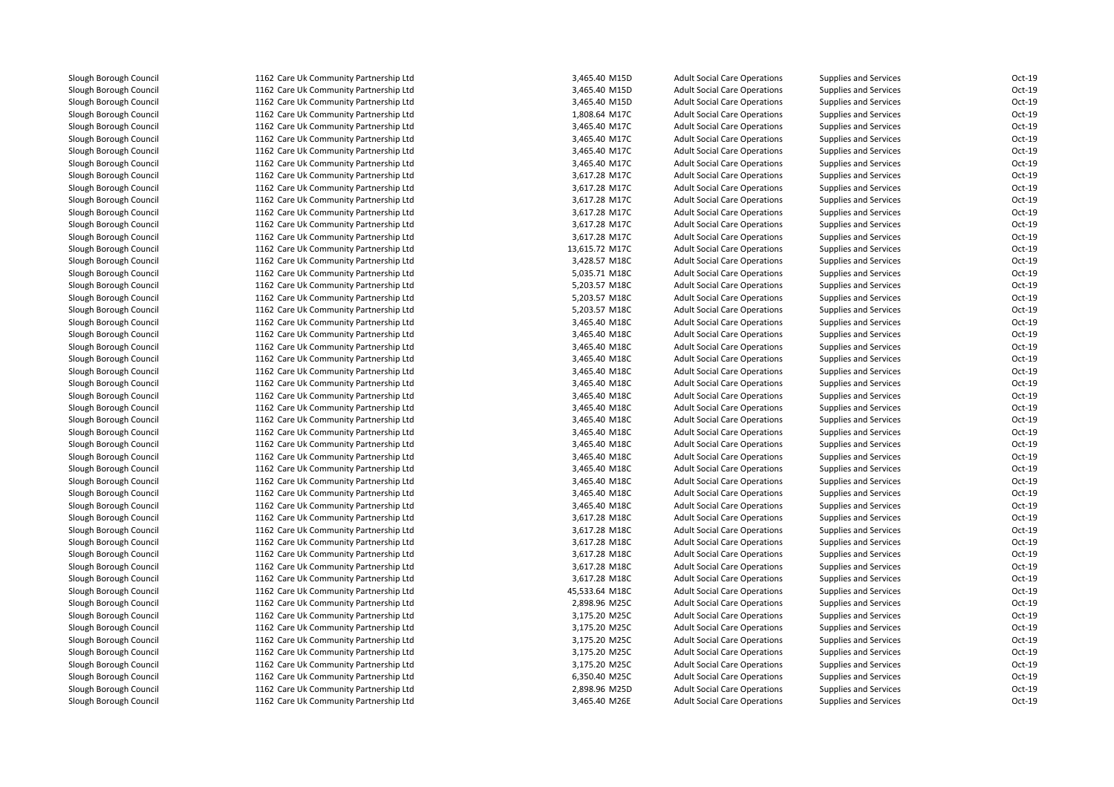1162 Care Uk Community Partnership Ltd 1162 Care Uk Community Partnership Ltd 1162 Care Uk Community Partnership Ltd 1162 Care Uk Community Partnership Ltd 1162 Care Uk Community Partnership Ltd 1162 Care Uk Community Partnership Ltd 1162 Care Uk Community Partnership Ltd 1162 Care Uk Community Partnership Ltd 1162 Care Uk Community Partnership Ltd 1162 Care Uk Community Partnership Ltd 1162 Care Uk Community Partnership Ltd 1162 Care Uk Community Partnership Ltd 1162 Care Uk Community Partnership Ltd 1162 Care Uk Community Partnership Ltd 1162 Care Uk Community Partnership Ltd 1162 Care Uk Community Partnership Ltd 1162 Care Uk Community Partnership Ltd 1162 Care Uk Community Partnership Ltd 1162 Care Uk Community Partnership Ltd 1162 Care Uk Community Partnership Ltd 1162 Care Uk Community Partnership Ltd 1162 Care Uk Community Partnership Ltd 1162 Care Uk Community Partnership Ltd 1162 Care Uk Community Partnership Ltd 1162 Care Uk Community Partnership Ltd 1162 Care Uk Community Partnership Ltd 1162 Care Uk Community Partnership Ltd 1162 Care Uk Community Partnership Ltd 1162 Care Uk Community Partnership Ltd 1162 Care Uk Community Partnership Ltd 1162 Care Uk Community Partnership Ltd 1162 Care Uk Community Partnership Ltd 1162 Care Uk Community Partnership Ltd 1162 Care Uk Community Partnership Ltd 1162 Care Uk Community Partnership Ltd 1162 Care Uk Community Partnership Ltd 1162 Care Uk Community Partnership Ltd 1162 Care Uk Community Partnership Ltd 1162 Care Uk Community Partnership Ltd 1162 Care Uk Community Partnership Ltd 1162 Care Uk Community Partnership Ltd 1162 Care Uk Community Partnership Ltd 1162 Care Uk Community Partnership Ltd 1162 Care Uk Community Partnership Ltd 1162 Care Uk Community Partnership Ltd 1162 Care Uk Community Partnership Ltd 1162 Care Uk Community Partnership Ltd 1162 Care Uk Community Partnership Ltd 1162 Care Uk Community Partnership Ltd 1162 Care Uk Community Partnership Ltd 1162 Care Uk Community Partnership Ltd1162 Care Uk Community Partnership Ltd

| d | 3,465.40 M15D  | <b>Adult Social Care Operations</b> | <b>Supplies and Services</b>                                 | Oct-19           |
|---|----------------|-------------------------------------|--------------------------------------------------------------|------------------|
| d | 3,465.40 M15D  | <b>Adult Social Care Operations</b> | <b>Supplies and Services</b>                                 | Oct-19           |
| d | 3,465.40 M15D  | <b>Adult Social Care Operations</b> | <b>Supplies and Services</b>                                 | Oct-19           |
| d | 1,808.64 M17C  | <b>Adult Social Care Operations</b> | <b>Supplies and Services</b>                                 | Oct-19           |
| d | 3,465.40 M17C  | <b>Adult Social Care Operations</b> | <b>Supplies and Services</b>                                 | Oct-19           |
| d | 3,465.40 M17C  | <b>Adult Social Care Operations</b> | <b>Supplies and Services</b>                                 | $Oct-19$         |
| d | 3,465.40 M17C  | <b>Adult Social Care Operations</b> | <b>Supplies and Services</b>                                 | Oct-19           |
| d | 3,465.40 M17C  | <b>Adult Social Care Operations</b> | <b>Supplies and Services</b>                                 | Oct-19           |
| d | 3,617.28 M17C  | <b>Adult Social Care Operations</b> | <b>Supplies and Services</b>                                 | Oct-19           |
| d | 3,617.28 M17C  | <b>Adult Social Care Operations</b> | <b>Supplies and Services</b>                                 | Oct-19           |
| d | 3,617.28 M17C  | <b>Adult Social Care Operations</b> | <b>Supplies and Services</b>                                 | Oct-19           |
| d | 3,617.28 M17C  | <b>Adult Social Care Operations</b> | <b>Supplies and Services</b>                                 | Oct-19           |
| d | 3,617.28 M17C  | <b>Adult Social Care Operations</b> | <b>Supplies and Services</b>                                 | Oct-19           |
| d | 3,617.28 M17C  | <b>Adult Social Care Operations</b> | <b>Supplies and Services</b>                                 | Oct-19           |
| d | 13,615.72 M17C | <b>Adult Social Care Operations</b> | <b>Supplies and Services</b>                                 | Oct-19           |
| d | 3,428.57 M18C  | <b>Adult Social Care Operations</b> | <b>Supplies and Services</b>                                 | Oct-19           |
| d | 5,035.71 M18C  | <b>Adult Social Care Operations</b> | <b>Supplies and Services</b>                                 | Oct-19           |
| d | 5,203.57 M18C  | <b>Adult Social Care Operations</b> | <b>Supplies and Services</b>                                 | Oct-19           |
| d | 5,203.57 M18C  | <b>Adult Social Care Operations</b> | <b>Supplies and Services</b>                                 | Oct-19           |
| d | 5,203.57 M18C  | <b>Adult Social Care Operations</b> | <b>Supplies and Services</b>                                 | $Oct-19$         |
| d | 3,465.40 M18C  | <b>Adult Social Care Operations</b> | <b>Supplies and Services</b>                                 | Oct-19           |
| d | 3,465.40 M18C  | <b>Adult Social Care Operations</b> | <b>Supplies and Services</b>                                 | $Oct-19$         |
| d | 3,465.40 M18C  | <b>Adult Social Care Operations</b> | <b>Supplies and Services</b>                                 | Oct-19           |
| d | 3,465.40 M18C  | <b>Adult Social Care Operations</b> | <b>Supplies and Services</b>                                 | Oct-19           |
| d | 3,465.40 M18C  | <b>Adult Social Care Operations</b> | <b>Supplies and Services</b>                                 | Oct-19           |
| d | 3,465.40 M18C  | <b>Adult Social Care Operations</b> | <b>Supplies and Services</b>                                 | Oct-19           |
| d | 3,465.40 M18C  | <b>Adult Social Care Operations</b> | <b>Supplies and Services</b>                                 | Oct-19           |
| d | 3,465.40 M18C  | <b>Adult Social Care Operations</b> | <b>Supplies and Services</b>                                 | Oct-19           |
| d | 3,465.40 M18C  | <b>Adult Social Care Operations</b> | <b>Supplies and Services</b>                                 | Oct-19           |
| d | 3,465.40 M18C  | <b>Adult Social Care Operations</b> | <b>Supplies and Services</b>                                 | $Oct-19$         |
| d | 3,465.40 M18C  | <b>Adult Social Care Operations</b> | <b>Supplies and Services</b>                                 | Oct-19           |
| d | 3,465.40 M18C  | <b>Adult Social Care Operations</b> | <b>Supplies and Services</b>                                 | Oct-19           |
| d | 3,465.40 M18C  | <b>Adult Social Care Operations</b> | <b>Supplies and Services</b>                                 | Oct-19           |
| d | 3,465.40 M18C  | <b>Adult Social Care Operations</b> | <b>Supplies and Services</b>                                 | Oct-19           |
| d | 3,465.40 M18C  | <b>Adult Social Care Operations</b> | <b>Supplies and Services</b>                                 | Oct-19           |
| d | 3,465.40 M18C  | <b>Adult Social Care Operations</b> | <b>Supplies and Services</b>                                 | Oct-19           |
| d | 3,617.28 M18C  | <b>Adult Social Care Operations</b> | <b>Supplies and Services</b>                                 | Oct-19           |
| d | 3,617.28 M18C  | <b>Adult Social Care Operations</b> | <b>Supplies and Services</b>                                 | Oct-19           |
| d | 3,617.28 M18C  | <b>Adult Social Care Operations</b> | <b>Supplies and Services</b>                                 | Oct-19           |
| d | 3,617.28 M18C  | <b>Adult Social Care Operations</b> | <b>Supplies and Services</b>                                 | Oct-19           |
| d |                |                                     |                                                              |                  |
| d | 3,617.28 M18C  | <b>Adult Social Care Operations</b> | <b>Supplies and Services</b><br><b>Supplies and Services</b> | Oct-19<br>Oct-19 |
| d | 3,617.28 M18C  | <b>Adult Social Care Operations</b> |                                                              | Oct-19           |
|   | 45,533.64 M18C | <b>Adult Social Care Operations</b> | <b>Supplies and Services</b>                                 |                  |
| d | 2,898.96 M25C  | <b>Adult Social Care Operations</b> | <b>Supplies and Services</b>                                 | Oct-19           |
| d | 3,175.20 M25C  | <b>Adult Social Care Operations</b> | <b>Supplies and Services</b>                                 | Oct-19           |
| d | 3,175.20 M25C  | <b>Adult Social Care Operations</b> | Supplies and Services                                        | Oct-19           |
| d | 3,175.20 M25C  | <b>Adult Social Care Operations</b> | <b>Supplies and Services</b>                                 | Oct-19           |
| d | 3,175.20 M25C  | <b>Adult Social Care Operations</b> | <b>Supplies and Services</b>                                 | Oct-19           |
| d | 3,175.20 M25C  | <b>Adult Social Care Operations</b> | <b>Supplies and Services</b>                                 | $Oct-19$         |
| d | 6,350.40 M25C  | <b>Adult Social Care Operations</b> | <b>Supplies and Services</b>                                 | Oct-19           |
| d | 2,898.96 M25D  | <b>Adult Social Care Operations</b> | <b>Supplies and Services</b>                                 | Oct-19           |
| d | 3,465.40 M26E  | <b>Adult Social Care Operations</b> | <b>Supplies and Services</b>                                 | $Oct-19$         |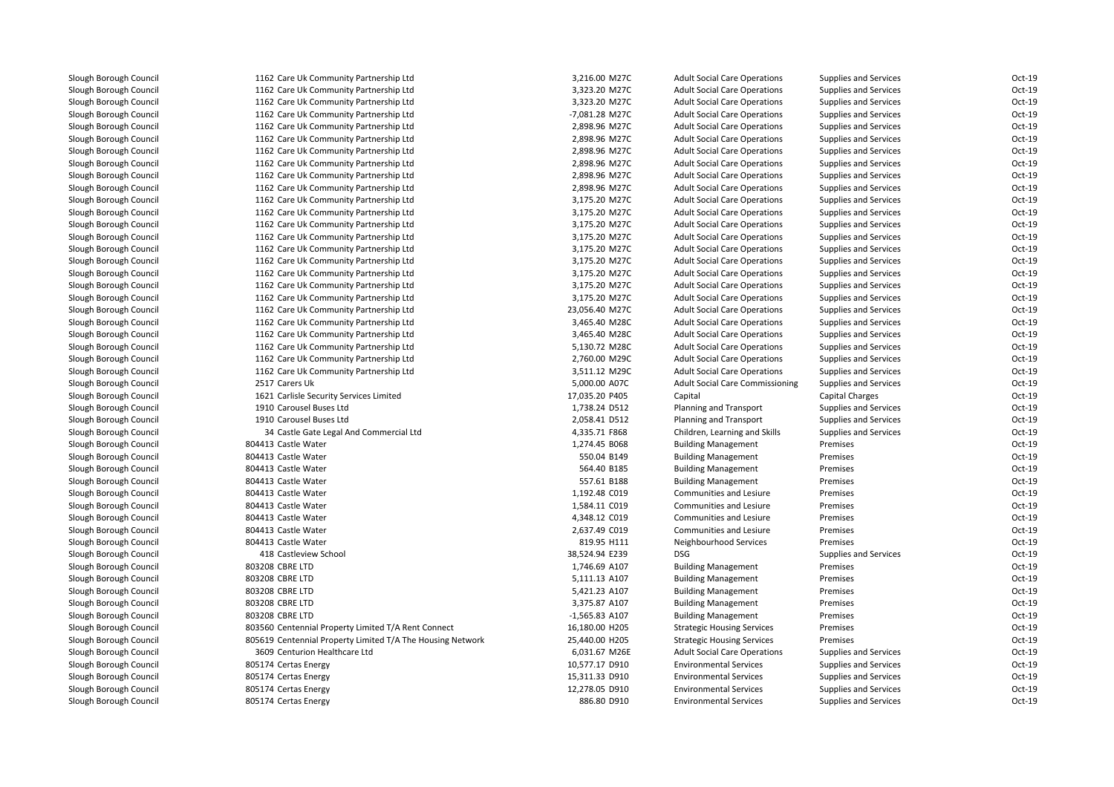| 1162 Care Uk Community Partnership Ltd                                           | 3,216.00 M27C    | <b>Adult Social Care Operations</b>    | <b>Supplies and Services</b> | $Oct-19$ |
|----------------------------------------------------------------------------------|------------------|----------------------------------------|------------------------------|----------|
| 1162 Care Uk Community Partnership Ltd                                           | 3,323.20 M27C    | <b>Adult Social Care Operations</b>    | Supplies and Services        | Oct-19   |
| 1162 Care Uk Community Partnership Ltd                                           | 3,323.20 M27C    | <b>Adult Social Care Operations</b>    | <b>Supplies and Services</b> | Oct-19   |
| 1162 Care Uk Community Partnership Ltd                                           | -7,081.28 M27C   | <b>Adult Social Care Operations</b>    | Supplies and Services        | Oct-19   |
| 1162 Care Uk Community Partnership Ltd                                           | 2,898.96 M27C    | <b>Adult Social Care Operations</b>    | Supplies and Services        | Oct-19   |
| 1162 Care Uk Community Partnership Ltd                                           | 2,898.96 M27C    | <b>Adult Social Care Operations</b>    | <b>Supplies and Services</b> | Oct-19   |
| 1162 Care Uk Community Partnership Ltd                                           | 2,898.96 M27C    | <b>Adult Social Care Operations</b>    | <b>Supplies and Services</b> | Oct-19   |
| 1162 Care Uk Community Partnership Ltd                                           | 2,898.96 M27C    | <b>Adult Social Care Operations</b>    | Supplies and Services        | Oct-19   |
| 1162 Care Uk Community Partnership Ltd                                           | 2,898.96 M27C    | <b>Adult Social Care Operations</b>    | Supplies and Services        | Oct-19   |
|                                                                                  | 2,898.96 M27C    | <b>Adult Social Care Operations</b>    |                              | Oct-19   |
| 1162 Care Uk Community Partnership Ltd<br>1162 Care Uk Community Partnership Ltd | 3,175.20 M27C    | <b>Adult Social Care Operations</b>    | Supplies and Services        | Oct-19   |
|                                                                                  |                  |                                        | Supplies and Services        | Oct-19   |
| 1162 Care Uk Community Partnership Ltd                                           | 3,175.20 M27C    | <b>Adult Social Care Operations</b>    | Supplies and Services        | Oct-19   |
| 1162 Care Uk Community Partnership Ltd                                           | 3,175.20 M27C    | <b>Adult Social Care Operations</b>    | <b>Supplies and Services</b> |          |
| 1162 Care Uk Community Partnership Ltd                                           | 3,175.20 M27C    | <b>Adult Social Care Operations</b>    | <b>Supplies and Services</b> | Oct-19   |
| 1162 Care Uk Community Partnership Ltd                                           | 3,175.20 M27C    | <b>Adult Social Care Operations</b>    | <b>Supplies and Services</b> | Oct-19   |
| 1162 Care Uk Community Partnership Ltd                                           | 3,175.20 M27C    | <b>Adult Social Care Operations</b>    | Supplies and Services        | Oct-19   |
| 1162 Care Uk Community Partnership Ltd                                           | 3,175.20 M27C    | <b>Adult Social Care Operations</b>    | <b>Supplies and Services</b> | Oct-19   |
| 1162 Care Uk Community Partnership Ltd                                           | 3,175.20 M27C    | <b>Adult Social Care Operations</b>    | <b>Supplies and Services</b> | Oct-19   |
| 1162 Care Uk Community Partnership Ltd                                           | 3,175.20 M27C    | <b>Adult Social Care Operations</b>    | <b>Supplies and Services</b> | Oct-19   |
| 1162 Care Uk Community Partnership Ltd                                           | 23,056.40 M27C   | <b>Adult Social Care Operations</b>    | <b>Supplies and Services</b> | Oct-19   |
| 1162 Care Uk Community Partnership Ltd                                           | 3,465.40 M28C    | <b>Adult Social Care Operations</b>    | Supplies and Services        | Oct-19   |
| 1162 Care Uk Community Partnership Ltd                                           | 3,465.40 M28C    | <b>Adult Social Care Operations</b>    | Supplies and Services        | Oct-19   |
| 1162 Care Uk Community Partnership Ltd                                           | 5,130.72 M28C    | <b>Adult Social Care Operations</b>    | Supplies and Services        | Oct-19   |
| 1162 Care Uk Community Partnership Ltd                                           | 2,760.00 M29C    | <b>Adult Social Care Operations</b>    | <b>Supplies and Services</b> | Oct-19   |
| 1162 Care Uk Community Partnership Ltd                                           | 3,511.12 M29C    | <b>Adult Social Care Operations</b>    | <b>Supplies and Services</b> | Oct-19   |
| 2517 Carers Uk                                                                   | 5,000.00 A07C    | <b>Adult Social Care Commissioning</b> | Supplies and Services        | Oct-19   |
| 1621 Carlisle Security Services Limited                                          | 17,035.20 P405   | Capital                                | <b>Capital Charges</b>       | Oct-19   |
| 1910 Carousel Buses Ltd                                                          | 1,738.24 D512    | Planning and Transport                 | <b>Supplies and Services</b> | Oct-19   |
| 1910 Carousel Buses Ltd                                                          | 2,058.41 D512    | Planning and Transport                 | <b>Supplies and Services</b> | Oct-19   |
| 34 Castle Gate Legal And Commercial Ltd                                          | 4,335.71 F868    | Children, Learning and Skills          | <b>Supplies and Services</b> | Oct-19   |
| 804413 Castle Water                                                              | 1,274.45 B068    | <b>Building Management</b>             | Premises                     | Oct-19   |
| 804413 Castle Water                                                              | 550.04 B149      | <b>Building Management</b>             | Premises                     | Oct-19   |
| 804413 Castle Water                                                              | 564.40 B185      | <b>Building Management</b>             | Premises                     | Oct-19   |
| 804413 Castle Water                                                              | 557.61 B188      | <b>Building Management</b>             | Premises                     | Oct-19   |
| 804413 Castle Water                                                              | 1,192.48 C019    | Communities and Lesiure                | Premises                     | Oct-19   |
| 804413 Castle Water                                                              | 1,584.11 C019    | Communities and Lesiure                | Premises                     | Oct-19   |
| 804413 Castle Water                                                              | 4,348.12 C019    | Communities and Lesiure                | Premises                     | Oct-19   |
| 804413 Castle Water                                                              | 2,637.49 C019    | Communities and Lesiure                | Premises                     | Oct-19   |
| 804413 Castle Water                                                              | 819.95 H111      | Neighbourhood Services                 | Premises                     | Oct-19   |
| 418 Castleview School                                                            | 38,524.94 E239   | <b>DSG</b>                             | Supplies and Services        | Oct-19   |
| 803208 CBRE LTD                                                                  | 1,746.69 A107    | <b>Building Management</b>             | Premises                     | Oct-19   |
| 803208 CBRE LTD                                                                  | 5,111.13 A107    | <b>Building Management</b>             | Premises                     | Oct-19   |
| 803208 CBRE LTD                                                                  | 5,421.23 A107    | <b>Building Management</b>             | Premises                     | Oct-19   |
| 803208 CBRE LTD                                                                  | 3,375.87 A107    | <b>Building Management</b>             | Premises                     | Oct-19   |
| 803208 CBRE LTD                                                                  | $-1,565.83$ A107 | <b>Building Management</b>             | Premises                     | Oct-19   |
| 803560 Centennial Property Limited T/A Rent Connect                              | 16,180.00 H205   | <b>Strategic Housing Services</b>      | Premises                     | Oct-19   |
| 805619 Centennial Property Limited T/A The Housing Network                       | 25,440.00 H205   | <b>Strategic Housing Services</b>      | Premises                     | Oct-19   |
| 3609 Centurion Healthcare Ltd                                                    | 6,031.67 M26E    | <b>Adult Social Care Operations</b>    | <b>Supplies and Services</b> | Oct-19   |
| 805174 Certas Energy                                                             | 10,577.17 D910   | <b>Environmental Services</b>          | Supplies and Services        | Oct-19   |
| 805174 Certas Energy                                                             | 15,311.33 D910   | <b>Environmental Services</b>          | <b>Supplies and Services</b> | Oct-19   |
| 805174 Certas Energy                                                             | 12,278.05 D910   | <b>Environmental Services</b>          | Supplies and Services        | Oct-19   |
| 805174 Certas Energy                                                             | 886.80 D910      | <b>Environmental Services</b>          | <b>Supplies and Services</b> | Oct-19   |
|                                                                                  |                  |                                        |                              |          |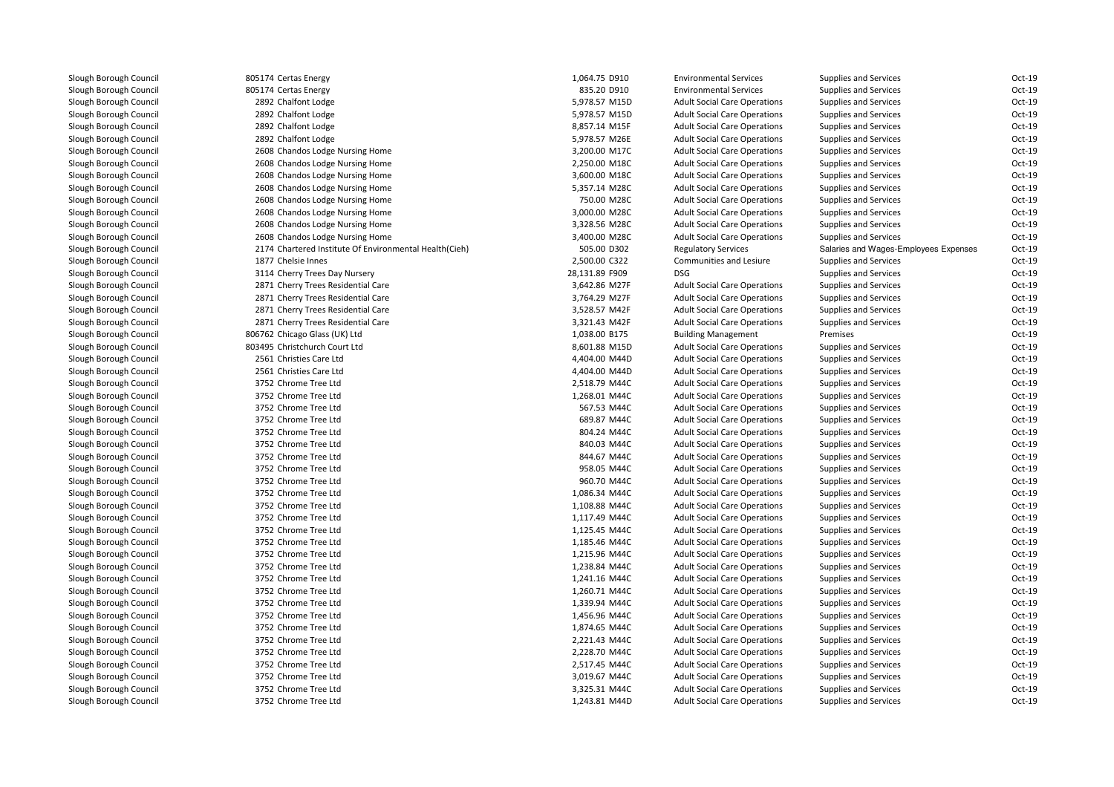| 805174 Certas Energy                                   | 1,064.75 D910  | <b>Environmental Services</b>       | <b>Supplies and Services</b>          | Oct-19   |
|--------------------------------------------------------|----------------|-------------------------------------|---------------------------------------|----------|
| 805174 Certas Energy                                   | 835.20 D910    | <b>Environmental Services</b>       | Supplies and Services                 | Oct-19   |
| 2892 Chalfont Lodge                                    | 5,978.57 M15D  | <b>Adult Social Care Operations</b> | Supplies and Services                 | Oct-19   |
| 2892 Chalfont Lodge                                    | 5,978.57 M15D  | <b>Adult Social Care Operations</b> | Supplies and Services                 | Oct-19   |
| 2892 Chalfont Lodge                                    | 8,857.14 M15F  | <b>Adult Social Care Operations</b> | Supplies and Services                 | Oct-19   |
| 2892 Chalfont Lodge                                    | 5,978.57 M26E  | <b>Adult Social Care Operations</b> | Supplies and Services                 | Oct-19   |
| 2608 Chandos Lodge Nursing Home                        | 3,200.00 M17C  | <b>Adult Social Care Operations</b> | Supplies and Services                 | Oct-19   |
| 2608 Chandos Lodge Nursing Home                        | 2,250.00 M18C  | <b>Adult Social Care Operations</b> | Supplies and Services                 | Oct-19   |
| 2608 Chandos Lodge Nursing Home                        | 3,600.00 M18C  | <b>Adult Social Care Operations</b> | Supplies and Services                 | Oct-19   |
| 2608 Chandos Lodge Nursing Home                        | 5,357.14 M28C  | <b>Adult Social Care Operations</b> | Supplies and Services                 | Oct-19   |
| 2608 Chandos Lodge Nursing Home                        | 750.00 M28C    | <b>Adult Social Care Operations</b> | Supplies and Services                 | Oct-19   |
| 2608 Chandos Lodge Nursing Home                        | 3,000.00 M28C  | <b>Adult Social Care Operations</b> | Supplies and Services                 | Oct-19   |
| 2608 Chandos Lodge Nursing Home                        | 3,328.56 M28C  | <b>Adult Social Care Operations</b> | <b>Supplies and Services</b>          | Oct-19   |
| 2608 Chandos Lodge Nursing Home                        | 3,400.00 M28C  | <b>Adult Social Care Operations</b> | Supplies and Services                 | Oct-19   |
| 2174 Chartered Institute Of Environmental Health(Cieh) | 505.00 D302    | <b>Regulatory Services</b>          | Salaries and Wages-Employees Expenses | Oct-19   |
| 1877 Chelsie Innes                                     | 2,500.00 C322  | Communities and Lesiure             | Supplies and Services                 | Oct-19   |
| 3114 Cherry Trees Day Nursery                          | 28,131.89 F909 | <b>DSG</b>                          | Supplies and Services                 | Oct-19   |
| 2871 Cherry Trees Residential Care                     | 3,642.86 M27F  | <b>Adult Social Care Operations</b> | Supplies and Services                 | Oct-19   |
| 2871 Cherry Trees Residential Care                     | 3,764.29 M27F  | <b>Adult Social Care Operations</b> | Supplies and Services                 | Oct-19   |
| 2871 Cherry Trees Residential Care                     | 3,528.57 M42F  | <b>Adult Social Care Operations</b> | Supplies and Services                 | Oct-19   |
| 2871 Cherry Trees Residential Care                     | 3,321.43 M42F  | <b>Adult Social Care Operations</b> | Supplies and Services                 | Oct-19   |
| 806762 Chicago Glass (UK) Ltd                          | 1,038.00 B175  | <b>Building Management</b>          | Premises                              | Oct-19   |
| 803495 Christchurch Court Ltd                          | 8,601.88 M15D  | <b>Adult Social Care Operations</b> | Supplies and Services                 | Oct-19   |
| 2561 Christies Care Ltd                                | 4,404.00 M44D  | <b>Adult Social Care Operations</b> | Supplies and Services                 | Oct-19   |
| 2561 Christies Care Ltd                                | 4,404.00 M44D  | <b>Adult Social Care Operations</b> | Supplies and Services                 | Oct-19   |
| 3752 Chrome Tree Ltd                                   | 2,518.79 M44C  | <b>Adult Social Care Operations</b> | Supplies and Services                 | Oct-19   |
| 3752 Chrome Tree Ltd                                   | 1,268.01 M44C  | <b>Adult Social Care Operations</b> | Supplies and Services                 | Oct-19   |
| 3752 Chrome Tree Ltd                                   | 567.53 M44C    | <b>Adult Social Care Operations</b> | Supplies and Services                 | Oct-19   |
| 3752 Chrome Tree Ltd                                   | 689.87 M44C    | <b>Adult Social Care Operations</b> | Supplies and Services                 | Oct-19   |
| 3752 Chrome Tree Ltd                                   | 804.24 M44C    | <b>Adult Social Care Operations</b> | Supplies and Services                 | Oct-19   |
| 3752 Chrome Tree Ltd                                   | 840.03 M44C    | <b>Adult Social Care Operations</b> | Supplies and Services                 | Oct-19   |
| 3752 Chrome Tree Ltd                                   | 844.67 M44C    | <b>Adult Social Care Operations</b> | <b>Supplies and Services</b>          | Oct-19   |
| 3752 Chrome Tree Ltd                                   | 958.05 M44C    | <b>Adult Social Care Operations</b> | Supplies and Services                 | $Oct-19$ |
| 3752 Chrome Tree Ltd                                   | 960.70 M44C    | <b>Adult Social Care Operations</b> | Supplies and Services                 | Oct-19   |
| 3752 Chrome Tree Ltd                                   | 1,086.34 M44C  | <b>Adult Social Care Operations</b> | Supplies and Services                 | Oct-19   |
| 3752 Chrome Tree Ltd                                   | 1,108.88 M44C  | <b>Adult Social Care Operations</b> | <b>Supplies and Services</b>          | Oct-19   |
| 3752 Chrome Tree Ltd                                   | 1,117.49 M44C  | <b>Adult Social Care Operations</b> | Supplies and Services                 | Oct-19   |
| 3752 Chrome Tree Ltd                                   | 1,125.45 M44C  | <b>Adult Social Care Operations</b> | Supplies and Services                 | Oct-19   |
| 3752 Chrome Tree Ltd                                   | 1,185.46 M44C  | <b>Adult Social Care Operations</b> | Supplies and Services                 | Oct-19   |
| 3752 Chrome Tree Ltd                                   | 1,215.96 M44C  | <b>Adult Social Care Operations</b> | Supplies and Services                 | Oct-19   |
| 3752 Chrome Tree Ltd                                   | 1,238.84 M44C  | <b>Adult Social Care Operations</b> | Supplies and Services                 | Oct-19   |
| 3752 Chrome Tree Ltd                                   | 1,241.16 M44C  | <b>Adult Social Care Operations</b> | Supplies and Services                 | Oct-19   |
| 3752 Chrome Tree Ltd                                   | 1,260.71 M44C  | <b>Adult Social Care Operations</b> | Supplies and Services                 | Oct-19   |
| 3752 Chrome Tree Ltd                                   | 1,339.94 M44C  | <b>Adult Social Care Operations</b> | Supplies and Services                 | Oct-19   |
| 3752 Chrome Tree Ltd                                   | 1,456.96 M44C  | <b>Adult Social Care Operations</b> | <b>Supplies and Services</b>          | Oct-19   |
| 3752 Chrome Tree Ltd                                   | 1,874.65 M44C  | <b>Adult Social Care Operations</b> | Supplies and Services                 | Oct-19   |
| 3752 Chrome Tree Ltd                                   | 2,221.43 M44C  | <b>Adult Social Care Operations</b> | Supplies and Services                 | Oct-19   |
| 3752 Chrome Tree Ltd                                   | 2,228.70 M44C  | <b>Adult Social Care Operations</b> | Supplies and Services                 | Oct-19   |
| 3752 Chrome Tree Ltd                                   | 2,517.45 M44C  | <b>Adult Social Care Operations</b> | <b>Supplies and Services</b>          | Oct-19   |
| 3752 Chrome Tree Ltd                                   | 3,019.67 M44C  | <b>Adult Social Care Operations</b> | <b>Supplies and Services</b>          | Oct-19   |
| 3752 Chrome Tree Ltd                                   | 3,325.31 M44C  | <b>Adult Social Care Operations</b> | Supplies and Services                 | Oct-19   |
| 3752 Chrome Tree Ltd                                   | 1,243.81 M44D  | <b>Adult Social Care Operations</b> | <b>Supplies and Services</b>          | Oct-19   |
|                                                        |                |                                     |                                       |          |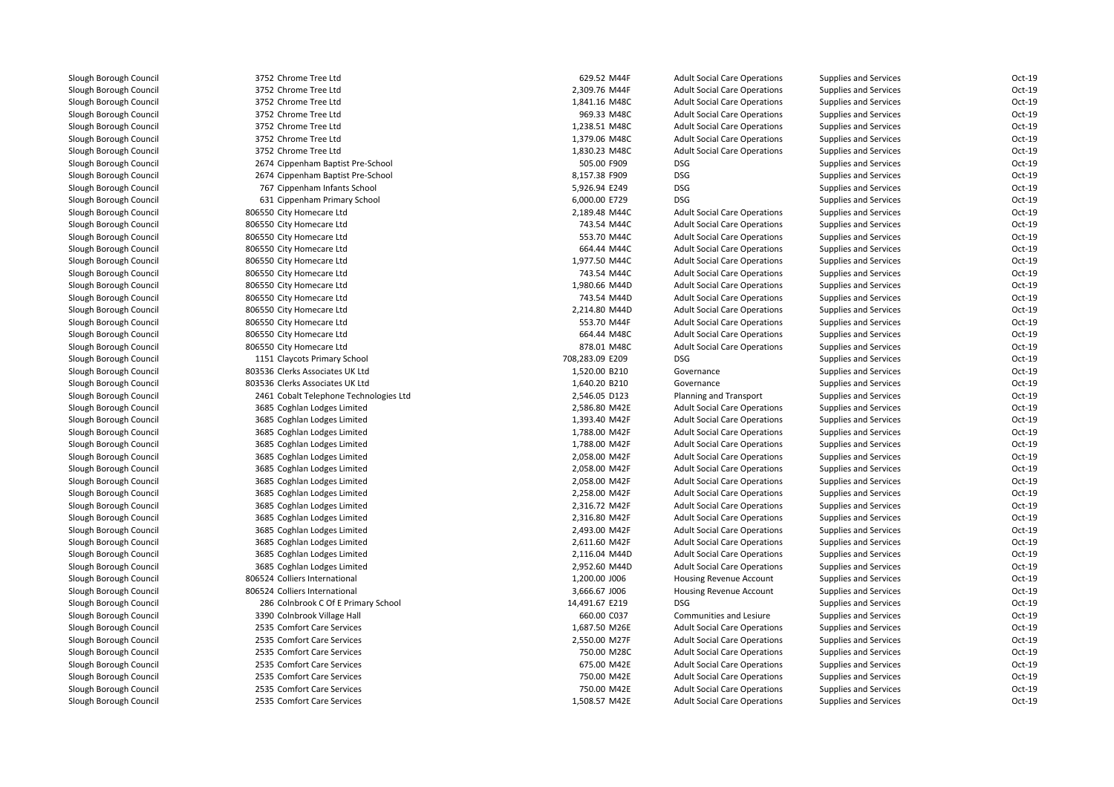3752 Chrome Tree Ltd 3752 Chrome Tree Ltd 3752 Chrome Tree Ltd 3752 Chrome Tree Ltd 3752 Chrome Tree Ltd 3752 Chrome Tree Ltd 3752 Chrome Tree Ltd 2674 Cippenham Baptist Pre-School 505.00 F909 DSG 2674 Cippenham Baptist Pre-School 8,157.38 F909 DSG 767 Cippenham Infants School 5,926.94 E249 DSG 631 Cippenham Primary School 6,000.00 E729 DSG 806550 City Homecare Ltd 806550 City Homecare Ltd 806550 City Homecare Ltd 806550 City Homecare Ltd 806550 City Homecare Ltd 806550 City Homecare Ltd 806550 City Homecare Ltd 806550 City Homecare Ltd 806550 City Homecare Ltd 806550 City Homecare Ltd 806550 City Homecare Ltd 806550 City Homecare Ltd 1151 Claycots Primary School 708,283.09 E209 DSG 803536 Clerks Associates UK Ltd 803536 Clerks Associates UK Ltd 2461 Cobalt Telephone Technologies Ltd 3685 Coghlan Lodges Limited 3685 Coghlan Lodges Limited 3685 Coghlan Lodges Limited 3685 Coghlan Lodges Limited 3685 Coghlan Lodges Limited 3685 Coghlan Lodges Limited 3685 Coghlan Lodges Limited 3685 Coghlan Lodges Limited 3685 Coghlan Lodges Limited 3685 Coghlan Lodges Limited 3685 Coghlan Lodges Limited 3685 Coghlan Lodges Limited 3685 Coghlan Lodges Limited 3685 Coghlan Lodges Limited806524 Colliers International 806524 Colliers International 14,491.67 E219 286 Colnbrook C Of E Primary School 14,491.67 E219 286 Colnbrook C Of E Primary School 3390 Colnbrook Village Hall 2535 Comfort Care Services 2535 Comfort Care Services 2535 Comfort Care Services 750.00 M28C2535 Comfort Care Services 2535 Comfort Care Services 2535 Comfort Care Services 2535 Comfort Care Services

| 2 Chrome Tree Ltd                   | 629.52 M44F     | <b>Adult Social Care Operations</b> | <b>Supplies and Services</b> | Oct-19   |
|-------------------------------------|-----------------|-------------------------------------|------------------------------|----------|
| 2 Chrome Tree Ltd                   | 2,309.76 M44F   | <b>Adult Social Care Operations</b> | <b>Supplies and Services</b> | Oct-19   |
| 2 Chrome Tree Ltd                   | 1,841.16 M48C   | <b>Adult Social Care Operations</b> | <b>Supplies and Services</b> | Oct-19   |
| 2 Chrome Tree Ltd                   | 969.33 M48C     | <b>Adult Social Care Operations</b> | <b>Supplies and Services</b> | Oct-19   |
| 2 Chrome Tree Ltd                   | 1,238.51 M48C   | <b>Adult Social Care Operations</b> | <b>Supplies and Services</b> | Oct-19   |
| 2 Chrome Tree Ltd                   | 1,379.06 M48C   | <b>Adult Social Care Operations</b> | <b>Supplies and Services</b> | Oct-19   |
| 2 Chrome Tree Ltd                   | 1,830.23 M48C   | <b>Adult Social Care Operations</b> | Supplies and Services        | Oct-19   |
| 4 Cippenham Baptist Pre-School      | 505.00 F909     | <b>DSG</b>                          | <b>Supplies and Services</b> | Oct-19   |
| 4 Cippenham Baptist Pre-School      | 8,157.38 F909   | <b>DSG</b>                          | <b>Supplies and Services</b> | Oct-19   |
| 7 Cippenham Infants School          | 5,926.94 E249   | <b>DSG</b>                          | <b>Supplies and Services</b> | Oct-19   |
| 1 Cippenham Primary School          | 6,000.00 E729   | <b>DSG</b>                          | <b>Supplies and Services</b> | $Oct-19$ |
| 0 City Homecare Ltd                 | 2,189.48 M44C   | <b>Adult Social Care Operations</b> | <b>Supplies and Services</b> | Oct-19   |
| 0 City Homecare Ltd                 | 743.54 M44C     | <b>Adult Social Care Operations</b> | <b>Supplies and Services</b> | Oct-19   |
| 0 City Homecare Ltd                 | 553.70 M44C     | <b>Adult Social Care Operations</b> | Supplies and Services        | Oct-19   |
| 0 City Homecare Ltd                 | 664.44 M44C     | <b>Adult Social Care Operations</b> | Supplies and Services        | Oct-19   |
| 0 City Homecare Ltd                 | 1,977.50 M44C   | <b>Adult Social Care Operations</b> | <b>Supplies and Services</b> | Oct-19   |
| 0 City Homecare Ltd                 | 743.54 M44C     | <b>Adult Social Care Operations</b> | <b>Supplies and Services</b> | Oct-19   |
| 0 City Homecare Ltd                 | 1,980.66 M44D   | <b>Adult Social Care Operations</b> | <b>Supplies and Services</b> | Oct-19   |
| 0 City Homecare Ltd                 | 743.54 M44D     | <b>Adult Social Care Operations</b> | <b>Supplies and Services</b> | Oct-19   |
| 0 City Homecare Ltd                 | 2,214.80 M44D   | <b>Adult Social Care Operations</b> | <b>Supplies and Services</b> | Oct-19   |
| 0 City Homecare Ltd                 | 553.70 M44F     | <b>Adult Social Care Operations</b> | Supplies and Services        | Oct-19   |
| 0 City Homecare Ltd                 | 664.44 M48C     | <b>Adult Social Care Operations</b> | <b>Supplies and Services</b> | Oct-19   |
| 0 City Homecare Ltd                 | 878.01 M48C     | <b>Adult Social Care Operations</b> | <b>Supplies and Services</b> | Oct-19   |
| 1 Claycots Primary School           | 708,283.09 E209 | <b>DSG</b>                          | <b>Supplies and Services</b> | Oct-19   |
| 6 Clerks Associates UK Ltd          | 1,520.00 B210   | Governance                          | <b>Supplies and Services</b> | Oct-19   |
| 6 Clerks Associates UK Ltd          | 1,640.20 B210   | Governance                          | Supplies and Services        | Oct-19   |
| 1 Cobalt Telephone Technologies Ltd | 2,546.05 D123   | Planning and Transport              | <b>Supplies and Services</b> | Oct-19   |
| 5 Coghlan Lodges Limited            | 2,586.80 M42E   | <b>Adult Social Care Operations</b> | <b>Supplies and Services</b> | Oct-19   |
| 5 Coghlan Lodges Limited            | 1,393.40 M42F   | <b>Adult Social Care Operations</b> | <b>Supplies and Services</b> | Oct-19   |
| 5 Coghlan Lodges Limited            | 1,788.00 M42F   | <b>Adult Social Care Operations</b> | <b>Supplies and Services</b> | Oct-19   |
| 5 Coghlan Lodges Limited            | 1,788.00 M42F   | <b>Adult Social Care Operations</b> | <b>Supplies and Services</b> | Oct-19   |
| 5 Coghlan Lodges Limited            | 2,058.00 M42F   | <b>Adult Social Care Operations</b> | <b>Supplies and Services</b> | Oct-19   |
| 5 Coghlan Lodges Limited            | 2,058.00 M42F   | <b>Adult Social Care Operations</b> | <b>Supplies and Services</b> | Oct-19   |
| 5 Coghlan Lodges Limited            | 2,058.00 M42F   | <b>Adult Social Care Operations</b> | <b>Supplies and Services</b> | $Oct-19$ |
| 5 Coghlan Lodges Limited            | 2,258.00 M42F   | <b>Adult Social Care Operations</b> | <b>Supplies and Services</b> | Oct-19   |
| 5 Coghlan Lodges Limited            | 2,316.72 M42F   | <b>Adult Social Care Operations</b> | <b>Supplies and Services</b> | Oct-19   |
| 5 Coghlan Lodges Limited            | 2,316.80 M42F   | <b>Adult Social Care Operations</b> | <b>Supplies and Services</b> | Oct-19   |
| 5 Coghlan Lodges Limited            | 2,493.00 M42F   | <b>Adult Social Care Operations</b> | <b>Supplies and Services</b> | Oct-19   |
| 5 Coghlan Lodges Limited            | 2,611.60 M42F   | <b>Adult Social Care Operations</b> | <b>Supplies and Services</b> | Oct-19   |
| 5 Coghlan Lodges Limited            | 2,116.04 M44D   | <b>Adult Social Care Operations</b> | <b>Supplies and Services</b> | $Oct-19$ |
| 5 Coghlan Lodges Limited            | 2,952.60 M44D   | <b>Adult Social Care Operations</b> | <b>Supplies and Services</b> | Oct-19   |
| 4 Colliers International            | 1,200.00 J006   | <b>Housing Revenue Account</b>      | <b>Supplies and Services</b> | Oct-19   |
| 4 Colliers International            | 3,666.67 J006   | Housing Revenue Account             | <b>Supplies and Services</b> | Oct-19   |
| 6 Colnbrook C Of E Primary School   | 14,491.67 E219  | <b>DSG</b>                          | <b>Supplies and Services</b> | Oct-19   |
| 0 Colnbrook Village Hall            | 660.00 C037     | Communities and Lesiure             | <b>Supplies and Services</b> | Oct-19   |
| 5 Comfort Care Services             | 1,687.50 M26E   | <b>Adult Social Care Operations</b> | <b>Supplies and Services</b> | Oct-19   |
| 5 Comfort Care Services             | 2,550.00 M27F   | <b>Adult Social Care Operations</b> | <b>Supplies and Services</b> | Oct-19   |
| 5 Comfort Care Services             | 750.00 M28C     | <b>Adult Social Care Operations</b> | <b>Supplies and Services</b> | $Oct-19$ |
| 5 Comfort Care Services             | 675.00 M42E     | <b>Adult Social Care Operations</b> | <b>Supplies and Services</b> | Oct-19   |
| 5 Comfort Care Services             | 750.00 M42E     | <b>Adult Social Care Operations</b> | <b>Supplies and Services</b> | Oct-19   |
| 5 Comfort Care Services             | 750.00 M42E     | <b>Adult Social Care Operations</b> | <b>Supplies and Services</b> | Oct-19   |
| 5 Comfort Care Services             | 1,508.57 M42E   | <b>Adult Social Care Operations</b> | <b>Supplies and Services</b> | Oct-19   |
|                                     |                 |                                     |                              |          |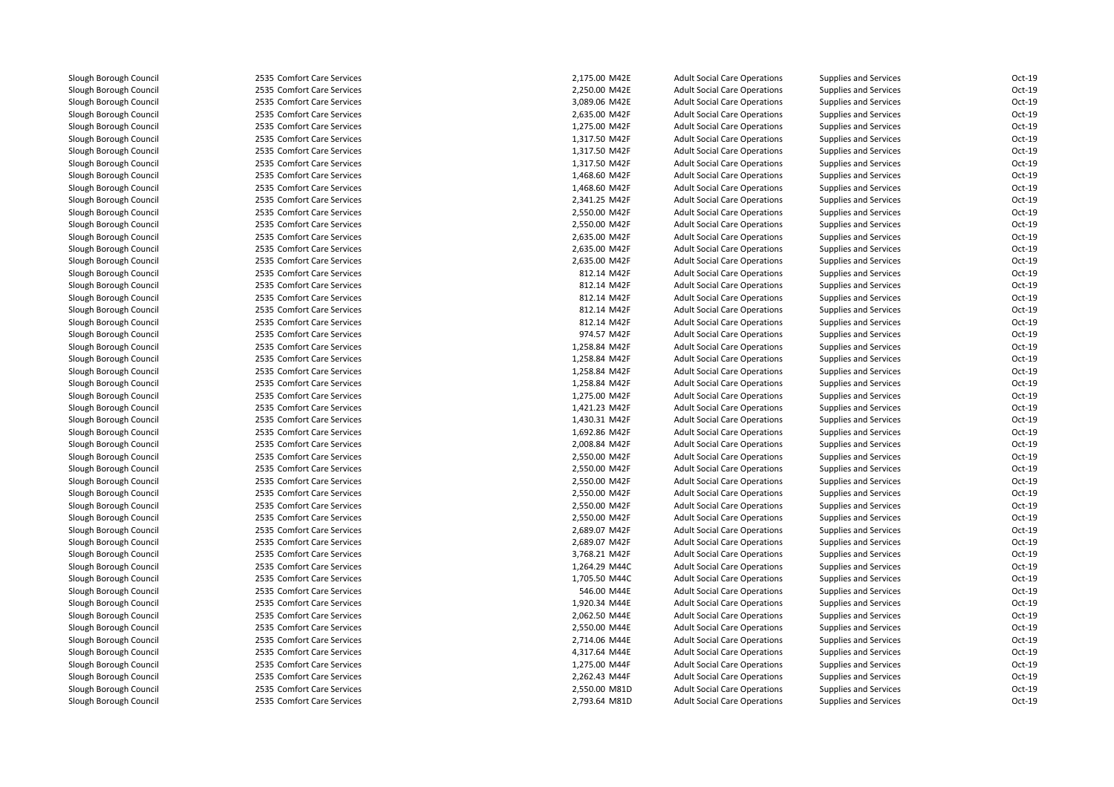2535 Comfort Care Services 2535 Comfort Care Services 2535 Comfort Care Services 2535 Comfort Care Services 2535 Comfort Care Services 2535 Comfort Care Services 2535 Comfort Care Services 2535 Comfort Care Services 2535 Comfort Care Services 2535 Comfort Care Services 2535 Comfort Care Services 2535 Comfort Care Services 2535 Comfort Care Services 2535 Comfort Care Services 2535 Comfort Care Services 2535 Comfort Care Services 2535 Comfort Care Services 2535 Comfort Care Services 2535 Comfort Care Services 2535 Comfort Care Services 2535 Comfort Care Services 2535 Comfort Care Services 2535 Comfort Care Services 2535 Comfort Care Services 2535 Comfort Care Services 2535 Comfort Care Services 2535 Comfort Care Services 2535 Comfort Care Services 2535 Comfort Care Services 2535 Comfort Care Services 2535 Comfort Care Services 2535 Comfort Care Services 2535 Comfort Care Services 2535 Comfort Care Services 2535 Comfort Care Services 2535 Comfort Care Services 2535 Comfort Care Services 2535 Comfort Care Services 2535 Comfort Care Services 2535 Comfort Care Services 2535 Comfort Care Services 1,264.29 M44C 2535 Comfort Care Services 1,705.50 M44C2535 Comfort Care Services 2535 Comfort Care Services 2535 Comfort Care Services 2535 Comfort Care Services 2535 Comfort Care Services 2535 Comfort Care Services 2535 Comfort Care Services 2535 Comfort Care Services 2535 Comfort Care Services 2,550.00 M81D2535 Comfort Care Services 2,793.64 M81D

| 5 Comfort Care Services | 2,175.00 M42E | <b>Adult Social Care Operations</b> | <b>Supplies and Services</b> | Oct-19 |
|-------------------------|---------------|-------------------------------------|------------------------------|--------|
| 5 Comfort Care Services | 2,250.00 M42E | <b>Adult Social Care Operations</b> | <b>Supplies and Services</b> | Oct-19 |
| 5 Comfort Care Services | 3,089.06 M42E | <b>Adult Social Care Operations</b> | <b>Supplies and Services</b> | Oct-19 |
| 5 Comfort Care Services | 2,635.00 M42F | <b>Adult Social Care Operations</b> | <b>Supplies and Services</b> | Oct-19 |
| 5 Comfort Care Services | 1,275.00 M42F | <b>Adult Social Care Operations</b> | <b>Supplies and Services</b> | Oct-19 |
| 5 Comfort Care Services | 1,317.50 M42F | <b>Adult Social Care Operations</b> | <b>Supplies and Services</b> | Oct-19 |
| 5 Comfort Care Services | 1,317.50 M42F | <b>Adult Social Care Operations</b> | <b>Supplies and Services</b> | Oct-19 |
| 5 Comfort Care Services | 1,317.50 M42F | <b>Adult Social Care Operations</b> | <b>Supplies and Services</b> | Oct-19 |
| 5 Comfort Care Services | 1,468.60 M42F | <b>Adult Social Care Operations</b> | <b>Supplies and Services</b> | Oct-19 |
| 5 Comfort Care Services | 1,468.60 M42F | <b>Adult Social Care Operations</b> | Supplies and Services        | Oct-19 |
| 5 Comfort Care Services | 2,341.25 M42F | <b>Adult Social Care Operations</b> | Supplies and Services        | Oct-19 |
| 5 Comfort Care Services | 2,550.00 M42F | <b>Adult Social Care Operations</b> | <b>Supplies and Services</b> | Oct-19 |
| 5 Comfort Care Services | 2,550.00 M42F | <b>Adult Social Care Operations</b> | Supplies and Services        | Oct-19 |
| 5 Comfort Care Services | 2,635.00 M42F | <b>Adult Social Care Operations</b> | Supplies and Services        | Oct-19 |
| 5 Comfort Care Services | 2,635.00 M42F | <b>Adult Social Care Operations</b> | <b>Supplies and Services</b> | Oct-19 |
| 5 Comfort Care Services | 2,635.00 M42F | <b>Adult Social Care Operations</b> | Supplies and Services        | Oct-19 |
| 5 Comfort Care Services | 812.14 M42F   | <b>Adult Social Care Operations</b> | Supplies and Services        | Oct-19 |
| 5 Comfort Care Services | 812.14 M42F   | <b>Adult Social Care Operations</b> | Supplies and Services        | Oct-19 |
| 5 Comfort Care Services | 812.14 M42F   | <b>Adult Social Care Operations</b> | <b>Supplies and Services</b> | Oct-19 |
| 5 Comfort Care Services | 812.14 M42F   | <b>Adult Social Care Operations</b> | <b>Supplies and Services</b> | Oct-19 |
| 5 Comfort Care Services | 812.14 M42F   | <b>Adult Social Care Operations</b> | Supplies and Services        | Oct-19 |
| 5 Comfort Care Services | 974.57 M42F   | <b>Adult Social Care Operations</b> | <b>Supplies and Services</b> | Oct-19 |
| 5 Comfort Care Services | 1,258.84 M42F | <b>Adult Social Care Operations</b> | Supplies and Services        | Oct-19 |
| 5 Comfort Care Services | 1,258.84 M42F | <b>Adult Social Care Operations</b> | <b>Supplies and Services</b> | Oct-19 |
| 5 Comfort Care Services | 1,258.84 M42F | <b>Adult Social Care Operations</b> | Supplies and Services        | Oct-19 |
| 5 Comfort Care Services | 1,258.84 M42F | <b>Adult Social Care Operations</b> | Supplies and Services        | Oct-19 |
| 5 Comfort Care Services | 1,275.00 M42F | <b>Adult Social Care Operations</b> | Supplies and Services        | Oct-19 |
| 5 Comfort Care Services | 1,421.23 M42F | <b>Adult Social Care Operations</b> | <b>Supplies and Services</b> | Oct-19 |
| 5 Comfort Care Services | 1,430.31 M42F | <b>Adult Social Care Operations</b> | Supplies and Services        | Oct-19 |
| 5 Comfort Care Services | 1,692.86 M42F | <b>Adult Social Care Operations</b> | Supplies and Services        | Oct-19 |
| 5 Comfort Care Services | 2,008.84 M42F | <b>Adult Social Care Operations</b> | <b>Supplies and Services</b> | Oct-19 |
| 5 Comfort Care Services | 2,550.00 M42F | <b>Adult Social Care Operations</b> | Supplies and Services        | Oct-19 |
| 5 Comfort Care Services | 2,550.00 M42F | <b>Adult Social Care Operations</b> | Supplies and Services        | Oct-19 |
| 5 Comfort Care Services | 2,550.00 M42F | <b>Adult Social Care Operations</b> | Supplies and Services        | Oct-19 |
| 5 Comfort Care Services | 2,550.00 M42F | <b>Adult Social Care Operations</b> | Supplies and Services        | Oct-19 |
| 5 Comfort Care Services | 2,550.00 M42F | <b>Adult Social Care Operations</b> | Supplies and Services        | Oct-19 |
| 5 Comfort Care Services | 2,550.00 M42F | <b>Adult Social Care Operations</b> | Supplies and Services        | Oct-19 |
| 5 Comfort Care Services | 2,689.07 M42F | <b>Adult Social Care Operations</b> | <b>Supplies and Services</b> | Oct-19 |
| 5 Comfort Care Services | 2,689.07 M42F | <b>Adult Social Care Operations</b> | Supplies and Services        | Oct-19 |
| 5 Comfort Care Services | 3,768.21 M42F | <b>Adult Social Care Operations</b> | Supplies and Services        | Oct-19 |
| 5 Comfort Care Services | 1,264.29 M44C | <b>Adult Social Care Operations</b> | Supplies and Services        | Oct-19 |
| 5 Comfort Care Services | 1,705.50 M44C | <b>Adult Social Care Operations</b> | Supplies and Services        | Oct-19 |
| 5 Comfort Care Services | 546.00 M44E   | <b>Adult Social Care Operations</b> | <b>Supplies and Services</b> | Oct-19 |
| 5 Comfort Care Services | 1,920.34 M44E | <b>Adult Social Care Operations</b> | Supplies and Services        | Oct-19 |
| 5 Comfort Care Services | 2,062.50 M44E | <b>Adult Social Care Operations</b> | Supplies and Services        | Oct-19 |
| 5 Comfort Care Services | 2,550.00 M44E | <b>Adult Social Care Operations</b> | Supplies and Services        | Oct-19 |
| 5 Comfort Care Services | 2,714.06 M44E | <b>Adult Social Care Operations</b> | <b>Supplies and Services</b> | Oct-19 |
| 5 Comfort Care Services | 4,317.64 M44E | <b>Adult Social Care Operations</b> | Supplies and Services        | Oct-19 |
| 5 Comfort Care Services | 1,275.00 M44F | <b>Adult Social Care Operations</b> | Supplies and Services        | Oct-19 |
| 5 Comfort Care Services | 2,262.43 M44F | <b>Adult Social Care Operations</b> | <b>Supplies and Services</b> | Oct-19 |
| 5 Comfort Care Services | 2,550.00 M81D | <b>Adult Social Care Operations</b> | Supplies and Services        | Oct-19 |
| 5 Comfort Care Services | 2,793.64 M81D | <b>Adult Social Care Operations</b> | Supplies and Services        | Oct-19 |
|                         |               |                                     |                              |        |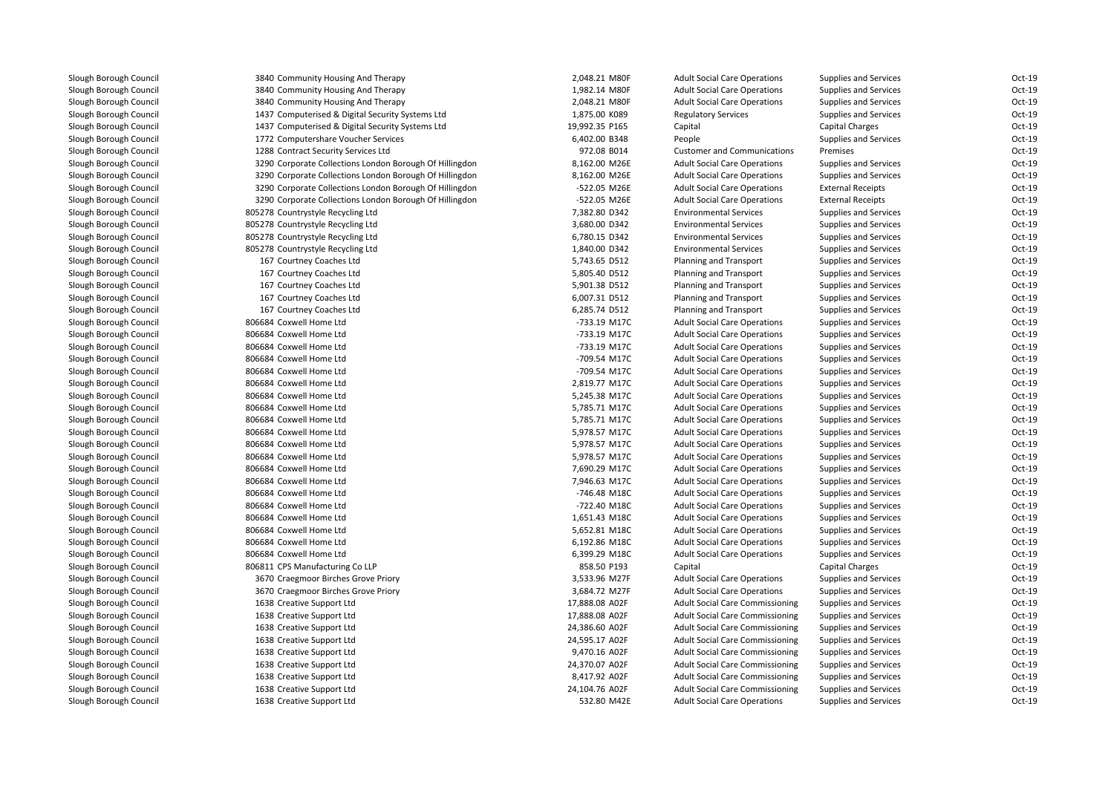| 3840 Community Housing And Therapy                      | 2,048.21 M80F  | <b>Adult Social Care Operations</b>    | <b>Supplies and Services</b> | Oct-19 |
|---------------------------------------------------------|----------------|----------------------------------------|------------------------------|--------|
| 3840 Community Housing And Therapy                      | 1,982.14 M80F  | <b>Adult Social Care Operations</b>    | Supplies and Services        | Oct-19 |
| 3840 Community Housing And Therapy                      | 2,048.21 M80F  | <b>Adult Social Care Operations</b>    | <b>Supplies and Services</b> | Oct-19 |
| 1437 Computerised & Digital Security Systems Ltd        | 1,875.00 K089  | <b>Regulatory Services</b>             | <b>Supplies and Services</b> | Oct-19 |
| 1437 Computerised & Digital Security Systems Ltd        | 19,992.35 P165 | Capital                                | <b>Capital Charges</b>       | Oct-19 |
| 1772 Computershare Voucher Services                     | 6,402.00 B348  | People                                 | <b>Supplies and Services</b> | Oct-19 |
| 1288 Contract Security Services Ltd                     | 972.08 B014    | <b>Customer and Communications</b>     | Premises                     | Oct-19 |
| 3290 Corporate Collections London Borough Of Hillingdon | 8,162.00 M26E  | <b>Adult Social Care Operations</b>    | <b>Supplies and Services</b> | Oct-19 |
| 3290 Corporate Collections London Borough Of Hillingdon | 8,162.00 M26E  | <b>Adult Social Care Operations</b>    | Supplies and Services        | Oct-19 |
| 3290 Corporate Collections London Borough Of Hillingdon | -522.05 M26E   | <b>Adult Social Care Operations</b>    | <b>External Receipts</b>     | Oct-19 |
| 3290 Corporate Collections London Borough Of Hillingdon | -522.05 M26E   | <b>Adult Social Care Operations</b>    | <b>External Receipts</b>     | Oct-19 |
| 805278 Countrystyle Recycling Ltd                       | 7,382.80 D342  | <b>Environmental Services</b>          | <b>Supplies and Services</b> | Oct-19 |
| 805278 Countrystyle Recycling Ltd                       | 3,680.00 D342  | <b>Environmental Services</b>          | <b>Supplies and Services</b> | Oct-19 |
| 805278 Countrystyle Recycling Ltd                       | 6,780.15 D342  | <b>Environmental Services</b>          | Supplies and Services        | Oct-19 |
| 805278 Countrystyle Recycling Ltd                       | 1,840.00 D342  | <b>Environmental Services</b>          | <b>Supplies and Services</b> | Oct-19 |
| 167 Courtney Coaches Ltd                                | 5,743.65 D512  | Planning and Transport                 | <b>Supplies and Services</b> | Oct-19 |
| 167 Courtney Coaches Ltd                                | 5,805.40 D512  | Planning and Transport                 | <b>Supplies and Services</b> | Oct-19 |
| 167 Courtney Coaches Ltd                                | 5,901.38 D512  | Planning and Transport                 | <b>Supplies and Services</b> | Oct-19 |
| 167 Courtney Coaches Ltd                                | 6,007.31 D512  | Planning and Transport                 | <b>Supplies and Services</b> | Oct-19 |
| 167 Courtney Coaches Ltd                                | 6,285.74 D512  | Planning and Transport                 | <b>Supplies and Services</b> | Oct-19 |
| 806684 Coxwell Home Ltd                                 | -733.19 M17C   | <b>Adult Social Care Operations</b>    | <b>Supplies and Services</b> | Oct-19 |
| 806684 Coxwell Home Ltd                                 | -733.19 M17C   | <b>Adult Social Care Operations</b>    | <b>Supplies and Services</b> | Oct-19 |
| 806684 Coxwell Home Ltd                                 | -733.19 M17C   | <b>Adult Social Care Operations</b>    | <b>Supplies and Services</b> | Oct-19 |
| 806684 Coxwell Home Ltd                                 | -709.54 M17C   | <b>Adult Social Care Operations</b>    | <b>Supplies and Services</b> | Oct-19 |
| 806684 Coxwell Home Ltd                                 | -709.54 M17C   | <b>Adult Social Care Operations</b>    | <b>Supplies and Services</b> | Oct-19 |
| 806684 Coxwell Home Ltd                                 | 2,819.77 M17C  | <b>Adult Social Care Operations</b>    | <b>Supplies and Services</b> | Oct-19 |
| 806684 Coxwell Home Ltd                                 | 5,245.38 M17C  | <b>Adult Social Care Operations</b>    | <b>Supplies and Services</b> | Oct-19 |
| 806684 Coxwell Home Ltd                                 | 5,785.71 M17C  | <b>Adult Social Care Operations</b>    | <b>Supplies and Services</b> | Oct-19 |
| 806684 Coxwell Home Ltd                                 | 5,785.71 M17C  | <b>Adult Social Care Operations</b>    | <b>Supplies and Services</b> | Oct-19 |
| 806684 Coxwell Home Ltd                                 | 5,978.57 M17C  | <b>Adult Social Care Operations</b>    | <b>Supplies and Services</b> | Oct-19 |
| 806684 Coxwell Home Ltd                                 | 5,978.57 M17C  | <b>Adult Social Care Operations</b>    | <b>Supplies and Services</b> | Oct-19 |
| 806684 Coxwell Home Ltd                                 | 5,978.57 M17C  | <b>Adult Social Care Operations</b>    | <b>Supplies and Services</b> | Oct-19 |
| 806684 Coxwell Home Ltd                                 | 7,690.29 M17C  | <b>Adult Social Care Operations</b>    | Supplies and Services        | Oct-19 |
| 806684 Coxwell Home Ltd                                 | 7,946.63 M17C  | <b>Adult Social Care Operations</b>    | <b>Supplies and Services</b> | Oct-19 |
| 806684 Coxwell Home Ltd                                 | -746.48 M18C   | <b>Adult Social Care Operations</b>    | <b>Supplies and Services</b> | Oct-19 |
| 806684 Coxwell Home Ltd                                 | -722.40 M18C   | <b>Adult Social Care Operations</b>    | <b>Supplies and Services</b> | Oct-19 |
| 806684 Coxwell Home Ltd                                 | 1,651.43 M18C  | <b>Adult Social Care Operations</b>    | <b>Supplies and Services</b> | Oct-19 |
| 806684 Coxwell Home Ltd                                 | 5,652.81 M18C  | <b>Adult Social Care Operations</b>    | <b>Supplies and Services</b> | Oct-19 |
| 806684 Coxwell Home Ltd                                 | 6,192.86 M18C  | <b>Adult Social Care Operations</b>    | <b>Supplies and Services</b> | Oct-19 |
| 806684 Coxwell Home Ltd                                 | 6,399.29 M18C  | <b>Adult Social Care Operations</b>    | <b>Supplies and Services</b> | Oct-19 |
| 806811 CPS Manufacturing Co LLP                         | 858.50 P193    | Capital                                | <b>Capital Charges</b>       | Oct-19 |
| 3670 Craegmoor Birches Grove Priory                     | 3,533.96 M27F  | <b>Adult Social Care Operations</b>    | Supplies and Services        | Oct-19 |
| 3670 Craegmoor Birches Grove Priory                     | 3,684.72 M27F  | <b>Adult Social Care Operations</b>    | <b>Supplies and Services</b> | Oct-19 |
| 1638 Creative Support Ltd                               | 17,888.08 A02F | <b>Adult Social Care Commissioning</b> | <b>Supplies and Services</b> | Oct-19 |
| 1638 Creative Support Ltd                               | 17,888.08 A02F | <b>Adult Social Care Commissioning</b> | <b>Supplies and Services</b> | Oct-19 |
| 1638 Creative Support Ltd                               | 24,386.60 A02F | <b>Adult Social Care Commissioning</b> | <b>Supplies and Services</b> | Oct-19 |
| 1638 Creative Support Ltd                               | 24,595.17 A02F | <b>Adult Social Care Commissioning</b> | <b>Supplies and Services</b> | Oct-19 |
| 1638 Creative Support Ltd                               | 9,470.16 A02F  | <b>Adult Social Care Commissioning</b> | <b>Supplies and Services</b> | Oct-19 |
| 1638 Creative Support Ltd                               | 24,370.07 A02F | <b>Adult Social Care Commissioning</b> | Supplies and Services        | Oct-19 |
| 1638 Creative Support Ltd                               | 8,417.92 A02F  | <b>Adult Social Care Commissioning</b> | Supplies and Services        | Oct-19 |
| 1638 Creative Support Ltd                               | 24,104.76 A02F | <b>Adult Social Care Commissioning</b> | <b>Supplies and Services</b> | Oct-19 |
| 1638 Creative Support Ltd                               | 532.80 M42E    | <b>Adult Social Care Operations</b>    | <b>Supplies and Services</b> | Oct-19 |
|                                                         |                |                                        |                              |        |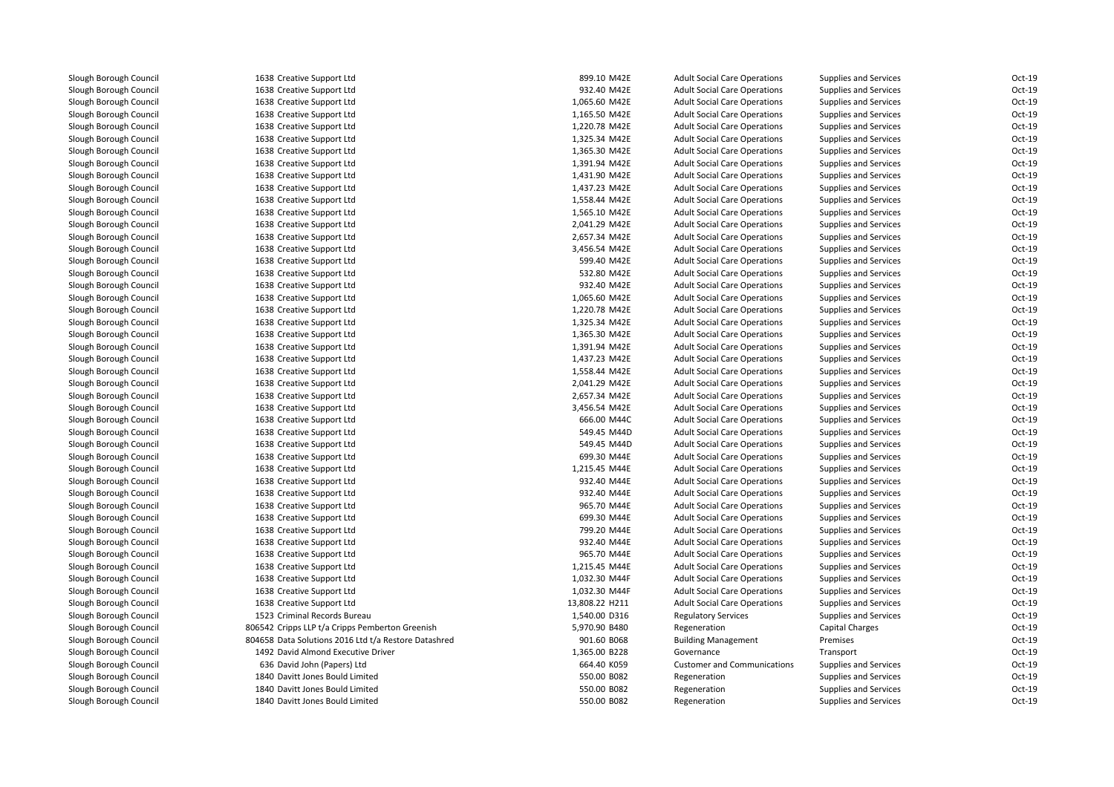| 1638 Creative Support Ltd                            | 899.10 M42E    | <b>Adult Social Care Operations</b> | <b>Supplies and Services</b>                          | Oct-19   |
|------------------------------------------------------|----------------|-------------------------------------|-------------------------------------------------------|----------|
| 1638 Creative Support Ltd                            | 932.40 M42E    | <b>Adult Social Care Operations</b> | Supplies and Services                                 | Oct-19   |
| 1638 Creative Support Ltd                            | 1,065.60 M42E  | <b>Adult Social Care Operations</b> | Supplies and Services                                 | Oct-19   |
| 1638 Creative Support Ltd                            | 1,165.50 M42E  | <b>Adult Social Care Operations</b> | Supplies and Services                                 | Oct-19   |
| 1638 Creative Support Ltd                            | 1,220.78 M42E  | <b>Adult Social Care Operations</b> | Supplies and Services                                 | Oct-19   |
| 1638 Creative Support Ltd                            | 1,325.34 M42E  | <b>Adult Social Care Operations</b> | Supplies and Services                                 | Oct-19   |
| 1638 Creative Support Ltd                            | 1,365.30 M42E  | <b>Adult Social Care Operations</b> | Supplies and Services                                 | Oct-19   |
| 1638 Creative Support Ltd                            | 1,391.94 M42E  | <b>Adult Social Care Operations</b> | Supplies and Services                                 | Oct-19   |
| 1638 Creative Support Ltd                            | 1,431.90 M42E  | <b>Adult Social Care Operations</b> | Supplies and Services                                 | Oct-19   |
| 1638 Creative Support Ltd                            | 1,437.23 M42E  | <b>Adult Social Care Operations</b> | Supplies and Services                                 | Oct-19   |
| 1638 Creative Support Ltd                            | 1,558.44 M42E  | <b>Adult Social Care Operations</b> | Supplies and Services                                 | Oct-19   |
| 1638 Creative Support Ltd                            | 1,565.10 M42E  | <b>Adult Social Care Operations</b> | Supplies and Services                                 | Oct-19   |
| 1638 Creative Support Ltd                            | 2,041.29 M42E  | <b>Adult Social Care Operations</b> | Supplies and Services                                 | Oct-19   |
| 1638 Creative Support Ltd                            | 2,657.34 M42E  | <b>Adult Social Care Operations</b> | <b>Supplies and Services</b>                          | Oct-19   |
| 1638 Creative Support Ltd                            | 3,456.54 M42E  | <b>Adult Social Care Operations</b> | Supplies and Services                                 | Oct-19   |
| 1638 Creative Support Ltd                            | 599.40 M42E    | <b>Adult Social Care Operations</b> | Supplies and Services                                 | Oct-19   |
| 1638 Creative Support Ltd                            | 532.80 M42E    | <b>Adult Social Care Operations</b> | Supplies and Services                                 | Oct-19   |
| 1638 Creative Support Ltd                            | 932.40 M42E    | <b>Adult Social Care Operations</b> | Supplies and Services                                 | Oct-19   |
| 1638 Creative Support Ltd                            | 1,065.60 M42E  | <b>Adult Social Care Operations</b> | <b>Supplies and Services</b>                          | Oct-19   |
| 1638 Creative Support Ltd                            | 1,220.78 M42E  | <b>Adult Social Care Operations</b> | Supplies and Services                                 | Oct-19   |
| 1638 Creative Support Ltd                            | 1,325.34 M42E  | <b>Adult Social Care Operations</b> | Supplies and Services                                 | Oct-19   |
| 1638 Creative Support Ltd                            | 1,365.30 M42E  | <b>Adult Social Care Operations</b> | Supplies and Services                                 | Oct-19   |
| 1638 Creative Support Ltd                            | 1,391.94 M42E  | <b>Adult Social Care Operations</b> | Supplies and Services                                 | Oct-19   |
| 1638 Creative Support Ltd                            | 1,437.23 M42E  | <b>Adult Social Care Operations</b> | Supplies and Services                                 | Oct-19   |
| 1638 Creative Support Ltd                            | 1,558.44 M42E  | <b>Adult Social Care Operations</b> | Supplies and Services                                 | Oct-19   |
| 1638 Creative Support Ltd                            | 2,041.29 M42E  | <b>Adult Social Care Operations</b> | <b>Supplies and Services</b>                          | Oct-19   |
| 1638 Creative Support Ltd                            | 2,657.34 M42E  | <b>Adult Social Care Operations</b> | Supplies and Services                                 | Oct-19   |
| 1638 Creative Support Ltd                            | 3,456.54 M42E  | <b>Adult Social Care Operations</b> | Supplies and Services                                 | Oct-19   |
| 1638 Creative Support Ltd                            | 666.00 M44C    | <b>Adult Social Care Operations</b> | Supplies and Services                                 | Oct-19   |
| 1638 Creative Support Ltd                            | 549.45 M44D    | <b>Adult Social Care Operations</b> | Supplies and Services                                 | Oct-19   |
| 1638 Creative Support Ltd                            | 549.45 M44D    | <b>Adult Social Care Operations</b> | Supplies and Services                                 | Oct-19   |
| 1638 Creative Support Ltd                            | 699.30 M44E    | <b>Adult Social Care Operations</b> | Supplies and Services                                 | Oct-19   |
| 1638 Creative Support Ltd                            | 1,215.45 M44E  | <b>Adult Social Care Operations</b> | Supplies and Services                                 | Oct-19   |
| 1638 Creative Support Ltd                            | 932.40 M44E    | <b>Adult Social Care Operations</b> | Supplies and Services                                 | Oct-19   |
| 1638 Creative Support Ltd                            | 932.40 M44E    | <b>Adult Social Care Operations</b> | Supplies and Services                                 | Oct-19   |
| 1638 Creative Support Ltd                            | 965.70 M44E    | <b>Adult Social Care Operations</b> | <b>Supplies and Services</b>                          | Oct-19   |
| 1638 Creative Support Ltd                            | 699.30 M44E    | <b>Adult Social Care Operations</b> | Supplies and Services                                 | Oct-19   |
| 1638 Creative Support Ltd                            | 799.20 M44E    | <b>Adult Social Care Operations</b> | Supplies and Services                                 | Oct-19   |
| 1638 Creative Support Ltd                            | 932.40 M44E    | <b>Adult Social Care Operations</b> | Supplies and Services                                 | Oct-19   |
| 1638 Creative Support Ltd                            | 965.70 M44E    | <b>Adult Social Care Operations</b> | Supplies and Services                                 | Oct-19   |
| 1638 Creative Support Ltd                            | 1,215.45 M44E  | <b>Adult Social Care Operations</b> | Supplies and Services                                 | Oct-19   |
| 1638 Creative Support Ltd                            | 1,032.30 M44F  | <b>Adult Social Care Operations</b> | Supplies and Services                                 | Oct-19   |
| 1638 Creative Support Ltd                            | 1,032.30 M44F  | <b>Adult Social Care Operations</b> | Supplies and Services                                 | Oct-19   |
| 1638 Creative Support Ltd                            | 13,808.22 H211 | <b>Adult Social Care Operations</b> |                                                       | Oct-19   |
| 1523 Criminal Records Bureau                         |                |                                     | Supplies and Services<br><b>Supplies and Services</b> | $Oct-19$ |
|                                                      | 1,540.00 D316  | <b>Regulatory Services</b>          |                                                       |          |
| 806542 Cripps LLP t/a Cripps Pemberton Greenish      | 5,970.90 B480  | Regeneration                        | <b>Capital Charges</b>                                | Oct-19   |
| 804658 Data Solutions 2016 Ltd t/a Restore Datashred | 901.60 B068    | <b>Building Management</b>          | Premises                                              | Oct-19   |
| 1492 David Almond Executive Driver                   | 1,365.00 B228  | Governance                          | Transport                                             | Oct-19   |
| 636 David John (Papers) Ltd                          | 664.40 K059    | <b>Customer and Communications</b>  | Supplies and Services                                 | Oct-19   |
| 1840 Davitt Jones Bould Limited                      | 550.00 B082    | Regeneration                        | <b>Supplies and Services</b>                          | Oct-19   |
| 1840 Davitt Jones Bould Limited                      | 550.00 B082    | Regeneration                        | Supplies and Services                                 | Oct-19   |
| 1840 Davitt Jones Bould Limited                      | 550.00 B082    | Regeneration                        | Supplies and Services                                 | Oct-19   |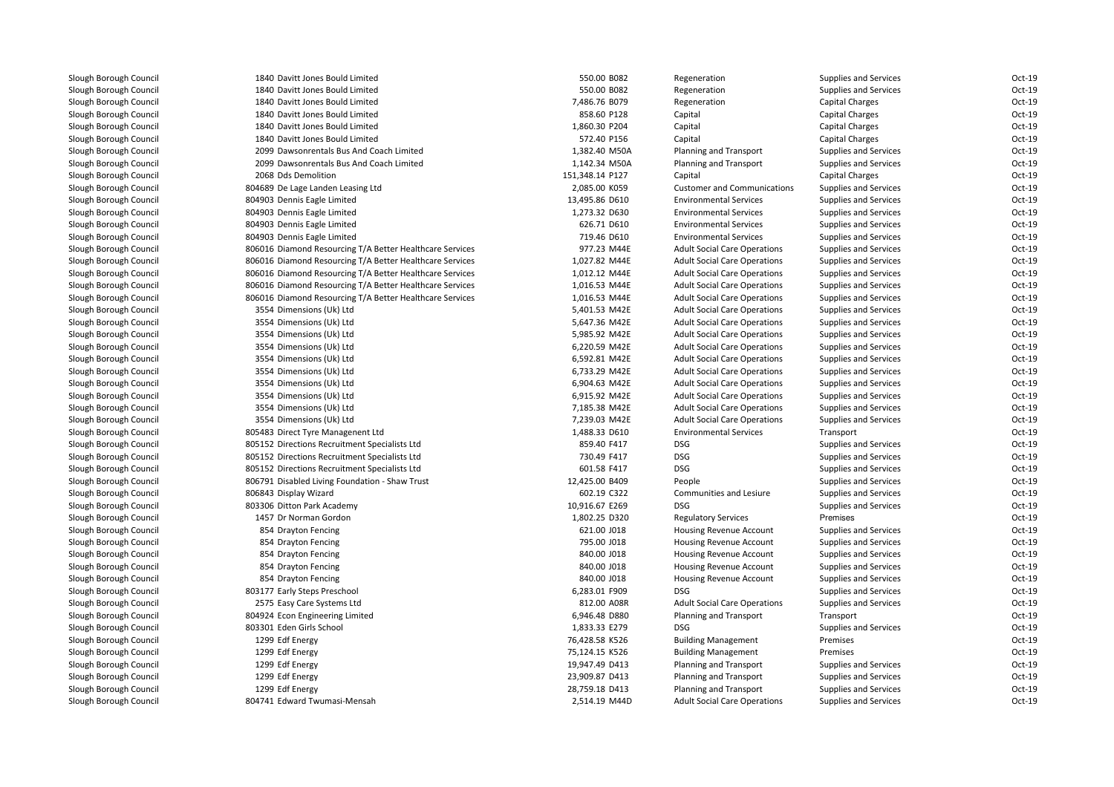| Slough Borough Council | 1840 Davitt Jones Bould Limited                          | 550.00 B082     | Regeneration                        | Supplies and Services        | Oct-19   |
|------------------------|----------------------------------------------------------|-----------------|-------------------------------------|------------------------------|----------|
| Slough Borough Council | 1840 Davitt Jones Bould Limited                          | 550.00 B082     | Regeneration                        | Supplies and Services        | $Oct-19$ |
| Slough Borough Council | 1840 Davitt Jones Bould Limited                          | 7,486.76 B079   | Regeneration                        | <b>Capital Charges</b>       | $Oct-19$ |
| Slough Borough Council | 1840 Davitt Jones Bould Limited                          | 858.60 P128     | Capital                             | <b>Capital Charges</b>       | $Oct-19$ |
| Slough Borough Council | 1840 Davitt Jones Bould Limited                          | 1,860.30 P204   | Capital                             | <b>Capital Charges</b>       | $Oct-19$ |
| Slough Borough Council | 1840 Davitt Jones Bould Limited                          | 572.40 P156     | Capital                             | <b>Capital Charges</b>       | $Oct-19$ |
| Slough Borough Council | 2099 Dawsonrentals Bus And Coach Limited                 | 1,382.40 M50A   | Planning and Transport              | Supplies and Services        | $Oct-19$ |
| Slough Borough Council | 2099 Dawsonrentals Bus And Coach Limited                 | 1,142.34 M50A   | Planning and Transport              | Supplies and Services        | $Oct-19$ |
| Slough Borough Council | 2068 Dds Demolition                                      | 151,348.14 P127 | Capital                             | <b>Capital Charges</b>       | $Oct-19$ |
| Slough Borough Council | 804689 De Lage Landen Leasing Ltd                        | 2,085.00 K059   | <b>Customer and Communications</b>  | Supplies and Services        | $Oct-19$ |
| Slough Borough Council | 804903 Dennis Eagle Limited                              | 13,495.86 D610  | <b>Environmental Services</b>       | Supplies and Services        | $Oct-19$ |
| Slough Borough Council | 804903 Dennis Eagle Limited                              | 1,273.32 D630   | <b>Environmental Services</b>       | Supplies and Services        | $Oct-19$ |
| Slough Borough Council | 804903 Dennis Eagle Limited                              | 626.71 D610     | <b>Environmental Services</b>       | Supplies and Services        | $Oct-19$ |
| Slough Borough Council | 804903 Dennis Eagle Limited                              | 719.46 D610     | <b>Environmental Services</b>       | <b>Supplies and Services</b> | $Oct-19$ |
| Slough Borough Council | 806016 Diamond Resourcing T/A Better Healthcare Services | 977.23 M44E     | <b>Adult Social Care Operations</b> | Supplies and Services        | $Oct-19$ |
| Slough Borough Council | 806016 Diamond Resourcing T/A Better Healthcare Services | 1,027.82 M44E   | <b>Adult Social Care Operations</b> | Supplies and Services        | $Oct-19$ |
| Slough Borough Council | 806016 Diamond Resourcing T/A Better Healthcare Services | 1,012.12 M44E   | <b>Adult Social Care Operations</b> | Supplies and Services        | $Oct-19$ |
| Slough Borough Council | 806016 Diamond Resourcing T/A Better Healthcare Services | 1,016.53 M44E   | <b>Adult Social Care Operations</b> | Supplies and Services        | $Oct-19$ |
| Slough Borough Council | 806016 Diamond Resourcing T/A Better Healthcare Services | 1,016.53 M44E   | <b>Adult Social Care Operations</b> | Supplies and Services        | $Oct-19$ |
| Slough Borough Council | 3554 Dimensions (Uk) Ltd                                 | 5,401.53 M42E   | <b>Adult Social Care Operations</b> | Supplies and Services        | $Oct-19$ |
| Slough Borough Council | 3554 Dimensions (Uk) Ltd                                 | 5,647.36 M42E   | <b>Adult Social Care Operations</b> | Supplies and Services        | $Oct-19$ |
| Slough Borough Council | 3554 Dimensions (Uk) Ltd                                 | 5,985.92 M42E   | <b>Adult Social Care Operations</b> | Supplies and Services        | $Oct-19$ |
| Slough Borough Council | 3554 Dimensions (Uk) Ltd                                 | 6,220.59 M42E   | <b>Adult Social Care Operations</b> | Supplies and Services        | $Oct-19$ |
| Slough Borough Council | 3554 Dimensions (Uk) Ltd                                 | 6,592.81 M42E   | <b>Adult Social Care Operations</b> | Supplies and Services        | $Oct-19$ |
| Slough Borough Council | 3554 Dimensions (Uk) Ltd                                 | 6,733.29 M42E   | <b>Adult Social Care Operations</b> | Supplies and Services        | $Oct-19$ |
| Slough Borough Council | 3554 Dimensions (Uk) Ltd                                 | 6,904.63 M42E   | <b>Adult Social Care Operations</b> | Supplies and Services        | $Oct-19$ |
| Slough Borough Council | 3554 Dimensions (Uk) Ltd                                 | 6,915.92 M42E   | <b>Adult Social Care Operations</b> | Supplies and Services        | $Oct-19$ |
| Slough Borough Council | 3554 Dimensions (Uk) Ltd                                 | 7,185.38 M42E   | <b>Adult Social Care Operations</b> | Supplies and Services        | $Oct-19$ |
| Slough Borough Council | 3554 Dimensions (Uk) Ltd                                 | 7,239.03 M42E   | <b>Adult Social Care Operations</b> | Supplies and Services        | $Oct-19$ |
| Slough Borough Council | 805483 Direct Tyre Managenent Ltd                        | 1,488.33 D610   | <b>Environmental Services</b>       | Transport                    | $Oct-19$ |
| Slough Borough Council | 805152 Directions Recruitment Specialists Ltd            | 859.40 F417     | <b>DSG</b>                          | Supplies and Services        | $Oct-19$ |
| Slough Borough Council | 805152 Directions Recruitment Specialists Ltd            | 730.49 F417     | DSG                                 | Supplies and Services        | $Oct-19$ |
| Slough Borough Council | 805152 Directions Recruitment Specialists Ltd            | 601.58 F417     | <b>DSG</b>                          | Supplies and Services        | $Oct-19$ |
| Slough Borough Council | 806791 Disabled Living Foundation - Shaw Trust           | 12,425.00 B409  | People                              | <b>Supplies and Services</b> | $Oct-19$ |
| Slough Borough Council | 806843 Display Wizard                                    | 602.19 C322     | Communities and Lesiure             | Supplies and Services        | $Oct-19$ |
| Slough Borough Council | 803306 Ditton Park Academy                               | 10,916.67 E269  | <b>DSG</b>                          | <b>Supplies and Services</b> | $Oct-19$ |
| Slough Borough Council | 1457 Dr Norman Gordon                                    | 1,802.25 D320   | <b>Regulatory Services</b>          | Premises                     | $Oct-19$ |
| Slough Borough Council | 854 Drayton Fencing                                      | 621.00 J018     | Housing Revenue Account             | Supplies and Services        | $Oct-19$ |
| Slough Borough Council | 854 Drayton Fencing                                      | 795.00 J018     | Housing Revenue Account             | Supplies and Services        | $Oct-19$ |
| Slough Borough Council | 854 Drayton Fencing                                      | 840.00 J018     | <b>Housing Revenue Account</b>      | Supplies and Services        | $Oct-19$ |
| Slough Borough Council | 854 Drayton Fencing                                      | 840.00 J018     | Housing Revenue Account             | Supplies and Services        | $Oct-19$ |
| Slough Borough Council | 854 Drayton Fencing                                      | 840.00 J018     | Housing Revenue Account             | Supplies and Services        | $Oct-19$ |
| Slough Borough Council | 803177 Early Steps Preschool                             | 6,283.01 F909   | <b>DSG</b>                          | Supplies and Services        | $Oct-19$ |
| Slough Borough Council | 2575 Easy Care Systems Ltd                               | 812.00 A08R     | <b>Adult Social Care Operations</b> | Supplies and Services        | $Oct-19$ |
| Slough Borough Council | 804924 Econ Engineering Limited                          | 6,946.48 D880   | Planning and Transport              | Transport                    | $Oct-19$ |
| Slough Borough Council | 803301 Eden Girls School                                 | 1,833.33 E279   | <b>DSG</b>                          | <b>Supplies and Services</b> | $Oct-19$ |
| Slough Borough Council | 1299 Edf Energy                                          | 76,428.58 K526  | <b>Building Management</b>          | Premises                     | $Oct-19$ |
| Slough Borough Council | 1299 Edf Energy                                          | 75,124.15 K526  | <b>Building Management</b>          | Premises                     | $Oct-19$ |
| Slough Borough Council | 1299 Edf Energy                                          | 19,947.49 D413  | Planning and Transport              | Supplies and Services        | $Oct-19$ |
| Slough Borough Council | 1299 Edf Energy                                          | 23,909.87 D413  | Planning and Transport              | Supplies and Services        | $Oct-19$ |
| Slough Borough Council | 1299 Edf Energy                                          | 28,759.18 D413  | Planning and Transport              | Supplies and Services        | Oct-19   |
| Slough Borough Council | 804741 Edward Twumasi-Mensah                             | 2,514.19 M44D   | <b>Adult Social Care Operations</b> | Supplies and Services        | $Oct-19$ |
|                        |                                                          |                 |                                     |                              |          |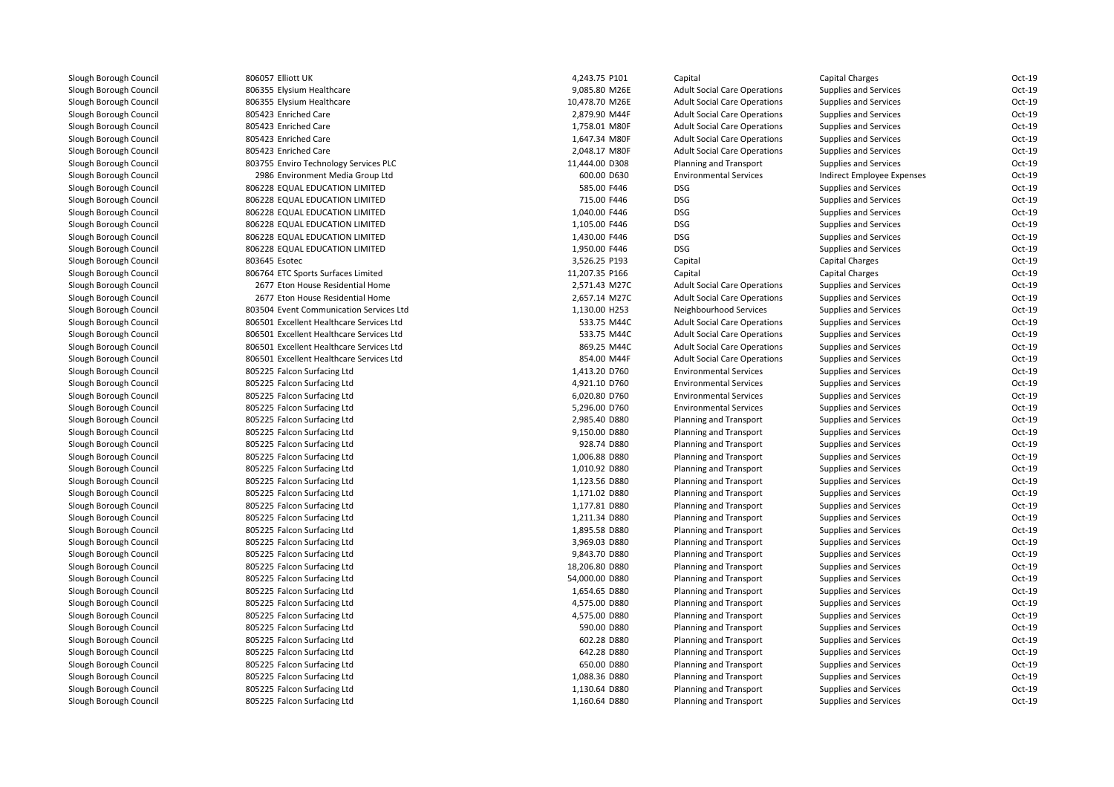806057 Elliott UK806355 Elysium Healthcare 806355 Elvsium Healthcare 805423 Enriched Care 805423 Enriched Care 805423 Enriched Care 805423 Enriched Care 803755 Enviro Technology Services PLC 2986 Environment Media Group Ltd 806228 EQUAL EDUCATION LIMITED 806228 EQUAL EDUCATION LIMITED 806228 EQUAL EDUCATION LIMITED 806228 EQUAL EDUCATION LIMITED 806228 EQUAL EDUCATION LIMITED 806228 EQUAL EDUCATION LIMITED 803645 806764 ETC Sports Surfaces Limited 2677 Eton House Residential Home 2,571.43 M27C 2677 Eton House Residential Home 2,657.14 M27C 803504 Event Communication Services Ltd 806501 Excellent Healthcare Services Ltd 806501 Excellent Healthcare Services Ltd 806501 Excellent Healthcare Services Ltd 806501 Excellent Healthcare Services Ltd 805225 Falcon Surfacing Ltd 805225 Falcon Surfacing Ltd 805225 Falcon Surfacing Ltd 805225 Falcon Surfacing Ltd 805225 Falcon Surfacing Ltd 805225 Falcon Surfacing Ltd 805225 Falcon Surfacing Ltd 805225 Falcon Surfacing Ltd 805225 Falcon Surfacing Ltd 805225 Falcon Surfacing Ltd 805225 Falcon Surfacing Ltd 805225 Falcon Surfacing Ltd 805225 Falcon Surfacing Ltd 805225 Falcon Surfacing Ltd 805225 Falcon Surfacing Ltd 805225 Falcon Surfacing Ltd 805225 Falcon Surfacing Ltd 805225 Falcon Surfacing Ltd 805225 Falcon Surfacing Ltd 805225 Falcon Surfacing Ltd 805225 Falcon Surfacing Ltd 805225 Falcon Surfacing Ltd 805225 Falcon Surfacing Ltd 805225 Falcon Surfacing Ltd 805225 Falcon Surfacing Ltd 805225 Falcon Surfacing Ltd 805225 Falcon Surfacing Ltd805225 Falcon Surfacing Ltd

| 7 Elliott UK                        | 4,243.75 P101  | Capital                                          | <b>Capital Charges</b>       | Oct-19   |
|-------------------------------------|----------------|--------------------------------------------------|------------------------------|----------|
|                                     |                |                                                  |                              | Oct-19   |
| 5 Elysium Healthcare                | 9,085.80 M26E  | <b>Adult Social Care Operations</b>              | <b>Supplies and Services</b> |          |
| 5 Elysium Healthcare                | 10,478.70 M26E | <b>Adult Social Care Operations</b>              | <b>Supplies and Services</b> | Oct-19   |
| 3 Enriched Care                     | 2,879.90 M44F  | <b>Adult Social Care Operations</b>              | <b>Supplies and Services</b> | Oct-19   |
| 3 Enriched Care                     | 1,758.01 M80F  | <b>Adult Social Care Operations</b>              | <b>Supplies and Services</b> | Oct-19   |
| 3 Enriched Care                     | 1,647.34 M80F  | <b>Adult Social Care Operations</b>              | <b>Supplies and Services</b> | $Oct-19$ |
| 3 Enriched Care                     | 2,048.17 M80F  | <b>Adult Social Care Operations</b>              | Supplies and Services        | Oct-19   |
| 5 Enviro Technology Services PLC    | 11,444.00 D308 | Planning and Transport                           | <b>Supplies and Services</b> | Oct-19   |
| 6 Environment Media Group Ltd       | 600.00 D630    | <b>Environmental Services</b>                    | Indirect Employee Expenses   | Oct-19   |
| 8 EQUAL EDUCATION LIMITED           | 585.00 F446    | <b>DSG</b>                                       | <b>Supplies and Services</b> | Oct-19   |
| 8 EQUAL EDUCATION LIMITED           | 715.00 F446    | <b>DSG</b>                                       | <b>Supplies and Services</b> | Oct-19   |
| 8 EQUAL EDUCATION LIMITED           | 1,040.00 F446  | <b>DSG</b>                                       | <b>Supplies and Services</b> | Oct-19   |
| 8 EQUAL EDUCATION LIMITED           | 1,105.00 F446  | <b>DSG</b>                                       | <b>Supplies and Services</b> | $Oct-19$ |
| 8 EQUAL EDUCATION LIMITED           | 1,430.00 F446  | <b>DSG</b>                                       | <b>Supplies and Services</b> | Oct-19   |
| 8 EQUAL EDUCATION LIMITED           | 1,950.00 F446  | <b>DSG</b>                                       | <b>Supplies and Services</b> | Oct-19   |
| 5 Esotec                            | 3,526.25 P193  | Capital                                          | <b>Capital Charges</b>       | Oct-19   |
| 4 ETC Sports Surfaces Limited       | 11,207.35 P166 | Capital                                          | <b>Capital Charges</b>       | Oct-19   |
| 7 Eton House Residential Home       | 2,571.43 M27C  | <b>Adult Social Care Operations</b>              | <b>Supplies and Services</b> | Oct-19   |
| 7 Eton House Residential Home       | 2,657.14 M27C  | <b>Adult Social Care Operations</b>              | <b>Supplies and Services</b> | Oct-19   |
| 4 Event Communication Services Ltd  | 1,130.00 H253  | Neighbourhood Services                           | <b>Supplies and Services</b> | $Oct-19$ |
| 1 Excellent Healthcare Services Ltd | 533.75 M44C    | <b>Adult Social Care Operations</b>              | Supplies and Services        | Oct-19   |
| 1 Excellent Healthcare Services Ltd | 533.75 M44C    | <b>Adult Social Care Operations</b>              | <b>Supplies and Services</b> | Oct-19   |
| 1 Excellent Healthcare Services Ltd | 869.25 M44C    | <b>Adult Social Care Operations</b>              | <b>Supplies and Services</b> | Oct-19   |
| 1 Excellent Healthcare Services Ltd | 854.00 M44F    | <b>Adult Social Care Operations</b>              | <b>Supplies and Services</b> | Oct-19   |
| 5 Falcon Surfacing Ltd              | 1,413.20 D760  | <b>Environmental Services</b>                    | <b>Supplies and Services</b> | Oct-19   |
| 5 Falcon Surfacing Ltd              | 4,921.10 D760  | <b>Environmental Services</b>                    | <b>Supplies and Services</b> | Oct-19   |
| 5 Falcon Surfacing Ltd              | 6,020.80 D760  | <b>Environmental Services</b>                    | <b>Supplies and Services</b> | $Oct-19$ |
| 5 Falcon Surfacing Ltd              | 5,296.00 D760  | <b>Environmental Services</b>                    | <b>Supplies and Services</b> | $Oct-19$ |
| 5 Falcon Surfacing Ltd              | 2,985.40 D880  | Planning and Transport                           | <b>Supplies and Services</b> | Oct-19   |
| 5 Falcon Surfacing Ltd              | 9,150.00 D880  | Planning and Transport                           | Supplies and Services        | Oct-19   |
| 5 Falcon Surfacing Ltd              | 928.74 D880    | Planning and Transport                           | <b>Supplies and Services</b> | Oct-19   |
| 5 Falcon Surfacing Ltd              | 1,006.88 D880  | Planning and Transport                           | <b>Supplies and Services</b> | Oct-19   |
| 5 Falcon Surfacing Ltd              | 1,010.92 D880  | Planning and Transport                           | <b>Supplies and Services</b> | Oct-19   |
| 5 Falcon Surfacing Ltd              | 1,123.56 D880  | Planning and Transport                           | <b>Supplies and Services</b> | Oct-19   |
| 5 Falcon Surfacing Ltd              | 1,171.02 D880  | Planning and Transport                           | <b>Supplies and Services</b> | $Oct-19$ |
| 5 Falcon Surfacing Ltd              | 1,177.81 D880  | Planning and Transport                           | <b>Supplies and Services</b> | Oct-19   |
| 5 Falcon Surfacing Ltd              | 1,211.34 D880  | Planning and Transport                           | Supplies and Services        | Oct-19   |
| 5 Falcon Surfacing Ltd              | 1,895.58 D880  | Planning and Transport                           | <b>Supplies and Services</b> | Oct-19   |
| 5 Falcon Surfacing Ltd              | 3,969.03 D880  | Planning and Transport                           | <b>Supplies and Services</b> | Oct-19   |
| 5 Falcon Surfacing Ltd              | 9,843.70 D880  | Planning and Transport                           | <b>Supplies and Services</b> | Oct-19   |
| 5 Falcon Surfacing Ltd              | 18,206.80 D880 | Planning and Transport                           | <b>Supplies and Services</b> | Oct-19   |
| 5 Falcon Surfacing Ltd              | 54,000.00 D880 | Planning and Transport                           | <b>Supplies and Services</b> | $Oct-19$ |
| 5 Falcon Surfacing Ltd              | 1,654.65 D880  | Planning and Transport                           | <b>Supplies and Services</b> | Oct-19   |
| 5 Falcon Surfacing Ltd              | 4,575.00 D880  | Planning and Transport                           | Supplies and Services        | Oct-19   |
| 5 Falcon Surfacing Ltd              | 4,575.00 D880  | Planning and Transport                           | <b>Supplies and Services</b> | Oct-19   |
| 5 Falcon Surfacing Ltd              | 590.00 D880    | Planning and Transport                           | <b>Supplies and Services</b> | Oct-19   |
| 5 Falcon Surfacing Ltd              | 602.28 D880    | Planning and Transport                           | <b>Supplies and Services</b> | Oct-19   |
| 5 Falcon Surfacing Ltd              | 642.28 D880    | Planning and Transport                           | <b>Supplies and Services</b> | Oct-19   |
| 5 Falcon Surfacing Ltd              | 650.00 D880    | Planning and Transport                           | <b>Supplies and Services</b> | Oct-19   |
| 5 Falcon Surfacing Ltd              | 1,088.36 D880  |                                                  | <b>Supplies and Services</b> | Oct-19   |
| 5 Falcon Surfacing Ltd              | 1,130.64 D880  | Planning and Transport<br>Planning and Transport | <b>Supplies and Services</b> | Oct-19   |
|                                     |                |                                                  |                              |          |
| 5 Falcon Surfacing Ltd              | 1,160.64 D880  | Planning and Transport                           | <b>Supplies and Services</b> | Oct-19   |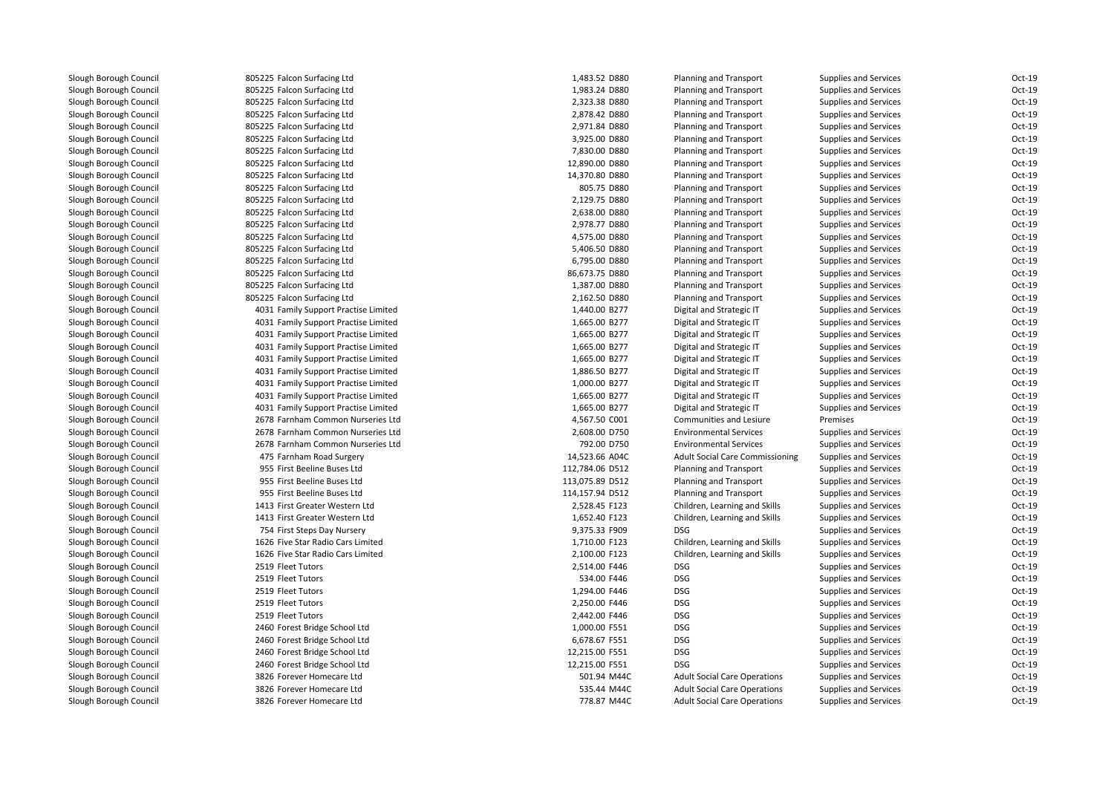805225 Falcon Surfacing Ltd 805225 Falcon Surfacing Ltd 805225 Falcon Surfacing Ltd 805225 Falcon Surfacing Ltd 805225 Falcon Surfacing Ltd 805225 Falcon Surfacing Ltd 805225 Falcon Surfacing Ltd 805225 Falcon Surfacing Ltd 805225 Falcon Surfacing Ltd 805225 Falcon Surfacing Ltd 805225 Falcon Surfacing Ltd 805225 Falcon Surfacing Ltd 805225 Falcon Surfacing Ltd 805225 Falcon Surfacing Ltd 805225 Falcon Surfacing Ltd 805225 Falcon Surfacing Ltd 805225 Falcon Surfacing Ltd 805225 Falcon Surfacing Ltd 805225 Falcon Surfacing Ltd 4031 Family Support Practise Limited 4031 Family Support Practise Limited 4031 Family Support Practise Limited 4031 Family Support Practise Limited 4031 Family Support Practise Limited 4031 Family Support Practise Limited 4031 Family Support Practise Limited 4031 Family Support Practise Limited 4031 Family Support Practise Limited 2678 Farnham Common Nurseries Ltd 2678 Farnham Common Nurseries Ltd 2678 Farnham Common Nurseries Ltd 475 Farnham Road Surgery 14,523.66 A04C 955 First Beeline Buses Ltd 955 First Beeline Buses Ltd 955 First Beeline Buses Ltd 1413 First Greater Western Ltd 1413 First Greater Western Ltd 754 First Steps Day Nursery 9,375.33 F909 DSG 1626 Five Star Radio Cars Limited 1626 Five Star Radio Cars Limited2519 Fleet Tutors 9 Fleet Tutors **DSG** DSG 2,514.00 F446 DSG 2519 Fleet Tutors Fleet Tutors 534.00 F446 DSG2519 Fleet Tutors g Fleet Tutors **DSG** DSG **DSG** DSG 2011 **CONSERVERS** 2,294.00 F446 DSG 2519 Fleet Tutors Fleet Tutors 2,250.00 F446 DSG2519 Fleet Tutors Fleet Tutors 2,442.00 F446 DSG 2460 Forest Bridge School Ltd 2460 Forest Bridge School Ltd 2460 Forest Bridge School Ltd 2460 Forest Bridge School Ltd 3826 Forever Homecare Ltd 3826 Forever Homecare Ltd3826 Forever Homecare Ltd

| d             | 1,483.52 D880   | Planning and Transport                 | Supplies and Services        | Oct-19   |
|---------------|-----------------|----------------------------------------|------------------------------|----------|
| d             | 1,983.24 D880   | <b>Planning and Transport</b>          | <b>Supplies and Services</b> | Oct-19   |
| d             | 2,323.38 D880   | <b>Planning and Transport</b>          | <b>Supplies and Services</b> | Oct-19   |
| d             | 2,878.42 D880   | Planning and Transport                 | <b>Supplies and Services</b> | Oct-19   |
| d             | 2,971.84 D880   | <b>Planning and Transport</b>          | <b>Supplies and Services</b> | Oct-19   |
| d             | 3,925.00 D880   | Planning and Transport                 | <b>Supplies and Services</b> | Oct-19   |
| d             | 7,830.00 D880   | <b>Planning and Transport</b>          | Supplies and Services        | Oct-19   |
| d             | 12,890.00 D880  | <b>Planning and Transport</b>          | <b>Supplies and Services</b> | Oct-19   |
| d             | 14,370.80 D880  | Planning and Transport                 | <b>Supplies and Services</b> | Oct-19   |
| d             | 805.75 D880     | <b>Planning and Transport</b>          | <b>Supplies and Services</b> | Oct-19   |
| d             | 2,129.75 D880   | <b>Planning and Transport</b>          | <b>Supplies and Services</b> | Oct-19   |
| d             | 2,638.00 D880   | Planning and Transport                 | Supplies and Services        | Oct-19   |
| d             | 2,978.77 D880   | Planning and Transport                 | <b>Supplies and Services</b> | Oct-19   |
| d             | 4,575.00 D880   | Planning and Transport                 | <b>Supplies and Services</b> | Oct-19   |
| d             | 5,406.50 D880   | <b>Planning and Transport</b>          | <b>Supplies and Services</b> | Oct-19   |
| d             | 6,795.00 D880   | <b>Planning and Transport</b>          | <b>Supplies and Services</b> | Oct-19   |
| d             | 86,673.75 D880  | <b>Planning and Transport</b>          | <b>Supplies and Services</b> | Oct-19   |
| d             | 1,387.00 D880   | <b>Planning and Transport</b>          | <b>Supplies and Services</b> | Oct-19   |
| d             | 2,162.50 D880   | <b>Planning and Transport</b>          | <b>Supplies and Services</b> | Oct-19   |
| ctise Limited | 1,440.00 B277   | Digital and Strategic IT               | <b>Supplies and Services</b> | Oct-19   |
| ctise Limited | 1,665.00 B277   | Digital and Strategic IT               | <b>Supplies and Services</b> | Oct-19   |
| ctise Limited | 1,665.00 B277   | Digital and Strategic IT               | <b>Supplies and Services</b> | Oct-19   |
| ctise Limited | 1,665.00 B277   | Digital and Strategic IT               | <b>Supplies and Services</b> | Oct-19   |
| ctise Limited | 1,665.00 B277   | Digital and Strategic IT               | <b>Supplies and Services</b> | $Oct-19$ |
| ctise Limited | 1,886.50 B277   | Digital and Strategic IT               | <b>Supplies and Services</b> | Oct-19   |
| ctise Limited | 1,000.00 B277   | Digital and Strategic IT               | <b>Supplies and Services</b> | Oct-19   |
| ctise Limited | 1,665.00 B277   | Digital and Strategic IT               | <b>Supplies and Services</b> | Oct-19   |
| ctise Limited | 1,665.00 B277   | Digital and Strategic IT               | <b>Supplies and Services</b> | Oct-19   |
| Nurseries Ltd | 4,567.50 C001   | Communities and Lesiure                | Premises                     | Oct-19   |
| Nurseries Ltd | 2,608.00 D750   | <b>Environmental Services</b>          | <b>Supplies and Services</b> | Oct-19   |
| Nurseries Ltd | 792.00 D750     | <b>Environmental Services</b>          | <b>Supplies and Services</b> | Oct-19   |
| gery          | 14,523.66 A04C  | <b>Adult Social Care Commissioning</b> | <b>Supplies and Services</b> | Oct-19   |
| Ltd           | 112,784.06 D512 | <b>Planning and Transport</b>          | <b>Supplies and Services</b> | Oct-19   |
| Ltd           | 113,075.89 D512 | <b>Planning and Transport</b>          | <b>Supplies and Services</b> | Oct-19   |
| Ltd           | 114,157.94 D512 | Planning and Transport                 | <b>Supplies and Services</b> | Oct-19   |
| ern Ltd       | 2,528.45 F123   | Children, Learning and Skills          | <b>Supplies and Services</b> | Oct-19   |
| ern Ltd       | 1,652.40 F123   | Children, Learning and Skills          | <b>Supplies and Services</b> | Oct-19   |
| sery          | 9,375.33 F909   | <b>DSG</b>                             | <b>Supplies and Services</b> | Oct-19   |
| s Limited     | 1,710.00 F123   | Children, Learning and Skills          | <b>Supplies and Services</b> | Oct-19   |
| s Limited     | 2,100.00 F123   | Children, Learning and Skills          | <b>Supplies and Services</b> | Oct-19   |
|               | 2,514.00 F446   | <b>DSG</b>                             | <b>Supplies and Services</b> | Oct-19   |
|               | 534.00 F446     | <b>DSG</b>                             | <b>Supplies and Services</b> | $Oct-19$ |
|               | 1,294.00 F446   | <b>DSG</b>                             | <b>Supplies and Services</b> | Oct-19   |
|               | 2,250.00 F446   | <b>DSG</b>                             | <b>Supplies and Services</b> | Oct-19   |
|               | 2,442.00 F446   | <b>DSG</b>                             | <b>Supplies and Services</b> | Oct-19   |
| ol Ltd        | 1,000.00 F551   | <b>DSG</b>                             | <b>Supplies and Services</b> | Oct-19   |
| ol Ltd        | 6,678.67 F551   | <b>DSG</b>                             | <b>Supplies and Services</b> | Oct-19   |
| ol Ltd        | 12,215.00 F551  | <b>DSG</b>                             | <b>Supplies and Services</b> | Oct-19   |
| ol Ltd        | 12,215.00 F551  | <b>DSG</b>                             | <b>Supplies and Services</b> | Oct-19   |
| Ltd           | 501.94 M44C     | <b>Adult Social Care Operations</b>    | <b>Supplies and Services</b> | Oct-19   |
| Ltd           | 535.44 M44C     | <b>Adult Social Care Operations</b>    | <b>Supplies and Services</b> | Oct-19   |
| Ltd           | 778.87 M44C     | <b>Adult Social Care Operations</b>    | <b>Supplies and Services</b> | Oct-19   |
|               |                 |                                        |                              |          |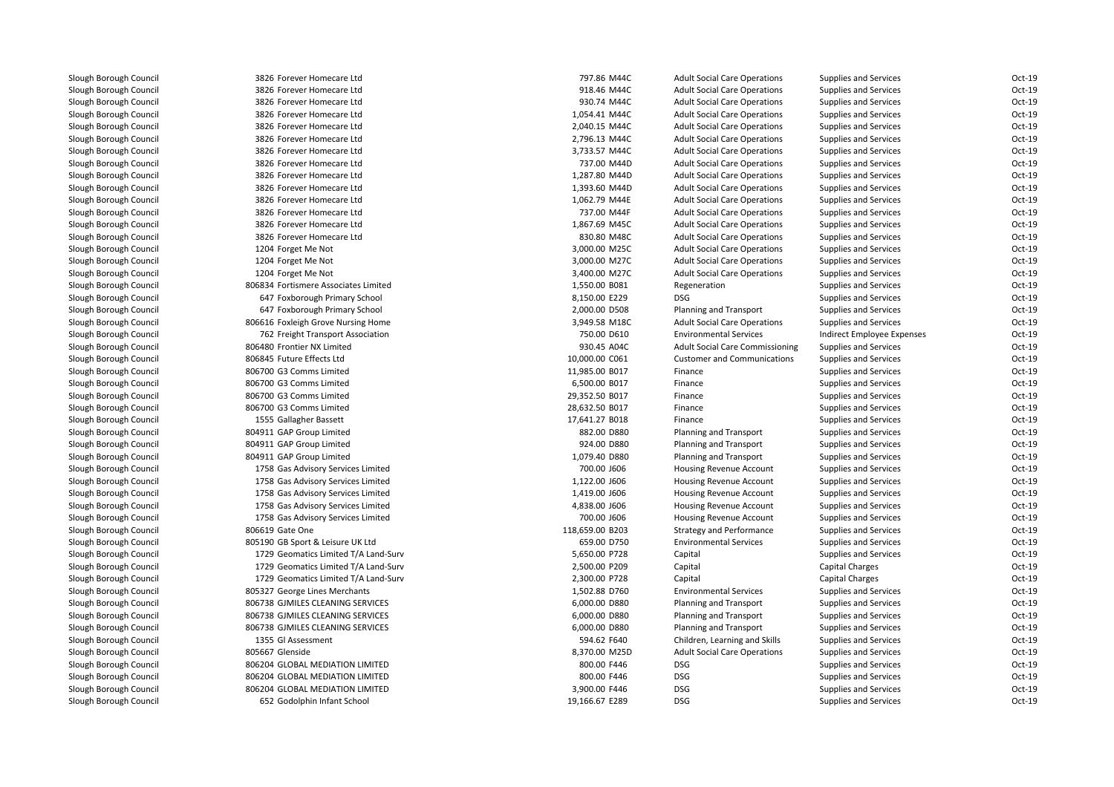| 3826 Forever Homecare Ltd            | 797.86 M44C     | <b>Adult Social Care Operations</b>    | <b>Supplies and Services</b> | Oct-19 |
|--------------------------------------|-----------------|----------------------------------------|------------------------------|--------|
| 3826 Forever Homecare Ltd            | 918.46 M44C     | <b>Adult Social Care Operations</b>    | <b>Supplies and Services</b> | Oct-19 |
| 3826 Forever Homecare Ltd            | 930.74 M44C     | <b>Adult Social Care Operations</b>    | Supplies and Services        | Oct-19 |
| 3826 Forever Homecare Ltd            | 1,054.41 M44C   | <b>Adult Social Care Operations</b>    | <b>Supplies and Services</b> | Oct-19 |
| 3826 Forever Homecare Ltd            | 2,040.15 M44C   | <b>Adult Social Care Operations</b>    | <b>Supplies and Services</b> | Oct-19 |
| 3826 Forever Homecare Ltd            | 2,796.13 M44C   | <b>Adult Social Care Operations</b>    | <b>Supplies and Services</b> | Oct-19 |
| 3826 Forever Homecare Ltd            | 3,733.57 M44C   | <b>Adult Social Care Operations</b>    | <b>Supplies and Services</b> | Oct-19 |
| 3826 Forever Homecare Ltd            | 737.00 M44D     | <b>Adult Social Care Operations</b>    | <b>Supplies and Services</b> | Oct-19 |
| 3826 Forever Homecare Ltd            | 1,287.80 M44D   | <b>Adult Social Care Operations</b>    | <b>Supplies and Services</b> | Oct-19 |
| 3826 Forever Homecare Ltd            | 1,393.60 M44D   | <b>Adult Social Care Operations</b>    | Supplies and Services        | Oct-19 |
| 3826 Forever Homecare Ltd            | 1,062.79 M44E   | <b>Adult Social Care Operations</b>    | <b>Supplies and Services</b> | Oct-19 |
| 3826 Forever Homecare Ltd            | 737.00 M44F     | <b>Adult Social Care Operations</b>    | <b>Supplies and Services</b> | Oct-19 |
| 3826 Forever Homecare Ltd            | 1,867.69 M45C   | <b>Adult Social Care Operations</b>    | <b>Supplies and Services</b> | Oct-19 |
| 3826 Forever Homecare Ltd            | 830.80 M48C     | <b>Adult Social Care Operations</b>    | <b>Supplies and Services</b> | Oct-19 |
| 1204 Forget Me Not                   | 3,000.00 M25C   | <b>Adult Social Care Operations</b>    | <b>Supplies and Services</b> | Oct-19 |
| 1204 Forget Me Not                   | 3,000.00 M27C   | <b>Adult Social Care Operations</b>    | <b>Supplies and Services</b> | Oct-19 |
| 1204 Forget Me Not                   | 3,400.00 M27C   | <b>Adult Social Care Operations</b>    | <b>Supplies and Services</b> | Oct-19 |
| 806834 Fortismere Associates Limited | 1,550.00 B081   | Regeneration                           | <b>Supplies and Services</b> | Oct-19 |
| 647 Foxborough Primary School        | 8,150.00 E229   | <b>DSG</b>                             | <b>Supplies and Services</b> | Oct-19 |
| 647 Foxborough Primary School        | 2,000.00 D508   | Planning and Transport                 | <b>Supplies and Services</b> | Oct-19 |
| 806616 Foxleigh Grove Nursing Home   | 3,949.58 M18C   | <b>Adult Social Care Operations</b>    | <b>Supplies and Services</b> | Oct-19 |
| 762 Freight Transport Association    | 750.00 D610     | <b>Environmental Services</b>          | Indirect Employee Expenses   | Oct-19 |
| 806480 Frontier NX Limited           | 930.45 A04C     | <b>Adult Social Care Commissioning</b> | <b>Supplies and Services</b> | Oct-19 |
| 806845 Future Effects Ltd            | 10,000.00 C061  | <b>Customer and Communications</b>     | <b>Supplies and Services</b> | Oct-19 |
| 806700 G3 Comms Limited              | 11,985.00 B017  | Finance                                | <b>Supplies and Services</b> | Oct-19 |
| 806700 G3 Comms Limited              | 6,500.00 B017   | Finance                                | <b>Supplies and Services</b> | Oct-19 |
| 806700 G3 Comms Limited              | 29,352.50 B017  | Finance                                | <b>Supplies and Services</b> | Oct-19 |
| 806700 G3 Comms Limited              | 28,632.50 B017  | Finance                                | <b>Supplies and Services</b> | Oct-19 |
| 1555 Gallagher Bassett               | 17,641.27 B018  | Finance                                | <b>Supplies and Services</b> | Oct-19 |
| 804911 GAP Group Limited             | 882.00 D880     | Planning and Transport                 | <b>Supplies and Services</b> | Oct-19 |
| 804911 GAP Group Limited             | 924.00 D880     | Planning and Transport                 | <b>Supplies and Services</b> | Oct-19 |
| 804911 GAP Group Limited             | 1,079.40 D880   | Planning and Transport                 | <b>Supplies and Services</b> | Oct-19 |
| 1758 Gas Advisory Services Limited   | 700.00 J606     | Housing Revenue Account                | <b>Supplies and Services</b> | Oct-19 |
| 1758 Gas Advisory Services Limited   | 1,122.00 J606   | <b>Housing Revenue Account</b>         | <b>Supplies and Services</b> | Oct-19 |
| 1758 Gas Advisory Services Limited   | 1,419.00 J606   | Housing Revenue Account                | <b>Supplies and Services</b> | Oct-19 |
| 1758 Gas Advisory Services Limited   | 4,838.00 J606   | <b>Housing Revenue Account</b>         | <b>Supplies and Services</b> | Oct-19 |
| 1758 Gas Advisory Services Limited   | 700.00 J606     | Housing Revenue Account                | <b>Supplies and Services</b> | Oct-19 |
| 806619 Gate One                      | 118,659.00 B203 | <b>Strategy and Performance</b>        | <b>Supplies and Services</b> | Oct-19 |
| 805190 GB Sport & Leisure UK Ltd     | 659.00 D750     | <b>Environmental Services</b>          | <b>Supplies and Services</b> | Oct-19 |
| 1729 Geomatics Limited T/A Land-Surv | 5,650.00 P728   | Capital                                | <b>Supplies and Services</b> | Oct-19 |
| 1729 Geomatics Limited T/A Land-Surv | 2,500.00 P209   | Capital                                | <b>Capital Charges</b>       | Oct-19 |
| 1729 Geomatics Limited T/A Land-Surv | 2,300.00 P728   | Capital                                | <b>Capital Charges</b>       | Oct-19 |
| 805327 George Lines Merchants        | 1,502.88 D760   | <b>Environmental Services</b>          | <b>Supplies and Services</b> | Oct-19 |
| 806738 GJMILES CLEANING SERVICES     | 6,000.00 D880   | Planning and Transport                 | <b>Supplies and Services</b> | Oct-19 |
| 806738 GJMILES CLEANING SERVICES     | 6,000.00 D880   | Planning and Transport                 | <b>Supplies and Services</b> | Oct-19 |
| 806738 GJMILES CLEANING SERVICES     | 6,000.00 D880   | Planning and Transport                 | <b>Supplies and Services</b> | Oct-19 |
| 1355 Gl Assessment                   | 594.62 F640     | Children, Learning and Skills          | <b>Supplies and Services</b> | Oct-19 |
| 805667 Glenside                      | 8,370.00 M25D   | <b>Adult Social Care Operations</b>    | <b>Supplies and Services</b> | Oct-19 |
| 806204 GLOBAL MEDIATION LIMITED      | 800.00 F446     | <b>DSG</b>                             | Supplies and Services        | Oct-19 |
| 806204 GLOBAL MEDIATION LIMITED      | 800.00 F446     | <b>DSG</b>                             | <b>Supplies and Services</b> | Oct-19 |
| 806204 GLOBAL MEDIATION LIMITED      | 3,900.00 F446   | <b>DSG</b>                             | Supplies and Services        | Oct-19 |
| 652 Godolphin Infant School          | 19,166.67 E289  | <b>DSG</b>                             | <b>Supplies and Services</b> | Oct-19 |
|                                      |                 |                                        |                              |        |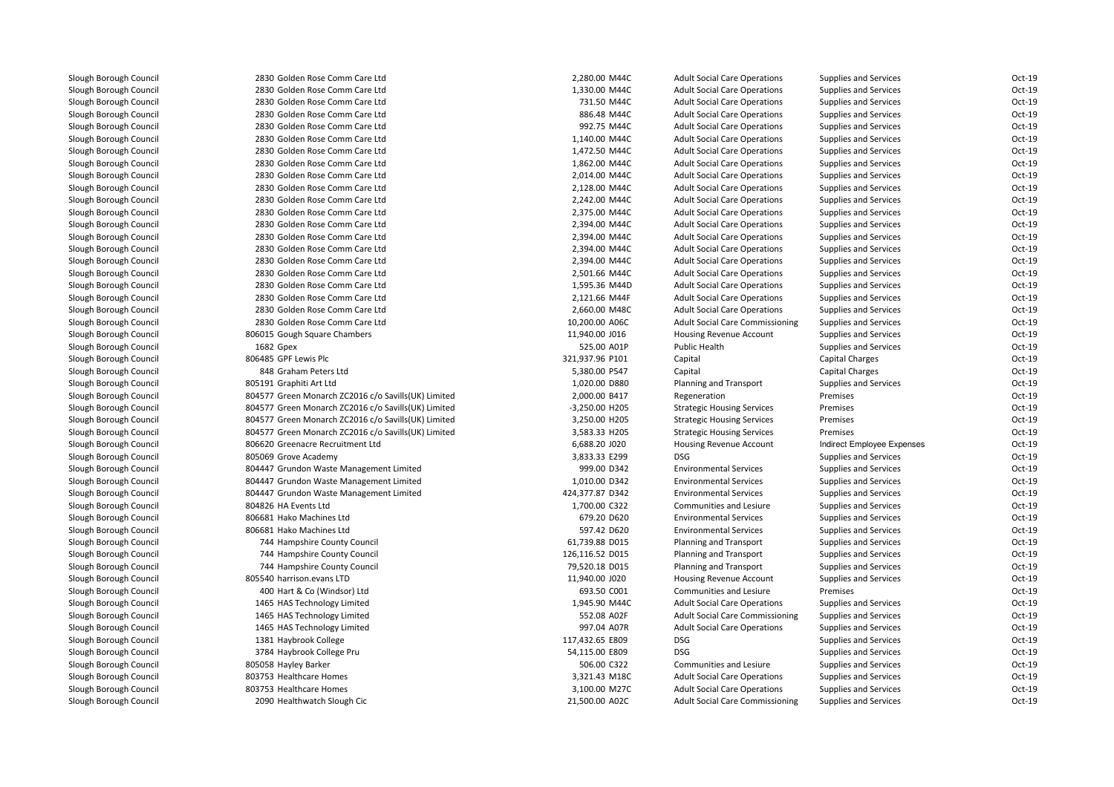| 2830 Golden Rose Comm Care Ltd                      | 2,280.00 M44C   | <b>Adult Social Care Operations</b>    | Supplies and Services        | Oct-19 |
|-----------------------------------------------------|-----------------|----------------------------------------|------------------------------|--------|
| 2830 Golden Rose Comm Care Ltd                      | 1,330.00 M44C   | <b>Adult Social Care Operations</b>    | Supplies and Services        | Oct-19 |
| 2830 Golden Rose Comm Care Ltd                      | 731.50 M44C     | <b>Adult Social Care Operations</b>    | <b>Supplies and Services</b> | Oct-19 |
| 2830 Golden Rose Comm Care Ltd                      | 886.48 M44C     | <b>Adult Social Care Operations</b>    | <b>Supplies and Services</b> | Oct-19 |
| 2830 Golden Rose Comm Care Ltd                      | 992.75 M44C     | <b>Adult Social Care Operations</b>    | <b>Supplies and Services</b> | Oct-19 |
| 2830 Golden Rose Comm Care Ltd                      | 1,140.00 M44C   | <b>Adult Social Care Operations</b>    | <b>Supplies and Services</b> | Oct-19 |
| 2830 Golden Rose Comm Care Ltd                      | 1,472.50 M44C   | <b>Adult Social Care Operations</b>    | <b>Supplies and Services</b> | Oct-19 |
| 2830 Golden Rose Comm Care Ltd                      | 1,862.00 M44C   | <b>Adult Social Care Operations</b>    | <b>Supplies and Services</b> | Oct-19 |
| 2830 Golden Rose Comm Care Ltd                      | 2,014.00 M44C   | <b>Adult Social Care Operations</b>    | Supplies and Services        | Oct-19 |
| 2830 Golden Rose Comm Care Ltd                      | 2,128.00 M44C   | <b>Adult Social Care Operations</b>    | <b>Supplies and Services</b> | Oct-19 |
| 2830 Golden Rose Comm Care Ltd                      | 2,242.00 M44C   | <b>Adult Social Care Operations</b>    | <b>Supplies and Services</b> | Oct-19 |
| 2830 Golden Rose Comm Care Ltd                      | 2,375.00 M44C   | <b>Adult Social Care Operations</b>    | Supplies and Services        | Oct-19 |
| 2830 Golden Rose Comm Care Ltd                      | 2,394.00 M44C   | <b>Adult Social Care Operations</b>    | <b>Supplies and Services</b> | Oct-19 |
| 2830 Golden Rose Comm Care Ltd                      | 2,394.00 M44C   | <b>Adult Social Care Operations</b>    | <b>Supplies and Services</b> | Oct-19 |
| 2830 Golden Rose Comm Care Ltd                      | 2,394.00 M44C   | <b>Adult Social Care Operations</b>    | Supplies and Services        | Oct-19 |
| 2830 Golden Rose Comm Care Ltd                      | 2,394.00 M44C   | <b>Adult Social Care Operations</b>    | <b>Supplies and Services</b> | Oct-19 |
| 2830 Golden Rose Comm Care Ltd                      | 2,501.66 M44C   | <b>Adult Social Care Operations</b>    | <b>Supplies and Services</b> | Oct-19 |
| 2830 Golden Rose Comm Care Ltd                      | 1,595.36 M44D   | <b>Adult Social Care Operations</b>    | <b>Supplies and Services</b> | Oct-19 |
| 2830 Golden Rose Comm Care Ltd                      | 2,121.66 M44F   | <b>Adult Social Care Operations</b>    | <b>Supplies and Services</b> | Oct-19 |
| 2830 Golden Rose Comm Care Ltd                      | 2,660.00 M48C   | <b>Adult Social Care Operations</b>    | <b>Supplies and Services</b> | Oct-19 |
| 2830 Golden Rose Comm Care Ltd                      | 10,200.00 A06C  | <b>Adult Social Care Commissioning</b> | <b>Supplies and Services</b> | Oct-19 |
| 806015 Gough Square Chambers                        | 11,940.00 J016  | <b>Housing Revenue Account</b>         | <b>Supplies and Services</b> | Oct-19 |
| 1682 Gpex                                           | 525.00 A01P     | <b>Public Health</b>                   | <b>Supplies and Services</b> | Oct-19 |
| 806485 GPF Lewis Plc                                | 321,937.96 P101 | Capital                                | <b>Capital Charges</b>       | Oct-19 |
| 848 Graham Peters Ltd                               | 5,380.00 P547   | Capital                                | <b>Capital Charges</b>       | Oct-19 |
| 805191 Graphiti Art Ltd                             | 1,020.00 D880   | Planning and Transport                 | <b>Supplies and Services</b> | Oct-19 |
| 804577 Green Monarch ZC2016 c/o Savills(UK) Limited | 2,000.00 B417   | Regeneration                           | Premises                     | Oct-19 |
| 804577 Green Monarch ZC2016 c/o Savills(UK) Limited | -3,250.00 H205  | <b>Strategic Housing Services</b>      | Premises                     | Oct-19 |
| 804577 Green Monarch ZC2016 c/o Savills(UK) Limited | 3,250.00 H205   | <b>Strategic Housing Services</b>      | Premises                     | Oct-19 |
| 804577 Green Monarch ZC2016 c/o Savills(UK) Limited | 3,583.33 H205   | <b>Strategic Housing Services</b>      | Premises                     | Oct-19 |
| 806620 Greenacre Recruitment Ltd                    | 6,688.20 J020   | <b>Housing Revenue Account</b>         | Indirect Employee Expenses   | Oct-19 |
| 805069 Grove Academy                                | 3,833.33 E299   | <b>DSG</b>                             | Supplies and Services        | Oct-19 |
| 804447 Grundon Waste Management Limited             | 999.00 D342     | <b>Environmental Services</b>          | Supplies and Services        | Oct-19 |
| 804447 Grundon Waste Management Limited             | 1,010.00 D342   | <b>Environmental Services</b>          | <b>Supplies and Services</b> | Oct-19 |
| 804447 Grundon Waste Management Limited             | 424,377.87 D342 | <b>Environmental Services</b>          | <b>Supplies and Services</b> | Oct-19 |
| 804826 HA Events Ltd                                | 1,700.00 C322   | Communities and Lesiure                | Supplies and Services        | Oct-19 |
| 806681 Hako Machines Ltd                            | 679.20 D620     | <b>Environmental Services</b>          | <b>Supplies and Services</b> | Oct-19 |
| 806681 Hako Machines Ltd                            | 597.42 D620     | <b>Environmental Services</b>          | <b>Supplies and Services</b> | Oct-19 |
| 744 Hampshire County Council                        | 61,739.88 D015  | Planning and Transport                 | Supplies and Services        | Oct-19 |
| 744 Hampshire County Council                        | 126,116.52 D015 | Planning and Transport                 | <b>Supplies and Services</b> | Oct-19 |
| 744 Hampshire County Council                        | 79,520.18 D015  | <b>Planning and Transport</b>          | <b>Supplies and Services</b> | Oct-19 |
| 805540 harrison.evans LTD                           | 11,940.00 J020  | Housing Revenue Account                | <b>Supplies and Services</b> | Oct-19 |
| 400 Hart & Co (Windsor) Ltd                         | 693.50 C001     | Communities and Lesiure                | Premises                     | Oct-19 |
| 1465 HAS Technology Limited                         | 1,945.90 M44C   | <b>Adult Social Care Operations</b>    | <b>Supplies and Services</b> | Oct-19 |
| 1465 HAS Technology Limited                         | 552.08 A02F     | <b>Adult Social Care Commissioning</b> | <b>Supplies and Services</b> | Oct-19 |
| 1465 HAS Technology Limited                         | 997.04 A07R     | <b>Adult Social Care Operations</b>    | <b>Supplies and Services</b> | Oct-19 |
| 1381 Haybrook College                               | 117,432.65 E809 | <b>DSG</b>                             | <b>Supplies and Services</b> | Oct-19 |
| 3784 Haybrook College Pru                           | 54,115.00 E809  | <b>DSG</b>                             | <b>Supplies and Services</b> | Oct-19 |
| 805058 Hayley Barker                                | 506.00 C322     | Communities and Lesiure                | <b>Supplies and Services</b> | Oct-19 |
| 803753 Healthcare Homes                             | 3,321.43 M18C   | <b>Adult Social Care Operations</b>    | <b>Supplies and Services</b> | Oct-19 |
| 803753 Healthcare Homes                             | 3,100.00 M27C   | <b>Adult Social Care Operations</b>    | <b>Supplies and Services</b> | Oct-19 |
| 2090 Healthwatch Slough Cic                         | 21,500.00 A02C  | <b>Adult Social Care Commissioning</b> | <b>Supplies and Services</b> | Oct-19 |
|                                                     |                 |                                        |                              |        |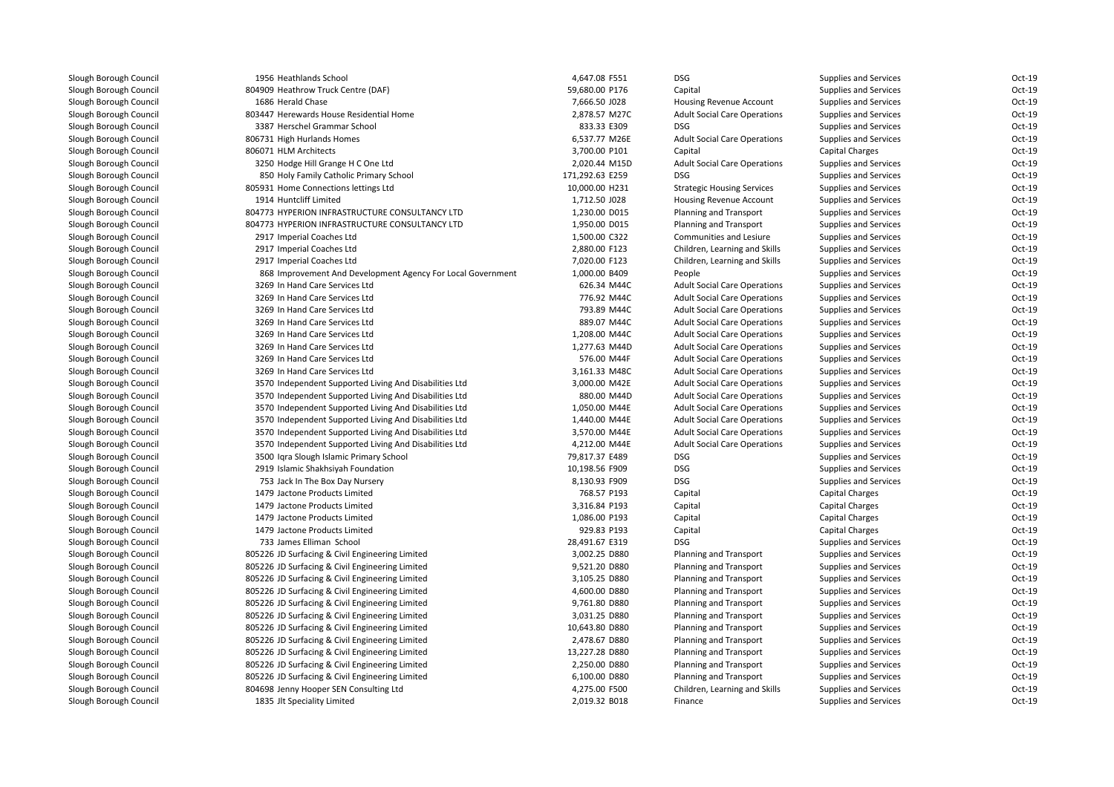| 1956 Heathlands School                                      | 4,647.08 F551   | <b>DSG</b>                          | <b>Supplies and Services</b> | Oct-19 |
|-------------------------------------------------------------|-----------------|-------------------------------------|------------------------------|--------|
| 804909 Heathrow Truck Centre (DAF)                          | 59,680.00 P176  | Capital                             | <b>Supplies and Services</b> | Oct-19 |
| 1686 Herald Chase                                           | 7,666.50 J028   | <b>Housing Revenue Account</b>      | <b>Supplies and Services</b> | Oct-19 |
| 803447 Herewards House Residential Home                     | 2,878.57 M27C   | <b>Adult Social Care Operations</b> | <b>Supplies and Services</b> | Oct-19 |
| 3387 Herschel Grammar School                                | 833.33 E309     | <b>DSG</b>                          | <b>Supplies and Services</b> | Oct-19 |
| 806731 High Hurlands Homes                                  | 6,537.77 M26E   | <b>Adult Social Care Operations</b> | <b>Supplies and Services</b> | Oct-19 |
| 806071 HLM Architects                                       | 3,700.00 P101   | Capital                             | <b>Capital Charges</b>       | Oct-19 |
| 3250 Hodge Hill Grange H C One Ltd                          | 2,020.44 M15D   | <b>Adult Social Care Operations</b> | <b>Supplies and Services</b> | Oct-19 |
| 850 Holy Family Catholic Primary School                     | 171,292.63 E259 | <b>DSG</b>                          | <b>Supplies and Services</b> | Oct-19 |
| 805931 Home Connections lettings Ltd                        | 10,000.00 H231  | <b>Strategic Housing Services</b>   | <b>Supplies and Services</b> | Oct-19 |
| 1914 Huntcliff Limited                                      | 1,712.50 J028   | Housing Revenue Account             | Supplies and Services        | Oct-19 |
| 804773 HYPERION INFRASTRUCTURE CONSULTANCY LTD              | 1,230.00 D015   | Planning and Transport              | <b>Supplies and Services</b> | Oct-19 |
| 804773 HYPERION INFRASTRUCTURE CONSULTANCY LTD              | 1,950.00 D015   | Planning and Transport              | <b>Supplies and Services</b> | Oct-19 |
| 2917 Imperial Coaches Ltd                                   | 1,500.00 C322   | Communities and Lesiure             | <b>Supplies and Services</b> | Oct-19 |
| 2917 Imperial Coaches Ltd                                   | 2,880.00 F123   | Children, Learning and Skills       | <b>Supplies and Services</b> | Oct-19 |
| 2917 Imperial Coaches Ltd                                   | 7,020.00 F123   | Children, Learning and Skills       | <b>Supplies and Services</b> | Oct-19 |
| 868 Improvement And Development Agency For Local Government | 1,000.00 B409   | People                              | <b>Supplies and Services</b> | Oct-19 |
| 3269 In Hand Care Services Ltd                              | 626.34 M44C     | <b>Adult Social Care Operations</b> | <b>Supplies and Services</b> | Oct-19 |
| 3269 In Hand Care Services Ltd                              | 776.92 M44C     | <b>Adult Social Care Operations</b> | <b>Supplies and Services</b> | Oct-19 |
| 3269 In Hand Care Services Ltd                              | 793.89 M44C     | <b>Adult Social Care Operations</b> | <b>Supplies and Services</b> | Oct-19 |
| 3269 In Hand Care Services Ltd                              | 889.07 M44C     | <b>Adult Social Care Operations</b> | <b>Supplies and Services</b> | Oct-19 |
| 3269 In Hand Care Services Ltd                              | 1,208.00 M44C   | <b>Adult Social Care Operations</b> | <b>Supplies and Services</b> | Oct-19 |
| 3269 In Hand Care Services Ltd                              | 1,277.63 M44D   | <b>Adult Social Care Operations</b> | Supplies and Services        | Oct-19 |
| 3269 In Hand Care Services Ltd                              | 576.00 M44F     | <b>Adult Social Care Operations</b> | <b>Supplies and Services</b> | Oct-19 |
| 3269 In Hand Care Services Ltd                              | 3,161.33 M48C   | <b>Adult Social Care Operations</b> | <b>Supplies and Services</b> | Oct-19 |
| 3570 Independent Supported Living And Disabilities Ltd      | 3,000.00 M42E   | <b>Adult Social Care Operations</b> | Supplies and Services        | Oct-19 |
| 3570 Independent Supported Living And Disabilities Ltd      | 880.00 M44D     | <b>Adult Social Care Operations</b> | <b>Supplies and Services</b> | Oct-19 |
| 3570 Independent Supported Living And Disabilities Ltd      | 1,050.00 M44E   | <b>Adult Social Care Operations</b> | <b>Supplies and Services</b> | Oct-19 |
| 3570 Independent Supported Living And Disabilities Ltd      | 1,440.00 M44E   | <b>Adult Social Care Operations</b> | <b>Supplies and Services</b> | Oct-19 |
| 3570 Independent Supported Living And Disabilities Ltd      | 3,570.00 M44E   | <b>Adult Social Care Operations</b> | <b>Supplies and Services</b> | Oct-19 |
| 3570 Independent Supported Living And Disabilities Ltd      | 4,212.00 M44E   | <b>Adult Social Care Operations</b> | <b>Supplies and Services</b> | Oct-19 |
| 3500 Iqra Slough Islamic Primary School                     | 79,817.37 E489  | <b>DSG</b>                          | <b>Supplies and Services</b> | Oct-19 |
| 2919 Islamic Shakhsiyah Foundation                          | 10,198.56 F909  | <b>DSG</b>                          | <b>Supplies and Services</b> | Oct-19 |
| 753 Jack In The Box Day Nursery                             | 8,130.93 F909   | <b>DSG</b>                          | Supplies and Services        | Oct-19 |
| 1479 Jactone Products Limited                               | 768.57 P193     | Capital                             | <b>Capital Charges</b>       | Oct-19 |
| 1479 Jactone Products Limited                               | 3,316.84 P193   | Capital                             | <b>Capital Charges</b>       | Oct-19 |
| 1479 Jactone Products Limited                               | 1,086.00 P193   | Capital                             | Capital Charges              | Oct-19 |
| 1479 Jactone Products Limited                               | 929.83 P193     | Capital                             | Capital Charges              | Oct-19 |
| 733 James Elliman School                                    | 28,491.67 E319  | <b>DSG</b>                          | <b>Supplies and Services</b> | Oct-19 |
| 805226 JD Surfacing & Civil Engineering Limited             | 3,002.25 D880   | Planning and Transport              | <b>Supplies and Services</b> | Oct-19 |
| 805226 JD Surfacing & Civil Engineering Limited             | 9,521.20 D880   | Planning and Transport              | <b>Supplies and Services</b> | Oct-19 |
| 805226 JD Surfacing & Civil Engineering Limited             | 3,105.25 D880   | Planning and Transport              | Supplies and Services        | Oct-19 |
| 805226 JD Surfacing & Civil Engineering Limited             | 4,600.00 D880   | Planning and Transport              | <b>Supplies and Services</b> | Oct-19 |
| 805226 JD Surfacing & Civil Engineering Limited             | 9,761.80 D880   | Planning and Transport              | <b>Supplies and Services</b> | Oct-19 |
| 805226 JD Surfacing & Civil Engineering Limited             | 3,031.25 D880   | Planning and Transport              | <b>Supplies and Services</b> | Oct-19 |
| 805226 JD Surfacing & Civil Engineering Limited             | 10,643.80 D880  | Planning and Transport              | <b>Supplies and Services</b> | Oct-19 |
| 805226 JD Surfacing & Civil Engineering Limited             | 2,478.67 D880   | Planning and Transport              | <b>Supplies and Services</b> | Oct-19 |
| 805226 JD Surfacing & Civil Engineering Limited             | 13,227.28 D880  | Planning and Transport              | <b>Supplies and Services</b> | Oct-19 |
| 805226 JD Surfacing & Civil Engineering Limited             | 2,250.00 D880   | Planning and Transport              | <b>Supplies and Services</b> | Oct-19 |
| 805226 JD Surfacing & Civil Engineering Limited             | 6,100.00 D880   | <b>Planning and Transport</b>       | <b>Supplies and Services</b> | Oct-19 |
| 804698 Jenny Hooper SEN Consulting Ltd                      | 4,275.00 F500   | Children, Learning and Skills       | Supplies and Services        | Oct-19 |
| 1835 Jlt Speciality Limited                                 | 2,019.32 B018   | Finance                             | <b>Supplies and Services</b> | Oct-19 |
|                                                             |                 |                                     |                              |        |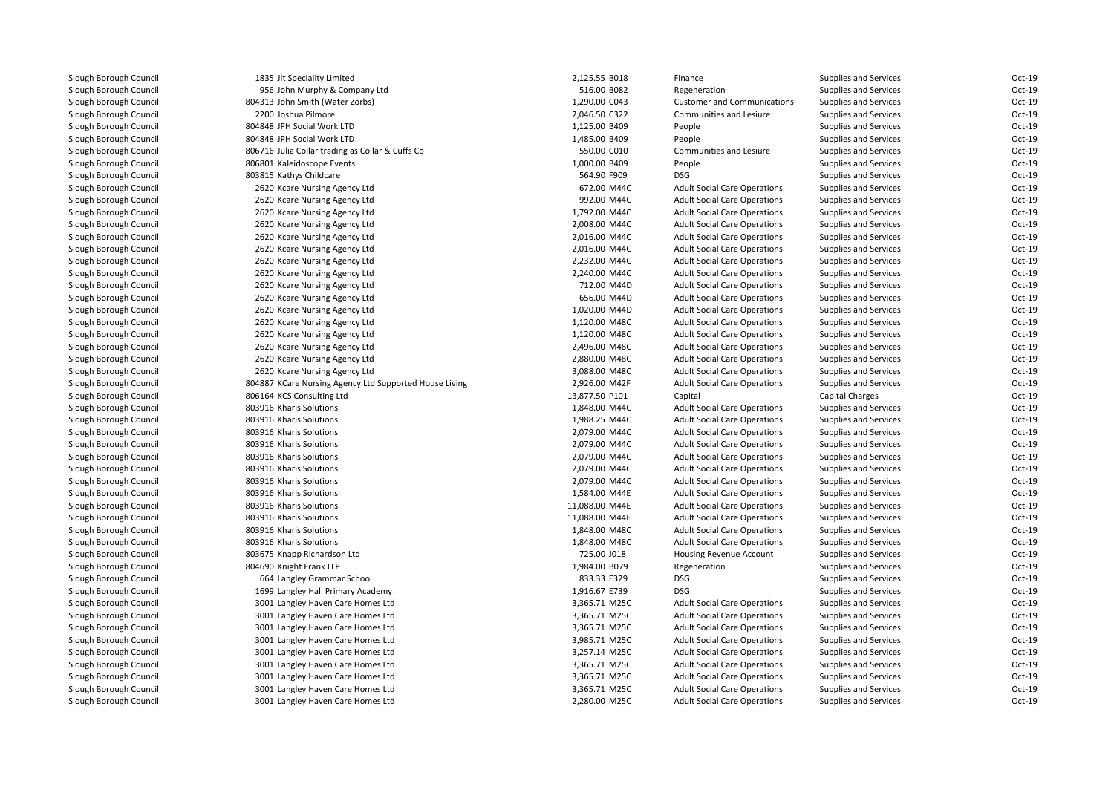| 1835 Jlt Speciality Limited                            | 2,125.55 B018  | Finance                             | Supplies and Services        | Oct-19 |
|--------------------------------------------------------|----------------|-------------------------------------|------------------------------|--------|
| 956 John Murphy & Company Ltd                          | 516.00 B082    | Regeneration                        | <b>Supplies and Services</b> | Oct-19 |
| 804313 John Smith (Water Zorbs)                        | 1,290.00 C043  | <b>Customer and Communications</b>  | <b>Supplies and Services</b> | Oct-19 |
| 2200 Joshua Pilmore                                    | 2,046.50 C322  | Communities and Lesiure             | <b>Supplies and Services</b> | Oct-19 |
| 804848 JPH Social Work LTD                             | 1,125.00 B409  | People                              | <b>Supplies and Services</b> | Oct-19 |
| 804848 JPH Social Work LTD                             | 1,485.00 B409  | People                              | <b>Supplies and Services</b> | Oct-19 |
| 806716 Julia Collar trading as Collar & Cuffs Co       | 550.00 C010    | Communities and Lesiure             | <b>Supplies and Services</b> | Oct-19 |
| 806801 Kaleidoscope Events                             | 1,000.00 B409  | People                              | <b>Supplies and Services</b> | Oct-19 |
| 803815 Kathys Childcare                                | 564.90 F909    | <b>DSG</b>                          | <b>Supplies and Services</b> | Oct-19 |
| 2620 Kcare Nursing Agency Ltd                          | 672.00 M44C    | <b>Adult Social Care Operations</b> | <b>Supplies and Services</b> | Oct-19 |
| 2620 Kcare Nursing Agency Ltd                          | 992.00 M44C    | <b>Adult Social Care Operations</b> | <b>Supplies and Services</b> | Oct-19 |
| 2620 Kcare Nursing Agency Ltd                          | 1,792.00 M44C  | <b>Adult Social Care Operations</b> | <b>Supplies and Services</b> | Oct-19 |
| 2620 Kcare Nursing Agency Ltd                          | 2,008.00 M44C  | <b>Adult Social Care Operations</b> | <b>Supplies and Services</b> | Oct-19 |
| 2620 Kcare Nursing Agency Ltd                          | 2,016.00 M44C  | <b>Adult Social Care Operations</b> | <b>Supplies and Services</b> | Oct-19 |
| 2620 Kcare Nursing Agency Ltd                          | 2,016.00 M44C  | <b>Adult Social Care Operations</b> | Supplies and Services        | Oct-19 |
| 2620 Kcare Nursing Agency Ltd                          | 2,232.00 M44C  | <b>Adult Social Care Operations</b> | <b>Supplies and Services</b> | Oct-19 |
| 2620 Kcare Nursing Agency Ltd                          | 2,240.00 M44C  | <b>Adult Social Care Operations</b> | <b>Supplies and Services</b> | Oct-19 |
| 2620 Kcare Nursing Agency Ltd                          | 712.00 M44D    | <b>Adult Social Care Operations</b> | Supplies and Services        | Oct-19 |
| 2620 Kcare Nursing Agency Ltd                          | 656.00 M44D    | <b>Adult Social Care Operations</b> | <b>Supplies and Services</b> | Oct-19 |
| 2620 Kcare Nursing Agency Ltd                          | 1,020.00 M44D  | <b>Adult Social Care Operations</b> | <b>Supplies and Services</b> | Oct-19 |
| 2620 Kcare Nursing Agency Ltd                          | 1,120.00 M48C  | <b>Adult Social Care Operations</b> | Supplies and Services        | Oct-19 |
| 2620 Kcare Nursing Agency Ltd                          | 1,120.00 M48C  | <b>Adult Social Care Operations</b> | <b>Supplies and Services</b> | Oct-19 |
| 2620 Kcare Nursing Agency Ltd                          | 2,496.00 M48C  | <b>Adult Social Care Operations</b> | <b>Supplies and Services</b> | Oct-19 |
| 2620 Kcare Nursing Agency Ltd                          | 2,880.00 M48C  | <b>Adult Social Care Operations</b> | Supplies and Services        | Oct-19 |
| 2620 Kcare Nursing Agency Ltd                          | 3,088.00 M48C  | <b>Adult Social Care Operations</b> | <b>Supplies and Services</b> | Oct-19 |
| 804887 KCare Nursing Agency Ltd Supported House Living | 2,926.00 M42F  | <b>Adult Social Care Operations</b> | <b>Supplies and Services</b> | Oct-19 |
| 806164 KCS Consulting Ltd                              | 13,877.50 P101 | Capital                             | Capital Charges              | Oct-19 |
| 803916 Kharis Solutions                                | 1,848.00 M44C  | <b>Adult Social Care Operations</b> | <b>Supplies and Services</b> | Oct-19 |
| 803916 Kharis Solutions                                | 1,988.25 M44C  | <b>Adult Social Care Operations</b> | <b>Supplies and Services</b> | Oct-19 |
| 803916 Kharis Solutions                                | 2,079.00 M44C  | <b>Adult Social Care Operations</b> | <b>Supplies and Services</b> | Oct-19 |
| 803916 Kharis Solutions                                | 2,079.00 M44C  | <b>Adult Social Care Operations</b> | Supplies and Services        | Oct-19 |
| 803916 Kharis Solutions                                | 2,079.00 M44C  | <b>Adult Social Care Operations</b> | <b>Supplies and Services</b> | Oct-19 |
| 803916 Kharis Solutions                                | 2,079.00 M44C  | <b>Adult Social Care Operations</b> | Supplies and Services        | Oct-19 |
| 803916 Kharis Solutions                                | 2,079.00 M44C  | <b>Adult Social Care Operations</b> | <b>Supplies and Services</b> | Oct-19 |
| 803916 Kharis Solutions                                | 1,584.00 M44E  | <b>Adult Social Care Operations</b> | <b>Supplies and Services</b> | Oct-19 |
| 803916 Kharis Solutions                                | 11,088.00 M44E | <b>Adult Social Care Operations</b> | <b>Supplies and Services</b> | Oct-19 |
| 803916 Kharis Solutions                                | 11,088.00 M44E | <b>Adult Social Care Operations</b> | Supplies and Services        | Oct-19 |
| 803916 Kharis Solutions                                | 1,848.00 M48C  | <b>Adult Social Care Operations</b> | <b>Supplies and Services</b> | Oct-19 |
| 803916 Kharis Solutions                                | 1,848.00 M48C  | <b>Adult Social Care Operations</b> | <b>Supplies and Services</b> | Oct-19 |
| 803675 Knapp Richardson Ltd                            | 725.00 J018    | <b>Housing Revenue Account</b>      | Supplies and Services        | Oct-19 |
| 804690 Knight Frank LLP                                | 1,984.00 B079  | Regeneration                        | <b>Supplies and Services</b> | Oct-19 |
| 664 Langley Grammar School                             | 833.33 E329    | <b>DSG</b>                          | <b>Supplies and Services</b> | Oct-19 |
| 1699 Langley Hall Primary Academy                      | 1,916.67 E739  | <b>DSG</b>                          | Supplies and Services        | Oct-19 |
| 3001 Langley Haven Care Homes Ltd                      | 3,365.71 M25C  | <b>Adult Social Care Operations</b> | <b>Supplies and Services</b> | Oct-19 |
| 3001 Langley Haven Care Homes Ltd                      | 3,365.71 M25C  | <b>Adult Social Care Operations</b> | <b>Supplies and Services</b> | Oct-19 |
| 3001 Langley Haven Care Homes Ltd                      | 3,365.71 M25C  | <b>Adult Social Care Operations</b> | <b>Supplies and Services</b> | Oct-19 |
| 3001 Langley Haven Care Homes Ltd                      | 3,985.71 M25C  | <b>Adult Social Care Operations</b> | <b>Supplies and Services</b> | Oct-19 |
| 3001 Langley Haven Care Homes Ltd                      | 3,257.14 M25C  | <b>Adult Social Care Operations</b> | <b>Supplies and Services</b> | Oct-19 |
| 3001 Langley Haven Care Homes Ltd                      | 3,365.71 M25C  | <b>Adult Social Care Operations</b> | <b>Supplies and Services</b> | Oct-19 |
| 3001 Langley Haven Care Homes Ltd                      | 3,365.71 M25C  | <b>Adult Social Care Operations</b> | <b>Supplies and Services</b> | Oct-19 |
| 3001 Langley Haven Care Homes Ltd                      | 3,365.71 M25C  | <b>Adult Social Care Operations</b> | Supplies and Services        | Oct-19 |
| 3001 Langley Haven Care Homes Ltd                      | 2,280.00 M25C  | <b>Adult Social Care Operations</b> | <b>Supplies and Services</b> | Oct-19 |
|                                                        |                |                                     |                              |        |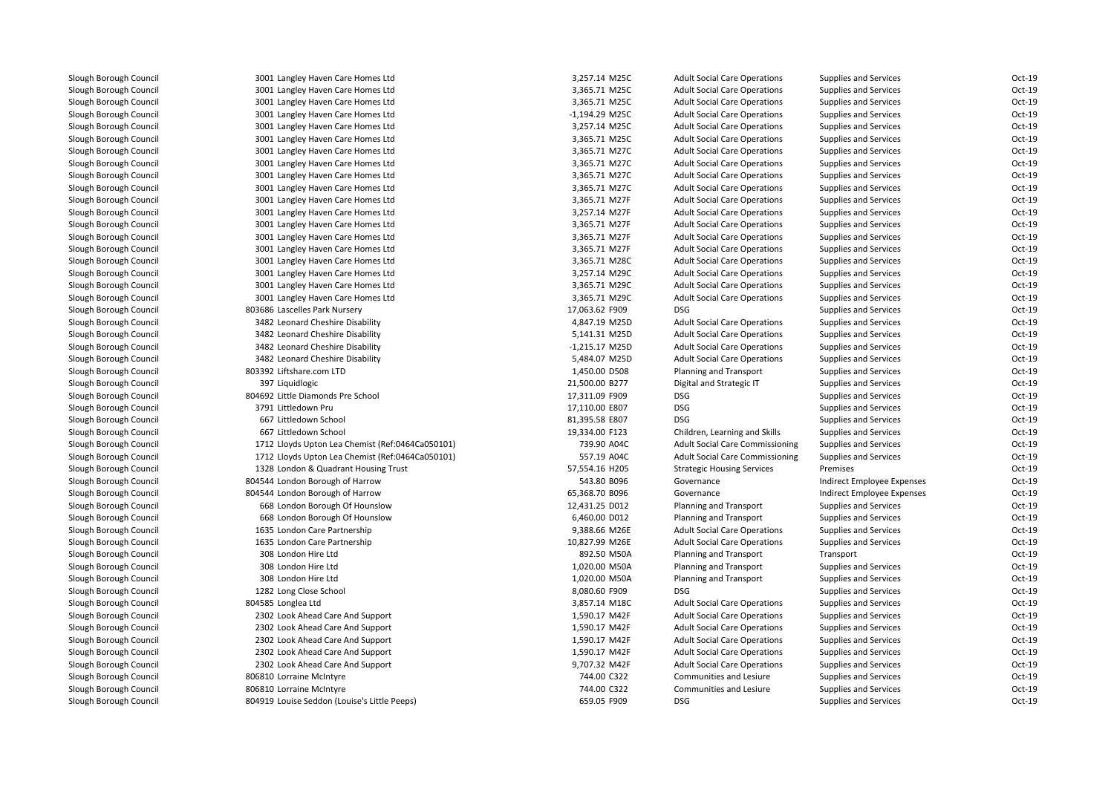| 3001 Langley Haven Care Homes Ltd                | 3,257.14 M25C    | <b>Adult Social Care Operations</b>    | <b>Supplies and Services</b> | $Oct-19$ |
|--------------------------------------------------|------------------|----------------------------------------|------------------------------|----------|
| 3001 Langley Haven Care Homes Ltd                | 3,365.71 M25C    | <b>Adult Social Care Operations</b>    | <b>Supplies and Services</b> | Oct-19   |
| 3001 Langley Haven Care Homes Ltd                | 3,365.71 M25C    | <b>Adult Social Care Operations</b>    | <b>Supplies and Services</b> | Oct-19   |
| 3001 Langley Haven Care Homes Ltd                | $-1,194.29$ M25C | <b>Adult Social Care Operations</b>    | <b>Supplies and Services</b> | Oct-19   |
| 3001 Langley Haven Care Homes Ltd                | 3,257.14 M25C    | <b>Adult Social Care Operations</b>    | Supplies and Services        | Oct-19   |
| 3001 Langley Haven Care Homes Ltd                | 3,365.71 M25C    | <b>Adult Social Care Operations</b>    | <b>Supplies and Services</b> | Oct-19   |
| 3001 Langley Haven Care Homes Ltd                | 3,365.71 M27C    | <b>Adult Social Care Operations</b>    | Supplies and Services        | Oct-19   |
| 3001 Langley Haven Care Homes Ltd                | 3,365.71 M27C    | <b>Adult Social Care Operations</b>    | <b>Supplies and Services</b> | Oct-19   |
| 3001 Langley Haven Care Homes Ltd                | 3,365.71 M27C    | <b>Adult Social Care Operations</b>    | <b>Supplies and Services</b> | Oct-19   |
| 3001 Langley Haven Care Homes Ltd                | 3,365.71 M27C    | <b>Adult Social Care Operations</b>    | <b>Supplies and Services</b> | Oct-19   |
| 3001 Langley Haven Care Homes Ltd                | 3,365.71 M27F    | <b>Adult Social Care Operations</b>    | <b>Supplies and Services</b> | Oct-19   |
| 3001 Langley Haven Care Homes Ltd                | 3,257.14 M27F    | <b>Adult Social Care Operations</b>    | Supplies and Services        | Oct-19   |
| 3001 Langley Haven Care Homes Ltd                | 3,365.71 M27F    | <b>Adult Social Care Operations</b>    | <b>Supplies and Services</b> | Oct-19   |
| 3001 Langley Haven Care Homes Ltd                | 3,365.71 M27F    | <b>Adult Social Care Operations</b>    | <b>Supplies and Services</b> | Oct-19   |
| 3001 Langley Haven Care Homes Ltd                | 3,365.71 M27F    | <b>Adult Social Care Operations</b>    | <b>Supplies and Services</b> | Oct-19   |
| 3001 Langley Haven Care Homes Ltd                | 3,365.71 M28C    | <b>Adult Social Care Operations</b>    | <b>Supplies and Services</b> | Oct-19   |
| 3001 Langley Haven Care Homes Ltd                | 3,257.14 M29C    | <b>Adult Social Care Operations</b>    | <b>Supplies and Services</b> | Oct-19   |
| 3001 Langley Haven Care Homes Ltd                | 3,365.71 M29C    | <b>Adult Social Care Operations</b>    | <b>Supplies and Services</b> | Oct-19   |
| 3001 Langley Haven Care Homes Ltd                | 3,365.71 M29C    | <b>Adult Social Care Operations</b>    | Supplies and Services        | Oct-19   |
| 803686 Lascelles Park Nursery                    | 17,063.62 F909   | <b>DSG</b>                             | Supplies and Services        | $Oct-19$ |
| 3482 Leonard Cheshire Disability                 | 4,847.19 M25D    | <b>Adult Social Care Operations</b>    | Supplies and Services        | Oct-19   |
| 3482 Leonard Cheshire Disability                 | 5,141.31 M25D    | <b>Adult Social Care Operations</b>    | <b>Supplies and Services</b> | Oct-19   |
| 3482 Leonard Cheshire Disability                 | $-1,215.17$ M25D | <b>Adult Social Care Operations</b>    | <b>Supplies and Services</b> | Oct-19   |
| 3482 Leonard Cheshire Disability                 | 5,484.07 M25D    | <b>Adult Social Care Operations</b>    | Supplies and Services        | Oct-19   |
| 803392 Liftshare.com LTD                         | 1,450.00 D508    | Planning and Transport                 | <b>Supplies and Services</b> | Oct-19   |
| 397 Liquidlogic                                  | 21,500.00 B277   | Digital and Strategic IT               | Supplies and Services        | Oct-19   |
| 804692 Little Diamonds Pre School                | 17,311.09 F909   | DSG                                    | <b>Supplies and Services</b> | Oct-19   |
| 3791 Littledown Pru                              | 17,110.00 E807   | DSG                                    | <b>Supplies and Services</b> | $Oct-19$ |
| 667 Littledown School                            | 81,395.58 E807   | <b>DSG</b>                             | <b>Supplies and Services</b> | Oct-19   |
| 667 Littledown School                            | 19,334.00 F123   | Children, Learning and Skills          | <b>Supplies and Services</b> | Oct-19   |
| 1712 Lloyds Upton Lea Chemist (Ref:0464Ca050101) | 739.90 A04C      | <b>Adult Social Care Commissioning</b> | <b>Supplies and Services</b> | Oct-19   |
| 1712 Lloyds Upton Lea Chemist (Ref:0464Ca050101) | 557.19 A04C      | <b>Adult Social Care Commissioning</b> | <b>Supplies and Services</b> | Oct-19   |
| 1328 London & Quadrant Housing Trust             | 57,554.16 H205   | <b>Strategic Housing Services</b>      | Premises                     | Oct-19   |
| 804544 London Borough of Harrow                  | 543.80 B096      | Governance                             | Indirect Employee Expenses   | Oct-19   |
| 804544 London Borough of Harrow                  | 65,368.70 B096   | Governance                             | Indirect Employee Expenses   | Oct-19   |
| 668 London Borough Of Hounslow                   | 12,431.25 D012   | Planning and Transport                 | <b>Supplies and Services</b> | Oct-19   |
| 668 London Borough Of Hounslow                   | 6,460.00 D012    | Planning and Transport                 | <b>Supplies and Services</b> | Oct-19   |
| 1635 London Care Partnership                     | 9,388.66 M26E    | <b>Adult Social Care Operations</b>    | <b>Supplies and Services</b> | Oct-19   |
| 1635 London Care Partnership                     | 10,827.99 M26E   | <b>Adult Social Care Operations</b>    | <b>Supplies and Services</b> | Oct-19   |
| 308 London Hire Ltd                              | 892.50 M50A      | Planning and Transport                 | Transport                    | Oct-19   |
| 308 London Hire Ltd                              | 1,020.00 M50A    | Planning and Transport                 | Supplies and Services        | Oct-19   |
| 308 London Hire Ltd                              | 1,020.00 M50A    | Planning and Transport                 | <b>Supplies and Services</b> | Oct-19   |
| 1282 Long Close School                           | 8,080.60 F909    | <b>DSG</b>                             | <b>Supplies and Services</b> | Oct-19   |
| 804585 Longlea Ltd                               | 3,857.14 M18C    | <b>Adult Social Care Operations</b>    | <b>Supplies and Services</b> | Oct-19   |
| 2302 Look Ahead Care And Support                 | 1,590.17 M42F    | <b>Adult Social Care Operations</b>    | <b>Supplies and Services</b> | Oct-19   |
| 2302 Look Ahead Care And Support                 | 1,590.17 M42F    | <b>Adult Social Care Operations</b>    | <b>Supplies and Services</b> | Oct-19   |
| 2302 Look Ahead Care And Support                 | 1,590.17 M42F    | <b>Adult Social Care Operations</b>    | Supplies and Services        | Oct-19   |
| 2302 Look Ahead Care And Support                 | 1,590.17 M42F    | <b>Adult Social Care Operations</b>    | <b>Supplies and Services</b> | Oct-19   |
| 2302 Look Ahead Care And Support                 | 9,707.32 M42F    | <b>Adult Social Care Operations</b>    | <b>Supplies and Services</b> | Oct-19   |
| 806810 Lorraine McIntyre                         | 744.00 C322      | Communities and Lesiure                | <b>Supplies and Services</b> | Oct-19   |
| 806810 Lorraine McIntyre                         | 744.00 C322      | Communities and Lesiure                | <b>Supplies and Services</b> | Oct-19   |
| 804919 Louise Seddon (Louise's Little Peeps)     | 659.05 F909      | DSG                                    | <b>Supplies and Services</b> | Oct-19   |
|                                                  |                  |                                        |                              |          |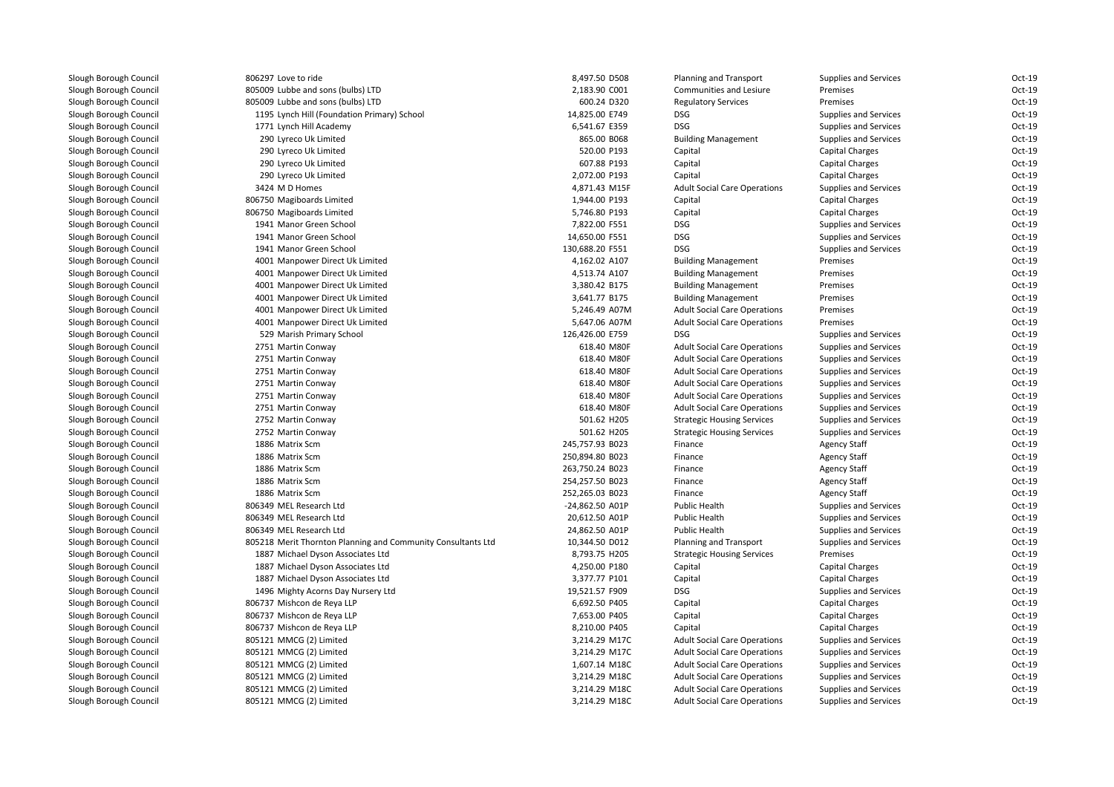806297 Love to ride 805009 Lubbe and sons (bulbs) LTD 805009 Lubbe and sons (bulbs) LTD 1195 Lynch Hill (Foundation Primary) School 14,825.00 E749 DSG1771 Lynch Hill Academy **6,541.67 E359** DSG و 6,541.67 E359 290 Lyreco Uk Limited 290 Lyreco Uk Limited 290 Lyreco Uk Limited 290 Lyreco Uk Limited3424 M D Homes 806750 Magiboards Limited 806750 Magiboards Limited 1941 Manor Green School 7,822.00 F551 DSG 1941 Manor Green School 14,650.00 F551 DSG 1941 Manor Green School 130,688.20 F551 DSG 4001 Manpower Direct Uk Limited 4001 Manpower Direct Uk Limited 4001 Manpower Direct Uk Limited 4001 Manpower Direct Uk Limited 4001 Manpower Direct Uk Limited 4001 Manpower Direct Uk Limited 529 Marish Primary School 126,426.00 E759 DSG2751 Martin Conway 2751 Martin Conway 2751 Martin Conway 2751 Martin Conway 2751 Martin Conway 2751 Martin Conway 2752 Martin Conway 2752 Martin Conway 1886 Matrix Scm 1886 Matrix Scm 1886 Matrix Scm 1886 Matrix Scm 1886 Matrix Scm 806349 MEL Research Ltd 806349 MEL Research Ltd 806349 MEL Research Ltd 805218 Merit Thornton Planning and Community Consultants Ltd 1887 Michael Dyson Associates Ltd 1887 Michael Dyson Associates Ltd 1887 Michael Dyson Associates Ltd 1496 Mighty Acorns Day Nursery Ltd 806737 Mishcon de Reya LLP 806737 Mishcon de Reya LLP 806737 Mishcon de Reya LLP 805121 MMCG (2) Limited 805121 MMCG (2) Limited 805121 MMCG (2) Limited 805121 MMCG (2) Limited805121 MMCG (2) Limited

| 7 Love to ride                                          | 8,497.50 D508                  | Planning and Transport                                                     | <b>Supplies and Services</b>                                 | Oct-19           |
|---------------------------------------------------------|--------------------------------|----------------------------------------------------------------------------|--------------------------------------------------------------|------------------|
| 9 Lubbe and sons (bulbs) LTD                            | 2,183.90 C001                  | Communities and Lesiure                                                    | Premises                                                     | Oct-19           |
| 9 Lubbe and sons (bulbs) LTD                            | 600.24 D320                    | <b>Regulatory Services</b>                                                 | Premises                                                     | Oct-19           |
| 5 Lynch Hill (Foundation Primary) School                | 14,825.00 E749                 | <b>DSG</b>                                                                 | <b>Supplies and Services</b>                                 | Oct-19           |
| 1 Lynch Hill Academy                                    | 6,541.67 E359                  | <b>DSG</b>                                                                 | <b>Supplies and Services</b>                                 | Oct-19           |
| 0 Lyreco Uk Limited                                     | 865.00 B068                    | <b>Building Management</b>                                                 | <b>Supplies and Services</b>                                 | $Oct-19$         |
| 0 Lyreco Uk Limited                                     | 520.00 P193                    | Capital                                                                    | Capital Charges                                              | $Oct-19$         |
| 0 Lyreco Uk Limited                                     | 607.88 P193                    | Capital                                                                    | Capital Charges                                              | Oct-19           |
| 0 Lyreco Uk Limited                                     | 2,072.00 P193                  | Capital                                                                    | Capital Charges                                              | Oct-19           |
| 4 M D Homes                                             | 4,871.43 M15F                  | <b>Adult Social Care Operations</b>                                        | Supplies and Services                                        | Oct-19           |
| 0 Magiboards Limited                                    | 1,944.00 P193                  | Capital                                                                    | <b>Capital Charges</b>                                       | Oct-19           |
| 0 Magiboards Limited                                    | 5,746.80 P193                  | Capital                                                                    | Capital Charges                                              | $Oct-19$         |
| 1 Manor Green School                                    | 7,822.00 F551                  | <b>DSG</b>                                                                 | <b>Supplies and Services</b>                                 | $Oct-19$         |
| 1 Manor Green School                                    | 14,650.00 F551                 | <b>DSG</b>                                                                 | Supplies and Services                                        | $Oct-19$         |
| 1 Manor Green School                                    | 130,688.20 F551                | <b>DSG</b>                                                                 | <b>Supplies and Services</b>                                 | Oct-19           |
| 1 Manpower Direct Uk Limited                            | 4,162.02 A107                  | <b>Building Management</b>                                                 | Premises                                                     | $Oct-19$         |
| 1 Manpower Direct Uk Limited                            | 4,513.74 A107                  | <b>Building Management</b>                                                 | Premises                                                     | Oct-19           |
| 1 Manpower Direct Uk Limited                            | 3,380.42 B175                  | <b>Building Management</b>                                                 | Premises                                                     | Oct-19           |
| 1 Manpower Direct Uk Limited                            | 3,641.77 B175                  | <b>Building Management</b>                                                 | Premises                                                     | Oct-19           |
| 1 Manpower Direct Uk Limited                            | 5,246.49 A07M                  | <b>Adult Social Care Operations</b>                                        | Premises                                                     | Oct-19           |
| 1 Manpower Direct Uk Limited                            | 5,647.06 A07M                  | <b>Adult Social Care Operations</b>                                        | Premises                                                     | Oct-19           |
| 9 Marish Primary School                                 | 126,426.00 E759                | <b>DSG</b>                                                                 | <b>Supplies and Services</b>                                 | Oct-19           |
| 1 Martin Conway                                         | 618.40 M80F                    | <b>Adult Social Care Operations</b>                                        | <b>Supplies and Services</b>                                 | Oct-19           |
| 1 Martin Conway                                         | 618.40 M80F                    | <b>Adult Social Care Operations</b>                                        | <b>Supplies and Services</b>                                 | Oct-19           |
| 1 Martin Conway                                         | 618.40 M80F                    | <b>Adult Social Care Operations</b>                                        | <b>Supplies and Services</b>                                 | $Oct-19$         |
| 1 Martin Conway                                         | 618.40 M80F                    | <b>Adult Social Care Operations</b>                                        | <b>Supplies and Services</b>                                 | Oct-19           |
| 1 Martin Conway                                         | 618.40 M80F                    | <b>Adult Social Care Operations</b>                                        | <b>Supplies and Services</b>                                 | Oct-19           |
| 1 Martin Conway                                         | 618.40 M80F                    | <b>Adult Social Care Operations</b>                                        | <b>Supplies and Services</b>                                 | Oct-19           |
| 2 Martin Conway                                         | 501.62 H205                    | <b>Strategic Housing Services</b>                                          | <b>Supplies and Services</b>                                 | Oct-19           |
| 2 Martin Conway                                         | 501.62 H205                    | <b>Strategic Housing Services</b>                                          | <b>Supplies and Services</b>                                 | Oct-19           |
| 6 Matrix Scm                                            | 245,757.93 B023                | Finance                                                                    | <b>Agency Staff</b>                                          | Oct-19           |
| 6 Matrix Scm                                            | 250,894.80 B023                | Finance                                                                    | Agency Staff                                                 | $Oct-19$         |
| 6 Matrix Scm                                            | 263,750.24 B023                | Finance                                                                    | Agency Staff                                                 | Oct-19           |
| 6 Matrix Scm                                            | 254,257.50 B023                | Finance                                                                    | <b>Agency Staff</b>                                          | Oct-19           |
| 6 Matrix Scm                                            | 252,265.03 B023                | Finance                                                                    | <b>Agency Staff</b>                                          | Oct-19           |
| 9 MEL Research Ltd                                      | -24,862.50 A01P                | Public Health                                                              | <b>Supplies and Services</b>                                 | Oct-19           |
| 9 MEL Research Ltd                                      | 20,612.50 A01P                 | <b>Public Health</b>                                                       | <b>Supplies and Services</b>                                 | Oct-19           |
| 9 MEL Research Ltd                                      | 24,862.50 A01P                 | <b>Public Health</b>                                                       | <b>Supplies and Services</b>                                 | $Oct-19$         |
| 8 Merit Thornton Planning and Community Consultants Ltd | 10,344.50 D012                 | Planning and Transport                                                     | <b>Supplies and Services</b>                                 | $Oct-19$         |
| 7 Michael Dyson Associates Ltd                          | 8,793.75 H205                  | <b>Strategic Housing Services</b>                                          | Premises                                                     | Oct-19           |
| 7 Michael Dyson Associates Ltd                          | 4,250.00 P180                  | Capital                                                                    | <b>Capital Charges</b>                                       | Oct-19           |
| 7 Michael Dyson Associates Ltd                          | 3,377.77 P101                  | Capital                                                                    | <b>Capital Charges</b>                                       | Oct-19           |
| 6 Mighty Acorns Day Nursery Ltd                         | 19,521.57 F909                 | <b>DSG</b>                                                                 | <b>Supplies and Services</b>                                 | Oct-19           |
| 7 Mishcon de Reya LLP                                   | 6,692.50 P405                  | Capital                                                                    | <b>Capital Charges</b>                                       | Oct-19           |
| 7 Mishcon de Reya LLP                                   | 7,653.00 P405                  | Capital                                                                    | Capital Charges                                              | $Oct-19$         |
| 7 Mishcon de Reya LLP                                   | 8,210.00 P405                  | Capital                                                                    | Capital Charges                                              | $Oct-19$         |
| 1 MMCG (2) Limited                                      | 3,214.29 M17C                  | <b>Adult Social Care Operations</b>                                        | Supplies and Services                                        | Oct-19           |
| 1 MMCG (2) Limited                                      | 3,214.29 M17C                  | <b>Adult Social Care Operations</b>                                        | <b>Supplies and Services</b>                                 | Oct-19           |
| 1 MMCG (2) Limited                                      |                                | <b>Adult Social Care Operations</b>                                        | <b>Supplies and Services</b>                                 | Oct-19           |
|                                                         |                                |                                                                            |                                                              |                  |
|                                                         | 1,607.14 M18C                  |                                                                            |                                                              |                  |
| 1 MMCG (2) Limited<br>1 MMCG (2) Limited                | 3,214.29 M18C<br>3,214.29 M18C | <b>Adult Social Care Operations</b><br><b>Adult Social Care Operations</b> | <b>Supplies and Services</b><br><b>Supplies and Services</b> | Oct-19<br>Oct-19 |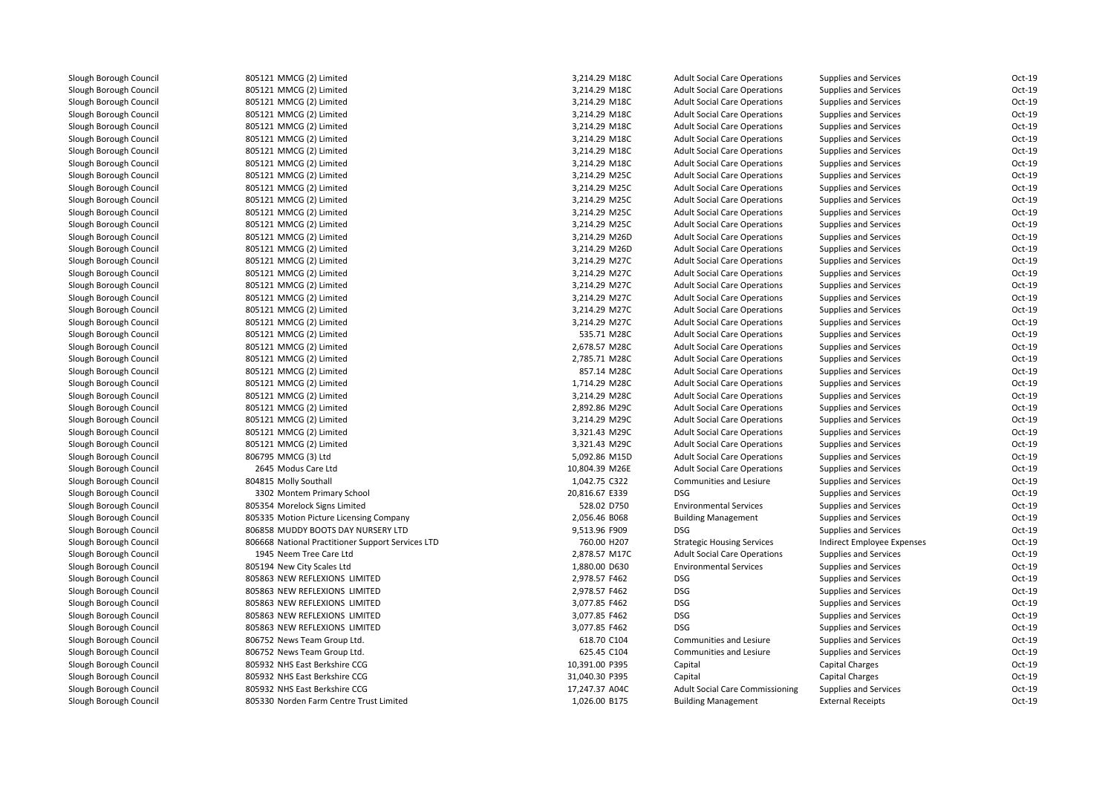| 805121 MMCG (2) Limited                                                  | 3,214.29 M18C  | <b>Adult Social Care Operations</b>    | <b>Supplies and Services</b> | Oct-19           |
|--------------------------------------------------------------------------|----------------|----------------------------------------|------------------------------|------------------|
| 805121 MMCG (2) Limited                                                  | 3,214.29 M18C  | <b>Adult Social Care Operations</b>    | <b>Supplies and Services</b> | Oct-19           |
| 805121 MMCG (2) Limited                                                  | 3,214.29 M18C  | <b>Adult Social Care Operations</b>    | Supplies and Services        | Oct-19           |
| 805121 MMCG (2) Limited                                                  | 3,214.29 M18C  | <b>Adult Social Care Operations</b>    | <b>Supplies and Services</b> | Oct-19           |
| 805121 MMCG (2) Limited                                                  | 3,214.29 M18C  | <b>Adult Social Care Operations</b>    | <b>Supplies and Services</b> | Oct-19           |
| 805121 MMCG (2) Limited                                                  | 3,214.29 M18C  | <b>Adult Social Care Operations</b>    | <b>Supplies and Services</b> | Oct-19           |
| 805121 MMCG (2) Limited                                                  | 3,214.29 M18C  | <b>Adult Social Care Operations</b>    | Supplies and Services        | Oct-19           |
| 805121 MMCG (2) Limited                                                  | 3,214.29 M18C  | <b>Adult Social Care Operations</b>    | <b>Supplies and Services</b> | Oct-19           |
| 805121 MMCG (2) Limited                                                  | 3,214.29 M25C  | <b>Adult Social Care Operations</b>    | <b>Supplies and Services</b> | Oct-19           |
| 805121 MMCG (2) Limited                                                  | 3,214.29 M25C  | <b>Adult Social Care Operations</b>    | <b>Supplies and Services</b> | Oct-19           |
| 805121 MMCG (2) Limited                                                  | 3,214.29 M25C  | <b>Adult Social Care Operations</b>    | <b>Supplies and Services</b> | Oct-19           |
| 805121 MMCG (2) Limited                                                  | 3,214.29 M25C  | <b>Adult Social Care Operations</b>    | Supplies and Services        | Oct-19           |
| 805121 MMCG (2) Limited                                                  | 3,214.29 M25C  | <b>Adult Social Care Operations</b>    | <b>Supplies and Services</b> | Oct-19           |
| 805121 MMCG (2) Limited                                                  | 3,214.29 M26D  | <b>Adult Social Care Operations</b>    | <b>Supplies and Services</b> | Oct-19           |
| 805121 MMCG (2) Limited                                                  | 3,214.29 M26D  | <b>Adult Social Care Operations</b>    | <b>Supplies and Services</b> | Oct-19           |
| 805121 MMCG (2) Limited                                                  | 3,214.29 M27C  | <b>Adult Social Care Operations</b>    | Supplies and Services        | Oct-19           |
| 805121 MMCG (2) Limited                                                  | 3,214.29 M27C  | <b>Adult Social Care Operations</b>    | <b>Supplies and Services</b> | Oct-19           |
| 805121 MMCG (2) Limited                                                  | 3,214.29 M27C  | <b>Adult Social Care Operations</b>    | <b>Supplies and Services</b> | Oct-19           |
| 805121 MMCG (2) Limited                                                  | 3,214.29 M27C  | <b>Adult Social Care Operations</b>    | <b>Supplies and Services</b> | Oct-19           |
| 805121 MMCG (2) Limited                                                  | 3,214.29 M27C  | <b>Adult Social Care Operations</b>    | Supplies and Services        | Oct-19           |
| 805121 MMCG (2) Limited                                                  | 3,214.29 M27C  | <b>Adult Social Care Operations</b>    | Supplies and Services        | Oct-19           |
| 805121 MMCG (2) Limited                                                  | 535.71 M28C    | <b>Adult Social Care Operations</b>    | <b>Supplies and Services</b> | Oct-19           |
| 805121 MMCG (2) Limited                                                  | 2,678.57 M28C  | <b>Adult Social Care Operations</b>    | <b>Supplies and Services</b> | Oct-19           |
| 805121 MMCG (2) Limited                                                  | 2,785.71 M28C  | <b>Adult Social Care Operations</b>    | Supplies and Services        | Oct-19           |
| 805121 MMCG (2) Limited                                                  | 857.14 M28C    | <b>Adult Social Care Operations</b>    | <b>Supplies and Services</b> | Oct-19           |
| 805121 MMCG (2) Limited                                                  | 1,714.29 M28C  | <b>Adult Social Care Operations</b>    | <b>Supplies and Services</b> | Oct-19           |
| 805121 MMCG (2) Limited                                                  | 3,214.29 M28C  | <b>Adult Social Care Operations</b>    | <b>Supplies and Services</b> | Oct-19           |
| 805121 MMCG (2) Limited                                                  | 2,892.86 M29C  | <b>Adult Social Care Operations</b>    | <b>Supplies and Services</b> | Oct-19           |
| 805121 MMCG (2) Limited                                                  | 3,214.29 M29C  | <b>Adult Social Care Operations</b>    | <b>Supplies and Services</b> | Oct-19           |
| 805121 MMCG (2) Limited                                                  | 3,321.43 M29C  | <b>Adult Social Care Operations</b>    | Supplies and Services        | Oct-19           |
| 805121 MMCG (2) Limited                                                  | 3,321.43 M29C  | <b>Adult Social Care Operations</b>    | <b>Supplies and Services</b> | Oct-19           |
| 806795 MMCG (3) Ltd                                                      | 5,092.86 M15D  | <b>Adult Social Care Operations</b>    | <b>Supplies and Services</b> | Oct-19           |
| 2645 Modus Care Ltd                                                      | 10,804.39 M26E | <b>Adult Social Care Operations</b>    | <b>Supplies and Services</b> | Oct-19           |
| 804815 Molly Southall                                                    | 1,042.75 C322  | Communities and Lesiure                | <b>Supplies and Services</b> | Oct-19           |
| 3302 Montem Primary School                                               | 20,816.67 E339 | <b>DSG</b>                             | <b>Supplies and Services</b> | Oct-19           |
| 805354 Morelock Signs Limited                                            | 528.02 D750    | <b>Environmental Services</b>          | <b>Supplies and Services</b> | Oct-19           |
| 805335 Motion Picture Licensing Company                                  | 2,056.46 B068  | <b>Building Management</b>             | Supplies and Services        | Oct-19           |
| 806858 MUDDY BOOTS DAY NURSERY LTD                                       | 9,513.96 F909  | <b>DSG</b>                             | Supplies and Services        | Oct-19           |
| 806668 National Practitioner Support Services LTD                        | 760.00 H207    | <b>Strategic Housing Services</b>      | Indirect Employee Expenses   | Oct-19           |
| 1945 Neem Tree Care Ltd                                                  | 2,878.57 M17C  | <b>Adult Social Care Operations</b>    | <b>Supplies and Services</b> | Oct-19           |
| 805194 New City Scales Ltd                                               | 1,880.00 D630  | <b>Environmental Services</b>          | <b>Supplies and Services</b> | Oct-19           |
| 805863 NEW REFLEXIONS LIMITED                                            | 2,978.57 F462  | <b>DSG</b>                             | <b>Supplies and Services</b> | Oct-19           |
| 805863 NEW REFLEXIONS LIMITED                                            | 2,978.57 F462  | <b>DSG</b>                             | Supplies and Services        | Oct-19           |
| 805863 NEW REFLEXIONS LIMITED                                            | 3,077.85 F462  | <b>DSG</b>                             | <b>Supplies and Services</b> | Oct-19           |
| 805863 NEW REFLEXIONS LIMITED                                            | 3,077.85 F462  | <b>DSG</b>                             | <b>Supplies and Services</b> | Oct-19           |
| 805863 NEW REFLEXIONS LIMITED                                            | 3,077.85 F462  | <b>DSG</b>                             | <b>Supplies and Services</b> | Oct-19           |
| 806752 News Team Group Ltd.                                              | 618.70 C104    | Communities and Lesiure                | <b>Supplies and Services</b> | Oct-19           |
|                                                                          | 625.45 C104    | Communities and Lesiure                |                              | Oct-19           |
| 806752 News Team Group Ltd.<br>805932 NHS East Berkshire CCG             | 10,391.00 P395 |                                        | <b>Supplies and Services</b> | Oct-19           |
| 805932 NHS East Berkshire CCG                                            |                | Capital                                | Capital Charges              | Oct-19           |
|                                                                          | 31,040.30 P395 | Capital                                | Capital Charges              |                  |
| 805932 NHS East Berkshire CCG<br>805330 Norden Farm Centre Trust Limited | 17,247.37 A04C | <b>Adult Social Care Commissioning</b> | Supplies and Services        | Oct-19<br>Oct-19 |
|                                                                          | 1,026.00 B175  | <b>Building Management</b>             | <b>External Receipts</b>     |                  |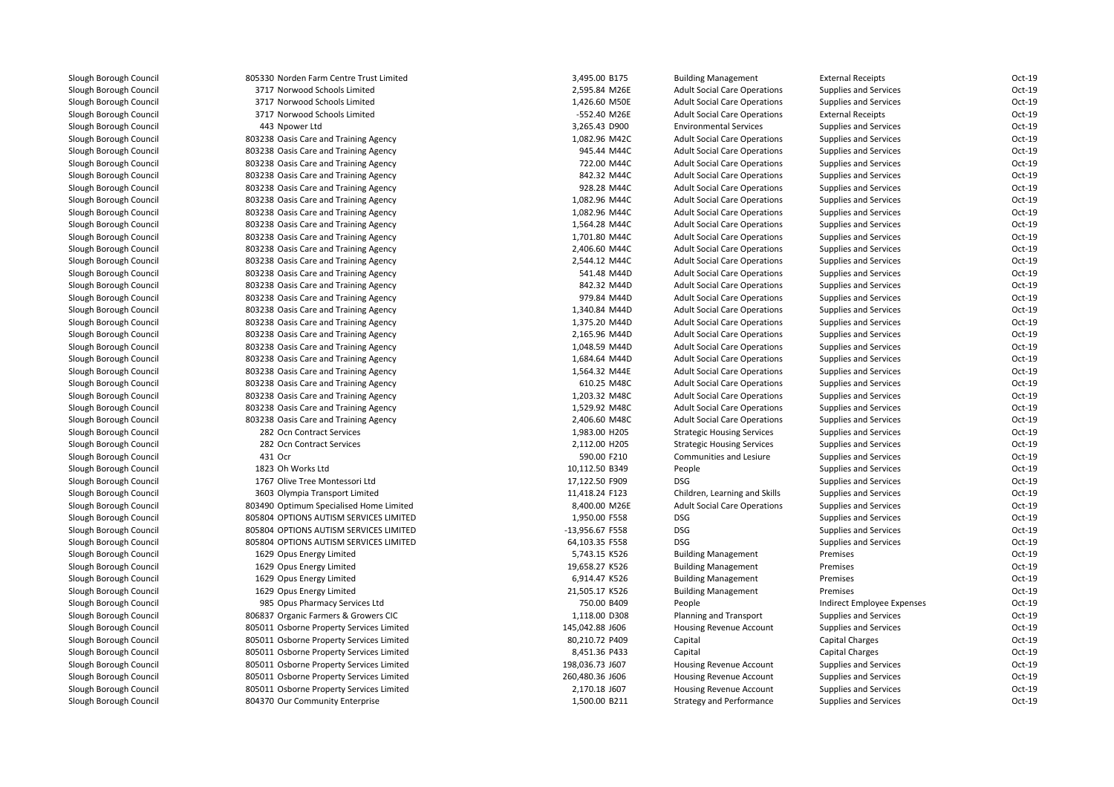| 805330 Norden Farm Centre Trust Limited                                        | 3,495.00 B175                  | <b>Building Management</b>                                                 | <b>External Receipts</b>                                     | Oct-19 |
|--------------------------------------------------------------------------------|--------------------------------|----------------------------------------------------------------------------|--------------------------------------------------------------|--------|
| 3717 Norwood Schools Limited                                                   | 2,595.84 M26E                  | <b>Adult Social Care Operations</b>                                        | <b>Supplies and Services</b>                                 | Oct-19 |
| 3717 Norwood Schools Limited                                                   | 1,426.60 M50E                  | <b>Adult Social Care Operations</b>                                        | Supplies and Services                                        | Oct-19 |
| 3717 Norwood Schools Limited                                                   | -552.40 M26E                   | <b>Adult Social Care Operations</b>                                        | <b>External Receipts</b>                                     | Oct-19 |
| 443 Npower Ltd                                                                 | 3,265.43 D900                  | <b>Environmental Services</b>                                              | <b>Supplies and Services</b>                                 | Oct-19 |
| 803238 Oasis Care and Training Agency                                          | 1,082.96 M42C                  | <b>Adult Social Care Operations</b>                                        | Supplies and Services                                        | Oct-19 |
| 803238 Oasis Care and Training Agency                                          | 945.44 M44C                    | <b>Adult Social Care Operations</b>                                        | <b>Supplies and Services</b>                                 | Oct-19 |
| 803238 Oasis Care and Training Agency                                          | 722.00 M44C                    | <b>Adult Social Care Operations</b>                                        | <b>Supplies and Services</b>                                 | Oct-19 |
| 803238 Oasis Care and Training Agency                                          | 842.32 M44C                    | <b>Adult Social Care Operations</b>                                        | Supplies and Services                                        | Oct-19 |
| 803238 Oasis Care and Training Agency                                          | 928.28 M44C                    | <b>Adult Social Care Operations</b>                                        | <b>Supplies and Services</b>                                 | Oct-19 |
| 803238 Oasis Care and Training Agency                                          | 1,082.96 M44C                  | <b>Adult Social Care Operations</b>                                        | <b>Supplies and Services</b>                                 | Oct-19 |
| 803238 Oasis Care and Training Agency                                          | 1,082.96 M44C                  | <b>Adult Social Care Operations</b>                                        | <b>Supplies and Services</b>                                 | Oct-19 |
| 803238 Oasis Care and Training Agency                                          | 1,564.28 M44C                  | <b>Adult Social Care Operations</b>                                        | <b>Supplies and Services</b>                                 | Oct-19 |
| 803238 Oasis Care and Training Agency                                          | 1,701.80 M44C                  | <b>Adult Social Care Operations</b>                                        | <b>Supplies and Services</b>                                 | Oct-19 |
| 803238 Oasis Care and Training Agency                                          | 2,406.60 M44C                  | <b>Adult Social Care Operations</b>                                        | <b>Supplies and Services</b>                                 | Oct-19 |
| 803238 Oasis Care and Training Agency                                          | 2,544.12 M44C                  | <b>Adult Social Care Operations</b>                                        | Supplies and Services                                        | Oct-19 |
| 803238 Oasis Care and Training Agency                                          | 541.48 M44D                    | <b>Adult Social Care Operations</b>                                        | <b>Supplies and Services</b>                                 | Oct-19 |
| 803238 Oasis Care and Training Agency                                          | 842.32 M44D                    | <b>Adult Social Care Operations</b>                                        | <b>Supplies and Services</b>                                 | Oct-19 |
|                                                                                |                                |                                                                            |                                                              | Oct-19 |
| 803238 Oasis Care and Training Agency<br>803238 Oasis Care and Training Agency | 979.84 M44D<br>1,340.84 M44D   | <b>Adult Social Care Operations</b><br><b>Adult Social Care Operations</b> | <b>Supplies and Services</b><br><b>Supplies and Services</b> | Oct-19 |
|                                                                                |                                |                                                                            |                                                              | Oct-19 |
| 803238 Oasis Care and Training Agency                                          | 1,375.20 M44D                  | <b>Adult Social Care Operations</b>                                        | <b>Supplies and Services</b>                                 | Oct-19 |
| 803238 Oasis Care and Training Agency                                          | 2,165.96 M44D<br>1,048.59 M44D | <b>Adult Social Care Operations</b>                                        | <b>Supplies and Services</b>                                 | Oct-19 |
| 803238 Oasis Care and Training Agency                                          |                                | <b>Adult Social Care Operations</b>                                        | <b>Supplies and Services</b>                                 |        |
| 803238 Oasis Care and Training Agency                                          | 1,684.64 M44D                  | <b>Adult Social Care Operations</b>                                        | <b>Supplies and Services</b>                                 | Oct-19 |
| 803238 Oasis Care and Training Agency                                          | 1,564.32 M44E                  | <b>Adult Social Care Operations</b>                                        | <b>Supplies and Services</b>                                 | Oct-19 |
| 803238 Oasis Care and Training Agency                                          | 610.25 M48C                    | <b>Adult Social Care Operations</b>                                        | Supplies and Services                                        | Oct-19 |
| 803238 Oasis Care and Training Agency                                          | 1,203.32 M48C                  | <b>Adult Social Care Operations</b>                                        | <b>Supplies and Services</b>                                 | Oct-19 |
| 803238 Oasis Care and Training Agency                                          | 1,529.92 M48C                  | <b>Adult Social Care Operations</b>                                        | <b>Supplies and Services</b>                                 | Oct-19 |
| 803238 Oasis Care and Training Agency                                          | 2,406.60 M48C                  | <b>Adult Social Care Operations</b>                                        | Supplies and Services                                        | Oct-19 |
| 282 Ocn Contract Services                                                      | 1,983.00 H205                  | <b>Strategic Housing Services</b>                                          | <b>Supplies and Services</b>                                 | Oct-19 |
| 282 Ocn Contract Services                                                      | 2,112.00 H205                  | <b>Strategic Housing Services</b>                                          | <b>Supplies and Services</b>                                 | Oct-19 |
| 431 Ocr                                                                        | 590.00 F210                    | Communities and Lesiure                                                    | <b>Supplies and Services</b>                                 | Oct-19 |
| 1823 Oh Works Ltd                                                              | 10,112.50 B349                 | People                                                                     | Supplies and Services                                        | Oct-19 |
| 1767 Olive Tree Montessori Ltd                                                 | 17,122.50 F909                 | <b>DSG</b>                                                                 | <b>Supplies and Services</b>                                 | Oct-19 |
| 3603 Olympia Transport Limited                                                 | 11,418.24 F123                 | Children, Learning and Skills                                              | <b>Supplies and Services</b>                                 | Oct-19 |
| 803490 Optimum Specialised Home Limited                                        | 8,400.00 M26E                  | <b>Adult Social Care Operations</b>                                        | <b>Supplies and Services</b>                                 | Oct-19 |
| 805804 OPTIONS AUTISM SERVICES LIMITED                                         | 1,950.00 F558                  | <b>DSG</b>                                                                 | <b>Supplies and Services</b>                                 | Oct-19 |
| 805804 OPTIONS AUTISM SERVICES LIMITED                                         | -13,956.67 F558                | <b>DSG</b>                                                                 | <b>Supplies and Services</b>                                 | Oct-19 |
| 805804 OPTIONS AUTISM SERVICES LIMITED                                         | 64,103.35 F558                 | <b>DSG</b>                                                                 | <b>Supplies and Services</b>                                 | Oct-19 |
| 1629 Opus Energy Limited                                                       | 5,743.15 K526                  | <b>Building Management</b>                                                 | Premises                                                     | Oct-19 |
| 1629 Opus Energy Limited                                                       | 19,658.27 K526                 | <b>Building Management</b>                                                 | Premises                                                     | Oct-19 |
| 1629 Opus Energy Limited                                                       | 6,914.47 K526                  | <b>Building Management</b>                                                 | Premises                                                     | Oct-19 |
| 1629 Opus Energy Limited                                                       | 21,505.17 K526                 | <b>Building Management</b>                                                 | Premises                                                     | Oct-19 |
| 985 Opus Pharmacy Services Ltd                                                 | 750.00 B409                    | People                                                                     | Indirect Employee Expenses                                   | Oct-19 |
| 806837 Organic Farmers & Growers CIC                                           | 1,118.00 D308                  | Planning and Transport                                                     | <b>Supplies and Services</b>                                 | Oct-19 |
| 805011 Osborne Property Services Limited                                       | 145,042.88 J606                | Housing Revenue Account                                                    | <b>Supplies and Services</b>                                 | Oct-19 |
| 805011 Osborne Property Services Limited                                       | 80,210.72 P409                 | Capital                                                                    | Capital Charges                                              | Oct-19 |
| 805011 Osborne Property Services Limited                                       | 8,451.36 P433                  | Capital                                                                    | Capital Charges                                              | Oct-19 |
| 805011 Osborne Property Services Limited                                       | 198,036.73 J607                | Housing Revenue Account                                                    | Supplies and Services                                        | Oct-19 |
| 805011 Osborne Property Services Limited                                       | 260,480.36 J606                | Housing Revenue Account                                                    | <b>Supplies and Services</b>                                 | Oct-19 |
| 805011 Osborne Property Services Limited                                       | 2,170.18 J607                  | Housing Revenue Account                                                    | Supplies and Services                                        | Oct-19 |
| 804370 Our Community Enterprise                                                | 1,500.00 B211                  | <b>Strategy and Performance</b>                                            | <b>Supplies and Services</b>                                 | Oct-19 |
|                                                                                |                                |                                                                            |                                                              |        |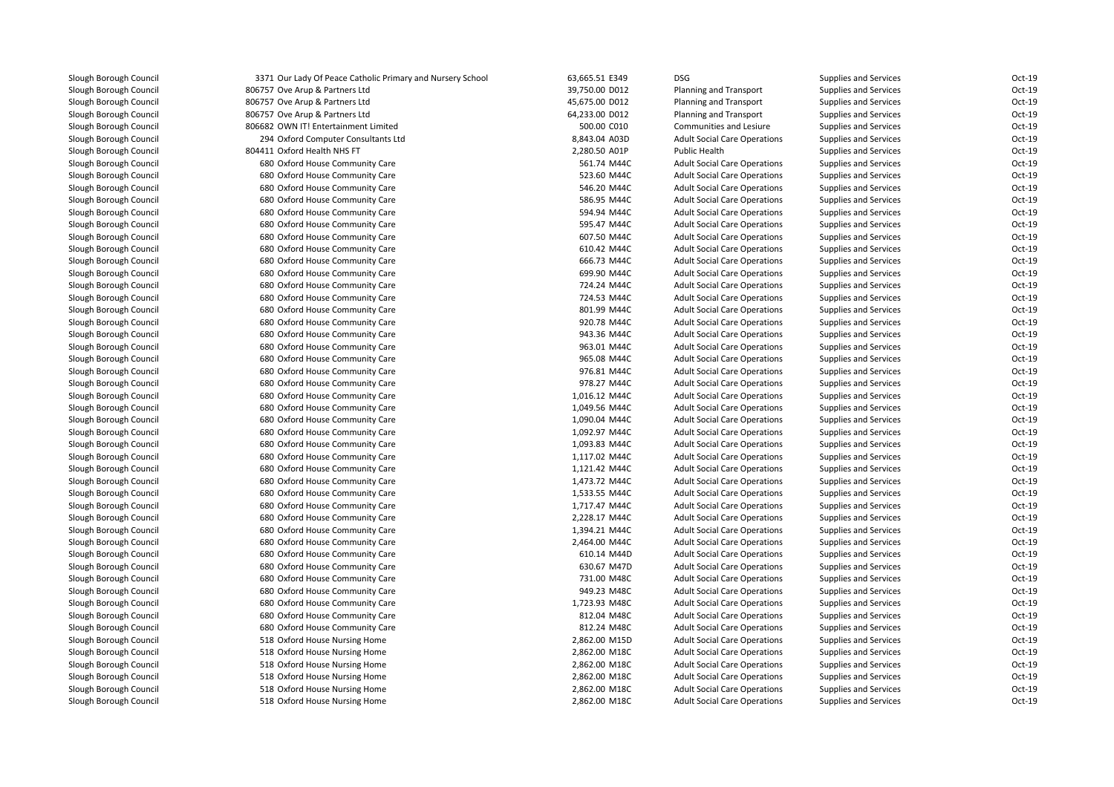| Slough Borough Council                           | 3371 Our Lady Of Peace Catholic Prima |
|--------------------------------------------------|---------------------------------------|
| Slough Borough Council                           | 806757 Ove Arup & Partners Ltd        |
| Slough Borough Council                           | 806757 Ove Arup & Partners Ltd        |
| Slough Borough Council                           | 806757 Ove Arup & Partners Ltd        |
| Slough Borough Council                           | 806682 OWN IT! Entertainment Limited  |
| Slough Borough Council                           | 294 Oxford Computer Consultants Ltd   |
| Slough Borough Council                           | 804411 Oxford Health NHS FT           |
| Slough Borough Council                           | 680 Oxford House Community Care       |
| Slough Borough Council                           | 680 Oxford House Community Care       |
| Slough Borough Council                           | 680 Oxford House Community Care       |
| Slough Borough Council                           | 680 Oxford House Community Care       |
| Slough Borough Council                           | 680 Oxford House Community Care       |
| Slough Borough Council                           | 680 Oxford House Community Care       |
| Slough Borough Council                           | 680 Oxford House Community Care       |
| Slough Borough Council                           | 680 Oxford House Community Care       |
| Slough Borough Council                           | 680 Oxford House Community Care       |
| Slough Borough Council                           | 680 Oxford House Community Care       |
| Slough Borough Council                           | 680 Oxford House Community Care       |
| Slough Borough Council                           | 680 Oxford House Community Care       |
| Slough Borough Council                           | 680 Oxford House Community Care       |
| Slough Borough Council                           | 680 Oxford House Community Care       |
| Slough Borough Council                           | 680 Oxford House Community Care       |
| Slough Borough Council                           | 680 Oxford House Community Care       |
| Slough Borough Council                           | 680 Oxford House Community Care       |
| Slough Borough Council                           | 680 Oxford House Community Care       |
| Slough Borough Council                           | 680 Oxford House Community Care       |
| Slough Borough Council                           | 680 Oxford House Community Care       |
| Slough Borough Council                           | 680 Oxford House Community Care       |
| Slough Borough Council                           | 680 Oxford House Community Care       |
| Slough Borough Council                           | 680 Oxford House Community Care       |
| Slough Borough Council                           | 680 Oxford House Community Care       |
| Slough Borough Council                           | 680 Oxford House Community Care       |
| Slough Borough Council                           | 680 Oxford House Community Care       |
| Slough Borough Council                           | 680 Oxford House Community Care       |
| Slough Borough Council                           | 680 Oxford House Community Care       |
| Slough Borough Council                           | 680 Oxford House Community Care       |
| Slough Borough Council                           | 680 Oxford House Community Care       |
| Slough Borough Council                           | 680 Oxford House Community Care       |
| Slough Borough Council                           | 680 Oxford House Community Care       |
| Slough Borough Council                           | 680 Oxford House Community Care       |
| Slough Borough Council                           | 680 Oxford House Community Care       |
| Slough Borough Council                           | 680 Oxford House Community Care       |
| Slough Borough Council                           | 680 Oxford House Community Care       |
|                                                  | 680 Oxford House Community Care       |
| Slough Borough Council<br>Slough Borough Council | 680 Oxford House Community Care       |
|                                                  |                                       |
| Slough Borough Council                           | 680 Oxford House Community Care       |
| Slough Borough Council                           | 518 Oxford House Nursing Home         |
| Slough Borough Council                           | 518 Oxford House Nursing Home         |
| Slough Borough Council                           | 518 Oxford House Nursing Home         |
| Slough Borough Council                           | 518 Oxford House Nursing Home         |
| Slough Borough Council                           | 518 Oxford House Nursing Home         |
| Slough Borough Council                           | 518 Oxford House Nursing Home         |

| 3371 Our Lady Of Peace Catholic Primary and Nursery School | 63,665.51 E349 | <b>DSG</b>                          | <b>Supplies and Services</b> | Oct-19   |
|------------------------------------------------------------|----------------|-------------------------------------|------------------------------|----------|
| 806757 Ove Arup & Partners Ltd                             | 39,750.00 D012 | <b>Planning and Transport</b>       | <b>Supplies and Services</b> | Oct-19   |
| 806757 Ove Arup & Partners Ltd                             | 45,675.00 D012 | Planning and Transport              | <b>Supplies and Services</b> | Oct-19   |
| 806757 Ove Arup & Partners Ltd                             | 64,233.00 D012 | Planning and Transport              | <b>Supplies and Services</b> | Oct-19   |
| 806682 OWN IT! Entertainment Limited                       | 500.00 C010    | Communities and Lesiure             | <b>Supplies and Services</b> | Oct-19   |
| 294 Oxford Computer Consultants Ltd                        | 8,843.04 A03D  | <b>Adult Social Care Operations</b> | <b>Supplies and Services</b> | Oct-19   |
| 804411 Oxford Health NHS FT                                | 2,280.50 A01P  | <b>Public Health</b>                | <b>Supplies and Services</b> | Oct-19   |
| 680 Oxford House Community Care                            | 561.74 M44C    | <b>Adult Social Care Operations</b> | <b>Supplies and Services</b> | Oct-19   |
| 680 Oxford House Community Care                            | 523.60 M44C    | <b>Adult Social Care Operations</b> | Supplies and Services        | Oct-19   |
| 680 Oxford House Community Care                            | 546.20 M44C    | <b>Adult Social Care Operations</b> | Supplies and Services        | Oct-19   |
| 680 Oxford House Community Care                            | 586.95 M44C    | <b>Adult Social Care Operations</b> | Supplies and Services        | Oct-19   |
| 680 Oxford House Community Care                            | 594.94 M44C    | <b>Adult Social Care Operations</b> | Supplies and Services        | Oct-19   |
| 680 Oxford House Community Care                            | 595.47 M44C    | <b>Adult Social Care Operations</b> | <b>Supplies and Services</b> | Oct-19   |
| 680 Oxford House Community Care                            | 607.50 M44C    | <b>Adult Social Care Operations</b> | <b>Supplies and Services</b> | Oct-19   |
| 680 Oxford House Community Care                            | 610.42 M44C    | <b>Adult Social Care Operations</b> | <b>Supplies and Services</b> | Oct-19   |
| 680 Oxford House Community Care                            | 666.73 M44C    | <b>Adult Social Care Operations</b> | <b>Supplies and Services</b> | Oct-19   |
| 680 Oxford House Community Care                            | 699.90 M44C    | <b>Adult Social Care Operations</b> | <b>Supplies and Services</b> | Oct-19   |
| 680 Oxford House Community Care                            | 724.24 M44C    | <b>Adult Social Care Operations</b> | <b>Supplies and Services</b> | Oct-19   |
| 680 Oxford House Community Care                            | 724.53 M44C    | <b>Adult Social Care Operations</b> | <b>Supplies and Services</b> | Oct-19   |
| 680 Oxford House Community Care                            | 801.99 M44C    | <b>Adult Social Care Operations</b> | Supplies and Services        | Oct-19   |
| 680 Oxford House Community Care                            | 920.78 M44C    | <b>Adult Social Care Operations</b> | <b>Supplies and Services</b> | Oct-19   |
| 680 Oxford House Community Care                            | 943.36 M44C    | <b>Adult Social Care Operations</b> | <b>Supplies and Services</b> | Oct-19   |
| 680 Oxford House Community Care                            | 963.01 M44C    | <b>Adult Social Care Operations</b> | Supplies and Services        | Oct-19   |
| 680 Oxford House Community Care                            | 965.08 M44C    | <b>Adult Social Care Operations</b> | <b>Supplies and Services</b> | Oct-19   |
| 680 Oxford House Community Care                            | 976.81 M44C    | <b>Adult Social Care Operations</b> | Supplies and Services        | Oct-19   |
| 680 Oxford House Community Care                            | 978.27 M44C    | <b>Adult Social Care Operations</b> | Supplies and Services        | Oct-19   |
| 680 Oxford House Community Care                            | 1,016.12 M44C  | <b>Adult Social Care Operations</b> | Supplies and Services        | Oct-19   |
| 680 Oxford House Community Care                            | 1,049.56 M44C  | <b>Adult Social Care Operations</b> | <b>Supplies and Services</b> | Oct-19   |
| 680 Oxford House Community Care                            | 1,090.04 M44C  | <b>Adult Social Care Operations</b> | <b>Supplies and Services</b> | Oct-19   |
| 680 Oxford House Community Care                            | 1,092.97 M44C  | <b>Adult Social Care Operations</b> | <b>Supplies and Services</b> | Oct-19   |
| 680 Oxford House Community Care                            | 1,093.83 M44C  | <b>Adult Social Care Operations</b> | <b>Supplies and Services</b> | Oct-19   |
| 680 Oxford House Community Care                            | 1,117.02 M44C  | <b>Adult Social Care Operations</b> | <b>Supplies and Services</b> | Oct-19   |
| 680 Oxford House Community Care                            | 1,121.42 M44C  | <b>Adult Social Care Operations</b> | <b>Supplies and Services</b> | Oct-19   |
| 680 Oxford House Community Care                            | 1,473.72 M44C  | <b>Adult Social Care Operations</b> | <b>Supplies and Services</b> | Oct-19   |
| 680 Oxford House Community Care                            | 1,533.55 M44C  | <b>Adult Social Care Operations</b> | <b>Supplies and Services</b> | Oct-19   |
| 680 Oxford House Community Care                            | 1,717.47 M44C  | <b>Adult Social Care Operations</b> | <b>Supplies and Services</b> | Oct-19   |
| 680 Oxford House Community Care                            | 2,228.17 M44C  | <b>Adult Social Care Operations</b> | Supplies and Services        | Oct-19   |
| 680 Oxford House Community Care                            | 1,394.21 M44C  | <b>Adult Social Care Operations</b> | Supplies and Services        | $Oct-19$ |
| 680 Oxford House Community Care                            | 2,464.00 M44C  | <b>Adult Social Care Operations</b> | Supplies and Services        | Oct-19   |
| 680 Oxford House Community Care                            | 610.14 M44D    | <b>Adult Social Care Operations</b> | Supplies and Services        | Oct-19   |
| 680 Oxford House Community Care                            | 630.67 M47D    | <b>Adult Social Care Operations</b> | Supplies and Services        | Oct-19   |
| 680 Oxford House Community Care                            | 731.00 M48C    | <b>Adult Social Care Operations</b> | Supplies and Services        | Oct-19   |
| 680 Oxford House Community Care                            | 949.23 M48C    | <b>Adult Social Care Operations</b> | <b>Supplies and Services</b> | Oct-19   |
| 680 Oxford House Community Care                            | 1,723.93 M48C  | <b>Adult Social Care Operations</b> | <b>Supplies and Services</b> | Oct-19   |
| 680 Oxford House Community Care                            | 812.04 M48C    | <b>Adult Social Care Operations</b> | <b>Supplies and Services</b> | Oct-19   |
| 680 Oxford House Community Care                            | 812.24 M48C    | <b>Adult Social Care Operations</b> | <b>Supplies and Services</b> | Oct-19   |
| 518 Oxford House Nursing Home                              | 2,862.00 M15D  | <b>Adult Social Care Operations</b> | <b>Supplies and Services</b> | Oct-19   |
| 518 Oxford House Nursing Home                              | 2,862.00 M18C  | <b>Adult Social Care Operations</b> | <b>Supplies and Services</b> | Oct-19   |
| 518 Oxford House Nursing Home                              | 2,862.00 M18C  | <b>Adult Social Care Operations</b> | <b>Supplies and Services</b> | Oct-19   |
| 518 Oxford House Nursing Home                              | 2,862.00 M18C  | <b>Adult Social Care Operations</b> | <b>Supplies and Services</b> | Oct-19   |
| 518 Oxford House Nursing Home                              | 2,862.00 M18C  | <b>Adult Social Care Operations</b> | <b>Supplies and Services</b> | Oct-19   |
| 518 Oxford House Nursing Home                              | 2,862.00 M18C  | <b>Adult Social Care Operations</b> | <b>Supplies and Services</b> | Oct-19   |
|                                                            |                |                                     |                              |          |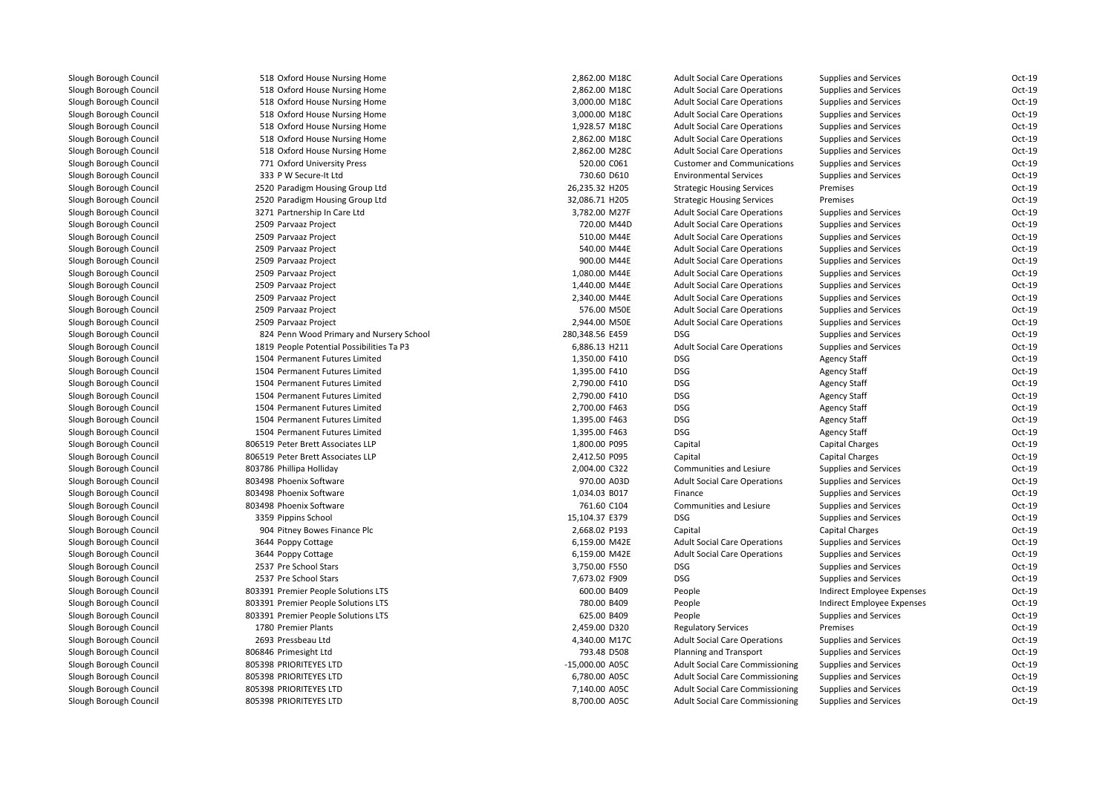| 518 Oxford House Nursing Home             | 2,862.00 M18C   | <b>Adult Social Care Operations</b>    | <b>Supplies and Services</b> | Oct-19   |
|-------------------------------------------|-----------------|----------------------------------------|------------------------------|----------|
| 518 Oxford House Nursing Home             | 2,862.00 M18C   | <b>Adult Social Care Operations</b>    | <b>Supplies and Services</b> | Oct-19   |
| 518 Oxford House Nursing Home             | 3,000.00 M18C   | <b>Adult Social Care Operations</b>    | <b>Supplies and Services</b> | Oct-19   |
| 518 Oxford House Nursing Home             | 3,000.00 M18C   | <b>Adult Social Care Operations</b>    | <b>Supplies and Services</b> | Oct-19   |
| 518 Oxford House Nursing Home             | 1,928.57 M18C   | <b>Adult Social Care Operations</b>    | <b>Supplies and Services</b> | Oct-19   |
| 518 Oxford House Nursing Home             | 2,862.00 M18C   | <b>Adult Social Care Operations</b>    | <b>Supplies and Services</b> | Oct-19   |
| 518 Oxford House Nursing Home             | 2,862.00 M28C   | <b>Adult Social Care Operations</b>    | <b>Supplies and Services</b> | Oct-19   |
| 771 Oxford University Press               | 520.00 C061     | <b>Customer and Communications</b>     | <b>Supplies and Services</b> | Oct-19   |
| 333 P W Secure-It Ltd                     | 730.60 D610     | <b>Environmental Services</b>          | <b>Supplies and Services</b> | Oct-19   |
| 2520 Paradigm Housing Group Ltd           | 26,235.32 H205  | <b>Strategic Housing Services</b>      | Premises                     | Oct-19   |
| 2520 Paradigm Housing Group Ltd           | 32,086.71 H205  | <b>Strategic Housing Services</b>      | Premises                     | Oct-19   |
| 3271 Partnership In Care Ltd              | 3,782.00 M27F   | <b>Adult Social Care Operations</b>    | <b>Supplies and Services</b> | Oct-19   |
| 2509 Parvaaz Project                      | 720.00 M44D     | <b>Adult Social Care Operations</b>    | <b>Supplies and Services</b> | Oct-19   |
| 2509 Parvaaz Project                      | 510.00 M44E     | <b>Adult Social Care Operations</b>    | <b>Supplies and Services</b> | Oct-19   |
| 2509 Parvaaz Project                      | 540.00 M44E     | <b>Adult Social Care Operations</b>    | Supplies and Services        | Oct-19   |
| 2509 Parvaaz Project                      | 900.00 M44E     | <b>Adult Social Care Operations</b>    | <b>Supplies and Services</b> | Oct-19   |
| 2509 Parvaaz Project                      | 1,080.00 M44E   | <b>Adult Social Care Operations</b>    | <b>Supplies and Services</b> | Oct-19   |
| 2509 Parvaaz Project                      | 1,440.00 M44E   | <b>Adult Social Care Operations</b>    | <b>Supplies and Services</b> | Oct-19   |
| 2509 Parvaaz Project                      | 2,340.00 M44E   | <b>Adult Social Care Operations</b>    | Supplies and Services        | Oct-19   |
| 2509 Parvaaz Project                      | 576.00 M50E     | <b>Adult Social Care Operations</b>    | <b>Supplies and Services</b> | Oct-19   |
| 2509 Parvaaz Project                      | 2,944.00 M50E   | <b>Adult Social Care Operations</b>    | <b>Supplies and Services</b> | Oct-19   |
| 824 Penn Wood Primary and Nursery School  | 280,348.56 E459 | <b>DSG</b>                             | <b>Supplies and Services</b> | Oct-19   |
| 1819 People Potential Possibilities Ta P3 | 6,886.13 H211   | <b>Adult Social Care Operations</b>    | <b>Supplies and Services</b> | Oct-19   |
| 1504 Permanent Futures Limited            | 1,350.00 F410   | <b>DSG</b>                             | <b>Agency Staff</b>          | Oct-19   |
| 1504 Permanent Futures Limited            | 1,395.00 F410   | <b>DSG</b>                             | <b>Agency Staff</b>          | Oct-19   |
| 1504 Permanent Futures Limited            | 2,790.00 F410   | <b>DSG</b>                             | <b>Agency Staff</b>          | Oct-19   |
| 1504 Permanent Futures Limited            | 2,790.00 F410   | <b>DSG</b>                             | <b>Agency Staff</b>          | Oct-19   |
| 1504 Permanent Futures Limited            | 2,700.00 F463   | <b>DSG</b>                             | <b>Agency Staff</b>          | Oct-19   |
| 1504 Permanent Futures Limited            | 1,395.00 F463   | <b>DSG</b>                             | <b>Agency Staff</b>          | Oct-19   |
| 1504 Permanent Futures Limited            | 1,395.00 F463   | <b>DSG</b>                             | <b>Agency Staff</b>          | Oct-19   |
| 806519 Peter Brett Associates LLP         | 1,800.00 P095   | Capital                                | <b>Capital Charges</b>       | Oct-19   |
| 806519 Peter Brett Associates LLP         | 2,412.50 P095   | Capital                                | Capital Charges              | Oct-19   |
| 803786 Phillipa Holliday                  | 2,004.00 C322   | Communities and Lesiure                | <b>Supplies and Services</b> | Oct-19   |
| 803498 Phoenix Software                   | 970.00 A03D     | <b>Adult Social Care Operations</b>    | <b>Supplies and Services</b> | $Oct-19$ |
| 803498 Phoenix Software                   | 1,034.03 B017   | Finance                                | <b>Supplies and Services</b> | Oct-19   |
| 803498 Phoenix Software                   | 761.60 C104     | Communities and Lesiure                | <b>Supplies and Services</b> | Oct-19   |
| 3359 Pippins School                       | 15,104.37 E379  | <b>DSG</b>                             | Supplies and Services        | Oct-19   |
| 904 Pitney Bowes Finance Plc              | 2,668.02 P193   | Capital                                | <b>Capital Charges</b>       | Oct-19   |
| 3644 Poppy Cottage                        | 6,159.00 M42E   | <b>Adult Social Care Operations</b>    | <b>Supplies and Services</b> | Oct-19   |
| 3644 Poppy Cottage                        | 6,159.00 M42E   | <b>Adult Social Care Operations</b>    | <b>Supplies and Services</b> | Oct-19   |
| 2537 Pre School Stars                     | 3,750.00 F550   | <b>DSG</b>                             | Supplies and Services        | $Oct-19$ |
| 2537 Pre School Stars                     | 7,673.02 F909   | <b>DSG</b>                             | <b>Supplies and Services</b> | Oct-19   |
| 803391 Premier People Solutions LTS       | 600.00 B409     | People                                 | Indirect Employee Expenses   | Oct-19   |
| 803391 Premier People Solutions LTS       | 780.00 B409     | People                                 | Indirect Employee Expenses   | Oct-19   |
| 803391 Premier People Solutions LTS       | 625.00 B409     | People                                 | <b>Supplies and Services</b> | Oct-19   |
| 1780 Premier Plants                       | 2,459.00 D320   | <b>Regulatory Services</b>             | Premises                     | Oct-19   |
| 2693 Pressbeau Ltd                        | 4,340.00 M17C   | <b>Adult Social Care Operations</b>    | <b>Supplies and Services</b> | Oct-19   |
| 806846 Primesight Ltd                     | 793.48 D508     | <b>Planning and Transport</b>          | <b>Supplies and Services</b> | Oct-19   |
| 805398 PRIORITEYES LTD                    | -15,000.00 A05C | <b>Adult Social Care Commissioning</b> | Supplies and Services        | Oct-19   |
| 805398 PRIORITEYES LTD                    | 6,780.00 A05C   | <b>Adult Social Care Commissioning</b> | Supplies and Services        | Oct-19   |
| 805398 PRIORITEYES LTD                    | 7,140.00 A05C   | <b>Adult Social Care Commissioning</b> | <b>Supplies and Services</b> | Oct-19   |
| 805398 PRIORITEYES LTD                    | 8,700.00 A05C   | <b>Adult Social Care Commissioning</b> | <b>Supplies and Services</b> | Oct-19   |
|                                           |                 |                                        |                              |          |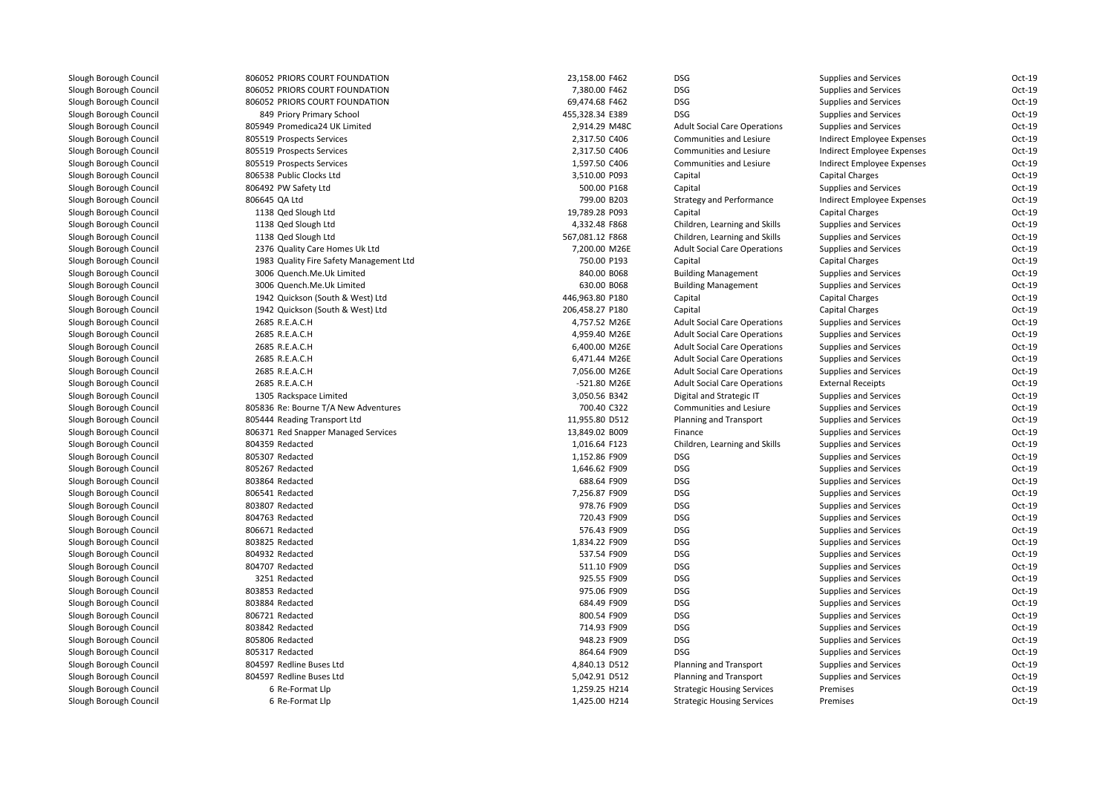| 806052 PRIORS COURT FOUNDATION          | 23,158.00 F462  | <b>DSG</b>                          | Supplies and Services        | $Oct-19$ |
|-----------------------------------------|-----------------|-------------------------------------|------------------------------|----------|
| 806052 PRIORS COURT FOUNDATION          | 7,380.00 F462   | <b>DSG</b>                          | Supplies and Services        | Oct-19   |
| 806052 PRIORS COURT FOUNDATION          | 69,474.68 F462  | <b>DSG</b>                          | <b>Supplies and Services</b> | Oct-19   |
| 849 Priory Primary School               | 455,328.34 E389 | <b>DSG</b>                          | Supplies and Services        | Oct-19   |
| 805949 Promedica24 UK Limited           | 2,914.29 M48C   | <b>Adult Social Care Operations</b> | Supplies and Services        | Oct-19   |
| 805519 Prospects Services               | 2,317.50 C406   | Communities and Lesiure             | Indirect Employee Expenses   | Oct-19   |
| 805519 Prospects Services               | 2,317.50 C406   | Communities and Lesiure             | Indirect Employee Expenses   | Oct-19   |
| 805519 Prospects Services               | 1,597.50 C406   | Communities and Lesiure             | Indirect Employee Expenses   | Oct-19   |
| 806538 Public Clocks Ltd                | 3,510.00 P093   | Capital                             | Capital Charges              | Oct-19   |
| 806492 PW Safety Ltd                    | 500.00 P168     | Capital                             | Supplies and Services        | Oct-19   |
| 806645 QA Ltd                           | 799.00 B203     | <b>Strategy and Performance</b>     | Indirect Employee Expenses   | Oct-19   |
| 1138 Qed Slough Ltd                     | 19,789.28 P093  | Capital                             | <b>Capital Charges</b>       | Oct-19   |
| 1138 Qed Slough Ltd                     | 4,332.48 F868   | Children, Learning and Skills       | <b>Supplies and Services</b> | Oct-19   |
| 1138 Qed Slough Ltd                     | 567,081.12 F868 | Children, Learning and Skills       | <b>Supplies and Services</b> | Oct-19   |
| 2376 Quality Care Homes Uk Ltd          | 7,200.00 M26E   | <b>Adult Social Care Operations</b> | Supplies and Services        | Oct-19   |
| 1983 Quality Fire Safety Management Ltd | 750.00 P193     | Capital                             | Capital Charges              | $Oct-19$ |
| 3006 Quench.Me.Uk Limited               | 840.00 B068     | <b>Building Management</b>          | <b>Supplies and Services</b> | Oct-19   |
| 3006 Quench.Me.Uk Limited               | 630.00 B068     | <b>Building Management</b>          | Supplies and Services        | Oct-19   |
| 1942 Quickson (South & West) Ltd        | 446,963.80 P180 | Capital                             | <b>Capital Charges</b>       | $Oct-19$ |
| 1942 Quickson (South & West) Ltd        | 206,458.27 P180 | Capital                             | <b>Capital Charges</b>       | Oct-19   |
| 2685 R.E.A.C.H                          | 4,757.52 M26E   | <b>Adult Social Care Operations</b> | Supplies and Services        | Oct-19   |
| 2685 R.E.A.C.H                          | 4,959.40 M26E   | <b>Adult Social Care Operations</b> | Supplies and Services        | Oct-19   |
| 2685 R.E.A.C.H                          | 6,400.00 M26E   | <b>Adult Social Care Operations</b> | Supplies and Services        | Oct-19   |
| 2685 R.E.A.C.H                          | 6,471.44 M26E   | <b>Adult Social Care Operations</b> | Supplies and Services        | Oct-19   |
| 2685 R.E.A.C.H                          | 7,056.00 M26E   | <b>Adult Social Care Operations</b> | Supplies and Services        | Oct-19   |
| 2685 R.E.A.C.H                          | -521.80 M26E    | <b>Adult Social Care Operations</b> | <b>External Receipts</b>     | Oct-19   |
| 1305 Rackspace Limited                  | 3,050.56 B342   | Digital and Strategic IT            | Supplies and Services        | Oct-19   |
| 805836 Re: Bourne T/A New Adventures    | 700.40 C322     | Communities and Lesiure             | Supplies and Services        | Oct-19   |
| 805444 Reading Transport Ltd            | 11,955.80 D512  | Planning and Transport              | <b>Supplies and Services</b> | Oct-19   |
| 806371 Red Snapper Managed Services     | 13,849.02 B009  | Finance                             | Supplies and Services        | Oct-19   |
| 804359 Redacted                         | 1,016.64 F123   | Children, Learning and Skills       | Supplies and Services        | Oct-19   |
| 805307 Redacted                         | 1,152.86 F909   | <b>DSG</b>                          | Supplies and Services        | Oct-19   |
| 805267 Redacted                         | 1,646.62 F909   | <b>DSG</b>                          | <b>Supplies and Services</b> | Oct-19   |
| 803864 Redacted                         | 688.64 F909     | <b>DSG</b>                          | <b>Supplies and Services</b> | Oct-19   |
| 806541 Redacted                         | 7,256.87 F909   | <b>DSG</b>                          | Supplies and Services        | Oct-19   |
| 803807 Redacted                         | 978.76 F909     | <b>DSG</b>                          | <b>Supplies and Services</b> | Oct-19   |
| 804763 Redacted                         | 720.43 F909     | <b>DSG</b>                          | Supplies and Services        | Oct-19   |
| 806671 Redacted                         | 576.43 F909     | <b>DSG</b>                          | Supplies and Services        | Oct-19   |
| 803825 Redacted                         | 1,834.22 F909   | <b>DSG</b>                          | Supplies and Services        | Oct-19   |
| 804932 Redacted                         | 537.54 F909     | <b>DSG</b>                          | Supplies and Services        | Oct-19   |
| 804707 Redacted                         | 511.10 F909     | <b>DSG</b>                          | Supplies and Services        | Oct-19   |
| 3251 Redacted                           | 925.55 F909     | DSG                                 | Supplies and Services        | Oct-19   |
| 803853 Redacted                         | 975.06 F909     | <b>DSG</b>                          | Supplies and Services        | Oct-19   |
| 803884 Redacted                         | 684.49 F909     | <b>DSG</b>                          | Supplies and Services        | Oct-19   |
| 806721 Redacted                         | 800.54 F909     | <b>DSG</b>                          | Supplies and Services        | Oct-19   |
| 803842 Redacted                         | 714.93 F909     | <b>DSG</b>                          | Supplies and Services        | $Oct-19$ |
| 805806 Redacted                         | 948.23 F909     | <b>DSG</b>                          | <b>Supplies and Services</b> | Oct-19   |
| 805317 Redacted                         | 864.64 F909     | <b>DSG</b>                          | Supplies and Services        | Oct-19   |
| 804597 Redline Buses Ltd                | 4,840.13 D512   | Planning and Transport              | Supplies and Services        | $Oct-19$ |
| 804597 Redline Buses Ltd                | 5,042.91 D512   | Planning and Transport              | <b>Supplies and Services</b> | Oct-19   |
| 6 Re-Format Llp                         | 1,259.25 H214   | <b>Strategic Housing Services</b>   | Premises                     | Oct-19   |
| 6 Re-Format Llp                         | 1,425.00 H214   | <b>Strategic Housing Services</b>   | Premises                     | Oct-19   |
|                                         |                 |                                     |                              |          |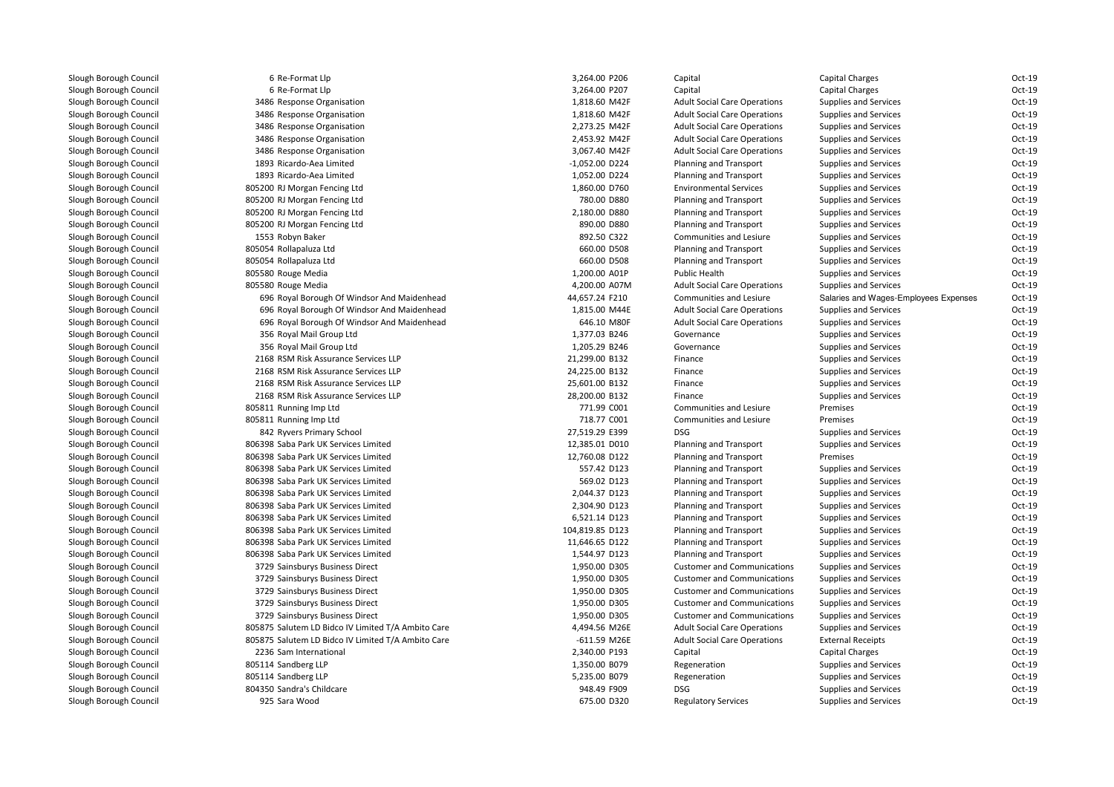| 6 Re-Format Llp                                    | 3,264.00 P206    | Capital                             | <b>Capital Charges</b>                | Oct-19           |
|----------------------------------------------------|------------------|-------------------------------------|---------------------------------------|------------------|
| 6 Re-Format Llp                                    | 3,264.00 P207    | Capital                             | <b>Capital Charges</b>                | Oct-19           |
| 3486 Response Organisation                         | 1,818.60 M42F    | <b>Adult Social Care Operations</b> | <b>Supplies and Services</b>          | $Oct-19$         |
| 3486 Response Organisation                         | 1,818.60 M42F    | <b>Adult Social Care Operations</b> | <b>Supplies and Services</b>          | Oct-19           |
| 3486 Response Organisation                         | 2,273.25 M42F    | <b>Adult Social Care Operations</b> | Supplies and Services                 | Oct-19           |
|                                                    | 2,453.92 M42F    | <b>Adult Social Care Operations</b> | <b>Supplies and Services</b>          | $Oct-19$         |
| 3486 Response Organisation                         |                  |                                     |                                       | Oct-19           |
| 3486 Response Organisation                         | 3,067.40 M42F    | <b>Adult Social Care Operations</b> | Supplies and Services                 |                  |
| 1893 Ricardo-Aea Limited                           | $-1,052.00$ D224 | Planning and Transport              | Supplies and Services                 | Oct-19<br>Oct-19 |
| 1893 Ricardo-Aea Limited                           | 1,052.00 D224    | Planning and Transport              | Supplies and Services                 |                  |
| 805200 RJ Morgan Fencing Ltd                       | 1,860.00 D760    | <b>Environmental Services</b>       | Supplies and Services                 | $Oct-19$         |
| 805200 RJ Morgan Fencing Ltd                       | 780.00 D880      | Planning and Transport              | Supplies and Services                 | Oct-19           |
| 805200 RJ Morgan Fencing Ltd                       | 2,180.00 D880    | <b>Planning and Transport</b>       | Supplies and Services                 | Oct-19           |
| 805200 RJ Morgan Fencing Ltd                       | 890.00 D880      | Planning and Transport              | <b>Supplies and Services</b>          | Oct-19           |
| 1553 Robyn Baker                                   | 892.50 C322      | Communities and Lesiure             | <b>Supplies and Services</b>          | Oct-19           |
| 805054 Rollapaluza Ltd                             | 660.00 D508      | Planning and Transport              | Supplies and Services                 | Oct-19           |
| 805054 Rollapaluza Ltd                             | 660.00 D508      | Planning and Transport              | <b>Supplies and Services</b>          | Oct-19           |
| 805580 Rouge Media                                 | 1,200.00 A01P    | Public Health                       | Supplies and Services                 | Oct-19           |
| 805580 Rouge Media                                 | 4,200.00 A07M    | <b>Adult Social Care Operations</b> | Supplies and Services                 | Oct-19           |
| 696 Royal Borough Of Windsor And Maidenhead        | 44,657.24 F210   | Communities and Lesiure             | Salaries and Wages-Employees Expenses | $Oct-19$         |
| 696 Royal Borough Of Windsor And Maidenhead        | 1,815.00 M44E    | <b>Adult Social Care Operations</b> | Supplies and Services                 | Oct-19           |
| 696 Royal Borough Of Windsor And Maidenhead        | 646.10 M80F      | <b>Adult Social Care Operations</b> | Supplies and Services                 | Oct-19           |
| 356 Royal Mail Group Ltd                           | 1,377.03 B246    | Governance                          | <b>Supplies and Services</b>          | $Oct-19$         |
| 356 Royal Mail Group Ltd                           | 1,205.29 B246    | Governance                          | Supplies and Services                 | Oct-19           |
| 2168 RSM Risk Assurance Services LLP               | 21,299.00 B132   | Finance                             | Supplies and Services                 | Oct-19           |
| 2168 RSM Risk Assurance Services LLP               | 24,225.00 B132   | Finance                             | <b>Supplies and Services</b>          | $Oct-19$         |
| 2168 RSM Risk Assurance Services LLP               | 25,601.00 B132   | Finance                             | Supplies and Services                 | $Oct-19$         |
| 2168 RSM Risk Assurance Services LLP               | 28,200.00 B132   | Finance                             | <b>Supplies and Services</b>          | Oct-19           |
| 805811 Running Imp Ltd                             | 771.99 C001      | Communities and Lesiure             | Premises                              | Oct-19           |
| 805811 Running Imp Ltd                             | 718.77 C001      | Communities and Lesiure             | Premises                              | Oct-19           |
| 842 Ryvers Primary School                          | 27,519.29 E399   | <b>DSG</b>                          | Supplies and Services                 | Oct-19           |
| 806398 Saba Park UK Services Limited               | 12,385.01 D010   | Planning and Transport              | Supplies and Services                 | Oct-19           |
| 806398 Saba Park UK Services Limited               | 12,760.08 D122   | Planning and Transport              | Premises                              | Oct-19           |
| 806398 Saba Park UK Services Limited               | 557.42 D123      | Planning and Transport              | Supplies and Services                 | Oct-19           |
| 806398 Saba Park UK Services Limited               | 569.02 D123      | Planning and Transport              | Supplies and Services                 | Oct-19           |
| 806398 Saba Park UK Services Limited               | 2,044.37 D123    | Planning and Transport              | <b>Supplies and Services</b>          | Oct-19           |
| 806398 Saba Park UK Services Limited               | 2,304.90 D123    | Planning and Transport              | Supplies and Services                 | Oct-19           |
| 806398 Saba Park UK Services Limited               | 6,521.14 D123    | Planning and Transport              | Supplies and Services                 | Oct-19           |
| 806398 Saba Park UK Services Limited               | 104,819.85 D123  | Planning and Transport              | Supplies and Services                 | $Oct-19$         |
| 806398 Saba Park UK Services Limited               | 11,646.65 D122   | Planning and Transport              | Supplies and Services                 | Oct-19           |
| 806398 Saba Park UK Services Limited               | 1,544.97 D123    | Planning and Transport              | Supplies and Services                 | Oct-19           |
| 3729 Sainsburys Business Direct                    | 1,950.00 D305    | <b>Customer and Communications</b>  | <b>Supplies and Services</b>          | $Oct-19$         |
| 3729 Sainsburys Business Direct                    | 1,950.00 D305    | <b>Customer and Communications</b>  | <b>Supplies and Services</b>          | $Oct-19$         |
| 3729 Sainsburys Business Direct                    | 1,950.00 D305    | <b>Customer and Communications</b>  | Supplies and Services                 | Oct-19           |
| 3729 Sainsburys Business Direct                    | 1,950.00 D305    | <b>Customer and Communications</b>  | <b>Supplies and Services</b>          | Oct-19           |
| 3729 Sainsburys Business Direct                    | 1,950.00 D305    | <b>Customer and Communications</b>  | Supplies and Services                 | Oct-19           |
| 805875 Salutem LD Bidco IV Limited T/A Ambito Care | 4,494.56 M26E    | <b>Adult Social Care Operations</b> | Supplies and Services                 | Oct-19           |
| 805875 Salutem LD Bidco IV Limited T/A Ambito Care | $-611.59$ M26E   | <b>Adult Social Care Operations</b> | <b>External Receipts</b>              | Oct-19           |
| 2236 Sam International                             | 2,340.00 P193    | Capital                             | <b>Capital Charges</b>                | Oct-19           |
| 805114 Sandberg LLP                                | 1,350.00 B079    | Regeneration                        | Supplies and Services                 | Oct-19           |
| 805114 Sandberg LLP                                | 5,235.00 B079    | Regeneration                        | Supplies and Services                 | Oct-19           |
| 804350 Sandra's Childcare                          | 948.49 F909      | <b>DSG</b>                          | <b>Supplies and Services</b>          | Oct-19           |
| 925 Sara Wood                                      | 675.00 D320      | <b>Regulatory Services</b>          | <b>Supplies and Services</b>          | Oct-19           |
|                                                    |                  |                                     |                                       |                  |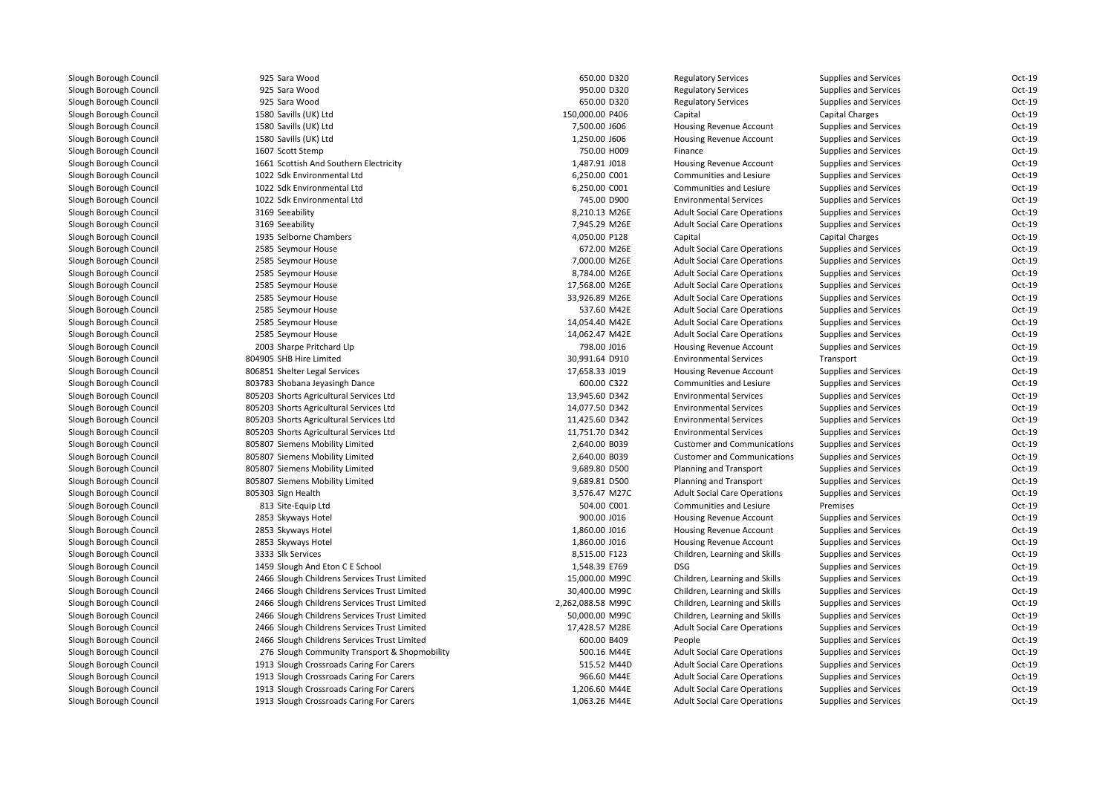| 925 Sara Wood                                 | 650.00 D320       | <b>Regulatory Services</b>          | <b>Supplies and Services</b> | Oct-19   |
|-----------------------------------------------|-------------------|-------------------------------------|------------------------------|----------|
| 925 Sara Wood                                 | 950.00 D320       | <b>Regulatory Services</b>          | <b>Supplies and Services</b> | Oct-19   |
| 925 Sara Wood                                 | 650.00 D320       | <b>Regulatory Services</b>          | <b>Supplies and Services</b> | Oct-19   |
| 1580 Savills (UK) Ltd                         | 150,000.00 P406   | Capital                             | Capital Charges              | Oct-19   |
| 1580 Savills (UK) Ltd                         | 7,500.00 J606     | Housing Revenue Account             | Supplies and Services        | Oct-19   |
| 1580 Savills (UK) Ltd                         | 1,250.00 J606     | Housing Revenue Account             | <b>Supplies and Services</b> | Oct-19   |
| 1607 Scott Stemp                              | 750.00 H009       | Finance                             | <b>Supplies and Services</b> | Oct-19   |
| 1661 Scottish And Southern Electricity        | 1,487.91 J018     | Housing Revenue Account             | <b>Supplies and Services</b> | Oct-19   |
| 1022 Sdk Environmental Ltd                    | 6,250.00 C001     | Communities and Lesiure             | <b>Supplies and Services</b> | Oct-19   |
| 1022 Sdk Environmental Ltd                    | 6,250.00 C001     | Communities and Lesiure             | <b>Supplies and Services</b> | Oct-19   |
| 1022 Sdk Environmental Ltd                    | 745.00 D900       | <b>Environmental Services</b>       | <b>Supplies and Services</b> | Oct-19   |
| 3169 Seeability                               | 8,210.13 M26E     | <b>Adult Social Care Operations</b> | <b>Supplies and Services</b> | Oct-19   |
| 3169 Seeability                               | 7,945.29 M26E     | <b>Adult Social Care Operations</b> | Supplies and Services        | Oct-19   |
| 1935 Selborne Chambers                        | 4,050.00 P128     | Capital                             | <b>Capital Charges</b>       | Oct-19   |
| 2585 Seymour House                            | 672.00 M26E       | <b>Adult Social Care Operations</b> | <b>Supplies and Services</b> | Oct-19   |
| 2585 Seymour House                            | 7,000.00 M26E     | <b>Adult Social Care Operations</b> | <b>Supplies and Services</b> | Oct-19   |
| 2585 Seymour House                            | 8,784.00 M26E     | <b>Adult Social Care Operations</b> | <b>Supplies and Services</b> | Oct-19   |
| 2585 Seymour House                            | 17,568.00 M26E    | <b>Adult Social Care Operations</b> | Supplies and Services        | Oct-19   |
| 2585 Seymour House                            | 33,926.89 M26E    | <b>Adult Social Care Operations</b> | <b>Supplies and Services</b> | Oct-19   |
| 2585 Seymour House                            | 537.60 M42E       | <b>Adult Social Care Operations</b> | <b>Supplies and Services</b> | Oct-19   |
| 2585 Seymour House                            | 14,054.40 M42E    | <b>Adult Social Care Operations</b> | Supplies and Services        | Oct-19   |
| 2585 Seymour House                            | 14,062.47 M42E    | <b>Adult Social Care Operations</b> | <b>Supplies and Services</b> | Oct-19   |
| 2003 Sharpe Pritchard Llp                     | 798.00 J016       | Housing Revenue Account             | <b>Supplies and Services</b> | Oct-19   |
| 804905 SHB Hire Limited                       | 30,991.64 D910    | <b>Environmental Services</b>       | Transport                    | Oct-19   |
| 806851 Shelter Legal Services                 | 17,658.33 J019    | <b>Housing Revenue Account</b>      | <b>Supplies and Services</b> | Oct-19   |
| 803783 Shobana Jeyasingh Dance                | 600.00 C322       | Communities and Lesiure             | Supplies and Services        | Oct-19   |
| 805203 Shorts Agricultural Services Ltd       | 13,945.60 D342    | <b>Environmental Services</b>       | <b>Supplies and Services</b> | Oct-19   |
| 805203 Shorts Agricultural Services Ltd       | 14,077.50 D342    | <b>Environmental Services</b>       | <b>Supplies and Services</b> | $Oct-19$ |
| 805203 Shorts Agricultural Services Ltd       | 11,425.60 D342    | <b>Environmental Services</b>       | <b>Supplies and Services</b> | Oct-19   |
| 805203 Shorts Agricultural Services Ltd       | 11,751.70 D342    | <b>Environmental Services</b>       | <b>Supplies and Services</b> | Oct-19   |
| 805807 Siemens Mobility Limited               | 2,640.00 B039     | <b>Customer and Communications</b>  | <b>Supplies and Services</b> | Oct-19   |
| 805807 Siemens Mobility Limited               | 2,640.00 B039     | <b>Customer and Communications</b>  | <b>Supplies and Services</b> | Oct-19   |
| 805807 Siemens Mobility Limited               | 9,689.80 D500     | Planning and Transport              | <b>Supplies and Services</b> | Oct-19   |
| 805807 Siemens Mobility Limited               | 9,689.81 D500     | Planning and Transport              | <b>Supplies and Services</b> | Oct-19   |
| 805303 Sign Health                            | 3,576.47 M27C     | <b>Adult Social Care Operations</b> | <b>Supplies and Services</b> | Oct-19   |
| 813 Site-Equip Ltd                            | 504.00 C001       | Communities and Lesiure             | Premises                     | Oct-19   |
| 2853 Skyways Hotel                            | 900.00 J016       | Housing Revenue Account             | Supplies and Services        | Oct-19   |
| 2853 Skyways Hotel                            | 1,860.00 J016     | Housing Revenue Account             | <b>Supplies and Services</b> | Oct-19   |
| 2853 Skyways Hotel                            | 1,860.00 J016     | Housing Revenue Account             | <b>Supplies and Services</b> | Oct-19   |
| 3333 Slk Services                             | 8,515.00 F123     | Children, Learning and Skills       | Supplies and Services        | Oct-19   |
| 1459 Slough And Eton C E School               | 1,548.39 E769     | <b>DSG</b>                          | <b>Supplies and Services</b> | Oct-19   |
| 2466 Slough Childrens Services Trust Limited  | 15,000.00 M99C    | Children, Learning and Skills       | Supplies and Services        | Oct-19   |
| 2466 Slough Childrens Services Trust Limited  | 30,400.00 M99C    | Children, Learning and Skills       | <b>Supplies and Services</b> | Oct-19   |
| 2466 Slough Childrens Services Trust Limited  | 2,262,088.58 M99C | Children, Learning and Skills       | Supplies and Services        | Oct-19   |
| 2466 Slough Childrens Services Trust Limited  | 50,000.00 M99C    | Children, Learning and Skills       | <b>Supplies and Services</b> | Oct-19   |
| 2466 Slough Childrens Services Trust Limited  | 17,428.57 M28E    | <b>Adult Social Care Operations</b> | <b>Supplies and Services</b> | Oct-19   |
| 2466 Slough Childrens Services Trust Limited  | 600.00 B409       | People                              | <b>Supplies and Services</b> | Oct-19   |
| 276 Slough Community Transport & Shopmobility | 500.16 M44E       | <b>Adult Social Care Operations</b> | <b>Supplies and Services</b> | Oct-19   |
| 1913 Slough Crossroads Caring For Carers      | 515.52 M44D       | <b>Adult Social Care Operations</b> | <b>Supplies and Services</b> | Oct-19   |
| 1913 Slough Crossroads Caring For Carers      | 966.60 M44E       | <b>Adult Social Care Operations</b> | <b>Supplies and Services</b> | Oct-19   |
| 1913 Slough Crossroads Caring For Carers      | 1,206.60 M44E     | <b>Adult Social Care Operations</b> | <b>Supplies and Services</b> | Oct-19   |
| 1913 Slough Crossroads Caring For Carers      | 1,063.26 M44E     | <b>Adult Social Care Operations</b> | <b>Supplies and Services</b> | Oct-19   |
|                                               |                   |                                     |                              |          |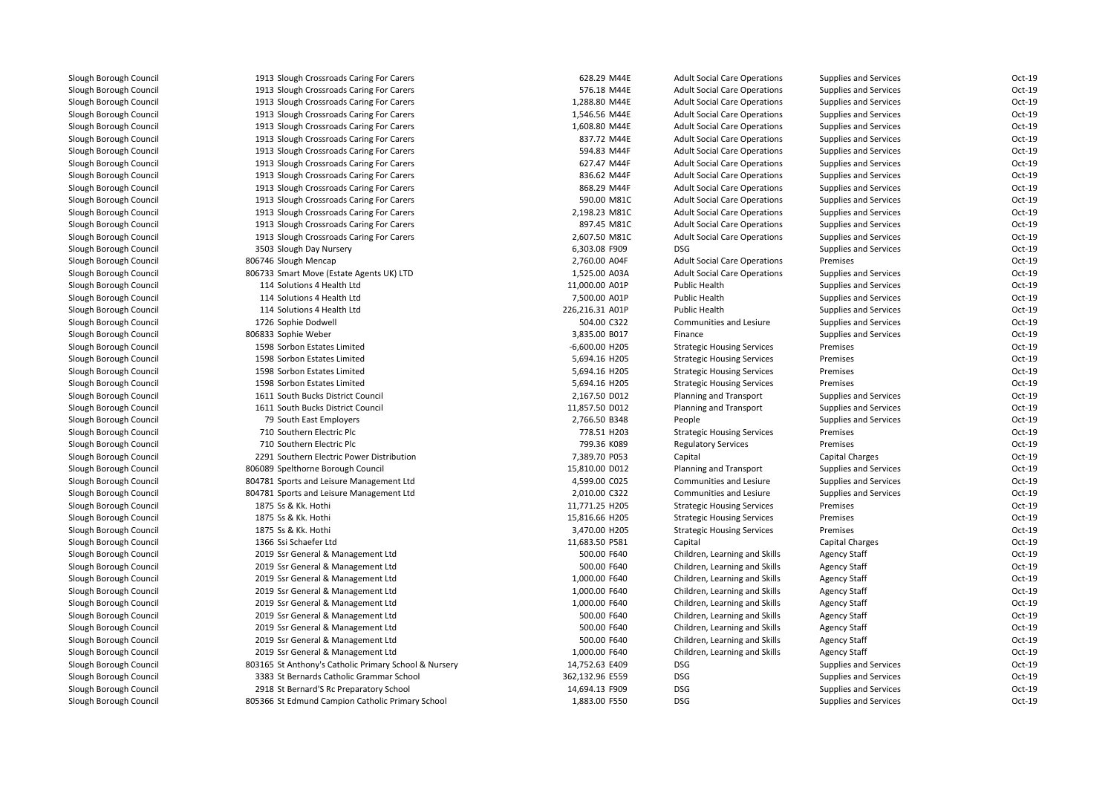| 1913 Slough Crossroads Caring For Carers              | 628.29 M44E     | <b>Adult Social Care Operations</b> | <b>Supplies and Services</b> | Oct-19 |
|-------------------------------------------------------|-----------------|-------------------------------------|------------------------------|--------|
| 1913 Slough Crossroads Caring For Carers              | 576.18 M44E     | <b>Adult Social Care Operations</b> | <b>Supplies and Services</b> | Oct-19 |
| 1913 Slough Crossroads Caring For Carers              | 1,288.80 M44E   | <b>Adult Social Care Operations</b> | <b>Supplies and Services</b> | Oct-19 |
| 1913 Slough Crossroads Caring For Carers              | 1,546.56 M44E   | <b>Adult Social Care Operations</b> | <b>Supplies and Services</b> | Oct-19 |
| 1913 Slough Crossroads Caring For Carers              | 1,608.80 M44E   | <b>Adult Social Care Operations</b> | <b>Supplies and Services</b> | Oct-19 |
| 1913 Slough Crossroads Caring For Carers              | 837.72 M44E     | <b>Adult Social Care Operations</b> | <b>Supplies and Services</b> | Oct-19 |
| 1913 Slough Crossroads Caring For Carers              | 594.83 M44F     | <b>Adult Social Care Operations</b> | <b>Supplies and Services</b> | Oct-19 |
| 1913 Slough Crossroads Caring For Carers              | 627.47 M44F     | <b>Adult Social Care Operations</b> | <b>Supplies and Services</b> | Oct-19 |
| 1913 Slough Crossroads Caring For Carers              | 836.62 M44F     | <b>Adult Social Care Operations</b> | <b>Supplies and Services</b> | Oct-19 |
| 1913 Slough Crossroads Caring For Carers              | 868.29 M44F     | <b>Adult Social Care Operations</b> | <b>Supplies and Services</b> | Oct-19 |
| 1913 Slough Crossroads Caring For Carers              | 590.00 M81C     | <b>Adult Social Care Operations</b> | <b>Supplies and Services</b> | Oct-19 |
| 1913 Slough Crossroads Caring For Carers              | 2,198.23 M81C   | <b>Adult Social Care Operations</b> | <b>Supplies and Services</b> | Oct-19 |
| 1913 Slough Crossroads Caring For Carers              | 897.45 M81C     | <b>Adult Social Care Operations</b> | <b>Supplies and Services</b> | Oct-19 |
| 1913 Slough Crossroads Caring For Carers              | 2,607.50 M81C   | <b>Adult Social Care Operations</b> | <b>Supplies and Services</b> | Oct-19 |
| 3503 Slough Day Nursery                               | 6,303.08 F909   | <b>DSG</b>                          | <b>Supplies and Services</b> | Oct-19 |
| 806746 Slough Mencap                                  | 2,760.00 A04F   | <b>Adult Social Care Operations</b> | Premises                     | Oct-19 |
| 806733 Smart Move (Estate Agents UK) LTD              | 1,525.00 A03A   | <b>Adult Social Care Operations</b> | Supplies and Services        | Oct-19 |
| 114 Solutions 4 Health Ltd                            | 11,000.00 A01P  | <b>Public Health</b>                | <b>Supplies and Services</b> | Oct-19 |
| 114 Solutions 4 Health Ltd                            | 7,500.00 A01P   | <b>Public Health</b>                | Supplies and Services        | Oct-19 |
| 114 Solutions 4 Health Ltd                            | 226,216.31 A01P | Public Health                       | <b>Supplies and Services</b> | Oct-19 |
| 1726 Sophie Dodwell                                   | 504.00 C322     | Communities and Lesiure             | <b>Supplies and Services</b> | Oct-19 |
| 806833 Sophie Weber                                   | 3,835.00 B017   | Finance                             | <b>Supplies and Services</b> | Oct-19 |
| 1598 Sorbon Estates Limited                           | -6,600.00 H205  | <b>Strategic Housing Services</b>   | Premises                     | Oct-19 |
| 1598 Sorbon Estates Limited                           | 5,694.16 H205   | <b>Strategic Housing Services</b>   | Premises                     | Oct-19 |
| 1598 Sorbon Estates Limited                           | 5,694.16 H205   | <b>Strategic Housing Services</b>   | Premises                     | Oct-19 |
| 1598 Sorbon Estates Limited                           | 5,694.16 H205   | <b>Strategic Housing Services</b>   | Premises                     | Oct-19 |
| 1611 South Bucks District Council                     | 2,167.50 D012   | Planning and Transport              | <b>Supplies and Services</b> | Oct-19 |
| 1611 South Bucks District Council                     | 11,857.50 D012  | Planning and Transport              | <b>Supplies and Services</b> | Oct-19 |
| 79 South East Employers                               | 2,766.50 B348   | People                              | <b>Supplies and Services</b> | Oct-19 |
| 710 Southern Electric Plc                             | 778.51 H203     | <b>Strategic Housing Services</b>   | Premises                     | Oct-19 |
| 710 Southern Electric Plc                             | 799.36 K089     | <b>Regulatory Services</b>          | Premises                     | Oct-19 |
| 2291 Southern Electric Power Distribution             | 7,389.70 P053   | Capital                             | Capital Charges              | Oct-19 |
| 806089 Spelthorne Borough Council                     | 15,810.00 D012  | Planning and Transport              | <b>Supplies and Services</b> | Oct-19 |
| 804781 Sports and Leisure Management Ltd              | 4,599.00 C025   | Communities and Lesiure             | <b>Supplies and Services</b> | Oct-19 |
| 804781 Sports and Leisure Management Ltd              | 2,010.00 C322   | Communities and Lesiure             | <b>Supplies and Services</b> | Oct-19 |
| 1875 Ss & Kk. Hothi                                   | 11,771.25 H205  | <b>Strategic Housing Services</b>   | Premises                     | Oct-19 |
| 1875 Ss & Kk. Hothi                                   | 15,816.66 H205  | <b>Strategic Housing Services</b>   | Premises                     | Oct-19 |
| 1875 Ss & Kk. Hothi                                   | 3,470.00 H205   | <b>Strategic Housing Services</b>   | Premises                     | Oct-19 |
| 1366 Ssi Schaefer Ltd                                 | 11,683.50 P581  | Capital                             | <b>Capital Charges</b>       | Oct-19 |
| 2019 Ssr General & Management Ltd                     | 500.00 F640     | Children, Learning and Skills       | <b>Agency Staff</b>          | Oct-19 |
| 2019 Ssr General & Management Ltd                     | 500.00 F640     | Children, Learning and Skills       | <b>Agency Staff</b>          | Oct-19 |
| 2019 Ssr General & Management Ltd                     | 1,000.00 F640   | Children, Learning and Skills       | <b>Agency Staff</b>          | Oct-19 |
| 2019 Ssr General & Management Ltd                     | 1,000.00 F640   | Children, Learning and Skills       | <b>Agency Staff</b>          | Oct-19 |
| 2019 Ssr General & Management Ltd                     | 1,000.00 F640   | Children, Learning and Skills       | <b>Agency Staff</b>          | Oct-19 |
| 2019 Ssr General & Management Ltd                     | 500.00 F640     | Children, Learning and Skills       | <b>Agency Staff</b>          | Oct-19 |
| 2019 Ssr General & Management Ltd                     | 500.00 F640     | Children, Learning and Skills       | <b>Agency Staff</b>          | Oct-19 |
| 2019 Ssr General & Management Ltd                     | 500.00 F640     | Children, Learning and Skills       | <b>Agency Staff</b>          | Oct-19 |
| 2019 Ssr General & Management Ltd                     | 1,000.00 F640   | Children, Learning and Skills       | <b>Agency Staff</b>          | Oct-19 |
| 803165 St Anthony's Catholic Primary School & Nursery | 14,752.63 E409  | <b>DSG</b>                          | <b>Supplies and Services</b> | Oct-19 |
| 3383 St Bernards Catholic Grammar School              | 362,132.96 E559 | <b>DSG</b>                          | <b>Supplies and Services</b> | Oct-19 |
| 2918 St Bernard'S Rc Preparatory School               | 14,694.13 F909  | <b>DSG</b>                          | Supplies and Services        | Oct-19 |
| 805366 St Edmund Campion Catholic Primary School      | 1,883.00 F550   | <b>DSG</b>                          | <b>Supplies and Services</b> | Oct-19 |
|                                                       |                 |                                     |                              |        |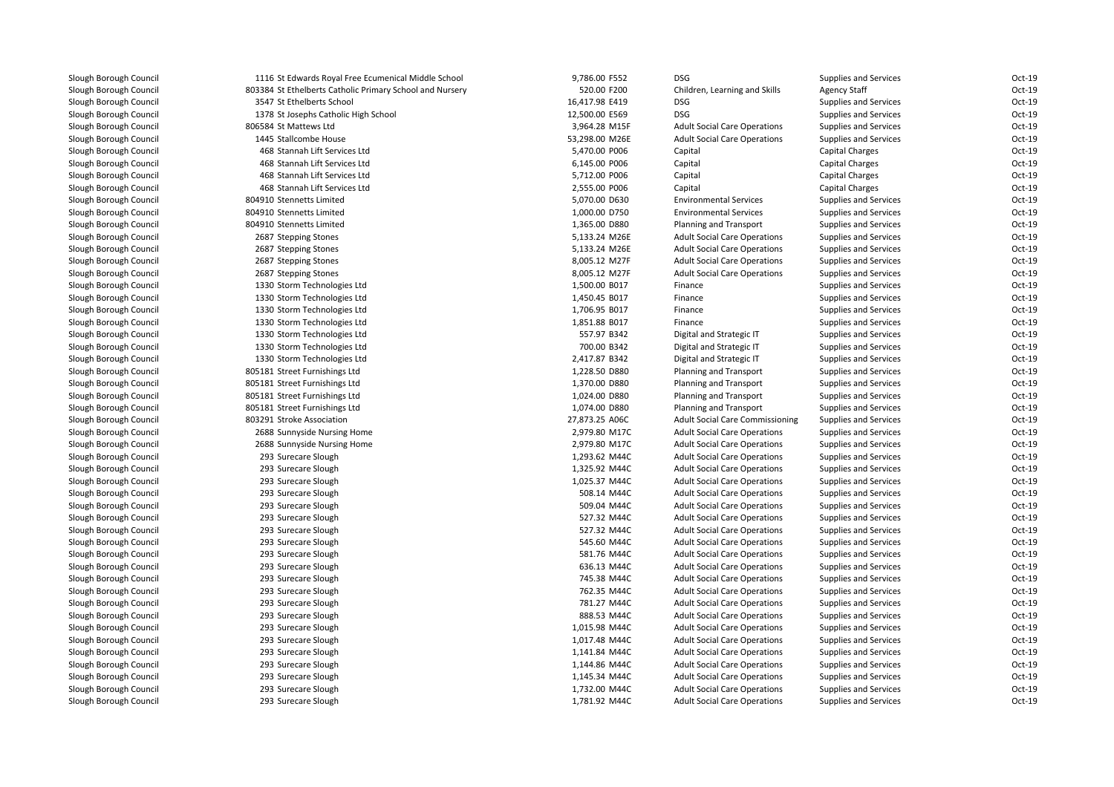| 1116 St Edwards Royal Free Ecumenical Middle School      | 9,786.00 F552  | <b>DSG</b>                             | <b>Supplies and Services</b> | Oct-19   |
|----------------------------------------------------------|----------------|----------------------------------------|------------------------------|----------|
| 803384 St Ethelberts Catholic Primary School and Nursery | 520.00 F200    | Children, Learning and Skills          | <b>Agency Staff</b>          | $Oct-19$ |
| 3547 St Ethelberts School                                | 16,417.98 E419 | <b>DSG</b>                             | <b>Supplies and Services</b> | $Oct-19$ |
| 1378 St Josephs Catholic High School                     | 12,500.00 E569 | <b>DSG</b>                             | <b>Supplies and Services</b> | Oct-19   |
| 806584 St Mattews Ltd                                    | 3,964.28 M15F  | <b>Adult Social Care Operations</b>    | Supplies and Services        | $Oct-19$ |
| 1445 Stallcombe House                                    | 53,298.00 M26E | <b>Adult Social Care Operations</b>    | <b>Supplies and Services</b> | Oct-19   |
| 468 Stannah Lift Services Ltd                            | 5,470.00 P006  | Capital                                | Capital Charges              | Oct-19   |
| 468 Stannah Lift Services Ltd                            | 6,145.00 P006  | Capital                                | Capital Charges              | Oct-19   |
| 468 Stannah Lift Services Ltd                            | 5,712.00 P006  | Capital                                | Capital Charges              | Oct-19   |
| 468 Stannah Lift Services Ltd                            | 2,555.00 P006  | Capital                                | Capital Charges              | Oct-19   |
| 804910 Stennetts Limited                                 | 5,070.00 D630  | <b>Environmental Services</b>          | <b>Supplies and Services</b> | Oct-19   |
| 804910 Stennetts Limited                                 | 1,000.00 D750  | <b>Environmental Services</b>          | <b>Supplies and Services</b> | Oct-19   |
| 804910 Stennetts Limited                                 | 1,365.00 D880  | Planning and Transport                 | <b>Supplies and Services</b> | Oct-19   |
| 2687 Stepping Stones                                     | 5,133.24 M26E  | <b>Adult Social Care Operations</b>    | <b>Supplies and Services</b> | $Oct-19$ |
| 2687 Stepping Stones                                     | 5,133.24 M26E  | <b>Adult Social Care Operations</b>    | Supplies and Services        | Oct-19   |
| 2687 Stepping Stones                                     | 8,005.12 M27F  | <b>Adult Social Care Operations</b>    | <b>Supplies and Services</b> | Oct-19   |
| 2687 Stepping Stones                                     | 8,005.12 M27F  | <b>Adult Social Care Operations</b>    | Supplies and Services        | $Oct-19$ |
| 1330 Storm Technologies Ltd                              | 1,500.00 B017  | Finance                                | <b>Supplies and Services</b> | Oct-19   |
| 1330 Storm Technologies Ltd                              | 1,450.45 B017  | Finance                                | Supplies and Services        | Oct-19   |
| 1330 Storm Technologies Ltd                              | 1,706.95 B017  | Finance                                | Supplies and Services        | $Oct-19$ |
| 1330 Storm Technologies Ltd                              | 1,851.88 B017  | Finance                                | <b>Supplies and Services</b> | Oct-19   |
| 1330 Storm Technologies Ltd                              | 557.97 B342    | Digital and Strategic IT               | <b>Supplies and Services</b> | Oct-19   |
| 1330 Storm Technologies Ltd                              | 700.00 B342    | Digital and Strategic IT               | <b>Supplies and Services</b> | Oct-19   |
| 1330 Storm Technologies Ltd                              | 2,417.87 B342  | Digital and Strategic IT               | Supplies and Services        | $Oct-19$ |
| 805181 Street Furnishings Ltd                            | 1,228.50 D880  | Planning and Transport                 | Supplies and Services        | Oct-19   |
| 805181 Street Furnishings Ltd                            | 1,370.00 D880  | Planning and Transport                 | Supplies and Services        | $Oct-19$ |
| 805181 Street Furnishings Ltd                            | 1,024.00 D880  | Planning and Transport                 | Supplies and Services        | $Oct-19$ |
| 805181 Street Furnishings Ltd                            | 1,074.00 D880  | Planning and Transport                 | <b>Supplies and Services</b> | Oct-19   |
| 803291 Stroke Association                                | 27,873.25 A06C | <b>Adult Social Care Commissioning</b> | <b>Supplies and Services</b> | Oct-19   |
| 2688 Sunnyside Nursing Home                              | 2,979.80 M17C  | <b>Adult Social Care Operations</b>    | Supplies and Services        | $Oct-19$ |
| 2688 Sunnyside Nursing Home                              | 2,979.80 M17C  | <b>Adult Social Care Operations</b>    | Supplies and Services        | $Oct-19$ |
| 293 Surecare Slough                                      | 1,293.62 M44C  | <b>Adult Social Care Operations</b>    | Supplies and Services        | $Oct-19$ |
| 293 Surecare Slough                                      | 1,325.92 M44C  | <b>Adult Social Care Operations</b>    | <b>Supplies and Services</b> | $Oct-19$ |
| 293 Surecare Slough                                      | 1,025.37 M44C  | <b>Adult Social Care Operations</b>    | <b>Supplies and Services</b> | Oct-19   |
| 293 Surecare Slough                                      | 508.14 M44C    | <b>Adult Social Care Operations</b>    | <b>Supplies and Services</b> | $Oct-19$ |
| 293 Surecare Slough                                      | 509.04 M44C    | <b>Adult Social Care Operations</b>    | Supplies and Services        | $Oct-19$ |
| 293 Surecare Slough                                      | 527.32 M44C    | <b>Adult Social Care Operations</b>    | <b>Supplies and Services</b> | Oct-19   |
| 293 Surecare Slough                                      | 527.32 M44C    | <b>Adult Social Care Operations</b>    | Supplies and Services        | Oct-19   |
| 293 Surecare Slough                                      | 545.60 M44C    | <b>Adult Social Care Operations</b>    | <b>Supplies and Services</b> | Oct-19   |
| 293 Surecare Slough                                      | 581.76 M44C    | <b>Adult Social Care Operations</b>    | Supplies and Services        | Oct-19   |
| 293 Surecare Slough                                      | 636.13 M44C    | <b>Adult Social Care Operations</b>    | <b>Supplies and Services</b> | $Oct-19$ |
| 293 Surecare Slough                                      | 745.38 M44C    | <b>Adult Social Care Operations</b>    | Supplies and Services        | Oct-19   |
| 293 Surecare Slough                                      | 762.35 M44C    | <b>Adult Social Care Operations</b>    | Supplies and Services        | $Oct-19$ |
| 293 Surecare Slough                                      | 781.27 M44C    | <b>Adult Social Care Operations</b>    | Supplies and Services        | Oct-19   |
| 293 Surecare Slough                                      | 888.53 M44C    | <b>Adult Social Care Operations</b>    | <b>Supplies and Services</b> | Oct-19   |
| 293 Surecare Slough                                      | 1,015.98 M44C  | <b>Adult Social Care Operations</b>    | Supplies and Services        | $Oct-19$ |
| 293 Surecare Slough                                      | 1,017.48 M44C  | <b>Adult Social Care Operations</b>    | Supplies and Services        | Oct-19   |
| 293 Surecare Slough                                      | 1,141.84 M44C  | <b>Adult Social Care Operations</b>    | Supplies and Services        | $Oct-19$ |
| 293 Surecare Slough                                      | 1,144.86 M44C  | <b>Adult Social Care Operations</b>    | <b>Supplies and Services</b> | Oct-19   |
| 293 Surecare Slough                                      | 1,145.34 M44C  | <b>Adult Social Care Operations</b>    | <b>Supplies and Services</b> | Oct-19   |
| 293 Surecare Slough                                      | 1,732.00 M44C  | <b>Adult Social Care Operations</b>    | Supplies and Services        | Oct-19   |
| 293 Surecare Slough                                      | 1,781.92 M44C  | <b>Adult Social Care Operations</b>    | <b>Supplies and Services</b> | Oct-19   |
|                                                          |                |                                        |                              |          |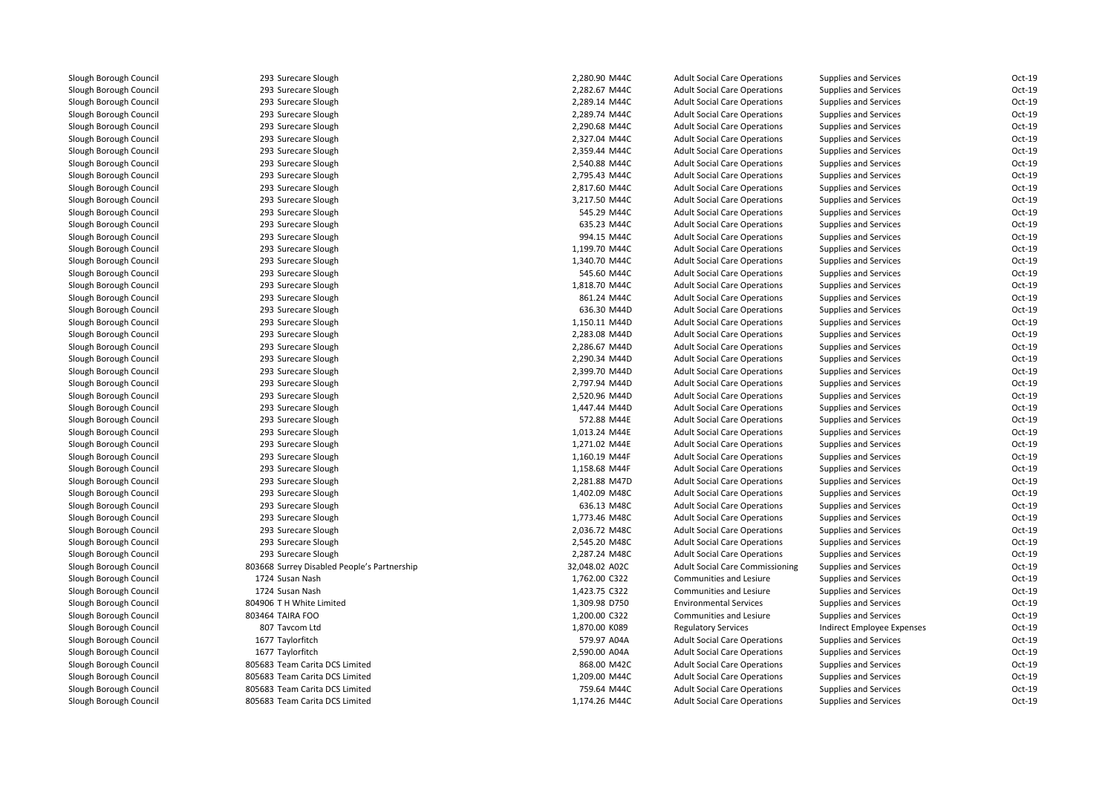293 Surecare Slough 293 Surecare Slough 293 Surecare Slough 293 Surecare Slough 293 Surecare Slough 293 Surecare Slough 293 Surecare Slough 293 Surecare Slough 293 Surecare Slough 293 Surecare Slough 293 Surecare Slough 293 Surecare Slough 293 Surecare Slough 293 Surecare Slough 293 Surecare Slough 293 Surecare Slough 293 Surecare Slough 293 Surecare Slough 293 Surecare Slough293 Surecare Slough 293 Surecare Slough 293 Surecare Slough293 Surecare Slough 293 Surecare Slough 293 Surecare Slough 293 Surecare Slough 293 Surecare Slough 293 Surecare Slough 293 Surecare Slough 293 Surecare Slough 293 Surecare Slough 293 Surecare Slough 293 Surecare Slough 293 Surecare Slough 293 Surecare Slough 293 Surecare Slough 293 Surecare Slough 293 Surecare Slough 293 Surecare Slough 293 Surecare Slough 803668 Surrey Disabled People's Partnership 1724 Susan Nash 1724 Susan Nash 804906 T H White Limited 803464 TAIRA FOO 807 Tavcom Ltd 1677 Taylorfitch 1677 Taylorfitch 805683 Team Carita DCS Limited 805683 Team Carita DCS Limited 805683 Team Carita DCS Limited805683 Team Carita DCS Limited

| Slough                      | 2,280.90 M44C  | <b>Adult Social Care Operations</b>    | <b>Supplies and Services</b> | Oct-19   |
|-----------------------------|----------------|----------------------------------------|------------------------------|----------|
| Slough                      | 2,282.67 M44C  | <b>Adult Social Care Operations</b>    | <b>Supplies and Services</b> | $Oct-19$ |
| Slough                      | 2,289.14 M44C  | <b>Adult Social Care Operations</b>    | <b>Supplies and Services</b> | Oct-19   |
| Slough                      | 2,289.74 M44C  | <b>Adult Social Care Operations</b>    | <b>Supplies and Services</b> | Oct-19   |
| Slough                      | 2,290.68 M44C  | <b>Adult Social Care Operations</b>    | <b>Supplies and Services</b> | Oct-19   |
| Slough                      | 2,327.04 M44C  | <b>Adult Social Care Operations</b>    | <b>Supplies and Services</b> | Oct-19   |
| Slough                      | 2,359.44 M44C  | <b>Adult Social Care Operations</b>    | Supplies and Services        | Oct-19   |
| Slough                      | 2,540.88 M44C  | <b>Adult Social Care Operations</b>    | <b>Supplies and Services</b> | Oct-19   |
| Slough                      | 2,795.43 M44C  | <b>Adult Social Care Operations</b>    | <b>Supplies and Services</b> | $Oct-19$ |
| Slough                      | 2,817.60 M44C  | <b>Adult Social Care Operations</b>    | <b>Supplies and Services</b> | $Oct-19$ |
| Slough                      | 3,217.50 M44C  | <b>Adult Social Care Operations</b>    | <b>Supplies and Services</b> | $Oct-19$ |
| Slough                      | 545.29 M44C    | <b>Adult Social Care Operations</b>    | <b>Supplies and Services</b> | Oct-19   |
| Slough                      | 635.23 M44C    | <b>Adult Social Care Operations</b>    | <b>Supplies and Services</b> | Oct-19   |
| Slough                      | 994.15 M44C    | <b>Adult Social Care Operations</b>    | <b>Supplies and Services</b> | $Oct-19$ |
| Slough                      | 1,199.70 M44C  | <b>Adult Social Care Operations</b>    | <b>Supplies and Services</b> | Oct-19   |
| Slough                      | 1,340.70 M44C  | <b>Adult Social Care Operations</b>    | <b>Supplies and Services</b> | Oct-19   |
| Slough                      | 545.60 M44C    | <b>Adult Social Care Operations</b>    | <b>Supplies and Services</b> | $Oct-19$ |
| Slough                      | 1,818.70 M44C  | <b>Adult Social Care Operations</b>    | <b>Supplies and Services</b> | Oct-19   |
| Slough                      | 861.24 M44C    | <b>Adult Social Care Operations</b>    | <b>Supplies and Services</b> | $Oct-19$ |
| Slough                      | 636.30 M44D    | <b>Adult Social Care Operations</b>    | <b>Supplies and Services</b> | $Oct-19$ |
| Slough                      | 1,150.11 M44D  | <b>Adult Social Care Operations</b>    | <b>Supplies and Services</b> | Oct-19   |
| Slough                      | 2,283.08 M44D  | <b>Adult Social Care Operations</b>    | <b>Supplies and Services</b> | Oct-19   |
| Slough                      | 2,286.67 M44D  | <b>Adult Social Care Operations</b>    | <b>Supplies and Services</b> | $Oct-19$ |
| Slough                      | 2,290.34 M44D  | <b>Adult Social Care Operations</b>    | <b>Supplies and Services</b> | Oct-19   |
| Slough                      | 2,399.70 M44D  | <b>Adult Social Care Operations</b>    | <b>Supplies and Services</b> | Oct-19   |
| Slough                      | 2,797.94 M44D  | <b>Adult Social Care Operations</b>    | Supplies and Services        | $Oct-19$ |
| Slough                      | 2,520.96 M44D  | <b>Adult Social Care Operations</b>    | <b>Supplies and Services</b> | $Oct-19$ |
| Slough                      | 1,447.44 M44D  | <b>Adult Social Care Operations</b>    | <b>Supplies and Services</b> | Oct-19   |
| Slough                      | 572.88 M44E    | <b>Adult Social Care Operations</b>    | <b>Supplies and Services</b> | Oct-19   |
| Slough                      | 1,013.24 M44E  | <b>Adult Social Care Operations</b>    | <b>Supplies and Services</b> | $Oct-19$ |
| Slough                      | 1,271.02 M44E  | <b>Adult Social Care Operations</b>    | <b>Supplies and Services</b> | $Oct-19$ |
| Slough                      | 1,160.19 M44F  | <b>Adult Social Care Operations</b>    | <b>Supplies and Services</b> | $Oct-19$ |
| Slough                      | 1,158.68 M44F  | <b>Adult Social Care Operations</b>    | <b>Supplies and Services</b> | Oct-19   |
| Slough                      | 2.281.88 M47D  | <b>Adult Social Care Operations</b>    | <b>Supplies and Services</b> | $Oct-19$ |
| Slough                      | 1,402.09 M48C  | <b>Adult Social Care Operations</b>    | <b>Supplies and Services</b> | Oct-19   |
| Slough                      | 636.13 M48C    | <b>Adult Social Care Operations</b>    | <b>Supplies and Services</b> | Oct-19   |
| Slough                      | 1,773.46 M48C  | <b>Adult Social Care Operations</b>    | <b>Supplies and Services</b> | Oct-19   |
| Slough                      | 2,036.72 M48C  | <b>Adult Social Care Operations</b>    | <b>Supplies and Services</b> | Oct-19   |
| Slough                      | 2,545.20 M48C  | <b>Adult Social Care Operations</b>    | <b>Supplies and Services</b> | Oct-19   |
| Slough                      | 2,287.24 M48C  | <b>Adult Social Care Operations</b>    | <b>Supplies and Services</b> | $Oct-19$ |
| sabled People's Partnership | 32,048.02 A02C | <b>Adult Social Care Commissioning</b> | <b>Supplies and Services</b> | Oct-19   |
| sh                          | 1,762.00 C322  | Communities and Lesiure                | <b>Supplies and Services</b> | Oct-19   |
| sh                          | 1,423.75 C322  | Communities and Lesiure                | <b>Supplies and Services</b> | $Oct-19$ |
| e Limited                   | 1,309.98 D750  | <b>Environmental Services</b>          | <b>Supplies and Services</b> | Oct-19   |
| 0                           | 1,200.00 C322  | Communities and Lesiure                | <b>Supplies and Services</b> | Oct-19   |
| td                          | 1,870.00 K089  | <b>Regulatory Services</b>             | Indirect Employee Expenses   | $Oct-19$ |
| h                           | 579.97 A04A    | <b>Adult Social Care Operations</b>    | <b>Supplies and Services</b> | $Oct-19$ |
|                             | 2,590.00 A04A  | <b>Adult Social Care Operations</b>    | <b>Supplies and Services</b> | Oct-19   |
| ita DCS Limited             | 868.00 M42C    | <b>Adult Social Care Operations</b>    | <b>Supplies and Services</b> | Oct-19   |
| ita DCS Limited             | 1,209.00 M44C  | <b>Adult Social Care Operations</b>    | <b>Supplies and Services</b> | Oct-19   |
| ita DCS Limited             | 759.64 M44C    | <b>Adult Social Care Operations</b>    | <b>Supplies and Services</b> | Oct-19   |
| ita DCS Limited             | 1,174.26 M44C  | <b>Adult Social Care Operations</b>    | <b>Supplies and Services</b> | Oct-19   |
|                             |                |                                        |                              |          |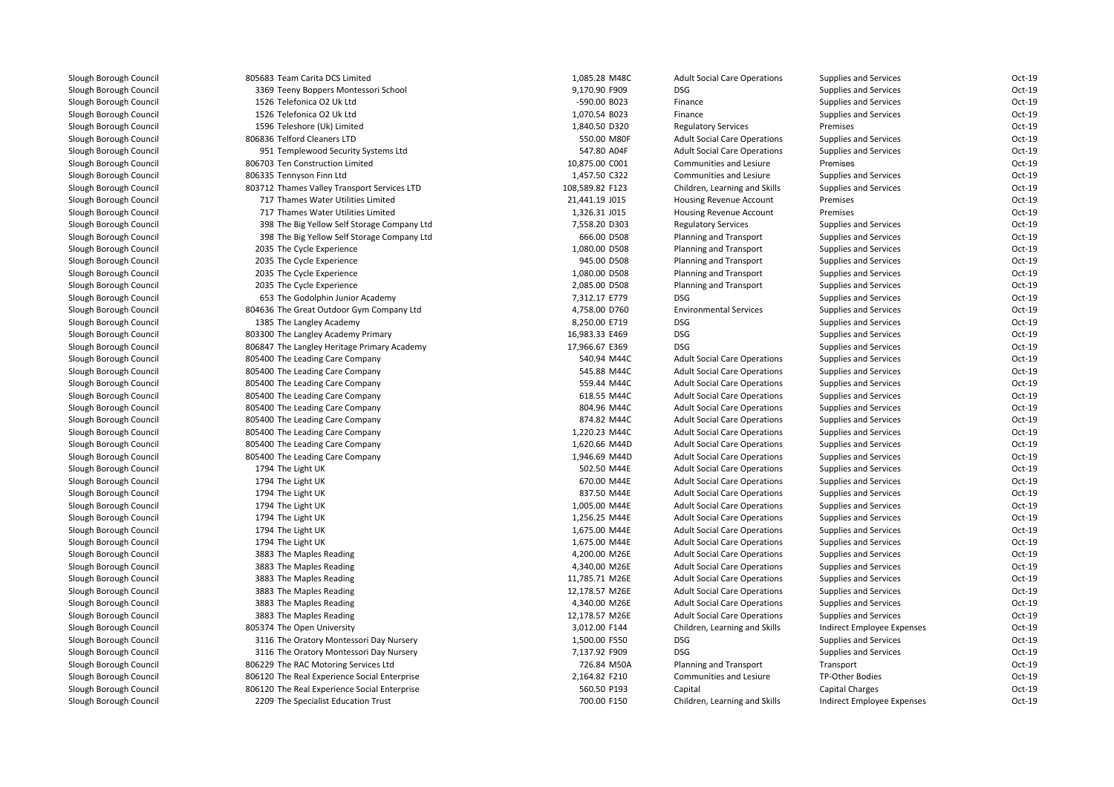| 805683 Team Carita DCS Limited               | 1,085.28 M48C   | <b>Adult Social Care Operations</b> | <b>Supplies and Services</b> | Oct-19   |
|----------------------------------------------|-----------------|-------------------------------------|------------------------------|----------|
| 3369 Teeny Boppers Montessori School         | 9,170.90 F909   | <b>DSG</b>                          | <b>Supplies and Services</b> | Oct-19   |
| 1526 Telefonica O2 Uk Ltd                    | -590.00 B023    | Finance                             | <b>Supplies and Services</b> | Oct-19   |
| 1526 Telefonica O2 Uk Ltd                    | 1,070.54 B023   | Finance                             | Supplies and Services        | $Oct-19$ |
| 1596 Teleshore (Uk) Limited                  | 1,840.50 D320   | <b>Regulatory Services</b>          | Premises                     | $Oct-19$ |
| 806836 Telford Cleaners LTD                  | 550.00 M80F     | <b>Adult Social Care Operations</b> | <b>Supplies and Services</b> | Oct-19   |
| 951 Templewood Security Systems Ltd          | 547.80 A04F     | <b>Adult Social Care Operations</b> | <b>Supplies and Services</b> | Oct-19   |
| 806703 Ten Construction Limited              | 10,875.00 C001  | Communities and Lesiure             | Premises                     | Oct-19   |
| 806335 Tennyson Finn Ltd                     | 1,457.50 C322   | Communities and Lesiure             | Supplies and Services        | Oct-19   |
| 803712 Thames Valley Transport Services LTD  | 108,589.82 F123 | Children, Learning and Skills       | <b>Supplies and Services</b> | Oct-19   |
| 717 Thames Water Utilities Limited           | 21,441.19 J015  | Housing Revenue Account             | Premises                     | Oct-19   |
| 717 Thames Water Utilities Limited           | 1,326.31 J015   | Housing Revenue Account             | Premises                     | Oct-19   |
| 398 The Big Yellow Self Storage Company Ltd  | 7,558.20 D303   | <b>Regulatory Services</b>          | <b>Supplies and Services</b> | Oct-19   |
| 398 The Big Yellow Self Storage Company Ltd  | 666.00 D508     | Planning and Transport              | <b>Supplies and Services</b> | Oct-19   |
| 2035 The Cycle Experience                    | 1,080.00 D508   | Planning and Transport              | <b>Supplies and Services</b> | Oct-19   |
| 2035 The Cycle Experience                    | 945.00 D508     | Planning and Transport              | <b>Supplies and Services</b> | Oct-19   |
| 2035 The Cycle Experience                    | 1,080.00 D508   | Planning and Transport              | <b>Supplies and Services</b> | Oct-19   |
| 2035 The Cycle Experience                    | 2,085.00 D508   | Planning and Transport              | Supplies and Services        | $Oct-19$ |
| 653 The Godolphin Junior Academy             | 7,312.17 E779   | DSG                                 | <b>Supplies and Services</b> | Oct-19   |
| 804636 The Great Outdoor Gym Company Ltd     | 4,758.00 D760   | <b>Environmental Services</b>       | <b>Supplies and Services</b> | Oct-19   |
| 1385 The Langley Academy                     | 8,250.00 E719   | <b>DSG</b>                          | <b>Supplies and Services</b> | Oct-19   |
| 803300 The Langley Academy Primary           | 16,983.33 E469  | <b>DSG</b>                          | <b>Supplies and Services</b> | Oct-19   |
| 806847 The Langley Heritage Primary Academy  | 17,966.67 E369  | <b>DSG</b>                          | <b>Supplies and Services</b> | Oct-19   |
| 805400 The Leading Care Company              | 540.94 M44C     | <b>Adult Social Care Operations</b> | <b>Supplies and Services</b> | Oct-19   |
| 805400 The Leading Care Company              | 545.88 M44C     | <b>Adult Social Care Operations</b> | <b>Supplies and Services</b> | Oct-19   |
| 805400 The Leading Care Company              | 559.44 M44C     | <b>Adult Social Care Operations</b> | Supplies and Services        | Oct-19   |
| 805400 The Leading Care Company              | 618.55 M44C     | <b>Adult Social Care Operations</b> | <b>Supplies and Services</b> | Oct-19   |
| 805400 The Leading Care Company              | 804.96 M44C     | <b>Adult Social Care Operations</b> | <b>Supplies and Services</b> | Oct-19   |
| 805400 The Leading Care Company              | 874.82 M44C     | <b>Adult Social Care Operations</b> | <b>Supplies and Services</b> | Oct-19   |
| 805400 The Leading Care Company              | 1,220.23 M44C   | <b>Adult Social Care Operations</b> | <b>Supplies and Services</b> | Oct-19   |
| 805400 The Leading Care Company              | 1,620.66 M44D   | <b>Adult Social Care Operations</b> | <b>Supplies and Services</b> | Oct-19   |
| 805400 The Leading Care Company              | 1,946.69 M44D   | <b>Adult Social Care Operations</b> | Supplies and Services        | $Oct-19$ |
| 1794 The Light UK                            | 502.50 M44E     | <b>Adult Social Care Operations</b> | <b>Supplies and Services</b> | Oct-19   |
| 1794 The Light UK                            | 670.00 M44E     | <b>Adult Social Care Operations</b> | <b>Supplies and Services</b> | Oct-19   |
| 1794 The Light UK                            | 837.50 M44E     | <b>Adult Social Care Operations</b> | <b>Supplies and Services</b> | Oct-19   |
| 1794 The Light UK                            | 1,005.00 M44E   | <b>Adult Social Care Operations</b> | <b>Supplies and Services</b> | Oct-19   |
| 1794 The Light UK                            | 1,256.25 M44E   | <b>Adult Social Care Operations</b> | <b>Supplies and Services</b> | Oct-19   |
| 1794 The Light UK                            | 1,675.00 M44E   | <b>Adult Social Care Operations</b> | Supplies and Services        | Oct-19   |
| 1794 The Light UK                            | 1,675.00 M44E   | <b>Adult Social Care Operations</b> | <b>Supplies and Services</b> | Oct-19   |
| 3883 The Maples Reading                      | 4,200.00 M26E   | <b>Adult Social Care Operations</b> | <b>Supplies and Services</b> | Oct-19   |
| 3883 The Maples Reading                      | 4,340.00 M26E   | <b>Adult Social Care Operations</b> | <b>Supplies and Services</b> | Oct-19   |
| 3883 The Maples Reading                      | 11,785.71 M26E  | <b>Adult Social Care Operations</b> | <b>Supplies and Services</b> | Oct-19   |
| 3883 The Maples Reading                      | 12,178.57 M26E  | <b>Adult Social Care Operations</b> | <b>Supplies and Services</b> | Oct-19   |
| 3883 The Maples Reading                      | 4,340.00 M26E   | <b>Adult Social Care Operations</b> | <b>Supplies and Services</b> | Oct-19   |
| 3883 The Maples Reading                      | 12,178.57 M26E  | <b>Adult Social Care Operations</b> | <b>Supplies and Services</b> | Oct-19   |
| 805374 The Open University                   | 3,012.00 F144   | Children, Learning and Skills       | Indirect Employee Expenses   | Oct-19   |
| 3116 The Oratory Montessori Day Nursery      | 1,500.00 F550   | <b>DSG</b>                          | <b>Supplies and Services</b> | $Oct-19$ |
| 3116 The Oratory Montessori Day Nursery      | 7,137.92 F909   | <b>DSG</b>                          | Supplies and Services        | Oct-19   |
| 806229 The RAC Motoring Services Ltd         | 726.84 M50A     | Planning and Transport              | Transport                    | Oct-19   |
| 806120 The Real Experience Social Enterprise | 2,164.82 F210   | Communities and Lesiure             | TP-Other Bodies              | Oct-19   |
| 806120 The Real Experience Social Enterprise | 560.50 P193     | Capital                             | Capital Charges              | Oct-19   |
| 2209 The Specialist Education Trust          | 700.00 F150     | Children, Learning and Skills       | Indirect Employee Expenses   | Oct-19   |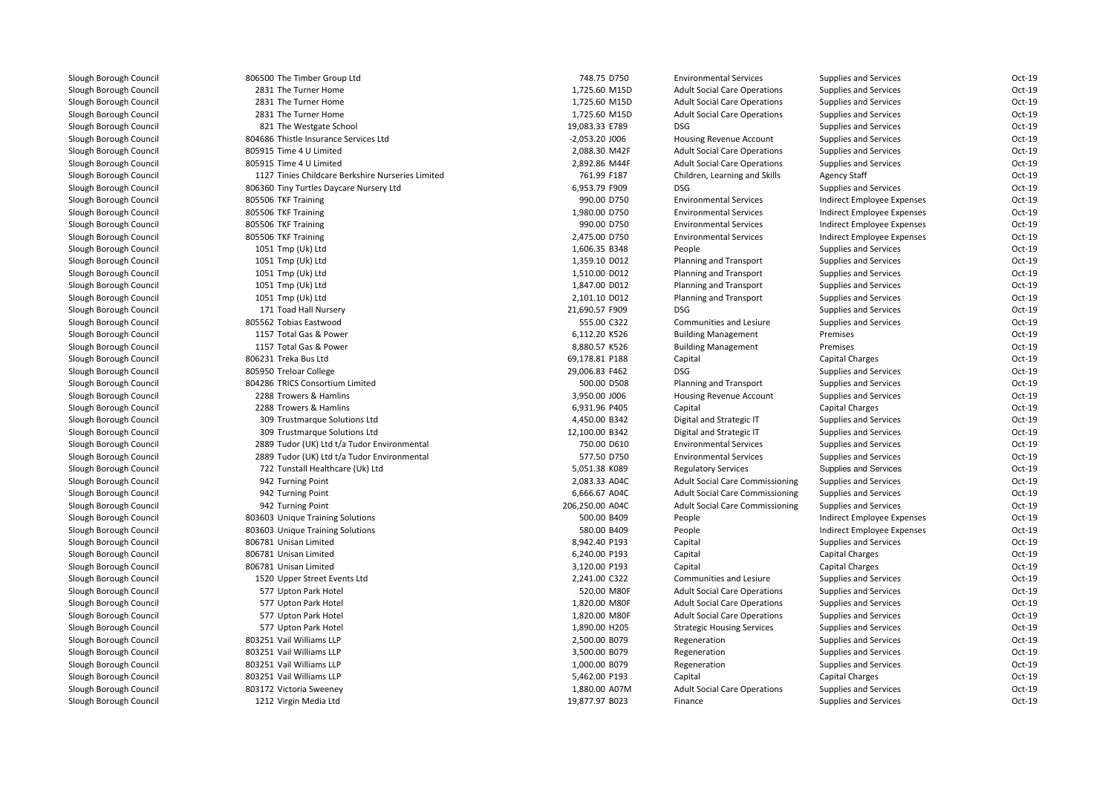| 806500 The Timber Group Ltd                       | 748.75 D750      | <b>Environmental Services</b>          | Supplies and Services        | Oct-19 |
|---------------------------------------------------|------------------|----------------------------------------|------------------------------|--------|
| 2831 The Turner Home                              | 1,725.60 M15D    | <b>Adult Social Care Operations</b>    | Supplies and Services        | Oct-19 |
| 2831 The Turner Home                              | 1,725.60 M15D    | <b>Adult Social Care Operations</b>    | <b>Supplies and Services</b> | Oct-19 |
| 2831 The Turner Home                              | 1,725.60 M15D    | <b>Adult Social Care Operations</b>    | Supplies and Services        | Oct-19 |
| 821 The Westgate School                           | 19,083.33 E789   | <b>DSG</b>                             | <b>Supplies and Services</b> | Oct-19 |
| 804686 Thistle Insurance Services Ltd             | $-2,053.20$ J006 | Housing Revenue Account                | <b>Supplies and Services</b> | Oct-19 |
| 805915 Time 4 U Limited                           | 2,088.30 M42F    | <b>Adult Social Care Operations</b>    | Supplies and Services        | Oct-19 |
| 805915 Time 4 U Limited                           | 2,892.86 M44F    | <b>Adult Social Care Operations</b>    | <b>Supplies and Services</b> | Oct-19 |
| 1127 Tinies Childcare Berkshire Nurseries Limited | 761.99 F187      | Children, Learning and Skills          | <b>Agency Staff</b>          | Oct-19 |
| 806360 Tiny Turtles Daycare Nursery Ltd           | 6,953.79 F909    | <b>DSG</b>                             | <b>Supplies and Services</b> | Oct-19 |
| 805506 TKF Training                               | 990.00 D750      | <b>Environmental Services</b>          | Indirect Employee Expenses   | Oct-19 |
| 805506 TKF Training                               | 1,980.00 D750    | <b>Environmental Services</b>          | Indirect Employee Expenses   | Oct-19 |
| 805506 TKF Training                               | 990.00 D750      | <b>Environmental Services</b>          | Indirect Employee Expenses   | Oct-19 |
| 805506 TKF Training                               | 2,475.00 D750    | <b>Environmental Services</b>          | Indirect Employee Expenses   | Oct-19 |
| 1051 Tmp (Uk) Ltd                                 | 1,606.35 B348    | People                                 | <b>Supplies and Services</b> | Oct-19 |
| 1051 Tmp (Uk) Ltd                                 | 1,359.10 D012    | Planning and Transport                 | <b>Supplies and Services</b> | Oct-19 |
| 1051 Tmp (Uk) Ltd                                 | 1,510.00 D012    | Planning and Transport                 | Supplies and Services        | Oct-19 |
| 1051 Tmp (Uk) Ltd                                 | 1,847.00 D012    | <b>Planning and Transport</b>          | <b>Supplies and Services</b> | Oct-19 |
| 1051 Tmp (Uk) Ltd                                 | 2,101.10 D012    | Planning and Transport                 | <b>Supplies and Services</b> | Oct-19 |
| 171 Toad Hall Nursery                             | 21,690.57 F909   | <b>DSG</b>                             | <b>Supplies and Services</b> | Oct-19 |
| 805562 Tobias Eastwood                            | 555.00 C322      | Communities and Lesiure                | <b>Supplies and Services</b> | Oct-19 |
| 1157 Total Gas & Power                            | 6,112.20 K526    | <b>Building Management</b>             | Premises                     | Oct-19 |
| 1157 Total Gas & Power                            | 8,880.57 K526    | <b>Building Management</b>             | Premises                     | Oct-19 |
| 806231 Treka Bus Ltd                              | 69,178.81 P188   | Capital                                | <b>Capital Charges</b>       | Oct-19 |
| 805950 Treloar College                            | 29,006.83 F462   | <b>DSG</b>                             | <b>Supplies and Services</b> | Oct-19 |
| 804286 TRICS Consortium Limited                   | 500.00 D508      | Planning and Transport                 | <b>Supplies and Services</b> | Oct-19 |
| 2288 Trowers & Hamlins                            | 3,950.00 J006    | <b>Housing Revenue Account</b>         | <b>Supplies and Services</b> | Oct-19 |
| 2288 Trowers & Hamlins                            | 6,931.96 P405    | Capital                                | Capital Charges              | Oct-19 |
| 309 Trustmarque Solutions Ltd                     | 4,450.00 B342    | Digital and Strategic IT               | <b>Supplies and Services</b> | Oct-19 |
| 309 Trustmarque Solutions Ltd                     | 12,100.00 B342   | Digital and Strategic IT               | <b>Supplies and Services</b> | Oct-19 |
| 2889 Tudor (UK) Ltd t/a Tudor Environmental       | 750.00 D610      | <b>Environmental Services</b>          | <b>Supplies and Services</b> | Oct-19 |
| 2889 Tudor (UK) Ltd t/a Tudor Environmental       | 577.50 D750      | <b>Environmental Services</b>          | <b>Supplies and Services</b> | Oct-19 |
| 722 Tunstall Healthcare (Uk) Ltd                  | 5,051.38 K089    | <b>Regulatory Services</b>             | Supplies and Services        | Oct-19 |
| 942 Turning Point                                 | 2,083.33 A04C    | <b>Adult Social Care Commissioning</b> | <b>Supplies and Services</b> | Oct-19 |
| 942 Turning Point                                 | 6,666.67 A04C    | <b>Adult Social Care Commissioning</b> | <b>Supplies and Services</b> | Oct-19 |
| 942 Turning Point                                 | 206,250.00 A04C  | <b>Adult Social Care Commissioning</b> | <b>Supplies and Services</b> | Oct-19 |
| 803603 Unique Training Solutions                  | 500.00 B409      | People                                 | Indirect Employee Expenses   | Oct-19 |
| 803603 Unique Training Solutions                  | 580.00 B409      | People                                 | Indirect Employee Expenses   | Oct-19 |
| 806781 Unisan Limited                             | 8,942.40 P193    | Capital                                | <b>Supplies and Services</b> | Oct-19 |
| 806781 Unisan Limited                             | 6,240.00 P193    | Capital                                | Capital Charges              | Oct-19 |
| 806781 Unisan Limited                             | 3,120.00 P193    | Capital                                | Capital Charges              | Oct-19 |
| 1520 Upper Street Events Ltd                      | 2,241.00 C322    | Communities and Lesiure                | <b>Supplies and Services</b> | Oct-19 |
| 577 Upton Park Hotel                              | 520.00 M80F      | <b>Adult Social Care Operations</b>    | <b>Supplies and Services</b> | Oct-19 |
| 577 Upton Park Hotel                              | 1,820.00 M80F    | <b>Adult Social Care Operations</b>    | <b>Supplies and Services</b> | Oct-19 |
| 577 Upton Park Hotel                              | 1,820.00 M80F    | <b>Adult Social Care Operations</b>    | <b>Supplies and Services</b> | Oct-19 |
| 577 Upton Park Hotel                              | 1,890.00 H205    | <b>Strategic Housing Services</b>      | <b>Supplies and Services</b> | Oct-19 |
| 803251 Vail Williams LLP                          | 2,500.00 B079    | Regeneration                           | <b>Supplies and Services</b> | Oct-19 |
| 803251 Vail Williams LLP                          | 3,500.00 B079    | Regeneration                           | <b>Supplies and Services</b> | Oct-19 |
| 803251 Vail Williams LLP                          | 1,000.00 B079    | Regeneration                           | <b>Supplies and Services</b> | Oct-19 |
| 803251 Vail Williams LLP                          | 5,462.00 P193    | Capital                                | Capital Charges              | Oct-19 |
| 803172 Victoria Sweeney                           | 1,880.00 A07M    | <b>Adult Social Care Operations</b>    | <b>Supplies and Services</b> | Oct-19 |
| 1212 Virgin Media Ltd                             | 19,877.97 B023   | Finance                                | <b>Supplies and Services</b> | Oct-19 |
|                                                   |                  |                                        |                              |        |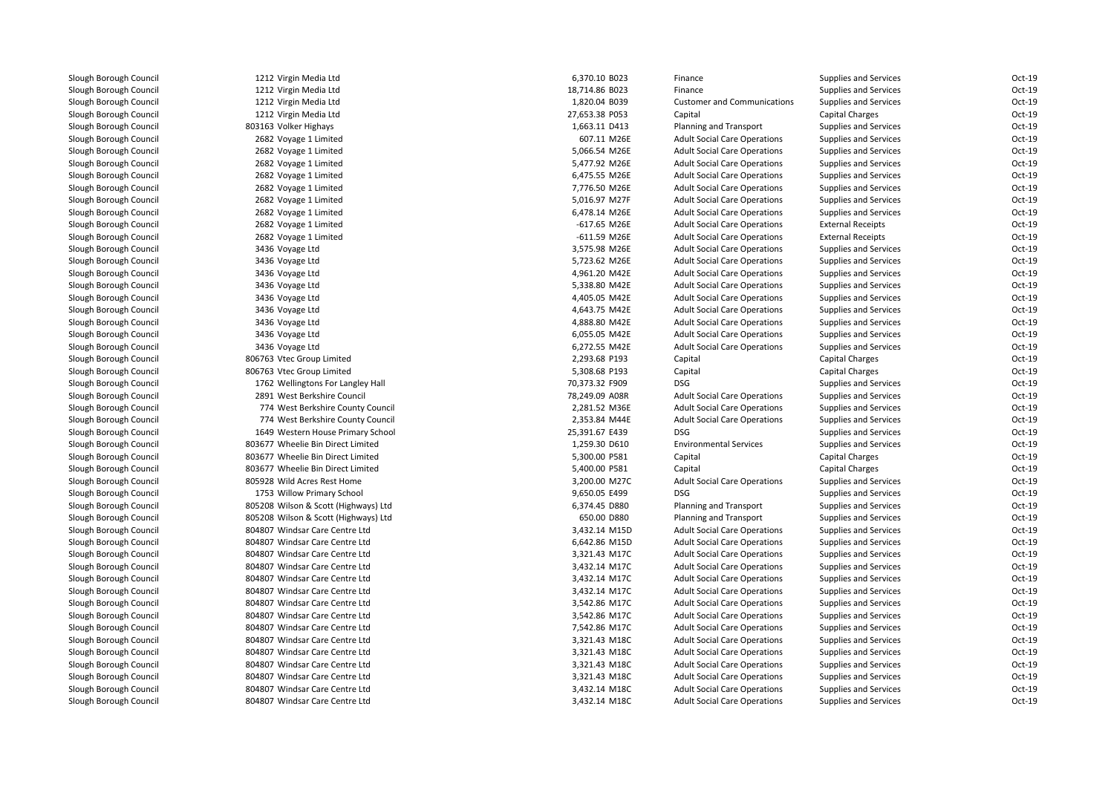| 1212 Virgin Media Ltd                | 6,370.10 B023  | Finance                             | <b>Supplies and Services</b> | Oct-19   |
|--------------------------------------|----------------|-------------------------------------|------------------------------|----------|
| 1212 Virgin Media Ltd                | 18,714.86 B023 | Finance                             | <b>Supplies and Services</b> | Oct-19   |
| 1212 Virgin Media Ltd                | 1,820.04 B039  | <b>Customer and Communications</b>  | <b>Supplies and Services</b> | Oct-19   |
| 1212 Virgin Media Ltd                | 27,653.38 P053 | Capital                             | <b>Capital Charges</b>       | Oct-19   |
| 803163 Volker Highays                | 1,663.11 D413  | <b>Planning and Transport</b>       | <b>Supplies and Services</b> | Oct-19   |
| 2682 Voyage 1 Limited                | 607.11 M26E    | <b>Adult Social Care Operations</b> | <b>Supplies and Services</b> | Oct-19   |
| 2682 Voyage 1 Limited                | 5,066.54 M26E  | <b>Adult Social Care Operations</b> | <b>Supplies and Services</b> | Oct-19   |
| 2682 Voyage 1 Limited                | 5,477.92 M26E  | <b>Adult Social Care Operations</b> | <b>Supplies and Services</b> | Oct-19   |
| 2682 Voyage 1 Limited                | 6,475.55 M26E  | <b>Adult Social Care Operations</b> | <b>Supplies and Services</b> | Oct-19   |
| 2682 Voyage 1 Limited                | 7,776.50 M26E  | <b>Adult Social Care Operations</b> | <b>Supplies and Services</b> | Oct-19   |
| 2682 Voyage 1 Limited                | 5,016.97 M27F  | <b>Adult Social Care Operations</b> | <b>Supplies and Services</b> | Oct-19   |
| 2682 Voyage 1 Limited                | 6,478.14 M26E  | <b>Adult Social Care Operations</b> | <b>Supplies and Services</b> | Oct-19   |
| 2682 Voyage 1 Limited                | $-617.65$ M26E | <b>Adult Social Care Operations</b> | <b>External Receipts</b>     | Oct-19   |
| 2682 Voyage 1 Limited                | $-611.59$ M26E | <b>Adult Social Care Operations</b> | <b>External Receipts</b>     | Oct-19   |
| 3436 Voyage Ltd                      | 3,575.98 M26E  | <b>Adult Social Care Operations</b> | <b>Supplies and Services</b> | Oct-19   |
| 3436 Voyage Ltd                      | 5,723.62 M26E  | <b>Adult Social Care Operations</b> | <b>Supplies and Services</b> | Oct-19   |
| 3436 Voyage Ltd                      | 4,961.20 M42E  | <b>Adult Social Care Operations</b> | <b>Supplies and Services</b> | Oct-19   |
| 3436 Voyage Ltd                      | 5,338.80 M42E  | <b>Adult Social Care Operations</b> | <b>Supplies and Services</b> | Oct-19   |
| 3436 Voyage Ltd                      | 4,405.05 M42E  | <b>Adult Social Care Operations</b> | <b>Supplies and Services</b> | Oct-19   |
| 3436 Voyage Ltd                      | 4,643.75 M42E  | <b>Adult Social Care Operations</b> | <b>Supplies and Services</b> | Oct-19   |
| 3436 Voyage Ltd                      | 4,888.80 M42E  | <b>Adult Social Care Operations</b> | <b>Supplies and Services</b> | Oct-19   |
| 3436 Voyage Ltd                      | 6,055.05 M42E  | <b>Adult Social Care Operations</b> | <b>Supplies and Services</b> | Oct-19   |
| 3436 Voyage Ltd                      | 6,272.55 M42E  | <b>Adult Social Care Operations</b> | <b>Supplies and Services</b> | Oct-19   |
| 806763 Vtec Group Limited            | 2,293.68 P193  | Capital                             | <b>Capital Charges</b>       | Oct-19   |
| 806763 Vtec Group Limited            | 5,308.68 P193  | Capital                             | <b>Capital Charges</b>       | Oct-19   |
| 1762 Wellingtons For Langley Hall    | 70,373.32 F909 | <b>DSG</b>                          | <b>Supplies and Services</b> | Oct-19   |
| 2891 West Berkshire Council          | 78,249.09 A08R | <b>Adult Social Care Operations</b> | <b>Supplies and Services</b> | Oct-19   |
| 774 West Berkshire County Council    | 2,281.52 M36E  | <b>Adult Social Care Operations</b> | <b>Supplies and Services</b> | $Oct-19$ |
| 774 West Berkshire County Council    | 2,353.84 M44E  | <b>Adult Social Care Operations</b> | <b>Supplies and Services</b> | Oct-19   |
| 1649 Western House Primary School    | 25,391.67 E439 | <b>DSG</b>                          | <b>Supplies and Services</b> | Oct-19   |
| 803677 Wheelie Bin Direct Limited    | 1,259.30 D610  | <b>Environmental Services</b>       | <b>Supplies and Services</b> | Oct-19   |
| 803677 Wheelie Bin Direct Limited    | 5,300.00 P581  | Capital                             | <b>Capital Charges</b>       | Oct-19   |
| 803677 Wheelie Bin Direct Limited    | 5,400.00 P581  | Capital                             | <b>Capital Charges</b>       | Oct-19   |
| 805928 Wild Acres Rest Home          | 3,200.00 M27C  | <b>Adult Social Care Operations</b> | <b>Supplies and Services</b> | Oct-19   |
| 1753 Willow Primary School           | 9,650.05 E499  | <b>DSG</b>                          | <b>Supplies and Services</b> | $Oct-19$ |
| 805208 Wilson & Scott (Highways) Ltd | 6,374.45 D880  | Planning and Transport              | <b>Supplies and Services</b> | Oct-19   |
| 805208 Wilson & Scott (Highways) Ltd | 650.00 D880    | Planning and Transport              | <b>Supplies and Services</b> | Oct-19   |
| 804807 Windsar Care Centre Ltd       | 3,432.14 M15D  | <b>Adult Social Care Operations</b> | <b>Supplies and Services</b> | Oct-19   |
| 804807 Windsar Care Centre Ltd       | 6,642.86 M15D  | <b>Adult Social Care Operations</b> | Supplies and Services        | Oct-19   |
| 804807 Windsar Care Centre Ltd       | 3,321.43 M17C  | <b>Adult Social Care Operations</b> | <b>Supplies and Services</b> | Oct-19   |
| 804807 Windsar Care Centre Ltd       | 3,432.14 M17C  | <b>Adult Social Care Operations</b> | <b>Supplies and Services</b> | Oct-19   |
| 804807 Windsar Care Centre Ltd       | 3,432.14 M17C  | <b>Adult Social Care Operations</b> | <b>Supplies and Services</b> | Oct-19   |
| 804807 Windsar Care Centre Ltd       | 3,432.14 M17C  | <b>Adult Social Care Operations</b> | <b>Supplies and Services</b> | Oct-19   |
| 804807 Windsar Care Centre Ltd       | 3,542.86 M17C  | <b>Adult Social Care Operations</b> | <b>Supplies and Services</b> | Oct-19   |
| 804807 Windsar Care Centre Ltd       | 3,542.86 M17C  | <b>Adult Social Care Operations</b> | <b>Supplies and Services</b> | Oct-19   |
| 804807 Windsar Care Centre Ltd       | 7,542.86 M17C  | <b>Adult Social Care Operations</b> | <b>Supplies and Services</b> | Oct-19   |
| 804807 Windsar Care Centre Ltd       | 3,321.43 M18C  | <b>Adult Social Care Operations</b> | <b>Supplies and Services</b> | Oct-19   |
| 804807 Windsar Care Centre Ltd       | 3,321.43 M18C  | <b>Adult Social Care Operations</b> | <b>Supplies and Services</b> | Oct-19   |
| 804807 Windsar Care Centre Ltd       | 3,321.43 M18C  | <b>Adult Social Care Operations</b> | <b>Supplies and Services</b> | Oct-19   |
| 804807 Windsar Care Centre Ltd       | 3,321.43 M18C  | <b>Adult Social Care Operations</b> | <b>Supplies and Services</b> | Oct-19   |
| 804807 Windsar Care Centre Ltd       | 3,432.14 M18C  | <b>Adult Social Care Operations</b> | <b>Supplies and Services</b> | Oct-19   |
| 804807 Windsar Care Centre Ltd       | 3,432.14 M18C  | <b>Adult Social Care Operations</b> | <b>Supplies and Services</b> | Oct-19   |
|                                      |                |                                     |                              |          |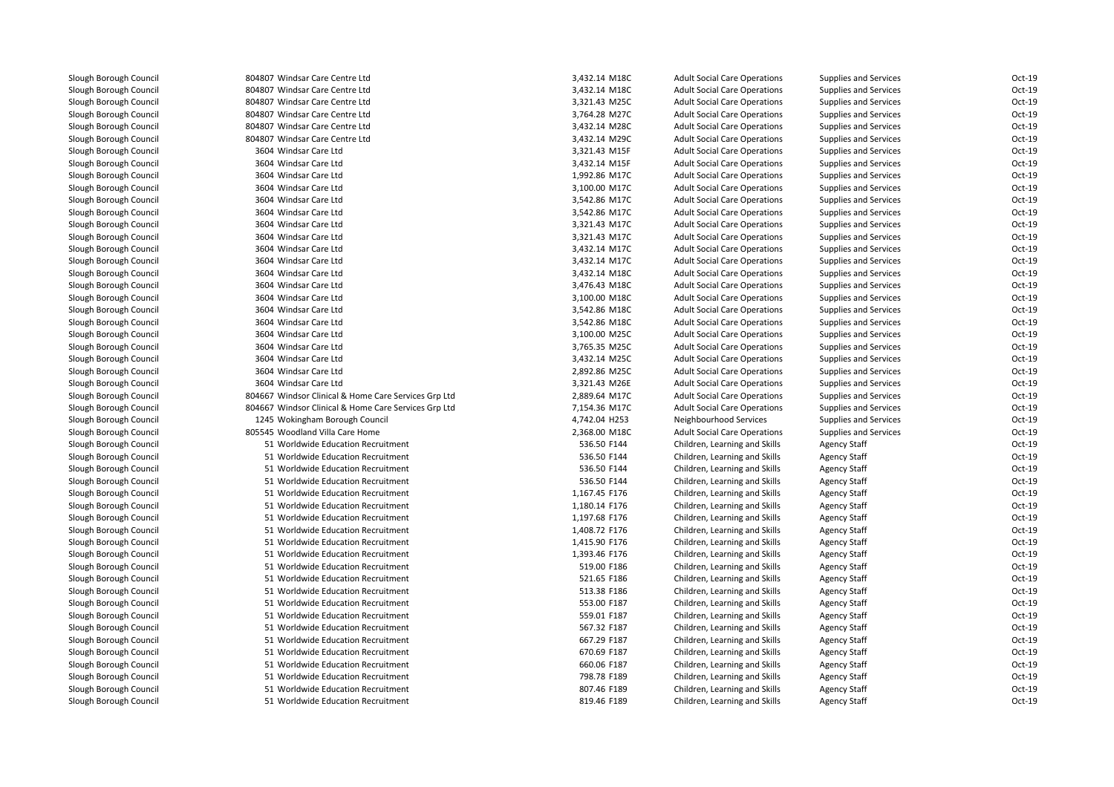| 804807 Windsar Care Centre Ltd                       | 3,432.14 M18C | <b>Adult Social Care Operations</b> | Supplies and Services        | Oct-19   |
|------------------------------------------------------|---------------|-------------------------------------|------------------------------|----------|
| 804807 Windsar Care Centre Ltd                       | 3,432.14 M18C | <b>Adult Social Care Operations</b> | Supplies and Services        | Oct-19   |
| 804807 Windsar Care Centre Ltd                       | 3,321.43 M25C | <b>Adult Social Care Operations</b> | Supplies and Services        | Oct-19   |
| 804807 Windsar Care Centre Ltd                       | 3,764.28 M27C | <b>Adult Social Care Operations</b> | Supplies and Services        | Oct-19   |
| 804807 Windsar Care Centre Ltd                       | 3,432.14 M28C | <b>Adult Social Care Operations</b> | Supplies and Services        | Oct-19   |
| 804807 Windsar Care Centre Ltd                       | 3,432.14 M29C | <b>Adult Social Care Operations</b> | Supplies and Services        | Oct-19   |
| 3604 Windsar Care Ltd                                | 3,321.43 M15F | <b>Adult Social Care Operations</b> | Supplies and Services        | Oct-19   |
| 3604 Windsar Care Ltd                                | 3,432.14 M15F | <b>Adult Social Care Operations</b> | Supplies and Services        | $Oct-19$ |
| 3604 Windsar Care Ltd                                | 1,992.86 M17C | <b>Adult Social Care Operations</b> | Supplies and Services        | Oct-19   |
| 3604 Windsar Care Ltd                                | 3,100.00 M17C | <b>Adult Social Care Operations</b> | Supplies and Services        | Oct-19   |
| 3604 Windsar Care Ltd                                | 3,542.86 M17C | <b>Adult Social Care Operations</b> | <b>Supplies and Services</b> | Oct-19   |
| 3604 Windsar Care Ltd                                | 3,542.86 M17C | <b>Adult Social Care Operations</b> | Supplies and Services        | Oct-19   |
| 3604 Windsar Care Ltd                                | 3,321.43 M17C | <b>Adult Social Care Operations</b> | Supplies and Services        | Oct-19   |
| 3604 Windsar Care Ltd                                | 3,321.43 M17C | <b>Adult Social Care Operations</b> | <b>Supplies and Services</b> | Oct-19   |
| 3604 Windsar Care Ltd                                | 3,432.14 M17C | <b>Adult Social Care Operations</b> | Supplies and Services        | Oct-19   |
| 3604 Windsar Care Ltd                                | 3,432.14 M17C | <b>Adult Social Care Operations</b> | Supplies and Services        | Oct-19   |
| 3604 Windsar Care Ltd                                | 3,432.14 M18C | <b>Adult Social Care Operations</b> | Supplies and Services        | Oct-19   |
| 3604 Windsar Care Ltd                                | 3,476.43 M18C | <b>Adult Social Care Operations</b> | Supplies and Services        | Oct-19   |
| 3604 Windsar Care Ltd                                | 3,100.00 M18C | <b>Adult Social Care Operations</b> | Supplies and Services        | Oct-19   |
| 3604 Windsar Care Ltd                                | 3,542.86 M18C | <b>Adult Social Care Operations</b> | Supplies and Services        | Oct-19   |
| 3604 Windsar Care Ltd                                | 3,542.86 M18C | <b>Adult Social Care Operations</b> | Supplies and Services        | Oct-19   |
| 3604 Windsar Care Ltd                                | 3,100.00 M25C | <b>Adult Social Care Operations</b> | Supplies and Services        | Oct-19   |
| 3604 Windsar Care Ltd                                | 3,765.35 M25C | <b>Adult Social Care Operations</b> | Supplies and Services        | Oct-19   |
| 3604 Windsar Care Ltd                                | 3,432.14 M25C | <b>Adult Social Care Operations</b> | Supplies and Services        | Oct-19   |
| 3604 Windsar Care Ltd                                | 2,892.86 M25C | <b>Adult Social Care Operations</b> | Supplies and Services        | Oct-19   |
| 3604 Windsar Care Ltd                                | 3,321.43 M26E | <b>Adult Social Care Operations</b> | Supplies and Services        | Oct-19   |
| 804667 Windsor Clinical & Home Care Services Grp Ltd | 2,889.64 M17C | <b>Adult Social Care Operations</b> | Supplies and Services        | Oct-19   |
| 804667 Windsor Clinical & Home Care Services Grp Ltd | 7,154.36 M17C | <b>Adult Social Care Operations</b> | Supplies and Services        | Oct-19   |
| 1245 Wokingham Borough Council                       | 4,742.04 H253 | Neighbourhood Services              | Supplies and Services        | Oct-19   |
| 805545 Woodland Villa Care Home                      | 2,368.00 M18C | <b>Adult Social Care Operations</b> | Supplies and Services        | Oct-19   |
| 51 Worldwide Education Recruitment                   | 536.50 F144   | Children, Learning and Skills       | <b>Agency Staff</b>          | Oct-19   |
| 51 Worldwide Education Recruitment                   | 536.50 F144   | Children, Learning and Skills       | <b>Agency Staff</b>          | Oct-19   |
| 51 Worldwide Education Recruitment                   | 536.50 F144   | Children, Learning and Skills       | <b>Agency Staff</b>          | Oct-19   |
| 51 Worldwide Education Recruitment                   | 536.50 F144   | Children, Learning and Skills       | <b>Agency Staff</b>          | Oct-19   |
| 51 Worldwide Education Recruitment                   | 1,167.45 F176 | Children, Learning and Skills       | <b>Agency Staff</b>          | Oct-19   |
| 51 Worldwide Education Recruitment                   | 1,180.14 F176 | Children, Learning and Skills       | <b>Agency Staff</b>          | Oct-19   |
| 51 Worldwide Education Recruitment                   | 1,197.68 F176 | Children, Learning and Skills       | <b>Agency Staff</b>          | Oct-19   |
| 51 Worldwide Education Recruitment                   | 1,408.72 F176 | Children, Learning and Skills       | <b>Agency Staff</b>          | Oct-19   |
| 51 Worldwide Education Recruitment                   | 1,415.90 F176 | Children, Learning and Skills       | <b>Agency Staff</b>          | Oct-19   |
| 51 Worldwide Education Recruitment                   | 1,393.46 F176 | Children, Learning and Skills       | <b>Agency Staff</b>          | Oct-19   |
| 51 Worldwide Education Recruitment                   | 519.00 F186   | Children, Learning and Skills       | <b>Agency Staff</b>          | Oct-19   |
| 51 Worldwide Education Recruitment                   | 521.65 F186   | Children, Learning and Skills       | <b>Agency Staff</b>          | Oct-19   |
| 51 Worldwide Education Recruitment                   | 513.38 F186   | Children, Learning and Skills       | <b>Agency Staff</b>          | Oct-19   |
| 51 Worldwide Education Recruitment                   | 553.00 F187   | Children, Learning and Skills       | <b>Agency Staff</b>          | Oct-19   |
| 51 Worldwide Education Recruitment                   | 559.01 F187   | Children, Learning and Skills       | <b>Agency Staff</b>          | Oct-19   |
| 51 Worldwide Education Recruitment                   | 567.32 F187   | Children, Learning and Skills       | <b>Agency Staff</b>          | Oct-19   |
| 51 Worldwide Education Recruitment                   | 667.29 F187   | Children, Learning and Skills       | <b>Agency Staff</b>          | Oct-19   |
| 51 Worldwide Education Recruitment                   | 670.69 F187   | Children, Learning and Skills       | <b>Agency Staff</b>          | Oct-19   |
| 51 Worldwide Education Recruitment                   | 660.06 F187   | Children, Learning and Skills       | <b>Agency Staff</b>          | Oct-19   |
| 51 Worldwide Education Recruitment                   | 798.78 F189   | Children, Learning and Skills       | <b>Agency Staff</b>          | Oct-19   |
| 51 Worldwide Education Recruitment                   | 807.46 F189   | Children, Learning and Skills       | <b>Agency Staff</b>          | Oct-19   |
| 51 Worldwide Education Recruitment                   | 819.46 F189   | Children, Learning and Skills       | <b>Agency Staff</b>          | Oct-19   |
|                                                      |               |                                     |                              |          |